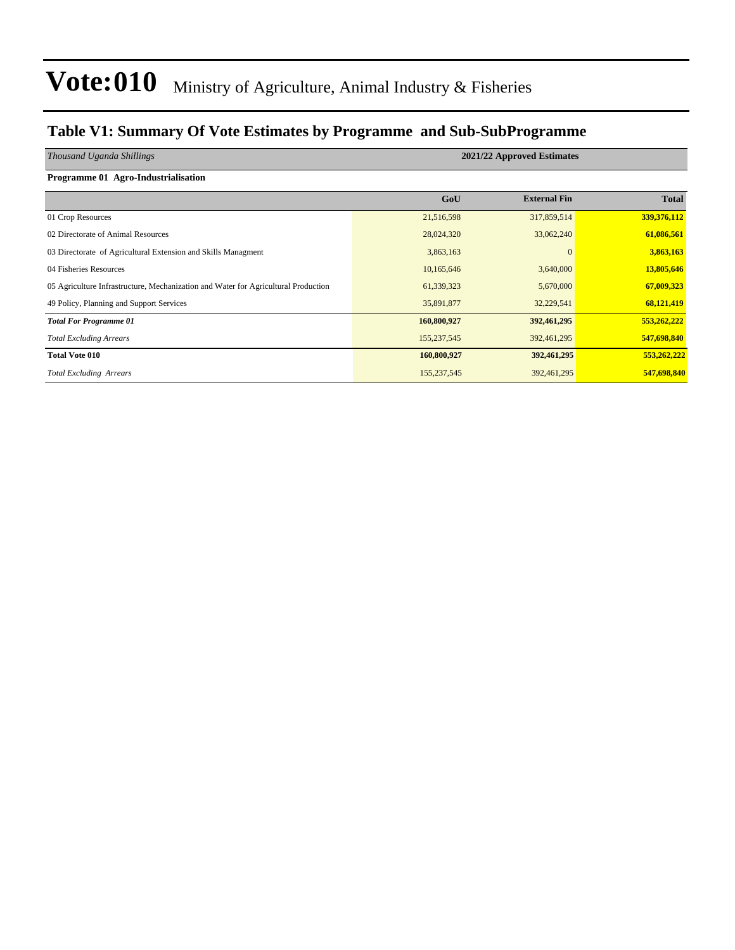### **Table V1: Summary Of Vote Estimates by Programme and Sub-SubProgramme**

| Thousand Uganda Shillings                                                          | 2021/22 Approved Estimates |                     |              |  |  |  |  |
|------------------------------------------------------------------------------------|----------------------------|---------------------|--------------|--|--|--|--|
|                                                                                    |                            |                     |              |  |  |  |  |
| Programme 01 Agro-Industrialisation                                                |                            |                     |              |  |  |  |  |
|                                                                                    | GoU                        | <b>External Fin</b> | <b>Total</b> |  |  |  |  |
| 01 Crop Resources                                                                  | 21,516,598                 | 317,859,514         | 339,376,112  |  |  |  |  |
| 02 Directorate of Animal Resources                                                 | 28,024,320                 | 33,062,240          | 61,086,561   |  |  |  |  |
| 03 Directorate of Agricultural Extension and Skills Managment                      | 3,863,163                  | $\Omega$            | 3,863,163    |  |  |  |  |
| 04 Fisheries Resources                                                             | 10,165,646                 | 3,640,000           | 13,805,646   |  |  |  |  |
| 05 Agriculture Infrastructure, Mechanization and Water for Agricultural Production | 61,339,323                 | 5,670,000           | 67,009,323   |  |  |  |  |
| 49 Policy, Planning and Support Services                                           | 35,891,877                 | 32,229,541          | 68,121,419   |  |  |  |  |
| <b>Total For Programme 01</b>                                                      | 160,800,927                | 392,461,295         | 553,262,222  |  |  |  |  |
| <b>Total Excluding Arrears</b>                                                     | 155,237,545                | 392,461,295         | 547,698,840  |  |  |  |  |
| <b>Total Vote 010</b>                                                              | 160,800,927                | 392,461,295         | 553,262,222  |  |  |  |  |
| <b>Total Excluding Arrears</b>                                                     | 155,237,545                | 392,461,295         | 547,698,840  |  |  |  |  |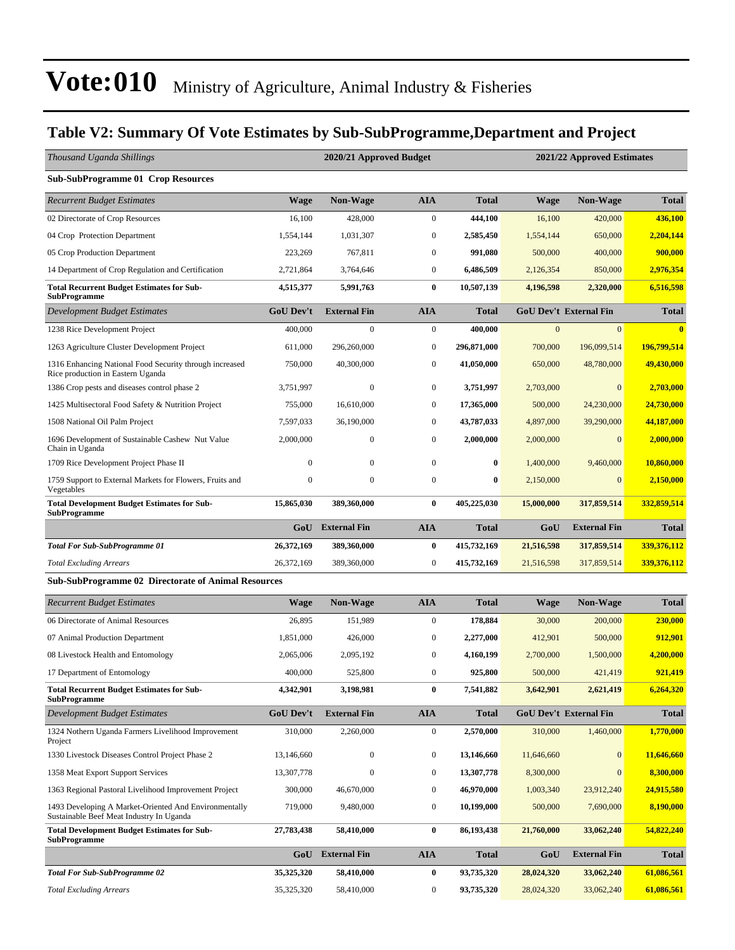### **Table V2: Summary Of Vote Estimates by Sub-SubProgramme,Department and Project**

| Thousand Uganda Shillings                                                                         |                  | 2020/21 Approved Budget |                  |              | 2021/22 Approved Estimates |                               |              |  |
|---------------------------------------------------------------------------------------------------|------------------|-------------------------|------------------|--------------|----------------------------|-------------------------------|--------------|--|
| <b>Sub-SubProgramme 01 Crop Resources</b>                                                         |                  |                         |                  |              |                            |                               |              |  |
| <b>Recurrent Budget Estimates</b>                                                                 | <b>Wage</b>      | Non-Wage                | <b>AIA</b>       | Total        | <b>Wage</b>                | Non-Wage                      | <b>Total</b> |  |
| 02 Directorate of Crop Resources                                                                  | 16,100           | 428,000                 | $\boldsymbol{0}$ | 444,100      | 16,100                     | 420,000                       | 436,100      |  |
| 04 Crop Protection Department                                                                     | 1,554,144        | 1,031,307               | $\boldsymbol{0}$ | 2,585,450    | 1,554,144                  | 650,000                       | 2,204,144    |  |
| 05 Crop Production Department                                                                     | 223,269          | 767,811                 | $\boldsymbol{0}$ | 991,080      | 500,000                    | 400,000                       | 900,000      |  |
| 14 Department of Crop Regulation and Certification                                                | 2,721,864        | 3,764,646               | $\boldsymbol{0}$ | 6,486,509    | 2,126,354                  | 850,000                       | 2,976,354    |  |
| <b>Total Recurrent Budget Estimates for Sub-</b><br><b>SubProgramme</b>                           | 4,515,377        | 5,991,763               | $\bf{0}$         | 10,507,139   | 4,196,598                  | 2,320,000                     | 6,516,598    |  |
| Development Budget Estimates                                                                      | <b>GoU Dev't</b> | <b>External Fin</b>     | <b>AIA</b>       | Total        |                            | <b>GoU Dev't External Fin</b> | <b>Total</b> |  |
| 1238 Rice Development Project                                                                     | 400,000          | $\mathbf{0}$            | $\boldsymbol{0}$ | 400,000      | $\Omega$                   | $\overline{0}$                |              |  |
| 1263 Agriculture Cluster Development Project                                                      | 611,000          | 296,260,000             | $\boldsymbol{0}$ | 296,871,000  | 700,000                    | 196,099,514                   | 196,799,514  |  |
| 1316 Enhancing National Food Security through increased<br>Rice production in Eastern Uganda      | 750,000          | 40,300,000              | $\boldsymbol{0}$ | 41,050,000   | 650,000                    | 48,780,000                    | 49,430,000   |  |
| 1386 Crop pests and diseases control phase 2                                                      | 3,751,997        | $\boldsymbol{0}$        | $\boldsymbol{0}$ | 3,751,997    | 2,703,000                  | $\boldsymbol{0}$              | 2,703,000    |  |
| 1425 Multisectoral Food Safety & Nutrition Project                                                | 755,000          | 16,610,000              | $\boldsymbol{0}$ | 17,365,000   | 500,000                    | 24,230,000                    | 24,730,000   |  |
| 1508 National Oil Palm Project                                                                    | 7,597,033        | 36,190,000              | $\boldsymbol{0}$ | 43,787,033   | 4,897,000                  | 39,290,000                    | 44,187,000   |  |
| 1696 Development of Sustainable Cashew Nut Value<br>Chain in Uganda                               | 2,000,000        | $\mathbf{0}$            | $\boldsymbol{0}$ | 2,000,000    | 2,000,000                  | $\mathbf{0}$                  | 2,000,000    |  |
| 1709 Rice Development Project Phase II                                                            | $\mathbf{0}$     | $\mathbf{0}$            | $\boldsymbol{0}$ | 0            | 1,400,000                  | 9,460,000                     | 10,860,000   |  |
| 1759 Support to External Markets for Flowers, Fruits and<br>Vegetables                            | $\mathbf{0}$     | $\boldsymbol{0}$        | $\boldsymbol{0}$ | 0            | 2,150,000                  | $\overline{0}$                | 2,150,000    |  |
| <b>Total Development Budget Estimates for Sub-</b><br><b>SubProgramme</b>                         | 15,865,030       | 389,360,000             | $\bf{0}$         | 405,225,030  | 15,000,000                 | 317,859,514                   | 332,859,514  |  |
|                                                                                                   | GoU              | <b>External Fin</b>     | <b>AIA</b>       | Total        | GoU                        | <b>External Fin</b>           | <b>Total</b> |  |
| <b>Total For Sub-SubProgramme 01</b>                                                              | 26,372,169       | 389,360,000             | $\bf{0}$         | 415,732,169  | 21,516,598                 | 317,859,514                   | 339,376,112  |  |
| <b>Total Excluding Arrears</b>                                                                    | 26,372,169       | 389,360,000             | $\boldsymbol{0}$ | 415,732,169  | 21,516,598                 | 317,859,514                   | 339,376,112  |  |
| Sub-SubProgramme 02 Directorate of Animal Resources                                               |                  |                         |                  |              |                            |                               |              |  |
| <b>Recurrent Budget Estimates</b>                                                                 | <b>Wage</b>      | <b>Non-Wage</b>         | <b>AIA</b>       | <b>Total</b> | <b>Wage</b>                | <b>Non-Wage</b>               | <b>Total</b> |  |
| 06 Directorate of Animal Resources                                                                | 26,895           | 151,989                 | $\boldsymbol{0}$ | 178,884      | 30,000                     | 200,000                       | 230,000      |  |
| 07 Animal Production Department                                                                   | 1,851,000        | 426,000                 | $\boldsymbol{0}$ | 2,277,000    | 412,901                    | 500,000                       | 912,901      |  |
| 08 Livestock Health and Entomology                                                                | 2,065,006        | 2,095,192               | $\mathbf{0}$     | 4,160,199    | 2,700,000                  | 1,500,000                     | 4,200,000    |  |
| 17 Department of Entomology                                                                       | 400,000          | 525,800                 | $\mathbf{0}$     | 925,800      | 500,000                    | 421,419                       | 921,419      |  |
| <b>Total Recurrent Budget Estimates for Sub-</b><br><b>SubProgramme</b>                           | 4,342,901        | 3,198,981               | $\pmb{0}$        | 7,541,882    | 3,642,901                  | 2,621,419                     | 6,264,320    |  |
| <b>Development Budget Estimates</b>                                                               | GoU Dev't        | <b>External Fin</b>     | <b>AIA</b>       | <b>Total</b> |                            | <b>GoU Dev't External Fin</b> | <b>Total</b> |  |
| 1324 Nothern Uganda Farmers Livelihood Improvement<br>Project                                     | 310,000          | 2,260,000               | $\boldsymbol{0}$ | 2,570,000    | 310,000                    | 1,460,000                     | 1,770,000    |  |
| 1330 Livestock Diseases Control Project Phase 2                                                   | 13,146,660       | $\boldsymbol{0}$        | $\boldsymbol{0}$ | 13,146,660   | 11,646,660                 | $\boldsymbol{0}$              | 11,646,660   |  |
| 1358 Meat Export Support Services                                                                 | 13,307,778       | $\boldsymbol{0}$        | $\boldsymbol{0}$ | 13,307,778   | 8,300,000                  | $\boldsymbol{0}$              | 8,300,000    |  |
| 1363 Regional Pastoral Livelihood Improvement Project                                             | 300,000          | 46,670,000              | $\boldsymbol{0}$ | 46,970,000   | 1,003,340                  | 23,912,240                    | 24,915,580   |  |
| 1493 Developing A Market-Oriented And Environmentally<br>Sustainable Beef Meat Industry In Uganda | 719,000          | 9,480,000               | $\boldsymbol{0}$ | 10,199,000   | 500,000                    | 7,690,000                     | 8,190,000    |  |
| <b>Total Development Budget Estimates for Sub-</b><br><b>SubProgramme</b>                         | 27,783,438       | 58,410,000              | $\bf{0}$         | 86,193,438   | 21,760,000                 | 33,062,240                    | 54,822,240   |  |
|                                                                                                   | GoU              | <b>External Fin</b>     | <b>AIA</b>       | <b>Total</b> | GoU                        | <b>External Fin</b>           | <b>Total</b> |  |
| <b>Total For Sub-SubProgramme 02</b>                                                              | 35,325,320       | 58,410,000              | $\bf{0}$         | 93,735,320   | 28,024,320                 | 33,062,240                    | 61,086,561   |  |
| <b>Total Excluding Arrears</b>                                                                    | 35,325,320       | 58,410,000              | $\boldsymbol{0}$ | 93,735,320   | 28,024,320                 | 33,062,240                    | 61,086,561   |  |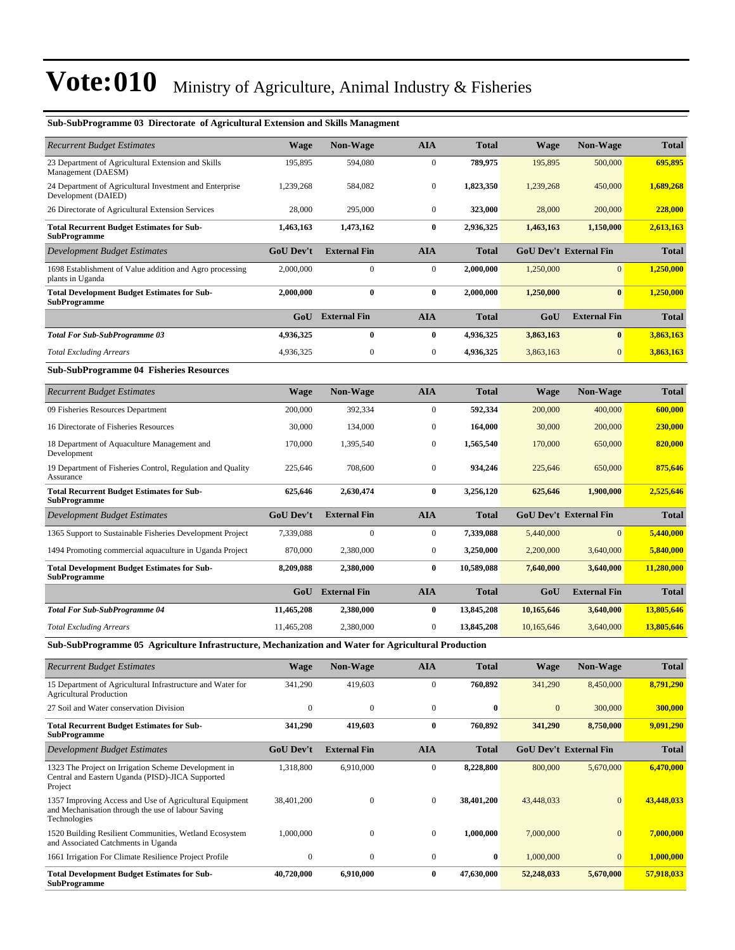| <b>Recurrent Budget Estimates</b>                                                                    | <b>Wage</b>      | <b>Non-Wage</b>     | <b>AIA</b>       | <b>Total</b> | <b>Wage</b> | <b>Non-Wage</b>               | <b>Total</b> |
|------------------------------------------------------------------------------------------------------|------------------|---------------------|------------------|--------------|-------------|-------------------------------|--------------|
| 23 Department of Agricultural Extension and Skills<br>Management (DAESM)                             | 195,895          | 594,080             | $\mathbf{0}$     | 789,975      | 195,895     | 500,000                       | 695,895      |
| 24 Department of Agricultural Investment and Enterprise<br>Development (DAIED)                       | 1,239,268        | 584,082             | $\boldsymbol{0}$ | 1,823,350    | 1,239,268   | 450,000                       | 1,689,268    |
| 26 Directorate of Agricultural Extension Services                                                    | 28,000           | 295,000             | $\mathbf{0}$     | 323,000      | 28,000      | 200,000                       | 228,000      |
| <b>Total Recurrent Budget Estimates for Sub-</b><br><b>SubProgramme</b>                              | 1,463,163        | 1,473,162           | $\bf{0}$         | 2,936,325    | 1,463,163   | 1,150,000                     | 2,613,163    |
| Development Budget Estimates                                                                         | <b>GoU</b> Dev't | <b>External Fin</b> | <b>AIA</b>       | <b>Total</b> |             | <b>GoU Dev't External Fin</b> | <b>Total</b> |
| 1698 Establishment of Value addition and Agro processing<br>plants in Uganda                         | 2,000,000        | $\mathbf{0}$        | $\mathbf{0}$     | 2,000,000    | 1,250,000   | $\overline{0}$                | 1,250,000    |
| <b>Total Development Budget Estimates for Sub-</b><br><b>SubProgramme</b>                            | 2,000,000        | $\bf{0}$            | $\bf{0}$         | 2,000,000    | 1,250,000   | $\bf{0}$                      | 1,250,000    |
|                                                                                                      | GoU              | <b>External Fin</b> | <b>AIA</b>       | <b>Total</b> | GoU         | <b>External Fin</b>           | <b>Total</b> |
| Total For Sub-SubProgramme 03                                                                        | 4,936,325        | $\bf{0}$            | $\bf{0}$         | 4,936,325    | 3,863,163   | $\bf{0}$                      | 3,863,163    |
| <b>Total Excluding Arrears</b>                                                                       | 4,936,325        | $\mathbf{0}$        | $\boldsymbol{0}$ | 4,936,325    | 3,863,163   | $\mathbf{0}$                  | 3,863,163    |
| <b>Sub-SubProgramme 04 Fisheries Resources</b>                                                       |                  |                     |                  |              |             |                               |              |
| <b>Recurrent Budget Estimates</b>                                                                    | <b>Wage</b>      | <b>Non-Wage</b>     | <b>AIA</b>       | <b>Total</b> | <b>Wage</b> | <b>Non-Wage</b>               | <b>Total</b> |
| 09 Fisheries Resources Department                                                                    | 200,000          | 392,334             | $\mathbf{0}$     | 592,334      | 200,000     | 400,000                       | 600,000      |
| 16 Directorate of Fisheries Resources                                                                | 30,000           | 134,000             | $\boldsymbol{0}$ | 164,000      | 30,000      | 200,000                       | 230,000      |
| 18 Department of Aquaculture Management and<br>Development                                           | 170,000          | 1,395,540           | $\mathbf{0}$     | 1,565,540    | 170,000     | 650,000                       | 820,000      |
| 19 Department of Fisheries Control, Regulation and Quality<br>Assurance                              | 225.646          | 708,600             | $\mathbf{0}$     | 934,246      | 225.646     | 650,000                       | 875,646      |
| <b>Total Recurrent Budget Estimates for Sub-</b><br><b>SubProgramme</b>                              | 625,646          | 2,630,474           | $\bf{0}$         | 3,256,120    | 625,646     | 1,900,000                     | 2,525,646    |
| Development Budget Estimates                                                                         | <b>GoU Dev't</b> | <b>External Fin</b> | <b>AIA</b>       | <b>Total</b> |             | <b>GoU Dev't External Fin</b> | <b>Total</b> |
| 1365 Support to Sustainable Fisheries Development Project                                            | 7,339,088        | $\boldsymbol{0}$    | $\boldsymbol{0}$ | 7,339,088    | 5,440,000   | $\mathbf{0}$                  | 5,440,000    |
| 1494 Promoting commercial aquaculture in Uganda Project                                              | 870,000          | 2,380,000           | $\boldsymbol{0}$ | 3,250,000    | 2,200,000   | 3,640,000                     | 5,840,000    |
| <b>Total Development Budget Estimates for Sub-</b><br>SubProgramme                                   | 8,209,088        | 2,380,000           | $\bf{0}$         | 10,589,088   | 7,640,000   | 3,640,000                     | 11,280,000   |
|                                                                                                      | GoU              | <b>External Fin</b> | <b>AIA</b>       | <b>Total</b> | GoU         | <b>External Fin</b>           | <b>Total</b> |
| <b>Total For Sub-SubProgramme 04</b>                                                                 | 11,465,208       | 2,380,000           | $\bf{0}$         | 13,845,208   | 10,165,646  | 3,640,000                     | 13,805,646   |
| <b>Total Excluding Arrears</b>                                                                       | 11,465,208       | 2,380,000           | $\mathbf{0}$     | 13,845,208   | 10,165,646  | 3,640,000                     | 13,805,646   |
| Sub-SubProgramme 05  Agriculture Infrastructure, Mechanization and Water for Agricultural Production |                  |                     |                  |              |             |                               |              |
| Recurrent Budget Estimates                                                                           | <b>Wage</b>      | Non-Wage            | <b>ATA</b>       | Total        | Wage        | Non-Wage                      | Total        |

#### **Sub-SubProgramme 03 Directorate of Agricultural Extension and Skills Managment**

| <b>Recurrent Budget Estimates</b>                                                                                             | <b>Wage</b>      | <b>Non-Wage</b>     | <b>AIA</b>   | <b>Total</b> | <b>Wage</b>  | <b>Non-Wage</b>               | <b>Total</b> |
|-------------------------------------------------------------------------------------------------------------------------------|------------------|---------------------|--------------|--------------|--------------|-------------------------------|--------------|
| 15 Department of Agricultural Infrastructure and Water for<br><b>Agricultural Production</b>                                  | 341,290          | 419,603             | $\mathbf{0}$ | 760,892      | 341,290      | 8,450,000                     | 8,791,290    |
| 27 Soil and Water conservation Division                                                                                       | $\mathbf{0}$     | $\mathbf{0}$        | $\mathbf{0}$ | $\bf{0}$     | $\mathbf{0}$ | 300,000                       | 300,000      |
| <b>Total Recurrent Budget Estimates for Sub-</b><br><b>SubProgramme</b>                                                       | 341,290          | 419,603             | $\bf{0}$     | 760,892      | 341,290      | 8,750,000                     | 9,091,290    |
| Development Budget Estimates                                                                                                  | <b>GoU</b> Dev't | <b>External Fin</b> | <b>AIA</b>   | <b>Total</b> |              | <b>GoU Dev't External Fin</b> | <b>Total</b> |
| 1323 The Project on Irrigation Scheme Development in<br>Central and Eastern Uganda (PISD)-JICA Supported<br>Project           | 1,318,800        | 6,910,000           | $\mathbf{0}$ | 8,228,800    | 800,000      | 5,670,000                     | 6,470,000    |
| 1357 Improving Access and Use of Agricultural Equipment<br>and Mechanisation through the use of labour Saving<br>Technologies | 38,401,200       | $\Omega$            | $\mathbf{0}$ | 38,401,200   | 43,448,033   | $\Omega$                      | 43,448,033   |
| 1520 Building Resilient Communities, Wetland Ecosystem<br>and Associated Catchments in Uganda                                 | 1,000,000        | $\Omega$            | $\mathbf{0}$ | 1,000,000    | 7,000,000    |                               | 7,000,000    |
| 1661 Irrigation For Climate Resilience Project Profile                                                                        | $\Omega$         | $\theta$            | $\Omega$     | $\bf{0}$     | 1,000,000    | $\Omega$                      | 1,000,000    |
| <b>Total Development Budget Estimates for Sub-</b><br><b>SubProgramme</b>                                                     | 40,720,000       | 6,910,000           | $\bf{0}$     | 47,630,000   | 52,248,033   | 5,670,000                     | 57.918.033   |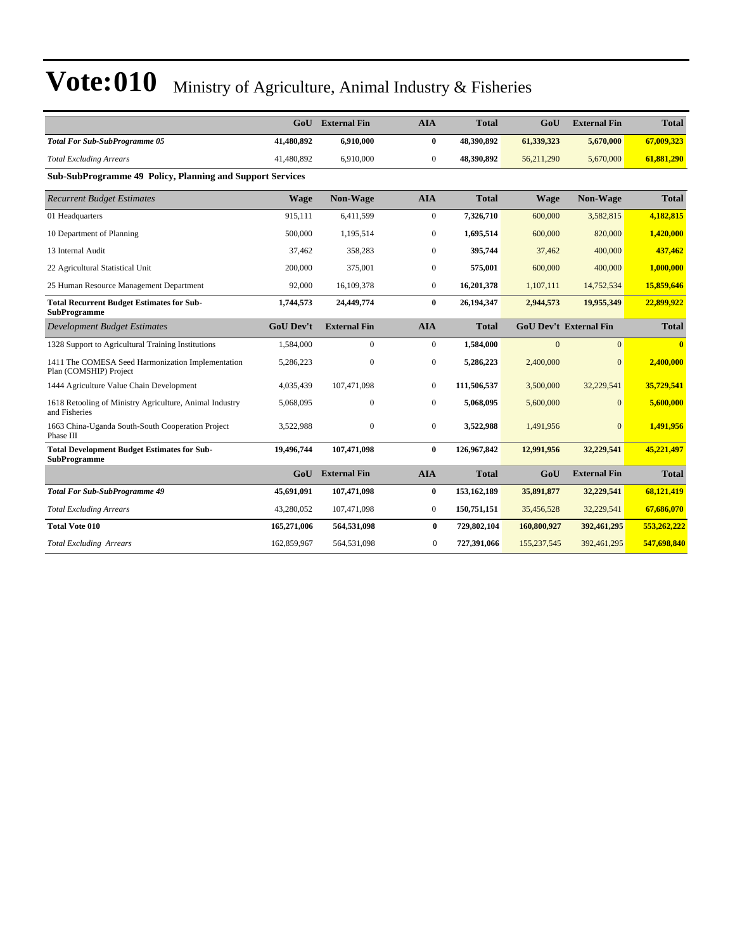|                                                                             | GoU              | <b>External Fin</b> | <b>AIA</b>   | <b>Total</b> | GoU              | <b>External Fin</b>           | <b>Total</b>   |
|-----------------------------------------------------------------------------|------------------|---------------------|--------------|--------------|------------------|-------------------------------|----------------|
| <b>Total For Sub-SubProgramme 05</b>                                        | 41,480,892       | 6,910,000           | $\bf{0}$     | 48,390,892   | 61,339,323       | 5,670,000                     | 67,009,323     |
| <b>Total Excluding Arrears</b>                                              | 41,480,892       | 6,910,000           | $\Omega$     | 48,390,892   | 56,211,290       | 5,670,000                     | 61,881,290     |
| Sub-SubProgramme 49 Policy, Planning and Support Services                   |                  |                     |              |              |                  |                               |                |
| <b>Recurrent Budget Estimates</b>                                           | <b>Wage</b>      | Non-Wage            | <b>AIA</b>   | <b>Total</b> | <b>Wage</b>      | Non-Wage                      | <b>Total</b>   |
| 01 Headquarters                                                             | 915.111          | 6.411.599           | $\mathbf{0}$ | 7,326,710    | 600,000          | 3.582.815                     | 4,182,815      |
| 10 Department of Planning                                                   | 500,000          | 1,195,514           | $\Omega$     | 1,695,514    | 600,000          | 820,000                       | 1,420,000      |
| 13 Internal Audit                                                           | 37,462           | 358,283             | $\mathbf{0}$ | 395,744      | 37,462           | 400,000                       | 437,462        |
| 22 Agricultural Statistical Unit                                            | 200,000          | 375,001             | $\mathbf{0}$ | 575,001      | 600,000          | 400,000                       | 1,000,000      |
| 25 Human Resource Management Department                                     | 92,000           | 16,109,378          | $\mathbf{0}$ | 16,201,378   | 1,107,111        | 14,752,534                    | 15,859,646     |
| <b>Total Recurrent Budget Estimates for Sub-</b><br><b>SubProgramme</b>     | 1,744,573        | 24,449,774          | $\mathbf{0}$ | 26,194,347   | 2,944,573        | 19,955,349                    | 22,899,922     |
| <b>Development Budget Estimates</b>                                         | <b>GoU Dev't</b> | <b>External Fin</b> | <b>AIA</b>   | <b>Total</b> |                  | <b>GoU Dev't External Fin</b> | <b>Total</b>   |
| 1328 Support to Agricultural Training Institutions                          | 1,584,000        | $\Omega$            | $\mathbf{0}$ | 1,584,000    | $\overline{0}$   | $\overline{0}$                | $\overline{0}$ |
| 1411 The COMESA Seed Harmonization Implementation<br>Plan (COMSHIP) Project | 5,286,223        | $\mathbf{0}$        | $\mathbf{0}$ | 5,286,223    | 2,400,000        | $\Omega$                      | 2,400,000      |
| 1444 Agriculture Value Chain Development                                    | 4.035.439        | 107.471.098         | $\mathbf{0}$ | 111.506.537  | 3,500,000        | 32.229.541                    | 35,729,541     |
| 1618 Retooling of Ministry Agriculture, Animal Industry<br>and Fisheries    | 5,068,095        | $\mathbf{0}$        | $\mathbf{0}$ | 5,068,095    | 5,600,000        | $\Omega$                      | 5,600,000      |
| 1663 China-Uganda South-South Cooperation Project<br>Phase III              | 3,522,988        | $\mathbf{0}$        | $\mathbf{0}$ | 3,522,988    | 1,491,956        | $\Omega$                      | 1,491,956      |
| <b>Total Development Budget Estimates for Sub-</b><br><b>SubProgramme</b>   | 19,496,744       | 107,471,098         | $\bf{0}$     | 126,967,842  | 12,991,956       | 32,229,541                    | 45,221,497     |
|                                                                             | Gol              | <b>External Fin</b> | <b>AIA</b>   | <b>Total</b> | G <sub>0</sub> U | <b>External Fin</b>           | <b>Total</b>   |
| <b>Total For Sub-SubProgramme 49</b>                                        | 45,691,091       | 107,471,098         | $\bf{0}$     | 153,162,189  | 35,891,877       | 32,229,541                    | 68,121,419     |
| <b>Total Excluding Arrears</b>                                              | 43,280,052       | 107,471,098         | $\mathbf{0}$ | 150,751,151  | 35,456,528       | 32,229,541                    | 67,686,070     |
| <b>Total Vote 010</b>                                                       | 165,271,006      | 564,531,098         | $\bf{0}$     | 729,802,104  | 160,800,927      | 392,461,295                   | 553,262,222    |
| <b>Total Excluding Arrears</b>                                              | 162,859,967      | 564,531,098         | $\Omega$     | 727,391,066  | 155,237,545      | 392,461,295                   | 547,698,840    |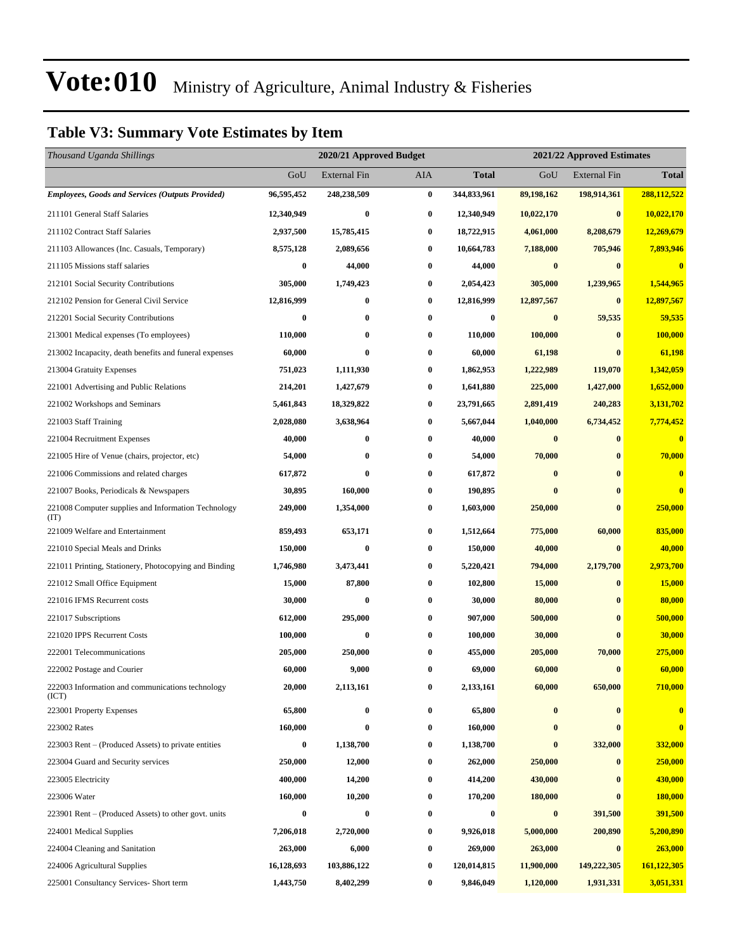### **Table V3: Summary Vote Estimates by Item**

| Thousand Uganda Shillings                                   |            | 2020/21 Approved Budget |                  |              | 2021/22 Approved Estimates |                     |              |  |  |
|-------------------------------------------------------------|------------|-------------------------|------------------|--------------|----------------------------|---------------------|--------------|--|--|
|                                                             | GoU        | <b>External Fin</b>     | AIA              | <b>Total</b> | GoU                        | <b>External Fin</b> | <b>Total</b> |  |  |
| <b>Employees, Goods and Services (Outputs Provided)</b>     | 96,595,452 | 248,238,509             | $\pmb{0}$        | 344,833,961  | 89,198,162                 | 198,914,361         | 288,112,522  |  |  |
| 211101 General Staff Salaries                               | 12,340,949 | $\bf{0}$                | $\bf{0}$         | 12,340,949   | 10,022,170                 | $\bf{0}$            | 10,022,170   |  |  |
| 211102 Contract Staff Salaries                              | 2,937,500  | 15,785,415              | $\bf{0}$         | 18,722,915   | 4,061,000                  | 8,208,679           | 12,269,679   |  |  |
| 211103 Allowances (Inc. Casuals, Temporary)                 | 8,575,128  | 2,089,656               | $\bf{0}$         | 10,664,783   | 7,188,000                  | 705,946             | 7,893,946    |  |  |
| 211105 Missions staff salaries                              | 0          | 44,000                  | $\bf{0}$         | 44,000       | $\bf{0}$                   | $\bf{0}$            | $\bf{0}$     |  |  |
| 212101 Social Security Contributions                        | 305,000    | 1,749,423               | $\bf{0}$         | 2,054,423    | 305,000                    | 1,239,965           | 1,544,965    |  |  |
| 212102 Pension for General Civil Service                    | 12,816,999 | $\bf{0}$                | $\bf{0}$         | 12,816,999   | 12,897,567                 | $\bf{0}$            | 12,897,567   |  |  |
| 212201 Social Security Contributions                        | 0          | $\bf{0}$                | $\bf{0}$         | $\bf{0}$     | $\bf{0}$                   | 59,535              | 59,535       |  |  |
| 213001 Medical expenses (To employees)                      | 110,000    | $\bf{0}$                | $\bf{0}$         | 110,000      | 100,000                    | $\bf{0}$            | 100,000      |  |  |
| 213002 Incapacity, death benefits and funeral expenses      | 60,000     | $\bf{0}$                | $\bf{0}$         | 60,000       | 61,198                     | $\bf{0}$            | 61,198       |  |  |
| 213004 Gratuity Expenses                                    | 751,023    | 1,111,930               | $\bf{0}$         | 1,862,953    | 1,222,989                  | 119,070             | 1,342,059    |  |  |
| 221001 Advertising and Public Relations                     | 214,201    | 1,427,679               | 0                | 1,641,880    | 225,000                    | 1,427,000           | 1,652,000    |  |  |
| 221002 Workshops and Seminars                               | 5,461,843  | 18,329,822              | $\boldsymbol{0}$ | 23,791,665   | 2,891,419                  | 240,283             | 3,131,702    |  |  |
| 221003 Staff Training                                       | 2,028,080  | 3,638,964               | $\bf{0}$         | 5,667,044    | 1,040,000                  | 6,734,452           | 7,774,452    |  |  |
| 221004 Recruitment Expenses                                 | 40,000     | $\bf{0}$                | $\bf{0}$         | 40,000       | $\bf{0}$                   | $\bf{0}$            | $\bf{0}$     |  |  |
| 221005 Hire of Venue (chairs, projector, etc)               | 54,000     | $\bf{0}$                | $\bf{0}$         | 54,000       | 70,000                     | $\bf{0}$            | 70,000       |  |  |
| 221006 Commissions and related charges                      | 617,872    | $\bf{0}$                | $\bf{0}$         | 617,872      | $\bf{0}$                   | $\bf{0}$            | $\bf{0}$     |  |  |
| 221007 Books, Periodicals & Newspapers                      | 30,895     | 160,000                 | $\bf{0}$         | 190,895      | $\bf{0}$                   | $\bf{0}$            | $\bf{0}$     |  |  |
| 221008 Computer supplies and Information Technology<br>(TT) | 249,000    | 1,354,000               | $\bf{0}$         | 1,603,000    | 250,000                    | $\bf{0}$            | 250,000      |  |  |
| 221009 Welfare and Entertainment                            | 859,493    | 653,171                 | $\bf{0}$         | 1,512,664    | 775,000                    | 60,000              | 835,000      |  |  |
| 221010 Special Meals and Drinks                             | 150,000    | $\pmb{0}$               | $\bf{0}$         | 150,000      | 40,000                     | $\bf{0}$            | 40,000       |  |  |
| 221011 Printing, Stationery, Photocopying and Binding       | 1,746,980  | 3,473,441               | $\bf{0}$         | 5,220,421    | 794,000                    | 2,179,700           | 2,973,700    |  |  |
| 221012 Small Office Equipment                               | 15,000     | 87,800                  | $\bf{0}$         | 102,800      | 15,000                     | $\bf{0}$            | 15,000       |  |  |
| 221016 IFMS Recurrent costs                                 | 30,000     | $\bf{0}$                | $\bf{0}$         | 30,000       | 80,000                     | $\bf{0}$            | 80,000       |  |  |
| 221017 Subscriptions                                        | 612,000    | 295,000                 | 0                | 907,000      | 500,000                    | $\bf{0}$            | 500,000      |  |  |
| 221020 IPPS Recurrent Costs                                 | 100,000    | $\bf{0}$                | $\bf{0}$         | 100,000      | 30,000                     | $\bf{0}$            | 30,000       |  |  |
| 222001 Telecommunications                                   | 205,000    | 250,000                 | 0                | 455,000      | 205,000                    | 70,000              | 275,000      |  |  |
| 222002 Postage and Courier                                  | 60,000     | 9,000                   | 0                | 69,000       | 60,000                     | $\bf{0}$            | 60,000       |  |  |
| 222003 Information and communications technology<br>(ICT)   | 20,000     | 2,113,161               | $\bf{0}$         | 2,133,161    | 60,000                     | 650,000             | 710,000      |  |  |
| 223001 Property Expenses                                    | 65,800     | $\bf{0}$                | $\bf{0}$         | 65,800       | $\bf{0}$                   | $\bf{0}$            | $\bf{0}$     |  |  |
| 223002 Rates                                                | 160,000    | $\bf{0}$                | $\bf{0}$         | 160,000      | $\bf{0}$                   | $\bf{0}$            | $\bf{0}$     |  |  |
| 223003 Rent – (Produced Assets) to private entities         | $\bf{0}$   | 1,138,700               | $\bf{0}$         | 1,138,700    | $\bf{0}$                   | 332,000             | 332,000      |  |  |
| 223004 Guard and Security services                          | 250,000    | 12,000                  | $\bf{0}$         | 262,000      | 250,000                    | $\bf{0}$            | 250,000      |  |  |
| 223005 Electricity                                          | 400,000    | 14,200                  | $\bf{0}$         | 414,200      | 430,000                    | $\bf{0}$            | 430,000      |  |  |
| 223006 Water                                                | 160,000    | 10,200                  | $\bf{0}$         | 170,200      | 180,000                    | $\mathbf{0}$        | 180,000      |  |  |
| 223901 Rent – (Produced Assets) to other govt. units        | $\bf{0}$   | $\bf{0}$                | $\bf{0}$         | 0            | $\bf{0}$                   | 391,500             | 391,500      |  |  |
| 224001 Medical Supplies                                     | 7,206,018  | 2,720,000               | $\bf{0}$         | 9,926,018    | 5,000,000                  | 200,890             | 5,200,890    |  |  |
| 224004 Cleaning and Sanitation                              | 263,000    | 6,000                   | $\bf{0}$         | 269,000      | 263,000                    | $\bf{0}$            | 263,000      |  |  |
| 224006 Agricultural Supplies                                | 16,128,693 | 103,886,122             | $\bf{0}$         | 120,014,815  | 11,900,000                 | 149,222,305         | 161,122,305  |  |  |
| 225001 Consultancy Services- Short term                     | 1,443,750  | 8,402,299               | $\bf{0}$         | 9,846,049    | 1,120,000                  | 1,931,331           | 3,051,331    |  |  |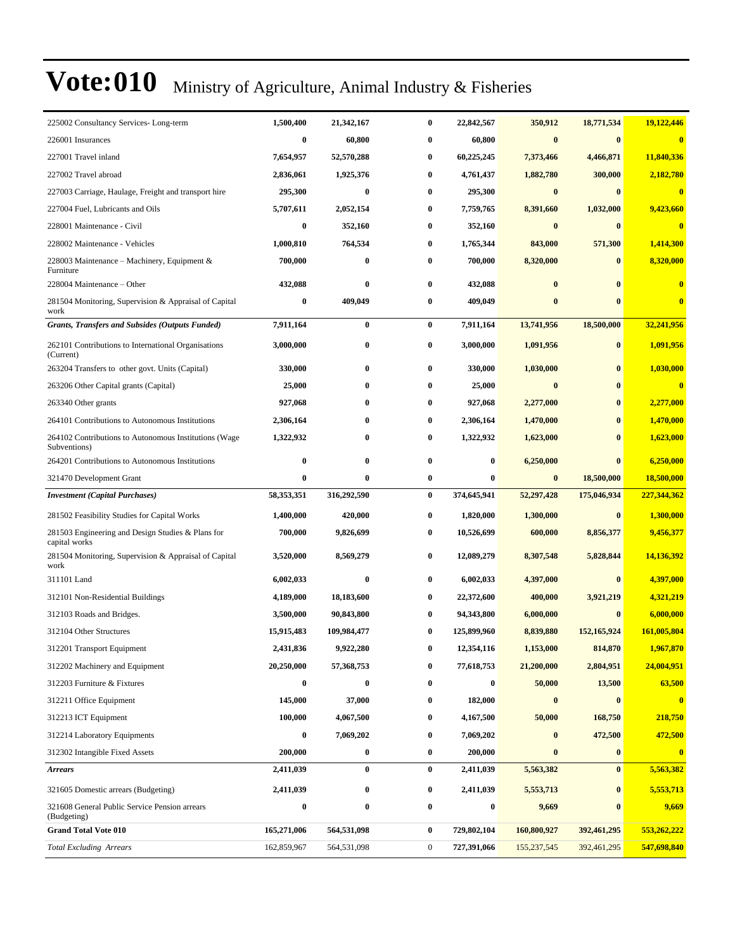| 225002 Consultancy Services-Long-term                                 | 1,500,400        | 21,342,167       | 0        | 22,842,567  | 350,912          | 18,771,534   | 19,122,446                 |
|-----------------------------------------------------------------------|------------------|------------------|----------|-------------|------------------|--------------|----------------------------|
| 226001 Insurances                                                     | $\bf{0}$         | 60,800           | 0        | 60,800      | $\bf{0}$         | $\bf{0}$     | $\mathbf{0}$               |
| 227001 Travel inland                                                  | 7,654,957        | 52,570,288       | 0        | 60,225,245  | 7,373,466        | 4,466,871    | 11,840,336                 |
| 227002 Travel abroad                                                  | 2,836,061        | 1,925,376        | 0        | 4,761,437   | 1,882,780        | 300,000      | 2,182,780                  |
| 227003 Carriage, Haulage, Freight and transport hire                  | 295,300          | 0                | 0        | 295,300     | $\bf{0}$         | $\bf{0}$     | $\bf{0}$                   |
| 227004 Fuel, Lubricants and Oils                                      | 5,707,611        | 2,052,154        | $\bf{0}$ | 7,759,765   | 8,391,660        | 1,032,000    | 9,423,660                  |
| 228001 Maintenance - Civil                                            | $\bf{0}$         | 352,160          | 0        | 352,160     | $\bf{0}$         | $\bf{0}$     | $\overline{\mathbf{0}}$    |
| 228002 Maintenance - Vehicles                                         | 1,000,810        | 764,534          | 0        | 1,765,344   | 843,000          | 571,300      | 1,414,300                  |
| 228003 Maintenance – Machinery, Equipment &<br>Furniture              | 700,000          | 0                | 0        | 700,000     | 8,320,000        | $\bf{0}$     | 8,320,000                  |
| 228004 Maintenance – Other                                            | 432,088          | $\bf{0}$         | 0        | 432,088     | $\mathbf 0$      | $\mathbf{0}$ | $\bf{0}$                   |
| 281504 Monitoring, Supervision & Appraisal of Capital<br>work         | $\boldsymbol{0}$ | 409,049          | 0        | 409,049     | $\bf{0}$         | $\mathbf{0}$ | $\bf{0}$                   |
| <b>Grants, Transfers and Subsides (Outputs Funded)</b>                | 7,911,164        | $\bf{0}$         | $\bf{0}$ | 7,911,164   | 13,741,956       | 18,500,000   | 32,241,956                 |
| 262101 Contributions to International Organisations<br>(Current)      | 3,000,000        | 0                | 0        | 3,000,000   | 1,091,956        | $\bf{0}$     | 1,091,956                  |
| 263204 Transfers to other govt. Units (Capital)                       | 330,000          | 0                | 0        | 330,000     | 1,030,000        | $\bf{0}$     | 1,030,000                  |
| 263206 Other Capital grants (Capital)                                 | 25,000           | 0                | 0        | 25,000      | $\bf{0}$         | $\bf{0}$     | $\overline{\mathbf{0}}$    |
| 263340 Other grants                                                   | 927,068          | 0                | 0        | 927,068     | 2,277,000        | $\mathbf{0}$ | 2,277,000                  |
| 264101 Contributions to Autonomous Institutions                       | 2,306,164        | 0                | 0        | 2,306,164   | 1,470,000        |              | 1,470,000                  |
| 264102 Contributions to Autonomous Institutions (Wage<br>Subventions) | 1,322,932        | 0                | 0        | 1,322,932   | 1,623,000        | $\mathbf{0}$ | 1,623,000                  |
| 264201 Contributions to Autonomous Institutions                       | $\bf{0}$         | 0                | 0        | $\bf{0}$    | 6,250,000        | $\bf{0}$     | 6,250,000                  |
| 321470 Development Grant                                              | $\bf{0}$         | $\bf{0}$         | $\bf{0}$ | $\bf{0}$    | $\bf{0}$         | 18,500,000   | 18,500,000                 |
|                                                                       |                  |                  |          |             |                  |              |                            |
| <b>Investment</b> (Capital Purchases)                                 | 58,353,351       | 316,292,590      | $\bf{0}$ | 374,645,941 | 52,297,428       | 175,046,934  | 227,344,362                |
| 281502 Feasibility Studies for Capital Works                          | 1,400,000        | 420,000          | 0        | 1,820,000   | 1,300,000        | $\bf{0}$     | 1,300,000                  |
| 281503 Engineering and Design Studies & Plans for<br>capital works    | 700,000          | 9,826,699        | 0        | 10,526,699  | 600,000          | 8,856,377    | 9,456,377                  |
| 281504 Monitoring, Supervision & Appraisal of Capital<br>work         | 3,520,000        | 8,569,279        | 0        | 12,089,279  | 8,307,548        | 5,828,844    | 14,136,392                 |
| 311101 Land                                                           | 6,002,033        | $\bf{0}$         | $\bf{0}$ | 6,002,033   | 4,397,000        | $\bf{0}$     | 4,397,000                  |
| 312101 Non-Residential Buildings                                      | 4,189,000        | 18,183,600       | 0        | 22,372,600  | 400,000          | 3,921,219    | 4,321,219                  |
| 312103 Roads and Bridges.                                             | 3,500,000        | 90,843,800       | 0        | 94,343,800  | 6,000,000        | $\bf{0}$     | 6,000,000                  |
| 312104 Other Structures                                               | 15,915,483       | 109,984,477      | 0        | 125,899,960 | 8,839,880        | 152,165,924  | 161,005,804                |
| 312201 Transport Equipment                                            | 2,431,836        | 9,922,280        |          | 12,354,116  | 1,153,000        | 814,870      | 1,967,870                  |
| 312202 Machinery and Equipment                                        | 20,250,000       | 57,368,753       | 0        | 77,618,753  | 21,200,000       | 2,804,951    | 24,004,951                 |
| 312203 Furniture & Fixtures                                           | $\bf{0}$         | $\bf{0}$         | 0        | $\bf{0}$    | 50,000           | 13,500       | 63,500                     |
| 312211 Office Equipment                                               | 145,000          | 37,000           | 0        | 182,000     | $\boldsymbol{0}$ | $\bf{0}$     | $\bf{0}$                   |
| 312213 ICT Equipment                                                  | 100,000          | 4,067,500        | 0        | 4,167,500   | 50,000           | 168,750      | 218,750                    |
| 312214 Laboratory Equipments                                          | $\bf{0}$         | 7,069,202        | 0        | 7,069,202   | $\bf{0}$         | 472,500      | 472,500                    |
| 312302 Intangible Fixed Assets                                        | 200,000          | $\boldsymbol{0}$ | 0        | 200,000     | $\bf{0}$         | $\bf{0}$     | $\mathbf{0}$               |
| <b>Arrears</b>                                                        | 2,411,039        | $\bf{0}$         | 0        | 2,411,039   | 5,563,382        | $\bf{0}$     | 5,563,382                  |
| 321605 Domestic arrears (Budgeting)                                   | 2,411,039        | 0                | 0        | 2,411,039   | 5,553,713        | $\bf{0}$     | 5,553,713                  |
| 321608 General Public Service Pension arrears<br>(Budgeting)          | $\bf{0}$         | $\bf{0}$         | 0        | $\bf{0}$    | 9,669            | $\bf{0}$     | 9,669                      |
| <b>Grand Total Vote 010</b>                                           | 165,271,006      | 564,531,098      | $\bf{0}$ | 729,802,104 | 160,800,927      | 392,461,295  | 553,262,222<br>547,698,840 |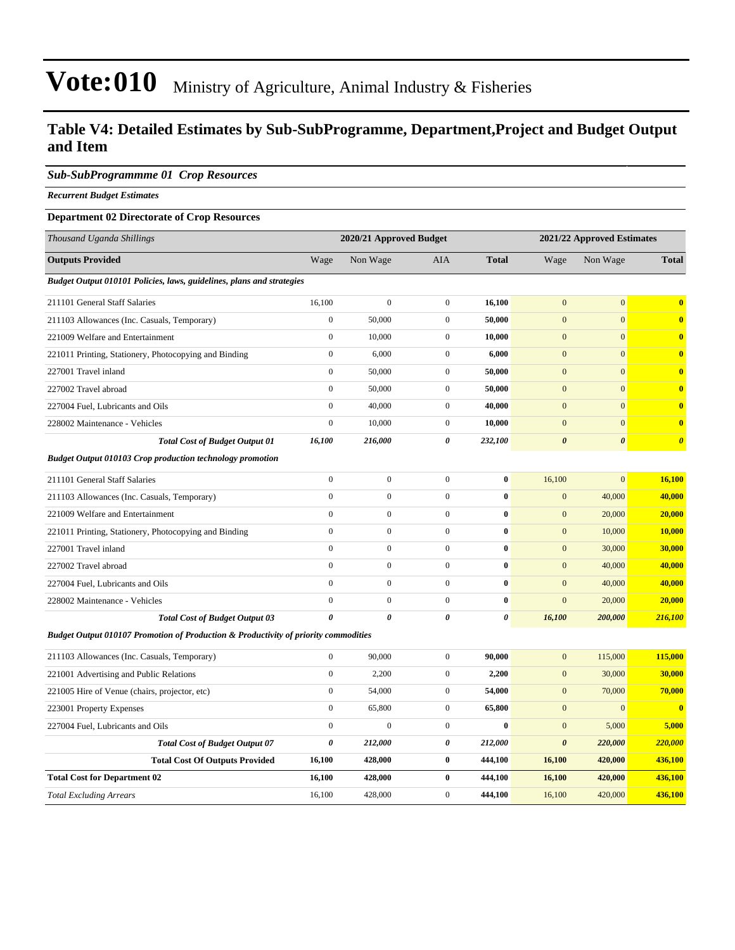### **Table V4: Detailed Estimates by Sub-SubProgramme, Department,Project and Budget Output and Item**

#### *Sub-SubProgrammme 01 Crop Resources*

*Recurrent Budget Estimates*

#### **Department 02 Directorate of Crop Resources**

| Thousand Uganda Shillings                                                                      |                  | 2020/21 Approved Budget |                  |                |                       | 2021/22 Approved Estimates |                       |
|------------------------------------------------------------------------------------------------|------------------|-------------------------|------------------|----------------|-----------------------|----------------------------|-----------------------|
| <b>Outputs Provided</b>                                                                        | Wage             | Non Wage                | AIA              | <b>Total</b>   | Wage                  | Non Wage                   | <b>Total</b>          |
| Budget Output 010101 Policies, laws, guidelines, plans and strategies                          |                  |                         |                  |                |                       |                            |                       |
| 211101 General Staff Salaries                                                                  | 16,100           | $\boldsymbol{0}$        | $\overline{0}$   | 16,100         | $\mathbf{0}$          | $\mathbf{0}$               | $\bf{0}$              |
| 211103 Allowances (Inc. Casuals, Temporary)                                                    | $\boldsymbol{0}$ | 50,000                  | $\overline{0}$   | 50,000         | $\mathbf{0}$          | $\mathbf{0}$               | $\bf{0}$              |
| 221009 Welfare and Entertainment                                                               | $\mathbf{0}$     | 10,000                  | $\overline{0}$   | 10,000         | $\overline{0}$        | $\overline{0}$             | $\bf{0}$              |
| 221011 Printing, Stationery, Photocopying and Binding                                          | $\boldsymbol{0}$ | 6,000                   | $\overline{0}$   | 6,000          | $\mathbf{0}$          | $\mathbf{0}$               | $\bf{0}$              |
| 227001 Travel inland                                                                           | $\mathbf{0}$     | 50,000                  | $\overline{0}$   | 50,000         | $\mathbf{0}$          | $\mathbf{0}$               | $\bf{0}$              |
| 227002 Travel abroad                                                                           | $\mathbf{0}$     | 50,000                  | $\overline{0}$   | 50,000         | $\mathbf{0}$          | $\mathbf{0}$               | $\bf{0}$              |
| 227004 Fuel, Lubricants and Oils                                                               | $\mathbf{0}$     | 40,000                  | $\overline{0}$   | 40,000         | $\overline{0}$        | $\mathbf{0}$               | $\mathbf{0}$          |
| 228002 Maintenance - Vehicles                                                                  | $\boldsymbol{0}$ | 10,000                  | $\mathbf{0}$     | 10,000         | $\mathbf{0}$          | $\mathbf{0}$               | $\bf{0}$              |
| <b>Total Cost of Budget Output 01</b>                                                          | 16,100           | 216,000                 | 0                | 232,100        | $\boldsymbol{\theta}$ | $\boldsymbol{\theta}$      | $\boldsymbol{\theta}$ |
| <b>Budget Output 010103 Crop production technology promotion</b>                               |                  |                         |                  |                |                       |                            |                       |
| 211101 General Staff Salaries                                                                  | $\mathbf{0}$     | $\boldsymbol{0}$        | $\overline{0}$   | $\bf{0}$       | 16,100                | $\overline{0}$             | 16,100                |
| 211103 Allowances (Inc. Casuals, Temporary)                                                    | $\mathbf{0}$     | $\mathbf{0}$            | $\overline{0}$   | $\bf{0}$       | $\mathbf{0}$          | 40,000                     | 40,000                |
| 221009 Welfare and Entertainment                                                               | $\boldsymbol{0}$ | $\boldsymbol{0}$        | $\overline{0}$   | $\bf{0}$       | $\mathbf{0}$          | 20,000                     | 20,000                |
| 221011 Printing, Stationery, Photocopying and Binding                                          | $\mathbf{0}$     | $\boldsymbol{0}$        | $\overline{0}$   | $\bf{0}$       | $\mathbf{0}$          | 10,000                     | 10,000                |
| 227001 Travel inland                                                                           | $\mathbf{0}$     | $\boldsymbol{0}$        | $\overline{0}$   | $\bf{0}$       | $\mathbf{0}$          | 30,000                     | 30,000                |
| 227002 Travel abroad                                                                           | $\mathbf{0}$     | $\boldsymbol{0}$        | $\overline{0}$   | $\bf{0}$       | $\mathbf{0}$          | 40,000                     | 40,000                |
| 227004 Fuel, Lubricants and Oils                                                               | $\mathbf{0}$     | $\boldsymbol{0}$        | $\overline{0}$   | $\bf{0}$       | $\mathbf{0}$          | 40,000                     | 40,000                |
| 228002 Maintenance - Vehicles                                                                  | $\boldsymbol{0}$ | $\boldsymbol{0}$        | $\boldsymbol{0}$ | $\bf{0}$       | $\mathbf{0}$          | 20,000                     | 20,000                |
| <b>Total Cost of Budget Output 03</b>                                                          | $\theta$         | $\boldsymbol{\theta}$   | 0                | $\pmb{\theta}$ | 16,100                | 200,000                    | 216,100               |
| <b>Budget Output 010107 Promotion of Production &amp; Productivity of priority commodities</b> |                  |                         |                  |                |                       |                            |                       |
| 211103 Allowances (Inc. Casuals, Temporary)                                                    | $\mathbf{0}$     | 90,000                  | $\overline{0}$   | 90,000         | $\mathbf{0}$          | 115,000                    | 115,000               |
| 221001 Advertising and Public Relations                                                        | $\mathbf{0}$     | 2,200                   | $\overline{0}$   | 2,200          | $\mathbf{0}$          | 30,000                     | 30,000                |
| 221005 Hire of Venue (chairs, projector, etc)                                                  | $\boldsymbol{0}$ | 54,000                  | $\overline{0}$   | 54,000         | $\mathbf{0}$          | 70,000                     | 70,000                |
| 223001 Property Expenses                                                                       | $\mathbf{0}$     | 65,800                  | $\overline{0}$   | 65,800         | $\mathbf{0}$          | $\mathbf{0}$               | $\bf{0}$              |
| 227004 Fuel, Lubricants and Oils                                                               | $\mathbf{0}$     | $\mathbf{0}$            | $\overline{0}$   | $\bf{0}$       | $\mathbf{0}$          | 5,000                      | 5,000                 |
| <b>Total Cost of Budget Output 07</b>                                                          | 0                | 212,000                 | 0                | 212,000        | $\boldsymbol{\theta}$ | 220,000                    | 220,000               |
| <b>Total Cost Of Outputs Provided</b>                                                          | 16,100           | 428,000                 | $\bf{0}$         | 444,100        | 16,100                | 420,000                    | 436,100               |
| <b>Total Cost for Department 02</b>                                                            | 16,100           | 428,000                 | $\bf{0}$         | 444,100        | 16,100                | 420,000                    | 436,100               |
| <b>Total Excluding Arrears</b>                                                                 | 16.100           | 428,000                 | $\Omega$         | 444,100        | 16,100                | 420,000                    | 436,100               |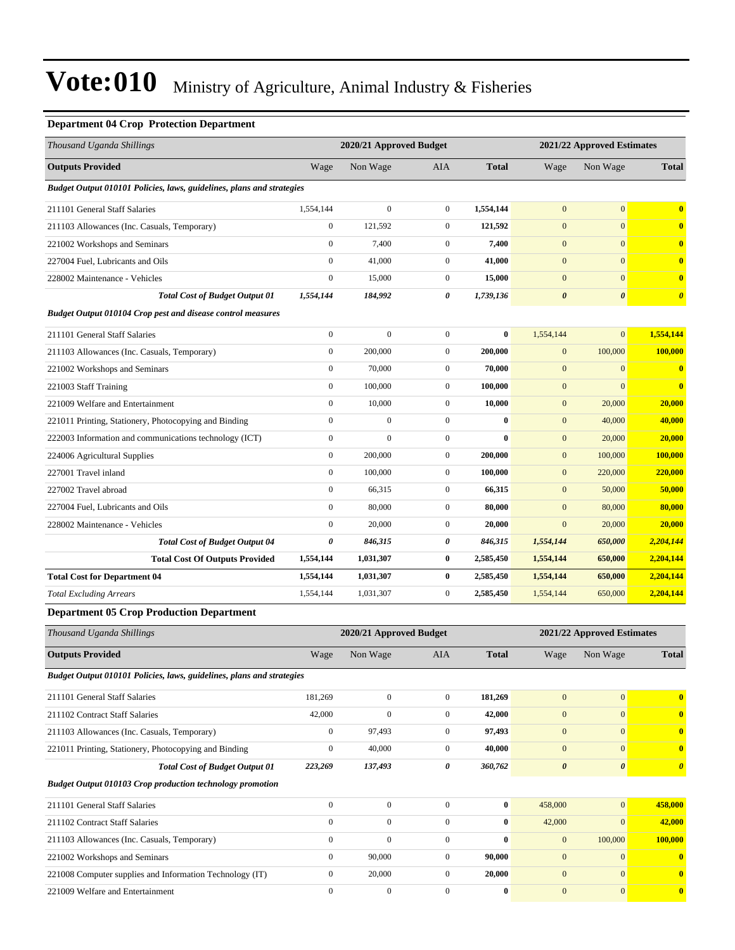### **Department 04 Crop Protection Department**

| Thousand Uganda Shillings                                             |                  | 2020/21 Approved Budget |                  | 2021/22 Approved Estimates |                       |                            |                       |  |
|-----------------------------------------------------------------------|------------------|-------------------------|------------------|----------------------------|-----------------------|----------------------------|-----------------------|--|
| <b>Outputs Provided</b>                                               | Wage             | Non Wage                | AIA              | <b>Total</b>               | Wage                  | Non Wage                   | <b>Total</b>          |  |
| Budget Output 010101 Policies, laws, guidelines, plans and strategies |                  |                         |                  |                            |                       |                            |                       |  |
| 211101 General Staff Salaries                                         | 1,554,144        | $\boldsymbol{0}$        | $\overline{0}$   | 1,554,144                  | $\mathbf{0}$          | $\boldsymbol{0}$           | $\bf{0}$              |  |
| 211103 Allowances (Inc. Casuals, Temporary)                           | $\boldsymbol{0}$ | 121,592                 | $\mathbf{0}$     | 121,592                    | $\mathbf{0}$          | $\mathbf{0}$               | $\bf{0}$              |  |
| 221002 Workshops and Seminars                                         | $\boldsymbol{0}$ | 7,400                   | $\mathbf{0}$     | 7,400                      | $\mathbf{0}$          | $\mathbf{0}$               | $\bf{0}$              |  |
| 227004 Fuel, Lubricants and Oils                                      | $\boldsymbol{0}$ | 41,000                  | $\mathbf{0}$     | 41,000                     | $\boldsymbol{0}$      | $\overline{0}$             | $\bf{0}$              |  |
| 228002 Maintenance - Vehicles                                         | $\boldsymbol{0}$ | 15,000                  | $\mathbf{0}$     | 15,000                     | $\mathbf{0}$          | $\mathbf{0}$               | $\bf{0}$              |  |
| <b>Total Cost of Budget Output 01</b>                                 | 1,554,144        | 184,992                 | 0                | 1,739,136                  | $\pmb{\theta}$        | $\boldsymbol{\theta}$      | $\boldsymbol{\theta}$ |  |
| <b>Budget Output 010104 Crop pest and disease control measures</b>    |                  |                         |                  |                            |                       |                            |                       |  |
| 211101 General Staff Salaries                                         | $\boldsymbol{0}$ | $\boldsymbol{0}$        | $\mathbf{0}$     | $\bf{0}$                   | 1,554,144             | $\overline{0}$             | 1,554,144             |  |
| 211103 Allowances (Inc. Casuals, Temporary)                           | $\boldsymbol{0}$ | 200,000                 | $\mathbf{0}$     | 200,000                    | $\mathbf{0}$          | 100,000                    | 100,000               |  |
| 221002 Workshops and Seminars                                         | $\boldsymbol{0}$ | 70,000                  | $\mathbf{0}$     | 70,000                     | $\mathbf{0}$          | $\mathbf{0}$               | $\bf{0}$              |  |
| 221003 Staff Training                                                 | $\boldsymbol{0}$ | 100,000                 | $\mathbf{0}$     | 100.000                    | $\mathbf{0}$          | $\overline{0}$             | $\bf{0}$              |  |
| 221009 Welfare and Entertainment                                      | $\boldsymbol{0}$ | 10,000                  | $\mathbf{0}$     | 10,000                     | $\mathbf{0}$          | 20,000                     | 20,000                |  |
| 221011 Printing, Stationery, Photocopying and Binding                 | $\boldsymbol{0}$ | $\boldsymbol{0}$        | $\overline{0}$   | $\bf{0}$                   | $\mathbf{0}$          | 40,000                     | 40,000                |  |
| 222003 Information and communications technology (ICT)                | $\boldsymbol{0}$ | $\overline{0}$          | $\boldsymbol{0}$ | $\bf{0}$                   | $\mathbf{0}$          | 20,000                     | 20,000                |  |
| 224006 Agricultural Supplies                                          | $\boldsymbol{0}$ | 200,000                 | $\mathbf{0}$     | 200,000                    | $\mathbf{0}$          | 100,000                    | 100,000               |  |
| 227001 Travel inland                                                  | $\boldsymbol{0}$ | 100,000                 | $\mathbf{0}$     | 100.000                    | $\mathbf{0}$          | 220,000                    | 220,000               |  |
| 227002 Travel abroad                                                  | $\boldsymbol{0}$ | 66,315                  | $\mathbf{0}$     | 66,315                     | $\mathbf{0}$          | 50,000                     | 50,000                |  |
| 227004 Fuel, Lubricants and Oils                                      | $\boldsymbol{0}$ | 80,000                  | $\mathbf{0}$     | 80,000                     | $\boldsymbol{0}$      | 80,000                     | 80,000                |  |
| 228002 Maintenance - Vehicles                                         | $\boldsymbol{0}$ | 20,000                  | $\mathbf{0}$     | 20,000                     | $\mathbf{0}$          | 20,000                     | 20,000                |  |
| <b>Total Cost of Budget Output 04</b>                                 | $\pmb{\theta}$   | 846,315                 | 0                | 846,315                    | 1,554,144             | 650,000                    | 2,204,144             |  |
| <b>Total Cost Of Outputs Provided</b>                                 | 1,554,144        | 1,031,307               | $\bf{0}$         | 2,585,450                  | 1,554,144             | 650,000                    | 2,204,144             |  |
| <b>Total Cost for Department 04</b>                                   | 1,554,144        | 1,031,307               | $\bf{0}$         | 2,585,450                  | 1,554,144             | 650,000                    | 2,204,144             |  |
| <b>Total Excluding Arrears</b>                                        | 1,554,144        | 1,031,307               | $\mathbf{0}$     | 2,585,450                  | 1,554,144             | 650,000                    | 2,204,144             |  |
| <b>Department 05 Crop Production Department</b>                       |                  |                         |                  |                            |                       |                            |                       |  |
| Thousand Uganda Shillings                                             |                  | 2020/21 Approved Budget |                  |                            |                       | 2021/22 Approved Estimates |                       |  |
| <b>Outputs Provided</b>                                               | Wage             | Non Wage                | <b>AIA</b>       | <b>Total</b>               | Wage                  | Non Wage                   | <b>Total</b>          |  |
| Budget Output 010101 Policies, laws, guidelines, plans and strategies |                  |                         |                  |                            |                       |                            |                       |  |
| 211101 General Staff Salaries                                         | 181,269          | $\boldsymbol{0}$        | $\overline{0}$   | 181,269                    | $\mathbf{0}$          | $\overline{0}$             | $\bf{0}$              |  |
| 211102 Contract Staff Salaries                                        | 42,000           | $\boldsymbol{0}$        | $\boldsymbol{0}$ | 42,000                     | $\mathbf{0}$          | $\boldsymbol{0}$           | $\boldsymbol{0}$      |  |
| 211103 Allowances (Inc. Casuals, Temporary)                           | $\boldsymbol{0}$ | 97,493                  | $\boldsymbol{0}$ | 97,493                     | $\mathbf{0}$          | $\mathbf{0}$               | $\bf{0}$              |  |
| 221011 Printing, Stationery, Photocopying and Binding                 | $\boldsymbol{0}$ | 40,000                  | $\boldsymbol{0}$ | 40,000                     | $\boldsymbol{0}$      | $\overline{0}$             | $\mathbf{0}$          |  |
| <b>Total Cost of Budget Output 01</b>                                 | 223,269          | 137,493                 | 0                | 360,762                    | $\boldsymbol{\theta}$ | 0                          | $\boldsymbol{\theta}$ |  |
| <b>Budget Output 010103 Crop production technology promotion</b>      |                  |                         |                  |                            |                       |                            |                       |  |
| 211101 General Staff Salaries                                         | $\boldsymbol{0}$ | $\boldsymbol{0}$        | $\overline{0}$   | $\pmb{0}$                  | 458,000               | $\boldsymbol{0}$           | 458,000               |  |
| 211102 Contract Staff Salaries                                        | $\boldsymbol{0}$ | $\boldsymbol{0}$        | $\overline{0}$   | $\bf{0}$                   | 42,000                | $\mathbf{0}$               | 42,000                |  |
| 211103 Allowances (Inc. Casuals, Temporary)                           | $\boldsymbol{0}$ | $\boldsymbol{0}$        | $\overline{0}$   | $\bf{0}$                   | $\mathbf{0}$          | 100,000                    | 100,000               |  |
| 221002 Workshops and Seminars                                         | $\boldsymbol{0}$ | 90,000                  | $\overline{0}$   | 90,000                     | $\mathbf{0}$          | $\mathbf{0}$               | $\bf{0}$              |  |
| 221008 Computer supplies and Information Technology (IT)              | $\boldsymbol{0}$ | 20,000                  | $\boldsymbol{0}$ | 20,000                     | $\mathbf{0}$          | $\overline{0}$             | $\bf{0}$              |  |
| 221009 Welfare and Entertainment                                      | $\boldsymbol{0}$ | $\boldsymbol{0}$        | $\boldsymbol{0}$ | $\bf{0}$                   | $\mathbf{0}$          | $\overline{0}$             | $\boldsymbol{0}$      |  |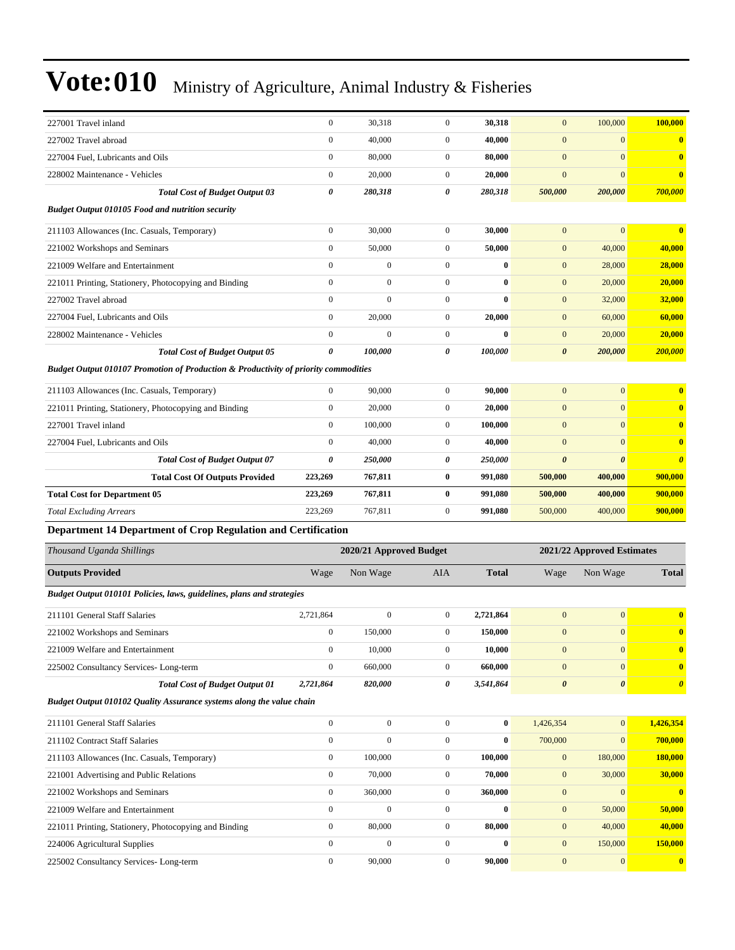| 227001 Travel inland                                                                           | $\boldsymbol{0}$ | 30,318                  | $\boldsymbol{0}$ | 30,318       | $\mathbf{0}$          | 100,000                    | 100,000               |
|------------------------------------------------------------------------------------------------|------------------|-------------------------|------------------|--------------|-----------------------|----------------------------|-----------------------|
| 227002 Travel abroad                                                                           | $\boldsymbol{0}$ | 40,000                  | $\boldsymbol{0}$ | 40,000       | $\mathbf{0}$          | $\boldsymbol{0}$           | $\bf{0}$              |
| 227004 Fuel, Lubricants and Oils                                                               | $\boldsymbol{0}$ | 80,000                  | $\boldsymbol{0}$ | 80,000       | $\mathbf{0}$          | $\overline{0}$             | $\bf{0}$              |
| 228002 Maintenance - Vehicles                                                                  | $\boldsymbol{0}$ | 20,000                  | $\boldsymbol{0}$ | 20,000       | $\mathbf{0}$          | $\overline{0}$             | $\bf{0}$              |
| <b>Total Cost of Budget Output 03</b>                                                          | 0                | 280,318                 | 0                | 280,318      | 500,000               | 200,000                    | 700,000               |
| <b>Budget Output 010105 Food and nutrition security</b>                                        |                  |                         |                  |              |                       |                            |                       |
| 211103 Allowances (Inc. Casuals, Temporary)                                                    | $\boldsymbol{0}$ | 30,000                  | $\boldsymbol{0}$ | 30,000       | $\mathbf{0}$          | $\mathbf{0}$               | $\bf{0}$              |
| 221002 Workshops and Seminars                                                                  | $\mathbf{0}$     | 50,000                  | $\boldsymbol{0}$ | 50,000       | $\mathbf{0}$          | 40,000                     | 40,000                |
| 221009 Welfare and Entertainment                                                               | $\mathbf{0}$     | $\overline{0}$          | $\overline{0}$   | $\bf{0}$     | $\mathbf{0}$          | 28,000                     | 28,000                |
| 221011 Printing, Stationery, Photocopying and Binding                                          | $\mathbf{0}$     | $\mathbf{0}$            | $\boldsymbol{0}$ | $\bf{0}$     | $\mathbf{0}$          | 20,000                     | 20,000                |
| 227002 Travel abroad                                                                           | $\mathbf{0}$     | $\boldsymbol{0}$        | $\boldsymbol{0}$ | $\bf{0}$     | $\mathbf{0}$          | 32,000                     | 32,000                |
| 227004 Fuel, Lubricants and Oils                                                               | $\boldsymbol{0}$ | 20,000                  | $\boldsymbol{0}$ | 20,000       | $\mathbf{0}$          | 60,000                     | 60,000                |
| 228002 Maintenance - Vehicles                                                                  | $\mathbf{0}$     | $\overline{0}$          | $\boldsymbol{0}$ | $\bf{0}$     | $\mathbf{0}$          | 20,000                     | 20,000                |
| <b>Total Cost of Budget Output 05</b>                                                          | 0                | 100,000                 | 0                | 100,000      | $\boldsymbol{\theta}$ | 200,000                    | 200,000               |
| <b>Budget Output 010107 Promotion of Production &amp; Productivity of priority commodities</b> |                  |                         |                  |              |                       |                            |                       |
| 211103 Allowances (Inc. Casuals, Temporary)                                                    | $\boldsymbol{0}$ | 90,000                  | $\boldsymbol{0}$ | 90,000       | $\mathbf{0}$          | $\overline{0}$             | $\bf{0}$              |
| 221011 Printing, Stationery, Photocopying and Binding                                          | $\boldsymbol{0}$ | 20,000                  | $\boldsymbol{0}$ | 20,000       | $\mathbf{0}$          | $\boldsymbol{0}$           | $\bf{0}$              |
| 227001 Travel inland                                                                           | $\boldsymbol{0}$ | 100,000                 | $\boldsymbol{0}$ | 100,000      | $\mathbf{0}$          | $\overline{0}$             | $\bf{0}$              |
| 227004 Fuel, Lubricants and Oils                                                               | $\mathbf{0}$     | 40,000                  | $\boldsymbol{0}$ | 40,000       | $\mathbf{0}$          | $\boldsymbol{0}$           | $\bf{0}$              |
| <b>Total Cost of Budget Output 07</b>                                                          | 0                | 250,000                 | 0                | 250,000      | $\boldsymbol{\theta}$ | 0                          | $\boldsymbol{\theta}$ |
| <b>Total Cost Of Outputs Provided</b>                                                          | 223,269          | 767,811                 | 0                | 991,080      | 500,000               | 400,000                    | 900,000               |
| <b>Total Cost for Department 05</b>                                                            | 223,269          | 767,811                 | 0                | 991,080      | 500,000               | 400,000                    | 900,000               |
| <b>Total Excluding Arrears</b>                                                                 | 223,269          | 767,811                 | $\boldsymbol{0}$ | 991,080      | 500,000               | 400,000                    | 900,000               |
| Department 14 Department of Crop Regulation and Certification                                  |                  |                         |                  |              |                       |                            |                       |
|                                                                                                |                  |                         |                  |              |                       |                            |                       |
| Thousand Uganda Shillings                                                                      |                  | 2020/21 Approved Budget |                  |              |                       | 2021/22 Approved Estimates |                       |
| <b>Outputs Provided</b>                                                                        | Wage             | Non Wage                | AIA              | <b>Total</b> | Wage                  | Non Wage                   | <b>Total</b>          |
| Budget Output 010101 Policies, laws, guidelines, plans and strategies                          |                  |                         |                  |              |                       |                            |                       |
| 211101 General Staff Salaries                                                                  | 2,721,864        | $\boldsymbol{0}$        | $\boldsymbol{0}$ | 2,721,864    | $\mathbf{0}$          | $\mathbf{0}$               | $\bf{0}$              |
| 221002 Workshops and Seminars                                                                  | $\boldsymbol{0}$ | 150,000                 | 0                | 150,000      | $\mathbf{0}$          | $\boldsymbol{0}$           | $\bf{0}$              |
| 221009 Welfare and Entertainment                                                               | $\boldsymbol{0}$ | 10,000                  | $\boldsymbol{0}$ | 10,000       | $\mathbf{0}$          | $\boldsymbol{0}$           |                       |
| 225002 Consultancy Services-Long-term                                                          | $\boldsymbol{0}$ | 660,000                 | $\mathbf{0}$     | 660,000      | $\boldsymbol{0}$      | $\vert 0 \vert$            | $\bf{0}$              |
| <b>Total Cost of Budget Output 01</b>                                                          | 2,721,864        | 820,000                 | 0                | 3,541,864    | $\boldsymbol{\theta}$ | $\boldsymbol{\theta}$      | $\boldsymbol{\theta}$ |
| Budget Output 010102 Quality Assurance systems along the value chain                           |                  |                         |                  |              |                       |                            |                       |
| 211101 General Staff Salaries                                                                  | $\boldsymbol{0}$ | $\boldsymbol{0}$        | $\boldsymbol{0}$ | $\bf{0}$     | 1,426,354             | $\mathbf{0}$               | 1,426,354             |
| 211102 Contract Staff Salaries                                                                 | $\boldsymbol{0}$ | $\boldsymbol{0}$        | $\boldsymbol{0}$ | $\bf{0}$     | 700,000               | $\mathbf{0}$               | 700,000               |
| 211103 Allowances (Inc. Casuals, Temporary)                                                    | $\boldsymbol{0}$ | 100,000                 | $\boldsymbol{0}$ | 100,000      | $\boldsymbol{0}$      | 180,000                    | 180,000               |
| 221001 Advertising and Public Relations                                                        | $\boldsymbol{0}$ | 70,000                  | $\boldsymbol{0}$ | 70,000       | $\mathbf{0}$          | 30,000                     | 30,000                |
| 221002 Workshops and Seminars                                                                  | $\boldsymbol{0}$ | 360,000                 | $\boldsymbol{0}$ | 360,000      | $\mathbf{0}$          | $\boldsymbol{0}$           | $\bf{0}$              |
| 221009 Welfare and Entertainment                                                               | $\boldsymbol{0}$ | $\boldsymbol{0}$        | $\boldsymbol{0}$ | $\bf{0}$     | $\boldsymbol{0}$      | 50,000                     | 50,000                |
| 221011 Printing, Stationery, Photocopying and Binding                                          | $\boldsymbol{0}$ | 80,000                  | $\boldsymbol{0}$ | 80,000       | $\mathbf{0}$          | 40,000                     | 40,000                |
| 224006 Agricultural Supplies                                                                   | $\boldsymbol{0}$ | $\boldsymbol{0}$        | $\boldsymbol{0}$ | $\bf{0}$     | $\mathbf{0}$          | 150,000                    | 150,000               |
| 225002 Consultancy Services-Long-term                                                          | $\boldsymbol{0}$ | 90,000                  | $\boldsymbol{0}$ | 90,000       | $\mathbf{0}$          | 0                          | $\bullet$             |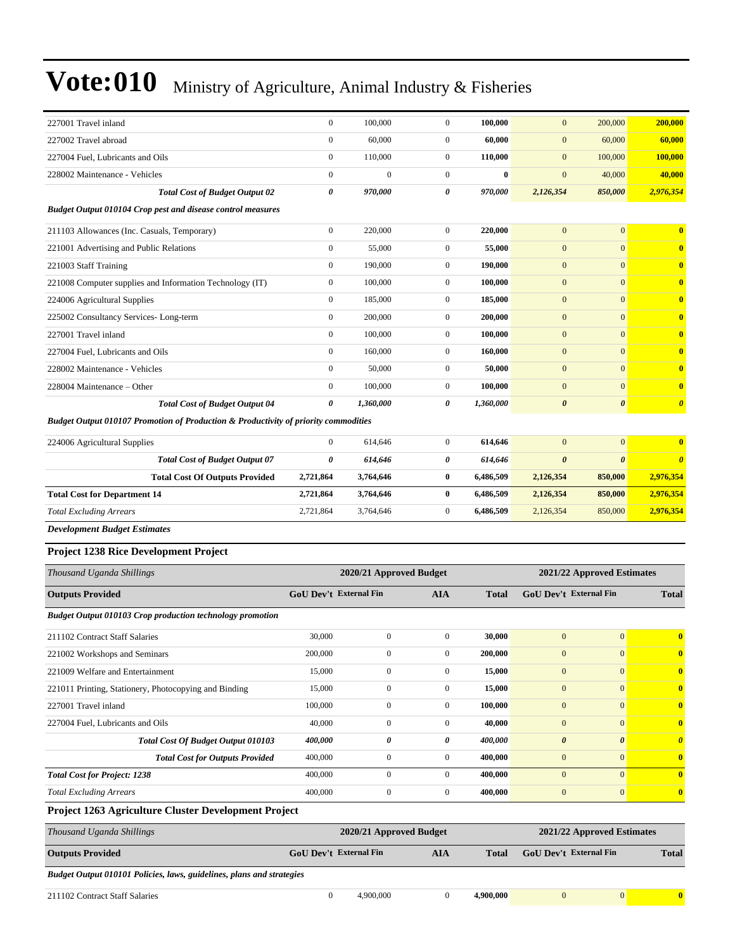| 227001 Travel inland                                                                           | $\boldsymbol{0}$              | 100,000                 | $\mathbf{0}$     | 100,000      | $\mathbf{0}$                  | 200,000                    | 200,000                 |
|------------------------------------------------------------------------------------------------|-------------------------------|-------------------------|------------------|--------------|-------------------------------|----------------------------|-------------------------|
| 227002 Travel abroad                                                                           | $\boldsymbol{0}$              | 60,000                  | $\mathbf{0}$     | 60,000       | $\mathbf{0}$                  | 60,000                     | 60,000                  |
| 227004 Fuel, Lubricants and Oils                                                               | $\boldsymbol{0}$              | 110,000                 | $\mathbf{0}$     | 110,000      | $\mathbf{0}$                  | 100,000                    | 100,000                 |
| 228002 Maintenance - Vehicles                                                                  | $\boldsymbol{0}$              | $\boldsymbol{0}$        | $\mathbf{0}$     | $\bf{0}$     | $\boldsymbol{0}$              | 40,000                     | 40,000                  |
| <b>Total Cost of Budget Output 02</b>                                                          | 0                             | 970,000                 | 0                | 970,000      | 2,126,354                     | 850,000                    | 2,976,354               |
| <b>Budget Output 010104 Crop pest and disease control measures</b>                             |                               |                         |                  |              |                               |                            |                         |
| 211103 Allowances (Inc. Casuals, Temporary)                                                    | $\boldsymbol{0}$              | 220,000                 | $\overline{0}$   | 220,000      | $\mathbf{0}$                  | $\mathbf{0}$               | $\bf{0}$                |
| 221001 Advertising and Public Relations                                                        | $\boldsymbol{0}$              | 55,000                  | $\mathbf{0}$     | 55,000       | $\mathbf{0}$                  | $\mathbf{0}$               | $\bf{0}$                |
| 221003 Staff Training                                                                          | $\boldsymbol{0}$              | 190,000                 | $\mathbf{0}$     | 190,000      | $\mathbf{0}$                  | $\mathbf{0}$               | $\bf{0}$                |
| 221008 Computer supplies and Information Technology (IT)                                       | $\boldsymbol{0}$              | 100,000                 | $\mathbf{0}$     | 100,000      | $\mathbf{0}$                  | $\mathbf{0}$               | $\bf{0}$                |
| 224006 Agricultural Supplies                                                                   | $\boldsymbol{0}$              | 185,000                 | $\mathbf{0}$     | 185,000      | $\mathbf{0}$                  | $\mathbf{0}$               | $\bf{0}$                |
| 225002 Consultancy Services-Long-term                                                          | $\mathbf{0}$                  | 200,000                 | $\mathbf{0}$     | 200,000      | $\mathbf{0}$                  | $\mathbf{0}$               | $\bf{0}$                |
| 227001 Travel inland                                                                           | $\boldsymbol{0}$              | 100,000                 | $\mathbf{0}$     | 100,000      | $\mathbf{0}$                  | $\mathbf{0}$               | $\bf{0}$                |
| 227004 Fuel, Lubricants and Oils                                                               | $\boldsymbol{0}$              | 160,000                 | $\mathbf{0}$     | 160,000      | $\mathbf{0}$                  | $\mathbf{0}$               | $\bf{0}$                |
| 228002 Maintenance - Vehicles                                                                  | $\boldsymbol{0}$              | 50,000                  | $\mathbf{0}$     | 50,000       | $\mathbf{0}$                  | $\mathbf{0}$               | $\bf{0}$                |
| 228004 Maintenance – Other                                                                     | $\boldsymbol{0}$              | 100,000                 | $\mathbf{0}$     | 100,000      | $\mathbf{0}$                  | $\mathbf{0}$               | $\bf{0}$                |
| <b>Total Cost of Budget Output 04</b>                                                          | 0                             | 1,360,000               | 0                | 1,360,000    | $\boldsymbol{\theta}$         | $\boldsymbol{\theta}$      | $\boldsymbol{\theta}$   |
| <b>Budget Output 010107 Promotion of Production &amp; Productivity of priority commodities</b> |                               |                         |                  |              |                               |                            |                         |
| 224006 Agricultural Supplies                                                                   | $\boldsymbol{0}$              | 614,646                 | $\mathbf{0}$     | 614,646      | $\mathbf{0}$                  | $\mathbf{0}$               | $\bf{0}$                |
| <b>Total Cost of Budget Output 07</b>                                                          | $\boldsymbol{\theta}$         | 614,646                 | 0                | 614,646      | $\boldsymbol{\theta}$         | $\boldsymbol{\theta}$      | $\boldsymbol{\theta}$   |
| <b>Total Cost Of Outputs Provided</b>                                                          | 2,721,864                     | 3,764,646               | $\bf{0}$         | 6,486,509    | 2,126,354                     | 850,000                    | 2,976,354               |
| <b>Total Cost for Department 14</b>                                                            | 2,721,864                     | 3,764,646               | $\bf{0}$         | 6,486,509    | 2,126,354                     | 850,000                    | 2,976,354               |
| <b>Total Excluding Arrears</b>                                                                 | 2,721,864                     | 3,764,646               | $\mathbf{0}$     | 6,486,509    | 2,126,354                     | 850,000                    | 2,976,354               |
| <b>Development Budget Estimates</b>                                                            |                               |                         |                  |              |                               |                            |                         |
| <b>Project 1238 Rice Development Project</b>                                                   |                               |                         |                  |              |                               |                            |                         |
| Thousand Uganda Shillings                                                                      |                               | 2020/21 Approved Budget |                  |              |                               | 2021/22 Approved Estimates |                         |
| <b>Outputs Provided</b>                                                                        | <b>GoU Dev't External Fin</b> |                         | <b>AIA</b>       | <b>Total</b> | <b>GoU Dev't External Fin</b> |                            | <b>Total</b>            |
| <b>Budget Output 010103 Crop production technology promotion</b>                               |                               |                         |                  |              |                               |                            |                         |
| 211102 Contract Staff Salaries                                                                 | 30,000                        | $\boldsymbol{0}$        | $\boldsymbol{0}$ | 30,000       | $\mathbf{0}$                  | $\mathbf{0}$               | $\bf{0}$                |
| 221002 Workshops and Seminars                                                                  | 200,000                       | $\boldsymbol{0}$        | $\boldsymbol{0}$ | 200,000      | $\boldsymbol{0}$              | $\mathbf{0}$               | $\bf{0}$                |
| 221009 Welfare and Entertainment                                                               | 15,000                        | $\boldsymbol{0}$        | $\boldsymbol{0}$ | 15,000       | $\boldsymbol{0}$              | $\mathbf{0}$               | $\bf{0}$                |
| 221011 Printing, Stationery, Photocopying and Binding                                          | 15,000                        | $\boldsymbol{0}$        | $\boldsymbol{0}$ | 15,000       | $\boldsymbol{0}$              | $\mathbf{0}$               | $\bf{0}$                |
| 227001 Travel inland                                                                           | 100,000                       | $\boldsymbol{0}$        | $\boldsymbol{0}$ | 100,000      | $\boldsymbol{0}$              | $\mathbf{0}$               | $\bf{0}$                |
| 227004 Fuel, Lubricants and Oils                                                               | 40,000                        | $\boldsymbol{0}$        | $\boldsymbol{0}$ | 40,000       | $\boldsymbol{0}$              | $\mathbf{0}$               | $\overline{\mathbf{0}}$ |
| Total Cost Of Budget Output 010103                                                             | 400,000                       | 0                       | 0                | 400,000      | $\pmb{\theta}$                | $\pmb{\theta}$             | $\boldsymbol{\theta}$   |
| <b>Total Cost for Outputs Provided</b>                                                         | 400,000                       | $\boldsymbol{0}$        | $\boldsymbol{0}$ | 400,000      | $\boldsymbol{0}$              | $\mathbf{0}$               | $\bf{0}$                |
| <b>Total Cost for Project: 1238</b>                                                            | 400,000                       | $\boldsymbol{0}$        | $\boldsymbol{0}$ | 400,000      | $\boldsymbol{0}$              | $\mathbf{0}$               | $\bf{0}$                |
| <b>Total Excluding Arrears</b>                                                                 | 400,000                       | $\boldsymbol{0}$        | $\boldsymbol{0}$ | 400,000      | $\boldsymbol{0}$              | $\mathbf{0}$               | $\bf{0}$                |
| Project 1263 Agriculture Cluster Development Project                                           |                               |                         |                  |              |                               |                            |                         |
| Thousand Uganda Shillings                                                                      |                               | 2020/21 Approved Budget |                  |              |                               | 2021/22 Approved Estimates |                         |
| <b>Outputs Provided</b>                                                                        | <b>GoU Dev't External Fin</b> |                         | <b>AIA</b>       | <b>Total</b> | GoU Dev't External Fin        |                            | <b>Total</b>            |

*Budget Output 010101 Policies, laws, guidelines, plans and strategies*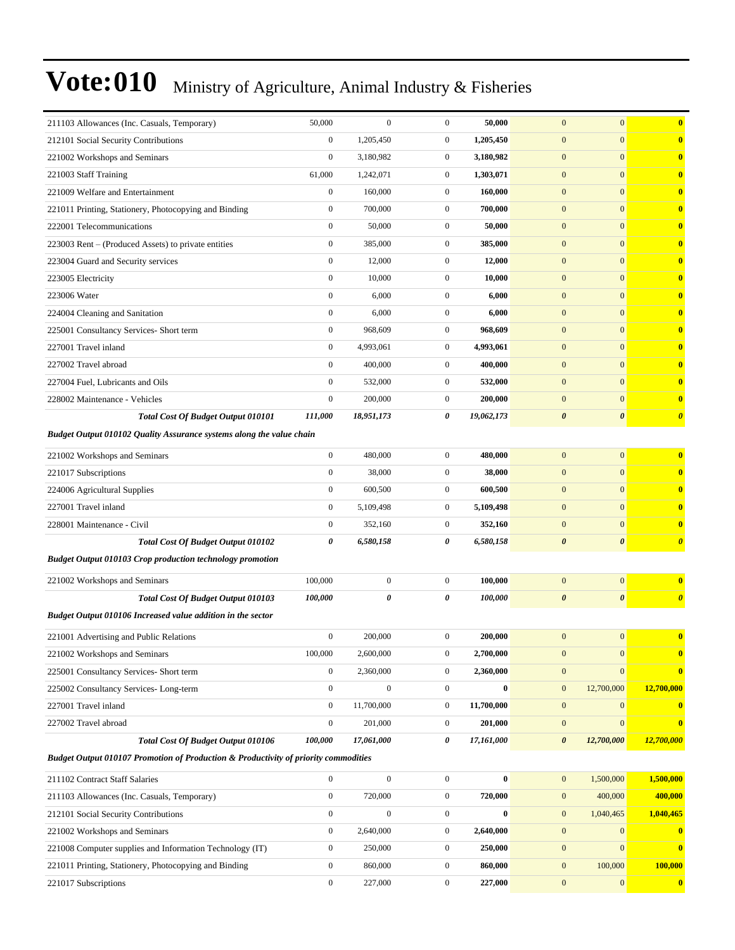|                                                                                                | 50,000           | $\overline{0}$   | $\boldsymbol{0}$ | 50,000     | $\mathbf{0}$<br>$\boldsymbol{0}$               | $\bf{0}$                |
|------------------------------------------------------------------------------------------------|------------------|------------------|------------------|------------|------------------------------------------------|-------------------------|
| 211103 Allowances (Inc. Casuals, Temporary)                                                    |                  |                  |                  |            |                                                |                         |
| 212101 Social Security Contributions                                                           | $\boldsymbol{0}$ | 1,205,450        | $\boldsymbol{0}$ | 1,205,450  | $\boldsymbol{0}$<br>$\mathbf{0}$               | $\bf{0}$                |
| 221002 Workshops and Seminars                                                                  | $\boldsymbol{0}$ | 3,180,982        | $\boldsymbol{0}$ | 3,180,982  | $\boldsymbol{0}$<br>$\mathbf{0}$               | $\overline{\mathbf{0}}$ |
| 221003 Staff Training                                                                          | 61,000           | 1,242,071        | $\boldsymbol{0}$ | 1,303,071  | $\mathbf{0}$<br>$\mathbf{0}$                   | $\mathbf{0}$            |
| 221009 Welfare and Entertainment                                                               | $\mathbf{0}$     | 160,000          | $\boldsymbol{0}$ | 160,000    | $\boldsymbol{0}$<br>$\mathbf{0}$               | $\overline{\mathbf{0}}$ |
| 221011 Printing, Stationery, Photocopying and Binding                                          | $\boldsymbol{0}$ | 700,000          | $\boldsymbol{0}$ | 700,000    | $\boldsymbol{0}$<br>$\overline{0}$             | $\mathbf{0}$            |
| 222001 Telecommunications                                                                      | $\boldsymbol{0}$ | 50,000           | $\boldsymbol{0}$ | 50,000     | $\boldsymbol{0}$<br>$\mathbf{0}$               | $\bf{0}$                |
| 223003 Rent – (Produced Assets) to private entities                                            | $\boldsymbol{0}$ | 385,000          | $\boldsymbol{0}$ | 385,000    | $\boldsymbol{0}$<br>$\mathbf{0}$               | $\overline{\mathbf{0}}$ |
| 223004 Guard and Security services                                                             | $\boldsymbol{0}$ | 12,000           | $\boldsymbol{0}$ | 12,000     | $\mathbf{0}$<br>$\mathbf{0}$                   | $\mathbf{0}$            |
| 223005 Electricity                                                                             | $\boldsymbol{0}$ | 10,000           | $\boldsymbol{0}$ | 10,000     | $\boldsymbol{0}$<br>$\mathbf{0}$               | $\overline{\mathbf{0}}$ |
| 223006 Water                                                                                   | $\boldsymbol{0}$ | 6,000            | $\boldsymbol{0}$ | 6,000      | $\boldsymbol{0}$<br>$\overline{0}$             | $\mathbf{0}$            |
| 224004 Cleaning and Sanitation                                                                 | $\boldsymbol{0}$ | 6,000            | $\boldsymbol{0}$ | 6,000      | $\boldsymbol{0}$<br>$\mathbf{0}$               | $\bf{0}$                |
| 225001 Consultancy Services- Short term                                                        | $\boldsymbol{0}$ | 968,609          | $\boldsymbol{0}$ | 968,609    | $\boldsymbol{0}$<br>$\mathbf{0}$               | $\overline{\mathbf{0}}$ |
| 227001 Travel inland                                                                           | $\boldsymbol{0}$ | 4,993,061        | $\boldsymbol{0}$ | 4,993,061  | $\mathbf{0}$<br>$\mathbf{0}$                   | $\mathbf{0}$            |
| 227002 Travel abroad                                                                           | $\mathbf{0}$     | 400,000          | $\boldsymbol{0}$ | 400,000    | $\boldsymbol{0}$<br>$\mathbf{0}$               | $\overline{\mathbf{0}}$ |
| 227004 Fuel, Lubricants and Oils                                                               | $\boldsymbol{0}$ | 532,000          | $\boldsymbol{0}$ | 532,000    | $\boldsymbol{0}$<br>$\overline{0}$             | $\mathbf{0}$            |
| 228002 Maintenance - Vehicles                                                                  | $\boldsymbol{0}$ | 200,000          | $\boldsymbol{0}$ | 200,000    | $\boldsymbol{0}$<br>$\mathbf{0}$               | $\bf{0}$                |
| Total Cost Of Budget Output 010101                                                             | 111,000          | 18,951,173       | 0                | 19,062,173 | $\boldsymbol{\theta}$<br>0                     | $\boldsymbol{\theta}$   |
| Budget Output 010102 Quality Assurance systems along the value chain                           |                  |                  |                  |            |                                                |                         |
| 221002 Workshops and Seminars                                                                  | $\boldsymbol{0}$ | 480,000          | $\boldsymbol{0}$ | 480,000    | $\mathbf{0}$<br>$\mathbf{0}$                   | $\bf{0}$                |
| 221017 Subscriptions                                                                           | $\mathbf{0}$     | 38,000           | $\boldsymbol{0}$ | 38,000     | $\boldsymbol{0}$<br>$\boldsymbol{0}$           | $\mathbf{0}$            |
| 224006 Agricultural Supplies                                                                   | $\boldsymbol{0}$ | 600,500          | $\boldsymbol{0}$ | 600,500    | $\boldsymbol{0}$<br>$\overline{0}$             | $\mathbf{0}$            |
| 227001 Travel inland                                                                           | $\mathbf{0}$     | 5,109,498        | $\boldsymbol{0}$ | 5,109,498  | $\mathbf{0}$<br>$\mathbf{0}$                   | $\bf{0}$                |
| 228001 Maintenance - Civil                                                                     | $\boldsymbol{0}$ | 352,160          | $\boldsymbol{0}$ | 352,160    | $\boldsymbol{0}$<br>$\mathbf{0}$               | $\overline{\mathbf{0}}$ |
| Total Cost Of Budget Output 010102                                                             | 0                | 6,580,158        | 0                | 6,580,158  | $\boldsymbol{\theta}$<br>$\boldsymbol{\theta}$ | $\boldsymbol{\theta}$   |
| <b>Budget Output 010103 Crop production technology promotion</b>                               |                  |                  |                  |            |                                                |                         |
| 221002 Workshops and Seminars                                                                  | 100,000          | $\boldsymbol{0}$ | $\boldsymbol{0}$ | 100,000    | $\mathbf{0}$<br>$\boldsymbol{0}$               | $\overline{\mathbf{0}}$ |
| Total Cost Of Budget Output 010103                                                             | 100,000          | 0                | 0                | 100,000    | $\pmb{\theta}$<br>$\boldsymbol{\theta}$        | $\boldsymbol{\theta}$   |
| Budget Output 010106 Increased value addition in the sector                                    |                  |                  |                  |            |                                                |                         |
| 221001 Advertising and Public Relations                                                        | $\boldsymbol{0}$ | 200,000          | $\boldsymbol{0}$ | 200,000    | $\overline{0}$<br>$\mathbf{0}$                 | $\overline{\mathbf{0}}$ |
| 221002 Workshops and Seminars                                                                  | 100,000          | 2,600,000        | $\boldsymbol{0}$ | 2,700,000  | $\boldsymbol{0}$<br>$\mathbf{0}$               | $\mathbf{0}$            |
| 225001 Consultancy Services- Short term                                                        | $\boldsymbol{0}$ | 2,360,000        | $\boldsymbol{0}$ | 2,360,000  | $\mathbf{0}$<br>$\mathbf{0}$                   | $\bf{0}$                |
| 225002 Consultancy Services-Long-term                                                          | $\overline{0}$   | $\boldsymbol{0}$ | $\boldsymbol{0}$ | $\bf{0}$   | 12,700,000<br>$\mathbf{0}$                     | 12,700,000              |
| 227001 Travel inland                                                                           | $\boldsymbol{0}$ | 11,700,000       | $\boldsymbol{0}$ | 11,700,000 | $\boldsymbol{0}$<br>$\mathbf{0}$               | $\bf{0}$                |
| 227002 Travel abroad                                                                           | $\boldsymbol{0}$ | 201,000          | $\boldsymbol{0}$ | 201,000    | $\boldsymbol{0}$<br>$\boldsymbol{0}$           | $\bf{0}$                |
| <b>Total Cost Of Budget Output 010106</b>                                                      | 100,000          | 17,061,000       | 0                | 17,161,000 | $\boldsymbol{\theta}$<br>12,700,000            | 12,700,000              |
| <b>Budget Output 010107 Promotion of Production &amp; Productivity of priority commodities</b> |                  |                  |                  |            |                                                |                         |
| 211102 Contract Staff Salaries                                                                 | $\boldsymbol{0}$ | $\boldsymbol{0}$ | $\boldsymbol{0}$ | $\bf{0}$   | $\boldsymbol{0}$<br>1,500,000                  | 1,500,000               |
| 211103 Allowances (Inc. Casuals, Temporary)                                                    | $\overline{0}$   | 720,000          | $\boldsymbol{0}$ | 720,000    | $\boldsymbol{0}$<br>400,000                    | 400,000                 |
| 212101 Social Security Contributions                                                           | $\boldsymbol{0}$ | $\boldsymbol{0}$ | $\boldsymbol{0}$ | $\bf{0}$   | $\mathbf{0}$<br>1,040,465                      | 1,040,465               |
| 221002 Workshops and Seminars                                                                  | $\boldsymbol{0}$ | 2,640,000        | $\boldsymbol{0}$ | 2,640,000  | $\boldsymbol{0}$<br>$\boldsymbol{0}$           | $\bf{0}$                |
| 221008 Computer supplies and Information Technology (IT)                                       | $\mathbf{0}$     | 250,000          | $\boldsymbol{0}$ | 250,000    | $\boldsymbol{0}$<br>$\boldsymbol{0}$           | $\bf{0}$                |
| 221011 Printing, Stationery, Photocopying and Binding                                          | $\boldsymbol{0}$ | 860,000          | $\boldsymbol{0}$ | 860,000    | $\mathbf{0}$<br>100,000                        | 100,000                 |
| 221017 Subscriptions                                                                           | $\boldsymbol{0}$ | 227,000          | $\boldsymbol{0}$ | 227,000    | $\mathbf{0}$<br>$\mathbf{0}$                   | $\bf{0}$                |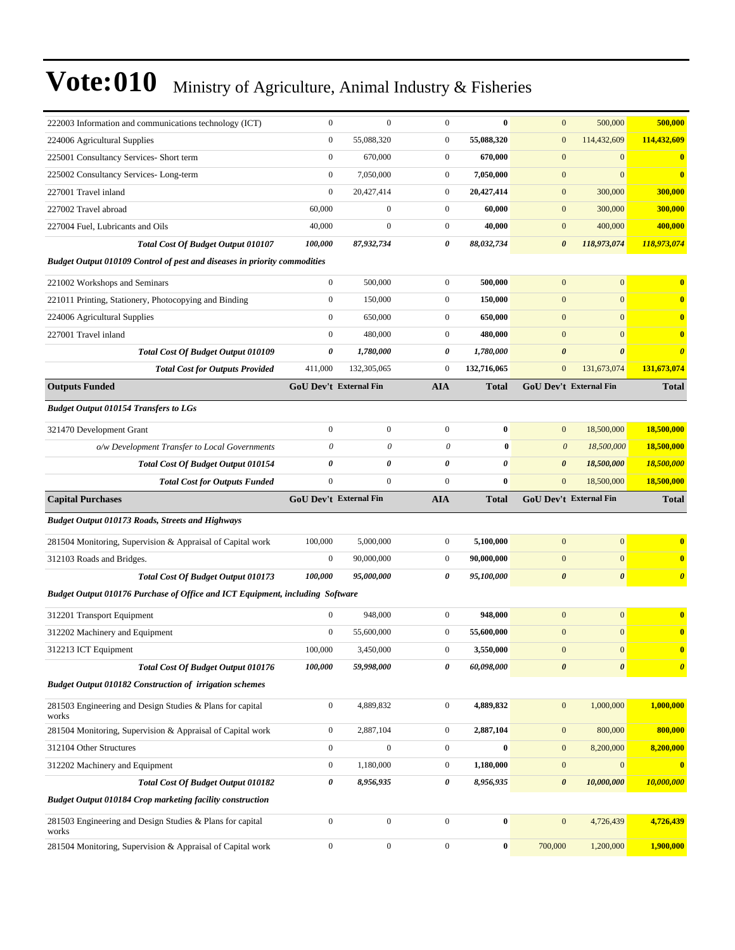| 222003 Information and communications technology (ICT)                        | $\mathbf{0}$                  | $\mathbf{0}$     | $\mathbf{0}$          | $\bf{0}$     | $\mathbf{0}$          | 500,000                       | 500,000               |
|-------------------------------------------------------------------------------|-------------------------------|------------------|-----------------------|--------------|-----------------------|-------------------------------|-----------------------|
| 224006 Agricultural Supplies                                                  | $\boldsymbol{0}$              | 55,088,320       | $\boldsymbol{0}$      | 55,088,320   | $\boldsymbol{0}$      | 114,432,609                   | 114,432,609           |
| 225001 Consultancy Services- Short term                                       | $\boldsymbol{0}$              | 670,000          | $\boldsymbol{0}$      | 670,000      | $\mathbf{0}$          | $\mathbf{0}$                  | $\bf{0}$              |
| 225002 Consultancy Services-Long-term                                         | $\boldsymbol{0}$              | 7,050,000        | $\boldsymbol{0}$      | 7,050,000    | $\mathbf{0}$          | $\overline{0}$                | $\bf{0}$              |
| 227001 Travel inland                                                          | $\mathbf{0}$                  | 20,427,414       | $\mathbf{0}$          | 20,427,414   | $\boldsymbol{0}$      | 300,000                       | 300,000               |
| 227002 Travel abroad                                                          | 60,000                        | $\mathbf{0}$     | $\boldsymbol{0}$      | 60,000       | $\mathbf{0}$          | 300,000                       | 300,000               |
| 227004 Fuel, Lubricants and Oils                                              | 40,000                        | $\boldsymbol{0}$ | $\mathbf{0}$          | 40,000       | $\boldsymbol{0}$      | 400,000                       | 400,000               |
| <b>Total Cost Of Budget Output 010107</b>                                     | 100,000                       | 87,932,734       | $\boldsymbol{\theta}$ | 88,032,734   | $\boldsymbol{\theta}$ | 118,973,074                   | 118,973,074           |
| Budget Output 010109 Control of pest and diseases in priority commodities     |                               |                  |                       |              |                       |                               |                       |
| 221002 Workshops and Seminars                                                 | $\boldsymbol{0}$              | 500,000          | $\mathbf{0}$          | 500,000      | $\boldsymbol{0}$      | $\mathbf{0}$                  | $\bf{0}$              |
| 221011 Printing, Stationery, Photocopying and Binding                         | $\boldsymbol{0}$              | 150,000          | $\mathbf{0}$          | 150,000      | $\boldsymbol{0}$      | $\overline{0}$                | $\bf{0}$              |
| 224006 Agricultural Supplies                                                  | $\boldsymbol{0}$              | 650,000          | $\mathbf{0}$          | 650,000      | $\mathbf{0}$          | $\overline{0}$                | $\bf{0}$              |
| 227001 Travel inland                                                          | $\mathbf{0}$                  | 480,000          | $\boldsymbol{0}$      | 480,000      | $\mathbf{0}$          | $\overline{0}$                | $\bf{0}$              |
| <b>Total Cost Of Budget Output 010109</b>                                     | 0                             | 1,780,000        | 0                     | 1,780,000    | $\boldsymbol{\theta}$ | $\boldsymbol{\theta}$         | $\boldsymbol{\theta}$ |
| <b>Total Cost for Outputs Provided</b>                                        | 411,000                       | 132,305,065      | $\mathbf{0}$          | 132,716,065  | $\mathbf{0}$          | 131,673,074                   | 131,673,074           |
| <b>Outputs Funded</b>                                                         | GoU Dev't External Fin        |                  | AIA                   | <b>Total</b> |                       | GoU Dev't External Fin        | <b>Total</b>          |
| <b>Budget Output 010154 Transfers to LGs</b>                                  |                               |                  |                       |              |                       |                               |                       |
| 321470 Development Grant                                                      | $\boldsymbol{0}$              | $\mathbf{0}$     | $\mathbf{0}$          | $\bf{0}$     | $\boldsymbol{0}$      | 18,500,000                    | 18,500,000            |
| o/w Development Transfer to Local Governments                                 | $\theta$                      | 0                | $\theta$              | $\bf{0}$     | $\boldsymbol{\theta}$ | 18,500,000                    | 18,500,000            |
| <b>Total Cost Of Budget Output 010154</b>                                     | 0                             | 0                | 0                     | 0            | $\boldsymbol{\theta}$ | 18,500,000                    | 18,500,000            |
|                                                                               |                               |                  |                       |              |                       |                               |                       |
| <b>Total Cost for Outputs Funded</b>                                          | $\mathbf{0}$                  | $\mathbf{0}$     | $\mathbf{0}$          | $\bf{0}$     | $\mathbf{0}$          | 18,500,000                    | 18,500,000            |
| <b>Capital Purchases</b>                                                      | <b>GoU Dev't External Fin</b> |                  | <b>AIA</b>            | <b>Total</b> |                       | <b>GoU Dev't External Fin</b> | <b>Total</b>          |
| <b>Budget Output 010173 Roads, Streets and Highways</b>                       |                               |                  |                       |              |                       |                               |                       |
| 281504 Monitoring, Supervision & Appraisal of Capital work                    | 100,000                       | 5,000,000        | $\mathbf{0}$          | 5,100,000    | $\boldsymbol{0}$      | $\overline{0}$                | $\bf{0}$              |
| 312103 Roads and Bridges.                                                     | $\boldsymbol{0}$              | 90,000,000       | $\mathbf{0}$          | 90,000,000   | $\boldsymbol{0}$      | $\overline{0}$                | $\mathbf{0}$          |
| Total Cost Of Budget Output 010173                                            | 100,000                       | 95,000,000       | 0                     | 95,100,000   | $\boldsymbol{\theta}$ | 0                             | $\boldsymbol{\theta}$ |
| Budget Output 010176 Purchase of Office and ICT Equipment, including Software |                               |                  |                       |              |                       |                               |                       |
|                                                                               | $\mathbf{0}$                  | 948,000          | $\mathbf{0}$          | 948,000      | $\boldsymbol{0}$      | $\boldsymbol{0}$              | $\bf{0}$              |
| 312201 Transport Equipment<br>312202 Machinery and Equipment                  | $\mathbf{0}$                  | 55,600,000       | $\boldsymbol{0}$      | 55,600,000   | $\mathbf{0}$          | $\mathbf{0}$                  | $\bf{0}$              |
| 312213 ICT Equipment                                                          | 100,000                       | 3,450,000        | $\boldsymbol{0}$      | 3,550,000    | $\overline{0}$        | $\boldsymbol{0}$              |                       |
| Total Cost Of Budget Output 010176                                            | 100,000                       | 59,998,000       | 0                     | 60,098,000   | $\boldsymbol{\theta}$ | $\boldsymbol{\theta}$         | $\boldsymbol{\theta}$ |
| Budget Output 010182 Construction of irrigation schemes                       |                               |                  |                       |              |                       |                               |                       |
| 281503 Engineering and Design Studies & Plans for capital<br>works            | $\boldsymbol{0}$              | 4,889,832        | $\boldsymbol{0}$      | 4,889,832    | $\boldsymbol{0}$      | 1,000,000                     | 1,000,000             |
| 281504 Monitoring, Supervision & Appraisal of Capital work                    | $\boldsymbol{0}$              | 2,887,104        | $\boldsymbol{0}$      | 2,887,104    | $\bf{0}$              | 800,000                       | 800,000               |
| 312104 Other Structures                                                       | $\boldsymbol{0}$              | $\mathbf{0}$     | $\boldsymbol{0}$      | $\bf{0}$     | $\mathbf{0}$          | 8,200,000                     | 8,200,000             |
| 312202 Machinery and Equipment                                                | $\boldsymbol{0}$              | 1,180,000        | $\boldsymbol{0}$      | 1,180,000    | $\boldsymbol{0}$      | $\boldsymbol{0}$              | $\bf{0}$              |
| Total Cost Of Budget Output 010182                                            | 0                             | 8,956,935        | 0                     | 8,956,935    | $\boldsymbol{\theta}$ | 10,000,000                    | 10,000,000            |
| Budget Output 010184 Crop marketing facility construction                     |                               |                  |                       |              |                       |                               |                       |
| 281503 Engineering and Design Studies & Plans for capital<br>works            | $\boldsymbol{0}$              | $\boldsymbol{0}$ | $\boldsymbol{0}$      | $\pmb{0}$    | $\boldsymbol{0}$      | 4,726,439                     | 4,726,439             |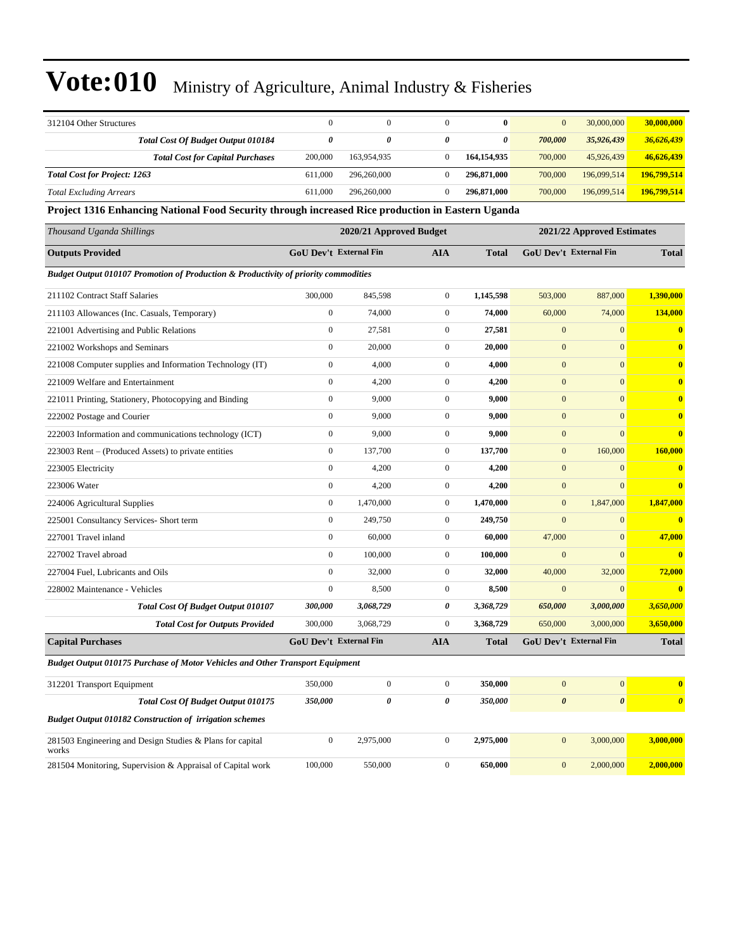| 312104 Other Structures                                                                           | $\mathbf{0}$                  | $\boldsymbol{0}$        | $\mathbf{0}$     | $\bf{0}$     | $\mathbf{0}$     | 30,000,000                 | 30,000,000              |
|---------------------------------------------------------------------------------------------------|-------------------------------|-------------------------|------------------|--------------|------------------|----------------------------|-------------------------|
| Total Cost Of Budget Output 010184                                                                | $\boldsymbol{\theta}$         | 0                       | 0                | 0            | 700,000          | 35,926,439                 | 36,626,439              |
| <b>Total Cost for Capital Purchases</b>                                                           | 200,000                       | 163,954,935             | $\boldsymbol{0}$ | 164,154,935  | 700,000          | 45,926,439                 | 46,626,439              |
| <b>Total Cost for Project: 1263</b>                                                               | 611,000                       | 296,260,000             | $\boldsymbol{0}$ | 296,871,000  | 700,000          | 196,099,514                | 196,799,514             |
| <b>Total Excluding Arrears</b>                                                                    | 611,000                       | 296,260,000             | $\overline{0}$   | 296,871,000  | 700,000          | 196,099,514                | 196,799,514             |
| Project 1316 Enhancing National Food Security through increased Rice production in Eastern Uganda |                               |                         |                  |              |                  |                            |                         |
| Thousand Uganda Shillings                                                                         |                               | 2020/21 Approved Budget |                  |              |                  | 2021/22 Approved Estimates |                         |
| <b>Outputs Provided</b>                                                                           |                               | GoU Dev't External Fin  | <b>AIA</b>       | <b>Total</b> |                  | GoU Dev't External Fin     | <b>Total</b>            |
| <b>Budget Output 010107 Promotion of Production &amp; Productivity of priority commodities</b>    |                               |                         |                  |              |                  |                            |                         |
| 211102 Contract Staff Salaries                                                                    | 300,000                       | 845,598                 | $\boldsymbol{0}$ | 1,145,598    | 503,000          | 887,000                    | 1,390,000               |
| 211103 Allowances (Inc. Casuals, Temporary)                                                       | $\mathbf{0}$                  | 74,000                  | $\boldsymbol{0}$ | 74,000       | 60,000           | 74,000                     | 134,000                 |
| 221001 Advertising and Public Relations                                                           | $\mathbf{0}$                  | 27,581                  | $\boldsymbol{0}$ | 27,581       | $\mathbf{0}$     | $\mathbf{0}$               | $\bf{0}$                |
| 221002 Workshops and Seminars                                                                     | $\mathbf{0}$                  | 20,000                  | $\boldsymbol{0}$ | 20,000       | $\mathbf{0}$     | $\mathbf{0}$               | $\bf{0}$                |
| 221008 Computer supplies and Information Technology (IT)                                          | $\mathbf{0}$                  | 4,000                   | $\boldsymbol{0}$ | 4,000        | $\mathbf{0}$     | $\mathbf{0}$               | $\overline{\mathbf{0}}$ |
| 221009 Welfare and Entertainment                                                                  | $\boldsymbol{0}$              | 4,200                   | $\boldsymbol{0}$ | 4,200        | $\mathbf{0}$     | $\mathbf{0}$               | $\bf{0}$                |
| 221011 Printing, Stationery, Photocopying and Binding                                             | $\mathbf{0}$                  | 9,000                   | $\boldsymbol{0}$ | 9,000        | $\mathbf{0}$     | $\mathbf{0}$               | $\bf{0}$                |
| 222002 Postage and Courier                                                                        | $\mathbf{0}$                  | 9,000                   | $\boldsymbol{0}$ | 9,000        | $\mathbf{0}$     | $\overline{0}$             | $\bf{0}$                |
| 222003 Information and communications technology (ICT)                                            | $\mathbf{0}$                  | 9,000                   | $\boldsymbol{0}$ | 9,000        | $\mathbf{0}$     | $\mathbf{0}$               | $\bf{0}$                |
| 223003 Rent – (Produced Assets) to private entities                                               | $\mathbf{0}$                  | 137,700                 | $\boldsymbol{0}$ | 137,700      | $\mathbf{0}$     | 160,000                    | 160,000                 |
| 223005 Electricity                                                                                | $\boldsymbol{0}$              | 4,200                   | $\boldsymbol{0}$ | 4,200        | $\boldsymbol{0}$ | $\mathbf{0}$               | $\bf{0}$                |
| 223006 Water                                                                                      | $\mathbf{0}$                  | 4,200                   | $\boldsymbol{0}$ | 4,200        | $\mathbf{0}$     | $\mathbf{0}$               | $\bf{0}$                |
| 224006 Agricultural Supplies                                                                      | $\mathbf{0}$                  | 1,470,000               | $\boldsymbol{0}$ | 1,470,000    | $\mathbf{0}$     | 1,847,000                  | 1,847,000               |
| 225001 Consultancy Services- Short term                                                           | $\mathbf{0}$                  | 249,750                 | $\boldsymbol{0}$ | 249,750      | $\mathbf{0}$     | $\mathbf{0}$               | $\overline{\mathbf{0}}$ |
| 227001 Travel inland                                                                              | $\mathbf{0}$                  | 60,000                  | $\boldsymbol{0}$ | 60,000       | 47,000           | $\mathbf{0}$               | 47,000                  |
| 227002 Travel abroad                                                                              | $\mathbf{0}$                  | 100,000                 | $\boldsymbol{0}$ | 100,000      | $\mathbf{0}$     | $\mathbf{0}$               | $\overline{\mathbf{0}}$ |
| 227004 Fuel, Lubricants and Oils                                                                  | $\mathbf{0}$                  | 32,000                  | $\boldsymbol{0}$ | 32,000       | 40,000           | 32,000                     | 72,000                  |
| 228002 Maintenance - Vehicles                                                                     | $\boldsymbol{0}$              | 8,500                   | $\boldsymbol{0}$ | 8,500        | $\mathbf{0}$     | $\mathbf{0}$               | $\overline{0}$          |
| <b>Total Cost Of Budget Output 010107</b>                                                         | 300,000                       | 3,068,729               | 0                | 3,368,729    | 650,000          | 3,000,000                  | 3,650,000               |
| <b>Total Cost for Outputs Provided</b>                                                            | 300,000                       | 3,068,729               | $\overline{0}$   | 3,368,729    | 650,000          | 3,000,000                  | 3,650,000               |
| <b>Capital Purchases</b>                                                                          | <b>GoU Dev't External Fin</b> |                         | <b>AIA</b>       | <b>Total</b> |                  | GoU Dev't External Fin     | <b>Total</b>            |
| <b>Budget Output 010175 Purchase of Motor Vehicles and Other Transport Equipment</b>              |                               |                         |                  |              |                  |                            |                         |
| 312201 Transport Equipment                                                                        | 350,000                       | $\boldsymbol{0}$        | $\boldsymbol{0}$ | 350,000      | $\boldsymbol{0}$ | $\mathbf{0}$               | $\bf{0}$                |
| Total Cost Of Budget Output 010175                                                                | 350,000                       | 0                       | 0                | 350,000      | $\pmb{\theta}$   | $\boldsymbol{\theta}$      | $\boldsymbol{\theta}$   |
| <b>Budget Output 010182 Construction of irrigation schemes</b>                                    |                               |                         |                  |              |                  |                            |                         |
| 281503 Engineering and Design Studies & Plans for capital<br>works                                | $\boldsymbol{0}$              | 2,975,000               | $\boldsymbol{0}$ | 2,975,000    | $\boldsymbol{0}$ | 3,000,000                  | 3,000,000               |
| 281504 Monitoring, Supervision & Appraisal of Capital work                                        | 100,000                       | 550,000                 | $\boldsymbol{0}$ | 650,000      | $\mathbf{0}$     | 2,000,000                  | 2,000,000               |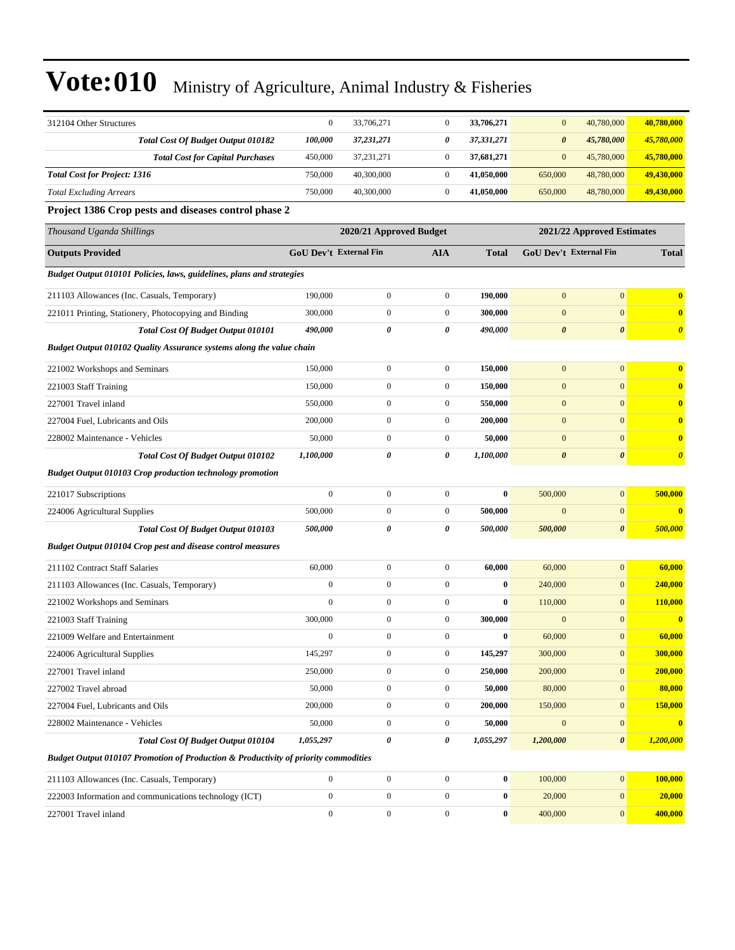| 312104 Other Structures                                                             | $\boldsymbol{0}$              | 33,706,271              | $\boldsymbol{0}$ | 33,706,271   | $\mathbf{0}$          | 40,780,000                 | 40,780,000              |
|-------------------------------------------------------------------------------------|-------------------------------|-------------------------|------------------|--------------|-----------------------|----------------------------|-------------------------|
| Total Cost Of Budget Output 010182                                                  | 100,000                       | 37,231,271              | 0                | 37,331,271   | $\boldsymbol{\theta}$ | 45,780,000                 | 45,780,000              |
| <b>Total Cost for Capital Purchases</b>                                             | 450,000                       | 37,231,271              | $\boldsymbol{0}$ | 37,681,271   | $\mathbf{0}$          | 45,780,000                 | 45,780,000              |
| <b>Total Cost for Project: 1316</b>                                                 | 750,000                       | 40,300,000              | $\boldsymbol{0}$ | 41,050,000   | 650,000               | 48,780,000                 | 49,430,000              |
| <b>Total Excluding Arrears</b>                                                      | 750,000                       | 40,300,000              | $\boldsymbol{0}$ | 41,050,000   | 650,000               | 48,780,000                 | 49,430,000              |
| Project 1386 Crop pests and diseases control phase 2                                |                               |                         |                  |              |                       |                            |                         |
| Thousand Uganda Shillings                                                           |                               | 2020/21 Approved Budget |                  |              |                       | 2021/22 Approved Estimates |                         |
| <b>Outputs Provided</b>                                                             | <b>GoU Dev't External Fin</b> |                         | <b>AIA</b>       | <b>Total</b> |                       | GoU Dev't External Fin     | <b>Total</b>            |
| Budget Output 010101 Policies, laws, guidelines, plans and strategies               |                               |                         |                  |              |                       |                            |                         |
| 211103 Allowances (Inc. Casuals, Temporary)                                         | 190,000                       | $\boldsymbol{0}$        | $\boldsymbol{0}$ | 190,000      | $\mathbf{0}$          | $\mathbf{0}$               | $\bf{0}$                |
| 221011 Printing, Stationery, Photocopying and Binding                               | 300,000                       | $\boldsymbol{0}$        | $\boldsymbol{0}$ | 300,000      | $\mathbf{0}$          | $\mathbf{0}$               | $\bf{0}$                |
| Total Cost Of Budget Output 010101                                                  | 490,000                       | 0                       | 0                | 490,000      | $\boldsymbol{\theta}$ | $\boldsymbol{\theta}$      | $\boldsymbol{\theta}$   |
| Budget Output 010102 Quality Assurance systems along the value chain                |                               |                         |                  |              |                       |                            |                         |
| 221002 Workshops and Seminars                                                       | 150,000                       | $\boldsymbol{0}$        | $\boldsymbol{0}$ | 150,000      | $\mathbf{0}$          | $\mathbf{0}$               | $\bf{0}$                |
| 221003 Staff Training                                                               | 150,000                       | $\boldsymbol{0}$        | $\boldsymbol{0}$ | 150,000      | $\boldsymbol{0}$      | $\mathbf{0}$               | $\bf{0}$                |
| 227001 Travel inland                                                                | 550,000                       | $\boldsymbol{0}$        | $\boldsymbol{0}$ | 550,000      | $\boldsymbol{0}$      | $\mathbf{0}$               | $\bf{0}$                |
| 227004 Fuel. Lubricants and Oils                                                    | 200,000                       | $\boldsymbol{0}$        | $\boldsymbol{0}$ | 200,000      | $\mathbf{0}$          | $\mathbf{0}$               | $\bf{0}$                |
| 228002 Maintenance - Vehicles                                                       | 50,000                        | $\mathbf{0}$            | $\boldsymbol{0}$ | 50,000       | $\mathbf{0}$          | $\mathbf{0}$               | $\bf{0}$                |
| <b>Total Cost Of Budget Output 010102</b>                                           | 1,100,000                     | 0                       | 0                | 1,100,000    | $\boldsymbol{\theta}$ | $\boldsymbol{\theta}$      | $\boldsymbol{\theta}$   |
| <b>Budget Output 010103 Crop production technology promotion</b>                    |                               |                         |                  |              |                       |                            |                         |
| 221017 Subscriptions                                                                | $\mathbf{0}$                  | $\boldsymbol{0}$        | $\mathbf{0}$     | $\bf{0}$     | 500,000               | $\mathbf{0}$               | 500,000                 |
| 224006 Agricultural Supplies                                                        | 500,000                       | $\boldsymbol{0}$        | $\boldsymbol{0}$ | 500,000      | $\mathbf{0}$          | $\mathbf{0}$               | $\overline{\mathbf{0}}$ |
| Total Cost Of Budget Output 010103                                                  | 500,000                       | 0                       | 0                | 500,000      | 500,000               | $\boldsymbol{\theta}$      | 500,000                 |
| <b>Budget Output 010104 Crop pest and disease control measures</b>                  |                               |                         |                  |              |                       |                            |                         |
| 211102 Contract Staff Salaries                                                      | 60,000                        | $\overline{0}$          | $\overline{0}$   | 60,000       | 60,000                | $\mathbf{0}$               | 60,000                  |
| 211103 Allowances (Inc. Casuals, Temporary)                                         | $\mathbf{0}$                  | $\boldsymbol{0}$        | $\boldsymbol{0}$ | $\bf{0}$     | 240,000               | $\mathbf{0}$               | 240,000                 |
| 221002 Workshops and Seminars                                                       | $\mathbf{0}$                  | $\boldsymbol{0}$        | $\boldsymbol{0}$ | $\bf{0}$     | 110,000               | $\mathbf{0}$               | 110,000                 |
| 221003 Staff Training                                                               | 300,000                       | $\boldsymbol{0}$        | $\boldsymbol{0}$ | 300,000      | $\boldsymbol{0}$      | $\mathbf{0}$               | $\overline{\mathbf{0}}$ |
| 221009 Welfare and Entertainment                                                    | $\boldsymbol{0}$              | $\boldsymbol{0}$        | $\overline{0}$   | $\bf{0}$     | 60,000                | $\mathbf{0}$               | 60,000                  |
| 224006 Agricultural Supplies                                                        | 145,297                       | 0                       | $\boldsymbol{0}$ | 145,297      | 300,000               | $\mathbf{0}$               | 300,000                 |
| 227001 Travel inland                                                                | 250,000                       | $\overline{0}$          | $\mathbf{0}$     | 250,000      | 200,000               | $\mathbf{0}$               | 200,000                 |
| 227002 Travel abroad                                                                | 50,000                        | $\boldsymbol{0}$        | $\boldsymbol{0}$ | 50,000       | 80,000                | $\mathbf{0}$               | 80,000                  |
| 227004 Fuel, Lubricants and Oils                                                    | 200,000                       | $\boldsymbol{0}$        | $\boldsymbol{0}$ | 200,000      | 150,000               | $\mathbf{0}$               | 150,000                 |
| 228002 Maintenance - Vehicles                                                       | 50,000                        | $\boldsymbol{0}$        | $\boldsymbol{0}$ | 50,000       | $\boldsymbol{0}$      | $\mathbf{0}$               | $\bf{0}$                |
| <b>Total Cost Of Budget Output 010104</b>                                           | 1,055,297                     | 0                       | 0                | 1,055,297    | 1,200,000             | $\boldsymbol{\theta}$      | 1,200,000               |
| Budget Output 010107 Promotion of Production & Productivity of priority commodities |                               |                         |                  |              |                       |                            |                         |
| 211103 Allowances (Inc. Casuals, Temporary)                                         | $\boldsymbol{0}$              | $\boldsymbol{0}$        | $\boldsymbol{0}$ | $\bf{0}$     | 100,000               | $\mathbf{0}$               | 100,000                 |
| 222003 Information and communications technology (ICT)                              | $\mathbf{0}$                  | $\boldsymbol{0}$        | $\boldsymbol{0}$ | $\bf{0}$     | 20,000                | $\mathbf{0}$               | 20,000                  |
| 227001 Travel inland                                                                | $\boldsymbol{0}$              | $\boldsymbol{0}$        | $\boldsymbol{0}$ | 0            | 400,000               | $\mathbf{0}$               | 400,000                 |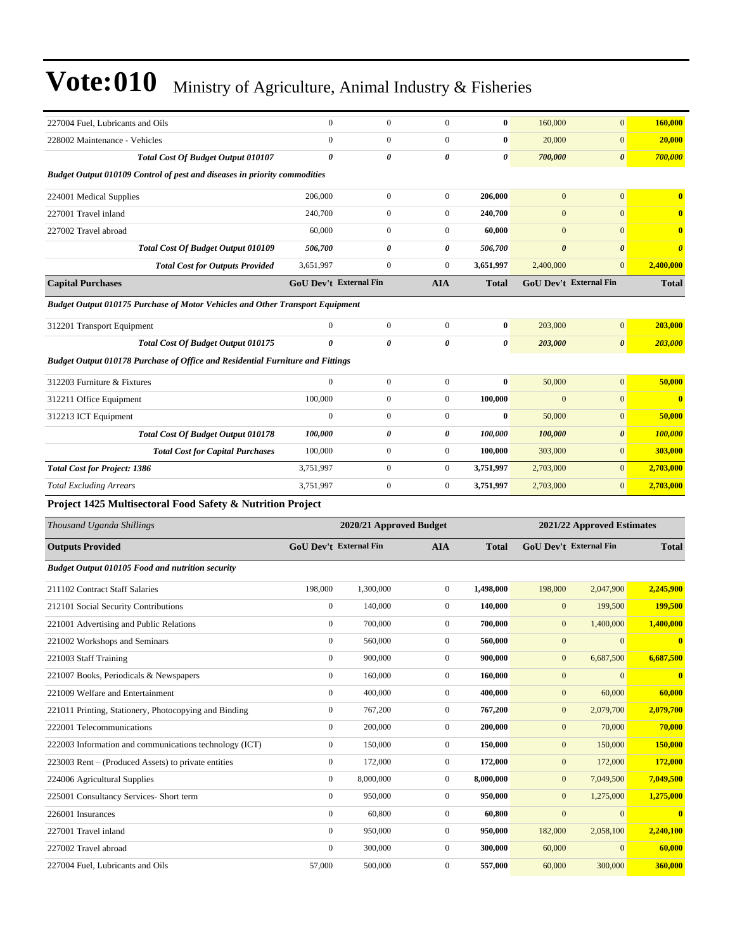| 227004 Fuel, Lubricants and Oils                                                      | $\mathbf{0}$                  | $\boldsymbol{0}$        | $\boldsymbol{0}$      | $\bf{0}$     | 160,000               | $\overline{0}$             | 160,000               |
|---------------------------------------------------------------------------------------|-------------------------------|-------------------------|-----------------------|--------------|-----------------------|----------------------------|-----------------------|
| 228002 Maintenance - Vehicles                                                         | $\boldsymbol{0}$              | $\boldsymbol{0}$        | $\boldsymbol{0}$      | $\bf{0}$     | 20,000                | $\mathbf{0}$               | 20,000                |
| Total Cost Of Budget Output 010107                                                    | 0                             | 0                       | 0                     | 0            | 700,000               | $\boldsymbol{\theta}$      | 700,000               |
| <b>Budget Output 010109 Control of pest and diseases in priority commodities</b>      |                               |                         |                       |              |                       |                            |                       |
| 224001 Medical Supplies                                                               | 206,000                       | $\boldsymbol{0}$        | $\boldsymbol{0}$      | 206,000      | $\mathbf{0}$          | $\overline{0}$             | $\bf{0}$              |
| 227001 Travel inland                                                                  | 240,700                       | $\boldsymbol{0}$        | $\boldsymbol{0}$      | 240,700      | $\mathbf{0}$          | $\overline{0}$             | $\bf{0}$              |
| 227002 Travel abroad                                                                  | 60,000                        | $\boldsymbol{0}$        | $\boldsymbol{0}$      | 60,000       | $\mathbf{0}$          | $\mathbf{0}$               | $\bf{0}$              |
| Total Cost Of Budget Output 010109                                                    | 506,700                       | 0                       | 0                     | 506,700      | $\boldsymbol{\theta}$ | $\boldsymbol{\theta}$      | $\boldsymbol{\theta}$ |
| <b>Total Cost for Outputs Provided</b>                                                | 3,651,997                     | $\boldsymbol{0}$        | $\overline{0}$        | 3,651,997    | 2,400,000             | $\mathbf{0}$               | 2,400,000             |
| <b>Capital Purchases</b>                                                              | <b>GoU Dev't External Fin</b> |                         | <b>AIA</b>            | Total        |                       | GoU Dev't External Fin     | <b>Total</b>          |
| Budget Output 010175 Purchase of Motor Vehicles and Other Transport Equipment         |                               |                         |                       |              |                       |                            |                       |
| 312201 Transport Equipment                                                            | $\mathbf{0}$                  | $\boldsymbol{0}$        | $\boldsymbol{0}$      | $\bf{0}$     | 203,000               | $\overline{0}$             | 203,000               |
| <b>Total Cost Of Budget Output 010175</b>                                             | 0                             | 0                       | $\boldsymbol{\theta}$ | 0            | 203,000               | $\boldsymbol{\theta}$      | 203,000               |
| <b>Budget Output 010178 Purchase of Office and Residential Furniture and Fittings</b> |                               |                         |                       |              |                       |                            |                       |
| 312203 Furniture & Fixtures                                                           | $\mathbf{0}$                  | $\boldsymbol{0}$        | $\boldsymbol{0}$      | $\bf{0}$     | 50,000                | $\overline{0}$             | 50,000                |
|                                                                                       | 100,000                       | $\boldsymbol{0}$        | $\boldsymbol{0}$      | 100,000      | $\mathbf{0}$          | $\overline{0}$             | $\bf{0}$              |
| 312211 Office Equipment<br>312213 ICT Equipment                                       | $\mathbf{0}$                  | $\boldsymbol{0}$        | $\boldsymbol{0}$      | $\bf{0}$     | 50,000                | $\mathbf{0}$               | 50,000                |
|                                                                                       | 100,000                       | 0                       | 0                     | 100,000      | 100,000               | 0                          | <b>100,000</b>        |
| <b>Total Cost Of Budget Output 010178</b>                                             | 100,000                       | $\boldsymbol{0}$        | $\boldsymbol{0}$      | 100,000      | 303,000               | $\boldsymbol{0}$           | 303,000               |
| <b>Total Cost for Capital Purchases</b>                                               | 3,751,997                     | $\boldsymbol{0}$        | $\boldsymbol{0}$      | 3,751,997    | 2,703,000             | $\overline{0}$             |                       |
| <b>Total Cost for Project: 1386</b>                                                   |                               |                         |                       |              |                       |                            | 2,703,000             |
| <b>Total Excluding Arrears</b>                                                        | 3,751,997                     | $\boldsymbol{0}$        | $\boldsymbol{0}$      | 3,751,997    | 2,703,000             | $\mathbf{0}$               | 2,703,000             |
| Project 1425 Multisectoral Food Safety & Nutrition Project                            |                               |                         |                       |              |                       |                            |                       |
| Thousand Uganda Shillings                                                             |                               | 2020/21 Approved Budget |                       |              |                       | 2021/22 Approved Estimates |                       |
| <b>Outputs Provided</b>                                                               | GoU Dev't External Fin        |                         | <b>AIA</b>            | <b>Total</b> |                       | GoU Dev't External Fin     | <b>Total</b>          |
| <b>Budget Output 010105 Food and nutrition security</b>                               |                               |                         |                       |              |                       |                            |                       |
| 211102 Contract Staff Salaries                                                        | 198,000                       | 1,300,000               | $\boldsymbol{0}$      | 1,498,000    | 198,000               | 2,047,900                  | 2,245,900             |
| 212101 Social Security Contributions                                                  | $\mathbf{0}$                  | 140,000                 | $\overline{0}$        | 140,000      | $\mathbf{0}$          | 199,500                    | <b>199,500</b>        |
| 221001 Advertising and Public Relations                                               | $\mathbf{0}$                  | 700,000                 | $\boldsymbol{0}$      | 700,000      | $\mathbf{0}$          | 1,400,000                  | 1,400,000             |
| 221002 Workshops and Seminars                                                         | $\mathbf{0}$                  | 560,000                 | $\boldsymbol{0}$      | 560,000      | $\mathbf{0}$          | $\mathbf{0}$               | $\bf{0}$              |
| 221003 Staff Training                                                                 | $\boldsymbol{0}$              | 900,000                 | $\boldsymbol{0}$      | 900,000      | $\boldsymbol{0}$      | 6,687,500                  | 6,687,500             |
| 221007 Books, Periodicals & Newspapers                                                | $\mathbf{0}$                  | 160,000                 | $\boldsymbol{0}$      | 160,000      | $\mathbf{0}$          | $\mathbf{0}$               | $\bf{0}$              |
| 221009 Welfare and Entertainment                                                      | $\boldsymbol{0}$              | 400,000                 | $\boldsymbol{0}$      | 400,000      | $\boldsymbol{0}$      | 60,000                     | 60,000                |
| 221011 Printing, Stationery, Photocopying and Binding                                 | $\boldsymbol{0}$              | 767,200                 | $\boldsymbol{0}$      | 767,200      | $\boldsymbol{0}$      | 2,079,700                  | 2,079,700             |
| 222001 Telecommunications                                                             | $\boldsymbol{0}$              | 200,000                 | $\boldsymbol{0}$      | 200,000      | $\boldsymbol{0}$      | 70,000                     | 70,000                |
| 222003 Information and communications technology (ICT)                                | $\boldsymbol{0}$              | 150,000                 | $\boldsymbol{0}$      | 150,000      | $\boldsymbol{0}$      | 150,000                    | 150,000               |
| 223003 Rent - (Produced Assets) to private entities                                   | $\mathbf{0}$                  | 172,000                 | $\boldsymbol{0}$      | 172,000      | $\boldsymbol{0}$      | 172,000                    | 172,000               |
| 224006 Agricultural Supplies                                                          | $\mathbf{0}$                  | 8,000,000               | $\boldsymbol{0}$      | 8,000,000    | $\boldsymbol{0}$      | 7,049,500                  | 7,049,500             |
| 225001 Consultancy Services- Short term                                               | $\mathbf{0}$                  | 950,000                 | $\boldsymbol{0}$      | 950,000      | $\boldsymbol{0}$      | 1,275,000                  | 1,275,000             |
| 226001 Insurances                                                                     | $\mathbf{0}$                  | 60,800                  | $\boldsymbol{0}$      | 60,800       | $\boldsymbol{0}$      | $\mathbf{0}$               | $\bf{0}$              |
| 227001 Travel inland                                                                  | $\mathbf{0}$                  | 950,000                 | $\boldsymbol{0}$      | 950,000      | 182,000               | 2,058,100                  | 2,240,100             |
| 227002 Travel abroad                                                                  | $\mathbf{0}$                  | 300,000                 | $\boldsymbol{0}$      | 300,000      | 60,000                | $\mathbf{0}$               | 60,000                |
|                                                                                       |                               |                         |                       |              |                       |                            |                       |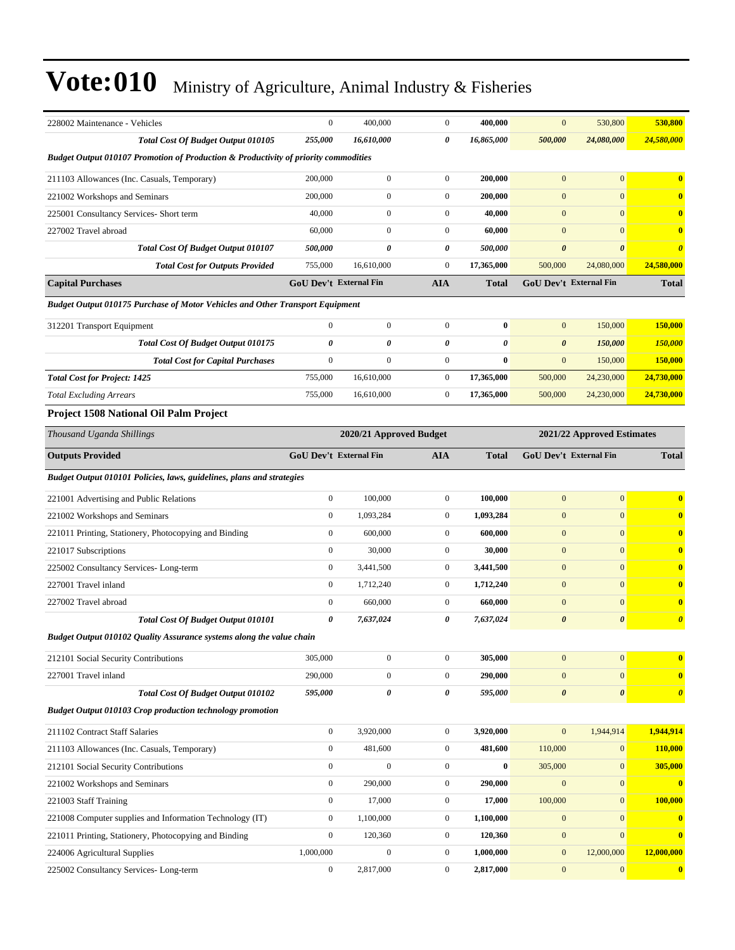| 228002 Maintenance - Vehicles                                                                  | $\boldsymbol{0}$              | 400,000                 | $\boldsymbol{0}$ | 400,000               | $\mathbf{0}$          | 530,800                       | 530,800               |
|------------------------------------------------------------------------------------------------|-------------------------------|-------------------------|------------------|-----------------------|-----------------------|-------------------------------|-----------------------|
| <b>Total Cost Of Budget Output 010105</b>                                                      | 255,000                       | 16,610,000              | 0                | 16,865,000            | 500,000               | 24,080,000                    | 24,580,000            |
| <b>Budget Output 010107 Promotion of Production &amp; Productivity of priority commodities</b> |                               |                         |                  |                       |                       |                               |                       |
| 211103 Allowances (Inc. Casuals, Temporary)                                                    | 200,000                       | $\boldsymbol{0}$        | $\boldsymbol{0}$ | 200,000               | $\overline{0}$        | $\overline{0}$                | $\bf{0}$              |
| 221002 Workshops and Seminars                                                                  | 200,000                       | $\mathbf{0}$            | $\boldsymbol{0}$ | 200,000               | $\mathbf{0}$          | $\overline{0}$                | $\mathbf{0}$          |
| 225001 Consultancy Services- Short term                                                        | 40,000                        | $\boldsymbol{0}$        | $\boldsymbol{0}$ | 40,000                | $\mathbf{0}$          | $\overline{0}$                | $\bf{0}$              |
| 227002 Travel abroad                                                                           | 60,000                        | $\overline{0}$          | $\boldsymbol{0}$ | 60,000                | $\mathbf{0}$          | $\overline{0}$                | $\bf{0}$              |
| <b>Total Cost Of Budget Output 010107</b>                                                      | 500,000                       | 0                       | 0                | 500,000               | $\boldsymbol{\theta}$ | $\boldsymbol{\theta}$         | $\boldsymbol{\theta}$ |
| <b>Total Cost for Outputs Provided</b>                                                         | 755,000                       | 16.610.000              | $\mathbf{0}$     | 17,365,000            | 500,000               | 24,080,000                    | 24,580,000            |
| <b>Capital Purchases</b>                                                                       | <b>GoU Dev't External Fin</b> |                         | <b>AIA</b>       | <b>Total</b>          |                       | <b>GoU Dev't External Fin</b> | <b>Total</b>          |
| Budget Output 010175 Purchase of Motor Vehicles and Other Transport Equipment                  |                               |                         |                  |                       |                       |                               |                       |
| 312201 Transport Equipment                                                                     | $\overline{0}$                | $\overline{0}$          | $\boldsymbol{0}$ | $\bf{0}$              | $\mathbf{0}$          | 150,000                       | 150,000               |
| Total Cost Of Budget Output 010175                                                             | 0                             | 0                       | 0                | $\boldsymbol{\theta}$ | $\boldsymbol{\theta}$ | 150,000                       | <b>150,000</b>        |
| <b>Total Cost for Capital Purchases</b>                                                        | $\mathbf{0}$                  | $\overline{0}$          | $\boldsymbol{0}$ | $\bf{0}$              | $\mathbf{0}$          | 150,000                       | 150,000               |
| <b>Total Cost for Project: 1425</b>                                                            | 755,000                       | 16,610,000              | $\boldsymbol{0}$ | 17,365,000            | 500,000               | 24,230,000                    | 24,730,000            |
| <b>Total Excluding Arrears</b>                                                                 | 755,000                       | 16,610,000              | $\boldsymbol{0}$ | 17,365,000            | 500,000               | 24,230,000                    | 24,730,000            |
| <b>Project 1508 National Oil Palm Project</b>                                                  |                               |                         |                  |                       |                       |                               |                       |
| Thousand Uganda Shillings                                                                      |                               | 2020/21 Approved Budget |                  |                       |                       | 2021/22 Approved Estimates    |                       |
| <b>Outputs Provided</b>                                                                        | <b>GoU Dev't External Fin</b> |                         | <b>AIA</b>       | <b>Total</b>          |                       | <b>GoU</b> Dev't External Fin | <b>Total</b>          |
| Budget Output 010101 Policies, laws, guidelines, plans and strategies                          |                               |                         |                  |                       |                       |                               |                       |
| 221001 Advertising and Public Relations                                                        | $\mathbf{0}$                  | 100,000                 | $\boldsymbol{0}$ | 100,000               | $\mathbf{0}$          | $\overline{0}$                | $\bf{0}$              |
| 221002 Workshops and Seminars                                                                  | $\boldsymbol{0}$              | 1,093,284               | $\boldsymbol{0}$ | 1,093,284             | $\mathbf{0}$          | $\overline{0}$                | $\bf{0}$              |
| 221011 Printing, Stationery, Photocopying and Binding                                          | $\mathbf{0}$                  | 600,000                 | $\boldsymbol{0}$ | 600,000               | $\mathbf{0}$          | $\overline{0}$                | $\bf{0}$              |
| 221017 Subscriptions                                                                           | $\boldsymbol{0}$              | 30,000                  | $\boldsymbol{0}$ | 30,000                | $\mathbf{0}$          | $\overline{0}$                | $\mathbf{0}$          |
| 225002 Consultancy Services-Long-term                                                          | $\boldsymbol{0}$              | 3,441,500               | $\boldsymbol{0}$ | 3,441,500             | $\mathbf{0}$          | $\overline{0}$                | $\bf{0}$              |
| 227001 Travel inland                                                                           | $\boldsymbol{0}$              | 1,712,240               | $\boldsymbol{0}$ | 1,712,240             | $\mathbf{0}$          | $\overline{0}$                | $\mathbf{0}$          |
| 227002 Travel abroad                                                                           | $\boldsymbol{0}$              | 660,000                 | $\boldsymbol{0}$ | 660,000               | $\mathbf{0}$          | $\overline{0}$                | $\bf{0}$              |
| Total Cost Of Budget Output 010101                                                             | 0                             | 7,637,024               | 0                | 7,637,024             | $\boldsymbol{\theta}$ | $\boldsymbol{\theta}$         | $\boldsymbol{\theta}$ |
| Budget Output 010102 Quality Assurance systems along the value chain                           |                               |                         |                  |                       |                       |                               |                       |
| 212101 Social Security Contributions                                                           | 305,000                       | $\boldsymbol{0}$        | $\boldsymbol{0}$ | 305,000               | $\mathbf{0}$          | $\overline{0}$                | $\mathbf{0}$          |
| 227001 Travel inland                                                                           | 290,000                       | $\boldsymbol{0}$        | $\boldsymbol{0}$ | 290,000               | $\mathbf{0}$          | $\overline{0}$                | $\bf{0}$              |
| <b>Total Cost Of Budget Output 010102</b>                                                      | 595,000                       | 0                       | 0                | 595,000               | $\boldsymbol{\theta}$ | 0                             | $\boldsymbol{\theta}$ |
| <b>Budget Output 010103 Crop production technology promotion</b>                               |                               |                         |                  |                       |                       |                               |                       |
| 211102 Contract Staff Salaries                                                                 | $\boldsymbol{0}$              | 3,920,000               | $\boldsymbol{0}$ | 3,920,000             | $\mathbf{0}$          | 1,944,914                     | 1,944,914             |
| 211103 Allowances (Inc. Casuals, Temporary)                                                    | $\boldsymbol{0}$              | 481,600                 | $\boldsymbol{0}$ | 481,600               | 110,000               | $\mathbf{0}$                  | 110,000               |
| 212101 Social Security Contributions                                                           | $\boldsymbol{0}$              | $\boldsymbol{0}$        | $\boldsymbol{0}$ | $\bf{0}$              | 305,000               | $\mathbf{0}$                  | 305,000               |
| 221002 Workshops and Seminars                                                                  | $\boldsymbol{0}$              | 290,000                 | $\boldsymbol{0}$ | 290,000               | $\mathbf{0}$          | $\mathbf{0}$                  | $\bf{0}$              |
| 221003 Staff Training                                                                          | $\boldsymbol{0}$              | 17,000                  | $\boldsymbol{0}$ | 17,000                | 100,000               | $\mathbf{0}$                  | 100,000               |
| 221008 Computer supplies and Information Technology (IT)                                       | $\boldsymbol{0}$              | 1,100,000               | $\boldsymbol{0}$ | 1,100,000             | $\mathbf{0}$          | $\mathbf{0}$                  | $\mathbf{0}$          |
| 221011 Printing, Stationery, Photocopying and Binding                                          | $\mathbf{0}$                  | 120,360                 | $\boldsymbol{0}$ | 120,360               | $\boldsymbol{0}$      | $\overline{0}$                | $\bf{0}$              |
| 224006 Agricultural Supplies                                                                   | 1,000,000                     | $\boldsymbol{0}$        | $\boldsymbol{0}$ | 1,000,000             | $\bf{0}$              | 12,000,000                    | 12,000,000            |
| 225002 Consultancy Services-Long-term                                                          | $\boldsymbol{0}$              | 2,817,000               | $\boldsymbol{0}$ | 2,817,000             | $\boldsymbol{0}$      | $\mathbf{0}$                  | $\bf{0}$              |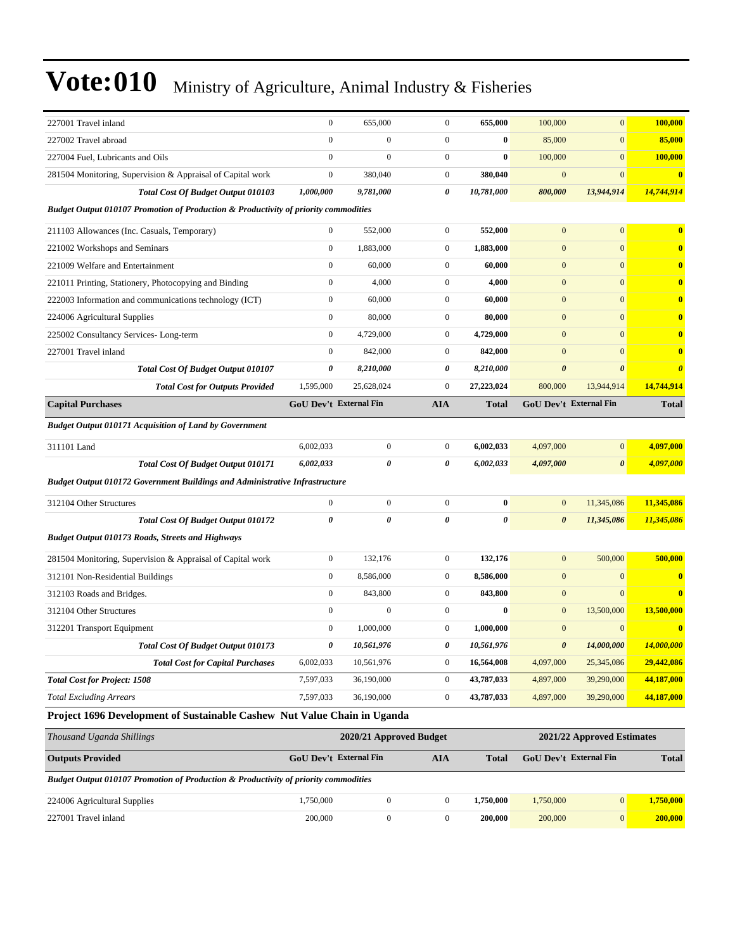| 227001 Travel inland                                                                           | $\mathbf{0}$                  | 655,000                 | $\overline{0}$   | 655,000      | 100,000               | $\mathbf{0}$               | 100,000               |
|------------------------------------------------------------------------------------------------|-------------------------------|-------------------------|------------------|--------------|-----------------------|----------------------------|-----------------------|
| 227002 Travel abroad                                                                           | $\mathbf{0}$                  | $\mathbf{0}$            | $\overline{0}$   | $\bf{0}$     | 85,000                | $\mathbf{0}$               | 85,000                |
| 227004 Fuel, Lubricants and Oils                                                               | $\mathbf{0}$                  | $\overline{0}$          | $\boldsymbol{0}$ | $\bf{0}$     | 100,000               | $\mathbf{0}$               | 100,000               |
| 281504 Monitoring, Supervision & Appraisal of Capital work                                     | $\mathbf{0}$                  | 380,040                 | $\boldsymbol{0}$ | 380,040      | $\boldsymbol{0}$      | $\mathbf{0}$               | $\bf{0}$              |
| Total Cost Of Budget Output 010103                                                             | 1,000,000                     | 9,781,000               | 0                | 10,781,000   | 800,000               | 13,944,914                 | 14,744,914            |
| <b>Budget Output 010107 Promotion of Production &amp; Productivity of priority commodities</b> |                               |                         |                  |              |                       |                            |                       |
| 211103 Allowances (Inc. Casuals, Temporary)                                                    | $\mathbf{0}$                  | 552,000                 | $\boldsymbol{0}$ | 552,000      | $\mathbf{0}$          | $\mathbf{0}$               | $\bf{0}$              |
| 221002 Workshops and Seminars                                                                  | $\mathbf{0}$                  | 1,883,000               | $\boldsymbol{0}$ | 1,883,000    | $\mathbf{0}$          | $\mathbf{0}$               | $\mathbf{0}$          |
| 221009 Welfare and Entertainment                                                               | $\mathbf{0}$                  | 60,000                  | $\overline{0}$   | 60,000       | $\mathbf{0}$          | $\mathbf{0}$               | $\mathbf{0}$          |
| 221011 Printing, Stationery, Photocopying and Binding                                          | $\mathbf{0}$                  | 4,000                   | $\boldsymbol{0}$ | 4,000        | $\mathbf{0}$          | $\overline{0}$             | $\bf{0}$              |
| 222003 Information and communications technology (ICT)                                         | $\mathbf{0}$                  | 60,000                  | $\boldsymbol{0}$ | 60,000       | $\mathbf{0}$          | $\overline{0}$             | $\bf{0}$              |
| 224006 Agricultural Supplies                                                                   | $\mathbf{0}$                  | 80,000                  | $\boldsymbol{0}$ | 80,000       | $\bf{0}$              | $\overline{0}$             | $\bf{0}$              |
| 225002 Consultancy Services-Long-term                                                          | $\mathbf{0}$                  | 4,729,000               | $\boldsymbol{0}$ | 4,729,000    | $\mathbf{0}$          | $\overline{0}$             | $\mathbf{0}$          |
| 227001 Travel inland                                                                           | $\mathbf{0}$                  | 842,000                 | $\boldsymbol{0}$ | 842,000      | $\mathbf{0}$          | $\mathbf{0}$               | $\bf{0}$              |
| <b>Total Cost Of Budget Output 010107</b>                                                      | 0                             | 8,210,000               | 0                | 8,210,000    | $\boldsymbol{\theta}$ | $\boldsymbol{\theta}$      | $\boldsymbol{\theta}$ |
| <b>Total Cost for Outputs Provided</b>                                                         | 1,595,000                     | 25,628,024              | $\boldsymbol{0}$ | 27,223,024   | 800,000               | 13,944,914                 | 14,744,914            |
| <b>Capital Purchases</b>                                                                       | GoU Dev't External Fin        |                         | <b>AIA</b>       | <b>Total</b> |                       | GoU Dev't External Fin     | <b>Total</b>          |
| <b>Budget Output 010171 Acquisition of Land by Government</b>                                  |                               |                         |                  |              |                       |                            |                       |
| 311101 Land                                                                                    | 6,002,033                     | $\boldsymbol{0}$        | $\boldsymbol{0}$ | 6,002,033    | 4,097,000             | $\mathbf{0}$               | 4,097,000             |
| Total Cost Of Budget Output 010171                                                             | 6,002,033                     | 0                       | 0                | 6,002,033    | 4,097,000             | $\boldsymbol{\theta}$      | 4,097,000             |
| <b>Budget Output 010172 Government Buildings and Administrative Infrastructure</b>             |                               |                         |                  |              |                       |                            |                       |
| 312104 Other Structures                                                                        | $\mathbf{0}$                  | $\overline{0}$          | $\boldsymbol{0}$ | $\bf{0}$     | $\bf{0}$              | 11,345,086                 | 11,345,086            |
| <b>Total Cost Of Budget Output 010172</b>                                                      | 0                             | 0                       | 0                | 0            | $\boldsymbol{\theta}$ | 11,345,086                 | 11,345,086            |
| <b>Budget Output 010173 Roads, Streets and Highways</b>                                        |                               |                         |                  |              |                       |                            |                       |
| 281504 Monitoring, Supervision & Appraisal of Capital work                                     | $\mathbf{0}$                  | 132,176                 | $\boldsymbol{0}$ | 132,176      | $\mathbf{0}$          | 500,000                    | 500,000               |
| 312101 Non-Residential Buildings                                                               | $\mathbf{0}$                  | 8,586,000               | $\boldsymbol{0}$ | 8,586,000    | $\mathbf{0}$          | $\boldsymbol{0}$           | $\bf{0}$              |
| 312103 Roads and Bridges.                                                                      | $\mathbf{0}$                  | 843,800                 | $\boldsymbol{0}$ | 843,800      | $\mathbf{0}$          | $\mathbf{0}$               | $\bf{0}$              |
| 312104 Other Structures                                                                        | $\mathbf{0}$                  | $\mathbf{0}$            | $\overline{0}$   | $\bf{0}$     | $\bf{0}$              | 13,500,000                 | 13,500,000            |
| 312201 Transport Equipment                                                                     | $\mathbf{0}$                  | 1,000,000               | $\boldsymbol{0}$ | 1,000,000    | $\mathbf{0}$          | $\mathbf{0}$               | $\bf{0}$              |
| <b>Total Cost Of Budget Output 010173</b>                                                      | 0                             | 10,561,976              | 0                | 10,561,976   | $\boldsymbol{\theta}$ | 14,000,000                 | 14,000,000            |
| <b>Total Cost for Capital Purchases</b>                                                        | 6,002,033                     | 10,561,976              | $\boldsymbol{0}$ | 16,564,008   | 4,097,000             | 25,345,086                 | 29,442,086            |
| <b>Total Cost for Project: 1508</b>                                                            | 7,597,033                     | 36,190,000              | $\boldsymbol{0}$ | 43,787,033   | 4,897,000             | 39,290,000                 | 44,187,000            |
| <b>Total Excluding Arrears</b>                                                                 | 7,597,033                     | 36,190,000              | $\boldsymbol{0}$ | 43,787,033   | 4,897,000             | 39,290,000                 | 44,187,000            |
| Project 1696 Development of Sustainable Cashew Nut Value Chain in Uganda                       |                               |                         |                  |              |                       |                            |                       |
| Thousand Uganda Shillings                                                                      |                               | 2020/21 Approved Budget |                  |              |                       | 2021/22 Approved Estimates |                       |
| <b>Outputs Provided</b>                                                                        | <b>GoU Dev't External Fin</b> |                         | <b>AIA</b>       | <b>Total</b> |                       | GoU Dev't External Fin     | <b>Total</b>          |
| Budget Output 010107 Promotion of Production & Productivity of priority commodities            |                               |                         |                  |              |                       |                            |                       |
| 224006 Agricultural Supplies                                                                   | 1,750,000                     | $\boldsymbol{0}$        | $\boldsymbol{0}$ | 1,750,000    | 1,750,000             | $\vert 0 \vert$            | 1,750,000             |

227001 Travel inland 200,000 0 0 **200,000** 200,000 0 **200,000**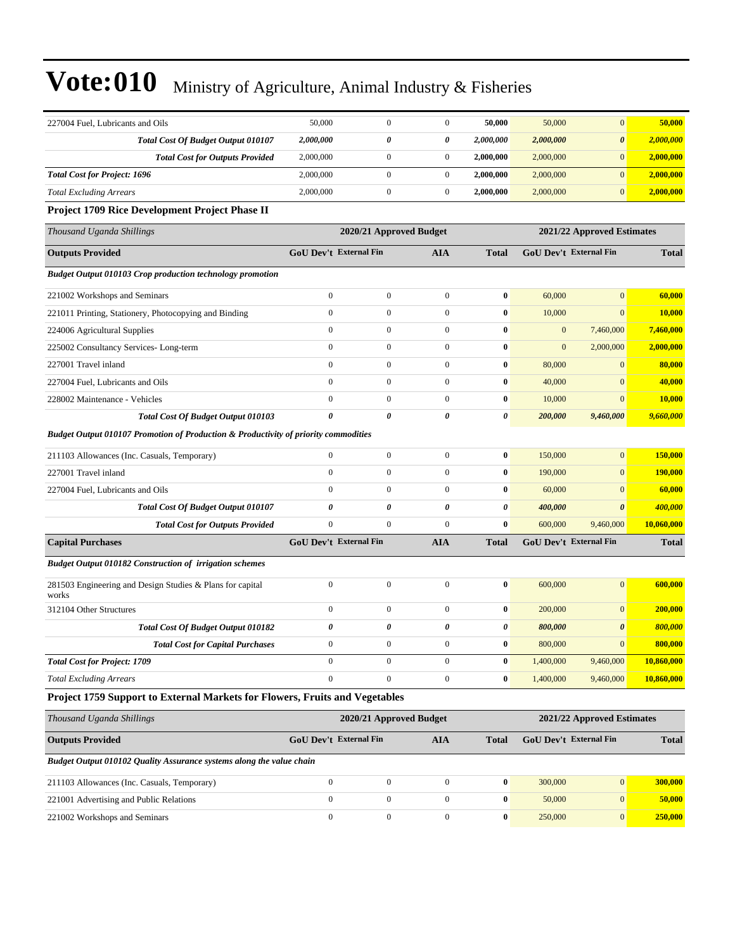| 227004 Fuel, Lubricants and Oils                                                               | 50,000                        | $\mathbf{0}$            | $\mathbf{0}$          | 50,000           | 50,000           | $\mathbf{0}$               | 50,000         |
|------------------------------------------------------------------------------------------------|-------------------------------|-------------------------|-----------------------|------------------|------------------|----------------------------|----------------|
| Total Cost Of Budget Output 010107                                                             | 2,000,000                     | 0                       | 0                     | 2,000,000        | 2,000,000        | $\boldsymbol{\theta}$      | 2,000,000      |
| <b>Total Cost for Outputs Provided</b>                                                         | 2,000,000                     | $\boldsymbol{0}$        | $\mathbf{0}$          | 2,000,000        | 2,000,000        | $\boldsymbol{0}$           | 2,000,000      |
| <b>Total Cost for Project: 1696</b>                                                            | 2,000,000                     | $\boldsymbol{0}$        | $\mathbf{0}$          | 2,000,000        | 2,000,000        | $\mathbf{0}$               | 2,000,000      |
| <b>Total Excluding Arrears</b>                                                                 | 2,000,000                     | $\boldsymbol{0}$        | $\mathbf{0}$          | 2,000,000        | 2,000,000        | $\mathbf{0}$               | 2,000,000      |
| Project 1709 Rice Development Project Phase II                                                 |                               |                         |                       |                  |                  |                            |                |
| Thousand Uganda Shillings                                                                      |                               | 2020/21 Approved Budget |                       |                  |                  | 2021/22 Approved Estimates |                |
| <b>Outputs Provided</b>                                                                        | GoU Dev't External Fin        |                         | <b>AIA</b>            | <b>Total</b>     |                  | GoU Dev't External Fin     | <b>Total</b>   |
| <b>Budget Output 010103 Crop production technology promotion</b>                               |                               |                         |                       |                  |                  |                            |                |
| 221002 Workshops and Seminars                                                                  | $\overline{0}$                | $\boldsymbol{0}$        | $\mathbf{0}$          | $\bf{0}$         | 60,000           | $\mathbf{0}$               | 60,000         |
| 221011 Printing, Stationery, Photocopying and Binding                                          | $\mathbf{0}$                  | $\boldsymbol{0}$        | $\mathbf{0}$          | $\bf{0}$         | 10,000           | $\mathbf{0}$               | 10,000         |
| 224006 Agricultural Supplies                                                                   | $\mathbf{0}$                  | $\boldsymbol{0}$        | $\mathbf{0}$          | $\bf{0}$         | $\boldsymbol{0}$ | 7,460,000                  | 7,460,000      |
| 225002 Consultancy Services-Long-term                                                          | $\overline{0}$                | $\boldsymbol{0}$        | $\boldsymbol{0}$      | $\bf{0}$         | $\mathbf{0}$     | 2,000,000                  | 2,000,000      |
| 227001 Travel inland                                                                           | $\overline{0}$                | $\boldsymbol{0}$        | $\mathbf{0}$          | $\bf{0}$         | 80,000           | $\mathbf{0}$               | 80,000         |
| 227004 Fuel, Lubricants and Oils                                                               | $\overline{0}$                | $\mathbf{0}$            | $\theta$              | $\bf{0}$         | 40,000           | $\mathbf{0}$               | 40,000         |
| 228002 Maintenance - Vehicles                                                                  | $\mathbf{0}$                  | $\boldsymbol{0}$        | $\mathbf{0}$          | $\bf{0}$         | 10,000           | $\boldsymbol{0}$           | 10,000         |
| Total Cost Of Budget Output 010103                                                             | 0                             | 0                       | 0                     | 0                | 200,000          | 9,460,000                  | 9,660,000      |
| <b>Budget Output 010107 Promotion of Production &amp; Productivity of priority commodities</b> |                               |                         |                       |                  |                  |                            |                |
| 211103 Allowances (Inc. Casuals, Temporary)                                                    | $\overline{0}$                | $\boldsymbol{0}$        | $\mathbf{0}$          | $\bf{0}$         | 150,000          | $\mathbf{0}$               | 150,000        |
| 227001 Travel inland                                                                           | $\overline{0}$                | $\boldsymbol{0}$        | $\mathbf{0}$          | $\bf{0}$         | 190,000          | $\boldsymbol{0}$           | 190,000        |
| 227004 Fuel, Lubricants and Oils                                                               | $\overline{0}$                | $\boldsymbol{0}$        | $\mathbf{0}$          | $\bf{0}$         | 60,000           | $\mathbf{0}$               | 60,000         |
| <b>Total Cost Of Budget Output 010107</b>                                                      | $\boldsymbol{\theta}$         | 0                       | $\boldsymbol{\theta}$ | $\theta$         | 400,000          | $\boldsymbol{\theta}$      | <b>400,000</b> |
| <b>Total Cost for Outputs Provided</b>                                                         | $\mathbf{0}$                  | $\boldsymbol{0}$        | $\mathbf{0}$          | $\bf{0}$         | 600,000          | 9,460,000                  | 10,060,000     |
| <b>Capital Purchases</b>                                                                       | <b>GoU Dev't External Fin</b> |                         | <b>AIA</b>            | <b>Total</b>     |                  | GoU Dev't External Fin     | <b>Total</b>   |
| <b>Budget Output 010182 Construction of irrigation schemes</b>                                 |                               |                         |                       |                  |                  |                            |                |
| 281503 Engineering and Design Studies & Plans for capital<br>works                             | $\overline{0}$                | $\boldsymbol{0}$        | $\theta$              | $\bf{0}$         | 600,000          | $\mathbf{0}$               | 600,000        |
| 312104 Other Structures                                                                        | $\mathbf{0}$                  | $\boldsymbol{0}$        | $\mathbf{0}$          | $\bf{0}$         | 200,000          | $\mathbf{0}$               | 200,000        |
| <b>Total Cost Of Budget Output 010182</b>                                                      | 0                             | 0                       | 0                     | 0                | 800,000          | $\boldsymbol{\theta}$      | 800,000        |
| <b>Total Cost for Capital Purchases</b>                                                        | $\boldsymbol{0}$              | $\mathbf{0}$            | $\mathbf{0}$          | $\bf{0}$         | 800,000          | $\boldsymbol{0}$           | 800,000        |
| <b>Total Cost for Project: 1709</b>                                                            | $\overline{0}$                | $\boldsymbol{0}$        | $\mathbf{0}$          | $\bf{0}$         | 1,400,000        | 9,460,000                  | 10,860,000     |
| <b>Total Excluding Arrears</b>                                                                 | $\overline{0}$                | $\overline{0}$          | $\mathbf{0}$          | $\bf{0}$         | 1,400,000        | 9,460,000                  | 10,860,000     |
| Project 1759 Support to External Markets for Flowers, Fruits and Vegetables                    |                               |                         |                       |                  |                  |                            |                |
| Thousand Uganda Shillings                                                                      |                               | 2020/21 Approved Budget |                       |                  |                  | 2021/22 Approved Estimates |                |
| <b>Outputs Provided</b>                                                                        | <b>GoU Dev't External Fin</b> |                         | <b>AIA</b>            | <b>Total</b>     |                  | GoU Dev't External Fin     | <b>Total</b>   |
| Budget Output 010102 Quality Assurance systems along the value chain                           |                               |                         |                       |                  |                  |                            |                |
| 211103 Allowances (Inc. Casuals, Temporary)                                                    | $\overline{0}$                | $\boldsymbol{0}$        | $\mathbf{0}$          | $\bf{0}$         | 300,000          | $\bf{0}$                   | 300,000        |
| 221001 Advertising and Public Relations                                                        | $\overline{0}$                | $\boldsymbol{0}$        | $\mathbf{0}$          | $\bf{0}$         | 50,000           | $\mathbf{0}$               | 50,000         |
| 221002 Workshops and Seminars                                                                  | $\boldsymbol{0}$              | $\boldsymbol{0}$        | $\boldsymbol{0}$      | $\boldsymbol{0}$ | 250,000          | $\mathbf{0}$               | 250,000        |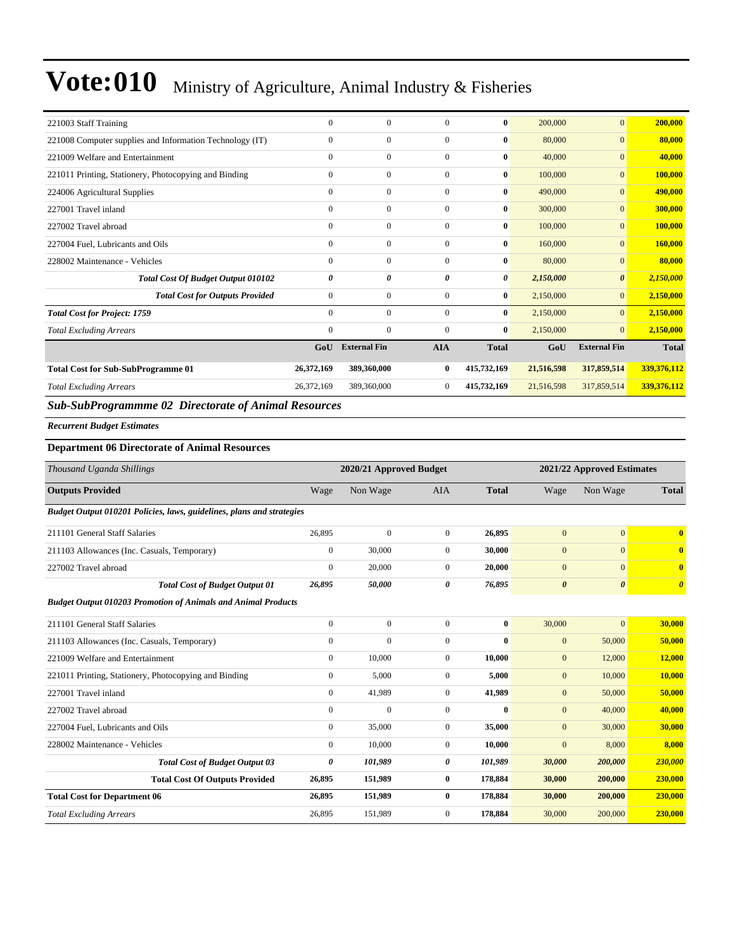| 221003 Staff Training                                    | $\mathbf{0}$ | $\mathbf{0}$        | $\Omega$     | $\bf{0}$     | 200,000    | $\overline{0}$        | 200,000      |
|----------------------------------------------------------|--------------|---------------------|--------------|--------------|------------|-----------------------|--------------|
| 221008 Computer supplies and Information Technology (IT) | $\mathbf{0}$ | $\mathbf{0}$        | $\Omega$     | $\bf{0}$     | 80,000     | $\overline{0}$        | 80,000       |
| 221009 Welfare and Entertainment                         | $\mathbf{0}$ | $\mathbf{0}$        | $\Omega$     | $\bf{0}$     | 40,000     | $\overline{0}$        | 40,000       |
| 221011 Printing, Stationery, Photocopying and Binding    | $\mathbf{0}$ | $\mathbf{0}$        | $\mathbf{0}$ | $\bf{0}$     | 100,000    | $\mathbf{0}$          | 100,000      |
| 224006 Agricultural Supplies                             | $\mathbf{0}$ | $\mathbf{0}$        | $\Omega$     | $\bf{0}$     | 490,000    | $\overline{0}$        | 490,000      |
| 227001 Travel inland                                     | $\mathbf{0}$ | $\mathbf{0}$        | $\mathbf{0}$ | $\bf{0}$     | 300,000    | $\overline{0}$        | 300,000      |
| 227002 Travel abroad                                     | $\mathbf{0}$ | $\mathbf{0}$        | $\mathbf{0}$ | $\bf{0}$     | 100,000    | $\mathbf{0}$          | 100,000      |
| 227004 Fuel, Lubricants and Oils                         | $\mathbf{0}$ | $\mathbf{0}$        | $\mathbf{0}$ | $\bf{0}$     | 160,000    | $\mathbf{0}$          | 160,000      |
| 228002 Maintenance - Vehicles                            | $\mathbf{0}$ | $\mathbf{0}$        | $\Omega$     | $\bf{0}$     | 80,000     | $\overline{0}$        | 80,000       |
| <b>Total Cost Of Budget Output 010102</b>                | 0            | 0                   | 0            | 0            | 2,150,000  | $\boldsymbol{\theta}$ | 2,150,000    |
| <b>Total Cost for Outputs Provided</b>                   | $\mathbf{0}$ | $\mathbf{0}$        | $\mathbf{0}$ | $\bf{0}$     | 2,150,000  | $\mathbf{0}$          | 2,150,000    |
| <b>Total Cost for Project: 1759</b>                      | $\mathbf{0}$ | $\mathbf{0}$        | $\mathbf{0}$ | $\bf{0}$     | 2,150,000  | $\overline{0}$        | 2,150,000    |
| <b>Total Excluding Arrears</b>                           | $\mathbf{0}$ | $\mathbf{0}$        | $\mathbf{0}$ | $\bf{0}$     | 2,150,000  | $\overline{0}$        | 2,150,000    |
|                                                          | GoU          | <b>External Fin</b> | <b>AIA</b>   | <b>Total</b> | GoU        | <b>External Fin</b>   | <b>Total</b> |
| <b>Total Cost for Sub-SubProgramme 01</b>                | 26,372,169   | 389,360,000         | $\bf{0}$     | 415,732,169  | 21,516,598 | 317,859,514           | 339,376,112  |
| <b>Total Excluding Arrears</b>                           | 26,372,169   | 389,360,000         | $\mathbf{0}$ | 415,732,169  | 21,516,598 | 317,859,514           | 339,376,112  |

### *Sub-SubProgrammme 02 Directorate of Animal Resources*

*Recurrent Budget Estimates*

#### **Department 06 Directorate of Animal Resources**

| Thousand Uganda Shillings                                             |              | 2020/21 Approved Budget |                  |              |                       | 2021/22 Approved Estimates |                                  |  |
|-----------------------------------------------------------------------|--------------|-------------------------|------------------|--------------|-----------------------|----------------------------|----------------------------------|--|
| <b>Outputs Provided</b>                                               | Wage         | Non Wage                | <b>AIA</b>       | <b>Total</b> | Wage                  | Non Wage                   | <b>Total</b>                     |  |
| Budget Output 010201 Policies, laws, guidelines, plans and strategies |              |                         |                  |              |                       |                            |                                  |  |
| 211101 General Staff Salaries                                         | 26,895       | $\boldsymbol{0}$        | $\boldsymbol{0}$ | 26,895       | $\mathbf{0}$          | $\overline{0}$             | $\mathbf{0}$                     |  |
| 211103 Allowances (Inc. Casuals, Temporary)                           | $\mathbf{0}$ | 30,000                  | $\mathbf{0}$     | 30,000       | $\mathbf{0}$          | $\overline{0}$             | $\overline{0}$                   |  |
| 227002 Travel abroad                                                  | $\mathbf{0}$ | 20,000                  | $\mathbf{0}$     | 20,000       | $\mathbf{0}$          | $\overline{0}$             | $\mathbf{0}$                     |  |
| <b>Total Cost of Budget Output 01</b>                                 | 26,895       | 50,000                  | 0                | 76,895       | $\boldsymbol{\theta}$ | $\boldsymbol{\theta}$      | $\overline{\boldsymbol{\theta}}$ |  |
| <b>Budget Output 010203 Promotion of Animals and Animal Products</b>  |              |                         |                  |              |                       |                            |                                  |  |
| 211101 General Staff Salaries                                         | $\mathbf{0}$ | $\mathbf{0}$            | $\mathbf{0}$     | $\mathbf{0}$ | 30,000                | $\overline{0}$             | 30,000                           |  |
| 211103 Allowances (Inc. Casuals, Temporary)                           | $\mathbf{0}$ | $\mathbf{0}$            | $\mathbf{0}$     | $\bf{0}$     | $\boldsymbol{0}$      | 50,000                     | 50,000                           |  |
| 221009 Welfare and Entertainment                                      | $\mathbf{0}$ | 10,000                  | $\mathbf{0}$     | 10,000       | $\mathbf{0}$          | 12,000                     | 12,000                           |  |
| 221011 Printing, Stationery, Photocopying and Binding                 | $\mathbf{0}$ | 5,000                   | $\mathbf{0}$     | 5,000        | $\mathbf{0}$          | 10,000                     | 10,000                           |  |
| 227001 Travel inland                                                  | $\mathbf{0}$ | 41,989                  | $\mathbf{0}$     | 41,989       | $\mathbf{0}$          | 50,000                     | 50,000                           |  |
| 227002 Travel abroad                                                  | $\mathbf{0}$ | $\mathbf{0}$            | $\mathbf{0}$     | $\bf{0}$     | $\boldsymbol{0}$      | 40,000                     | 40,000                           |  |
| 227004 Fuel, Lubricants and Oils                                      | $\mathbf{0}$ | 35,000                  | $\mathbf{0}$     | 35,000       | $\mathbf{0}$          | 30,000                     | 30,000                           |  |
| 228002 Maintenance - Vehicles                                         | $\mathbf{0}$ | 10,000                  | $\mathbf{0}$     | 10,000       | $\mathbf{0}$          | 8,000                      | 8,000                            |  |
| <b>Total Cost of Budget Output 03</b>                                 | 0            | 101,989                 | 0                | 101,989      | 30,000                | 200,000                    | 230,000                          |  |
| <b>Total Cost Of Outputs Provided</b>                                 | 26,895       | 151,989                 | $\bf{0}$         | 178,884      | 30,000                | 200,000                    | 230,000                          |  |
| <b>Total Cost for Department 06</b>                                   | 26,895       | 151,989                 | $\bf{0}$         | 178,884      | 30,000                | 200,000                    | 230,000                          |  |
| <b>Total Excluding Arrears</b>                                        | 26,895       | 151,989                 | $\mathbf{0}$     | 178,884      | 30,000                | 200,000                    | 230,000                          |  |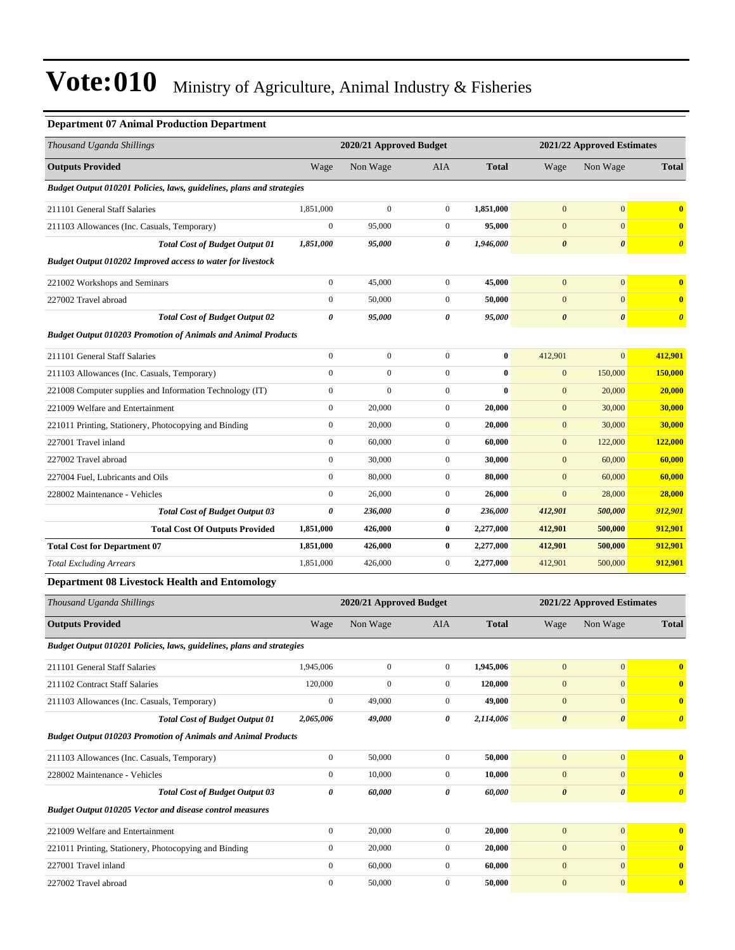### **Department 07 Animal Production Department**

| Thousand Uganda Shillings                                             |                  | 2020/21 Approved Budget |                  |              | 2021/22 Approved Estimates |                            |                       |
|-----------------------------------------------------------------------|------------------|-------------------------|------------------|--------------|----------------------------|----------------------------|-----------------------|
| <b>Outputs Provided</b>                                               | Wage             | Non Wage                | AIA              | <b>Total</b> | Wage                       | Non Wage                   | <b>Total</b>          |
| Budget Output 010201 Policies, laws, guidelines, plans and strategies |                  |                         |                  |              |                            |                            |                       |
| 211101 General Staff Salaries                                         | 1,851,000        | $\boldsymbol{0}$        | $\mathbf{0}$     | 1,851,000    | $\mathbf{0}$               | $\boldsymbol{0}$           | $\bf{0}$              |
| 211103 Allowances (Inc. Casuals, Temporary)                           | $\boldsymbol{0}$ | 95,000                  | $\mathbf{0}$     | 95,000       | $\mathbf{0}$               | $\mathbf{0}$               | $\bf{0}$              |
| <b>Total Cost of Budget Output 01</b>                                 | 1,851,000        | 95,000                  | 0                | 1,946,000    | $\boldsymbol{\theta}$      | $\boldsymbol{\theta}$      | $\boldsymbol{\theta}$ |
| <b>Budget Output 010202 Improved access to water for livestock</b>    |                  |                         |                  |              |                            |                            |                       |
| 221002 Workshops and Seminars                                         | $\boldsymbol{0}$ | 45,000                  | $\mathbf{0}$     | 45,000       | $\mathbf{0}$               | $\mathbf{0}$               | $\mathbf{0}$          |
| 227002 Travel abroad                                                  | $\boldsymbol{0}$ | 50,000                  | $\mathbf{0}$     | 50,000       | $\mathbf{0}$               | $\mathbf{0}$               | $\bf{0}$              |
| <b>Total Cost of Budget Output 02</b>                                 | 0                | 95,000                  | 0                | 95,000       | $\pmb{\theta}$             | $\boldsymbol{\theta}$      | $\boldsymbol{\theta}$ |
| <b>Budget Output 010203 Promotion of Animals and Animal Products</b>  |                  |                         |                  |              |                            |                            |                       |
| 211101 General Staff Salaries                                         | $\boldsymbol{0}$ | $\boldsymbol{0}$        | $\boldsymbol{0}$ | $\bf{0}$     | 412,901                    | $\mathbf{0}$               | 412,901               |
| 211103 Allowances (Inc. Casuals, Temporary)                           | $\boldsymbol{0}$ | $\boldsymbol{0}$        | $\overline{0}$   | $\bf{0}$     | $\boldsymbol{0}$           | 150,000                    | <b>150,000</b>        |
| 221008 Computer supplies and Information Technology (IT)              | $\boldsymbol{0}$ | $\boldsymbol{0}$        | $\mathbf{0}$     | $\bf{0}$     | $\boldsymbol{0}$           | 20,000                     | 20,000                |
| 221009 Welfare and Entertainment                                      | $\boldsymbol{0}$ | 20,000                  | $\mathbf{0}$     | 20,000       | $\mathbf{0}$               | 30,000                     | 30,000                |
| 221011 Printing, Stationery, Photocopying and Binding                 | $\boldsymbol{0}$ | 20,000                  | $\mathbf{0}$     | 20,000       | $\boldsymbol{0}$           | 30,000                     | 30,000                |
| 227001 Travel inland                                                  | $\boldsymbol{0}$ | 60,000                  | $\mathbf{0}$     | 60,000       | $\mathbf{0}$               | 122,000                    | 122,000               |
| 227002 Travel abroad                                                  | $\boldsymbol{0}$ | 30,000                  | $\boldsymbol{0}$ | 30,000       | $\boldsymbol{0}$           | 60,000                     | 60,000                |
| 227004 Fuel, Lubricants and Oils                                      | $\boldsymbol{0}$ | 80,000                  | $\mathbf{0}$     | 80,000       | $\mathbf{0}$               | 60,000                     | 60,000                |
| 228002 Maintenance - Vehicles                                         | $\boldsymbol{0}$ | 26,000                  | $\mathbf{0}$     | 26,000       | $\mathbf{0}$               | 28,000                     | 28,000                |
| <b>Total Cost of Budget Output 03</b>                                 | 0                | 236,000                 | 0                | 236,000      | 412,901                    | 500,000                    | 912,901               |
| <b>Total Cost Of Outputs Provided</b>                                 | 1,851,000        | 426,000                 | $\bf{0}$         | 2,277,000    | 412,901                    | 500,000                    | 912,901               |
| <b>Total Cost for Department 07</b>                                   | 1,851,000        | 426,000                 | $\bf{0}$         | 2,277,000    | 412,901                    | 500,000                    | 912,901               |
| <b>Total Excluding Arrears</b>                                        | 1,851,000        | 426,000                 | $\mathbf{0}$     | 2,277,000    | 412,901                    | 500,000                    | 912,901               |
| <b>Department 08 Livestock Health and Entomology</b>                  |                  |                         |                  |              |                            |                            |                       |
| Thousand Uganda Shillings                                             |                  | 2020/21 Approved Budget |                  |              |                            | 2021/22 Approved Estimates |                       |
| <b>Outputs Provided</b>                                               | Wage             | Non Wage                | AIA              | <b>Total</b> | Wage                       | Non Wage                   | <b>Total</b>          |
| Budget Output 010201 Policies, laws, guidelines, plans and strategies |                  |                         |                  |              |                            |                            |                       |
| 211101 General Staff Salaries                                         | 1,945,006        | $\boldsymbol{0}$        | $\boldsymbol{0}$ | 1,945,006    | $\mathbf{0}$               | $\boldsymbol{0}$           | $\mathbf{0}$          |
| 211102 Contract Staff Salaries                                        | 120,000          | $\boldsymbol{0}$        | $\mathbf{0}$     | 120,000      | $\boldsymbol{0}$           | $\boldsymbol{0}$           | $\bf{0}$              |
| 211103 Allowances (Inc. Casuals, Temporary)                           | $\boldsymbol{0}$ | 49,000                  | $\mathbf{0}$     | 49,000       | $\mathbf{0}$               | $\mathbf{0}$               | $\bf{0}$              |
| <b>Total Cost of Budget Output 01</b>                                 | 2,065,006        | 49,000                  | 0                | 2,114,006    | $\pmb{\theta}$             | $\boldsymbol{\theta}$      | $\boldsymbol{\theta}$ |
| <b>Budget Output 010203 Promotion of Animals and Animal Products</b>  |                  |                         |                  |              |                            |                            |                       |
| 211103 Allowances (Inc. Casuals, Temporary)                           | $\boldsymbol{0}$ | 50,000                  | $\boldsymbol{0}$ | 50,000       | $\boldsymbol{0}$           | $\mathbf{0}$               | $\mathbf{0}$          |
| 228002 Maintenance - Vehicles                                         | $\boldsymbol{0}$ | 10,000                  | $\boldsymbol{0}$ | 10,000       | $\mathbf{0}$               | $\mathbf{0}$               | $\bf{0}$              |
| <b>Total Cost of Budget Output 03</b>                                 | 0                | 60,000                  | 0                | 60,000       | $\pmb{\theta}$             | $\boldsymbol{\theta}$      | $\boldsymbol{\theta}$ |
| Budget Output 010205 Vector and disease control measures              |                  |                         |                  |              |                            |                            |                       |
| 221009 Welfare and Entertainment                                      | $\boldsymbol{0}$ | 20,000                  | $\boldsymbol{0}$ | 20,000       | $\mathbf{0}$               | $\boldsymbol{0}$           | $\mathbf{0}$          |
| 221011 Printing, Stationery, Photocopying and Binding                 | $\boldsymbol{0}$ | 20,000                  | $\boldsymbol{0}$ | 20,000       | $\boldsymbol{0}$           | $\boldsymbol{0}$           | $\bf{0}$              |
| 227001 Travel inland                                                  | $\boldsymbol{0}$ | 60,000                  | $\boldsymbol{0}$ | 60,000       | $\boldsymbol{0}$           | $\boldsymbol{0}$           | $\bf{0}$              |
| 227002 Travel abroad                                                  | $\boldsymbol{0}$ | 50,000                  | $\boldsymbol{0}$ | 50,000       | $\boldsymbol{0}$           | $\mathbf{0}$               | $\bf{0}$              |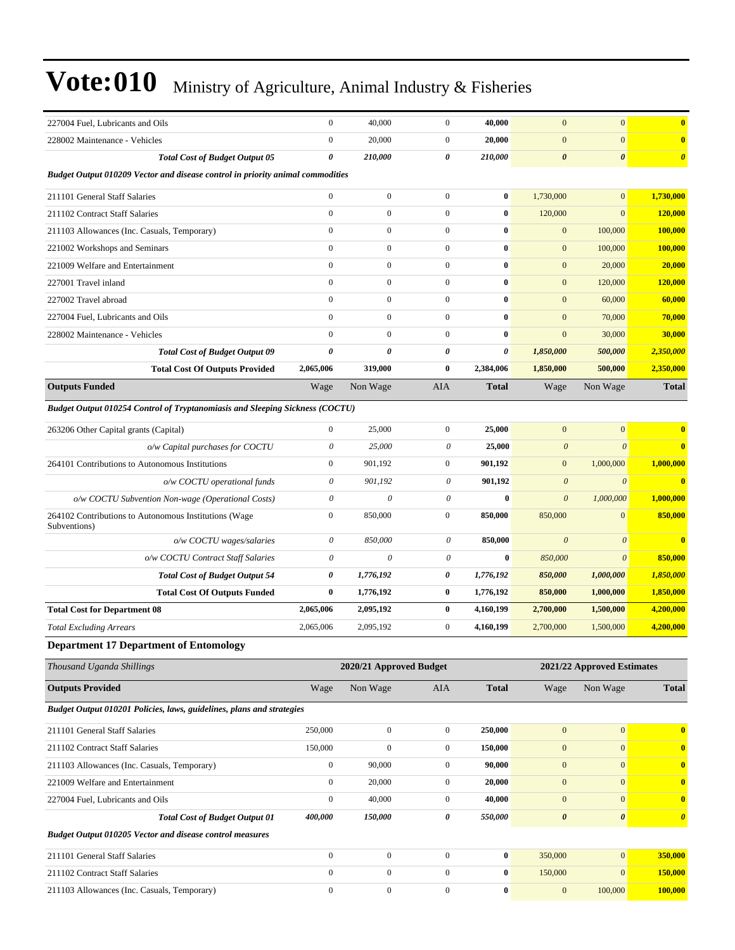| 227004 Fuel, Lubricants and Oils                                               | $\boldsymbol{0}$      | 40,000                    | $\boldsymbol{0}$          | 40,000           | $\mathbf{0}$          | $\mathbf{0}$               | $\bf{0}$              |
|--------------------------------------------------------------------------------|-----------------------|---------------------------|---------------------------|------------------|-----------------------|----------------------------|-----------------------|
| 228002 Maintenance - Vehicles                                                  | $\boldsymbol{0}$      | 20,000                    | $\boldsymbol{0}$          | 20,000           | $\mathbf{0}$          | $\mathbf{0}$               | $\bf{0}$              |
| <b>Total Cost of Budget Output 05</b>                                          | $\boldsymbol{\theta}$ | 210,000                   | 0                         | 210,000          | $\boldsymbol{\theta}$ | $\boldsymbol{\theta}$      | $\boldsymbol{\theta}$ |
| Budget Output 010209 Vector and disease control in priority animal commodities |                       |                           |                           |                  |                       |                            |                       |
| 211101 General Staff Salaries                                                  | $\boldsymbol{0}$      | $\boldsymbol{0}$          | $\overline{0}$            | $\bf{0}$         | 1,730,000             | $\mathbf{0}$               | 1,730,000             |
| 211102 Contract Staff Salaries                                                 | $\boldsymbol{0}$      | $\boldsymbol{0}$          | $\overline{0}$            | $\bf{0}$         | 120,000               | $\mathbf{0}$               | 120,000               |
| 211103 Allowances (Inc. Casuals, Temporary)                                    | $\boldsymbol{0}$      | $\boldsymbol{0}$          | $\boldsymbol{0}$          | $\bf{0}$         | $\mathbf{0}$          | 100,000                    | 100,000               |
| 221002 Workshops and Seminars                                                  | $\mathbf{0}$          | $\boldsymbol{0}$          | $\overline{0}$            | $\bf{0}$         | $\mathbf{0}$          | 100,000                    | 100,000               |
| 221009 Welfare and Entertainment                                               | $\boldsymbol{0}$      | $\boldsymbol{0}$          | $\overline{0}$            | $\bf{0}$         | $\mathbf{0}$          | 20,000                     | 20,000                |
| 227001 Travel inland                                                           | $\mathbf{0}$          | $\boldsymbol{0}$          | $\overline{0}$            | $\bf{0}$         | $\mathbf{0}$          | 120,000                    | 120,000               |
| 227002 Travel abroad                                                           | $\boldsymbol{0}$      | $\boldsymbol{0}$          | $\overline{0}$            | $\bf{0}$         | $\boldsymbol{0}$      | 60,000                     | 60,000                |
| 227004 Fuel, Lubricants and Oils                                               | $\mathbf{0}$          | $\boldsymbol{0}$          | $\boldsymbol{0}$          | $\bf{0}$         | $\mathbf{0}$          | 70,000                     | 70,000                |
| 228002 Maintenance - Vehicles                                                  | $\mathbf{0}$          | $\boldsymbol{0}$          | $\overline{0}$            | $\bf{0}$         | $\mathbf{0}$          | 30,000                     | 30,000                |
| <b>Total Cost of Budget Output 09</b>                                          | 0                     | 0                         | 0                         | 0                | 1,850,000             | 500,000                    | 2,350,000             |
| <b>Total Cost Of Outputs Provided</b>                                          | 2,065,006             | 319,000                   | 0                         | 2,384,006        | 1,850,000             | 500,000                    | 2,350,000             |
| <b>Outputs Funded</b>                                                          | Wage                  | Non Wage                  | AIA                       | <b>Total</b>     | Wage                  | Non Wage                   | <b>Total</b>          |
| Budget Output 010254 Control of Tryptanomiasis and Sleeping Sickness (COCTU)   |                       |                           |                           |                  |                       |                            |                       |
| 263206 Other Capital grants (Capital)                                          | $\boldsymbol{0}$      | 25,000                    | $\overline{0}$            | 25,000           | $\boldsymbol{0}$      | $\mathbf{0}$               | $\bf{0}$              |
| o/w Capital purchases for COCTU                                                | $\theta$              | 25,000                    | $\boldsymbol{\mathit{0}}$ | 25,000           | $\boldsymbol{\theta}$ | $\theta$                   | $\bf{0}$              |
| 264101 Contributions to Autonomous Institutions                                | $\boldsymbol{0}$      | 901,192                   | $\overline{0}$            | 901,192          | $\mathbf{0}$          | 1,000,000                  | 1,000,000             |
| o/w COCTU operational funds                                                    | $\boldsymbol{\theta}$ | 901,192                   | 0                         | 901,192          | $\boldsymbol{\theta}$ | $\boldsymbol{\theta}$      | $\bf{0}$              |
| o/w COCTU Subvention Non-wage (Operational Costs)                              | $\theta$              | $\boldsymbol{\mathit{0}}$ | $\boldsymbol{\theta}$     | $\bf{0}$         | $\boldsymbol{\theta}$ | 1,000,000                  | 1,000,000             |
| 264102 Contributions to Autonomous Institutions (Wage<br>Subventions)          | $\boldsymbol{0}$      | 850,000                   | $\mathbf{0}$              | 850,000          | 850,000               | $\mathbf{0}$               | 850,000               |
| o/w COCTU wages/salaries                                                       | $\theta$              | 850,000                   | $\boldsymbol{\theta}$     | 850,000          | $\boldsymbol{\theta}$ | $\boldsymbol{\theta}$      | $\bf{0}$              |
| o/w COCTU Contract Staff Salaries                                              | $\theta$              | $\boldsymbol{\mathit{0}}$ | $\boldsymbol{\theta}$     | $\bf{0}$         | 850,000               | $\boldsymbol{\theta}$      | 850,000               |
| <b>Total Cost of Budget Output 54</b>                                          | 0                     | 1,776,192                 | 0                         | 1,776,192        | 850,000               | 1,000,000                  | 1,850,000             |
| <b>Total Cost Of Outputs Funded</b>                                            | $\bf{0}$              | 1,776,192                 | $\bf{0}$                  | 1,776,192        | 850,000               | 1,000,000                  | 1,850,000             |
| <b>Total Cost for Department 08</b>                                            | 2,065,006             | 2,095,192                 | $\bf{0}$                  | 4,160,199        | 2,700,000             | 1,500,000                  | 4,200,000             |
| <b>Total Excluding Arrears</b>                                                 | 2,065,006             | 2,095,192                 | $\boldsymbol{0}$          | 4,160,199        | 2,700,000             | 1,500,000                  | 4,200,000             |
| <b>Department 17 Department of Entomology</b>                                  |                       |                           |                           |                  |                       |                            |                       |
| Thousand Uganda Shillings                                                      |                       | 2020/21 Approved Budget   |                           |                  |                       | 2021/22 Approved Estimates |                       |
| <b>Outputs Provided</b>                                                        | Wage                  | Non Wage                  | AIA                       | <b>Total</b>     | Wage                  | Non Wage                   | <b>Total</b>          |
| Budget Output 010201 Policies, laws, guidelines, plans and strategies          |                       |                           |                           |                  |                       |                            |                       |
| 211101 General Staff Salaries                                                  | 250,000               | $\mathbf{0}$              | $\mathbf{0}$              | 250,000          | $\boldsymbol{0}$      | $\mathbf{0}$               | $\bf{0}$              |
| 211102 Contract Staff Salaries                                                 | 150,000               | $\boldsymbol{0}$          | $\boldsymbol{0}$          | 150,000          | $\boldsymbol{0}$      | $\mathbf{0}$               | $\bf{0}$              |
| 211103 Allowances (Inc. Casuals, Temporary)                                    | $\boldsymbol{0}$      | 90,000                    | $\boldsymbol{0}$          | 90,000           | $\boldsymbol{0}$      | $\mathbf{0}$               | $\bf{0}$              |
| 221009 Welfare and Entertainment                                               | $\boldsymbol{0}$      | 20,000                    | $\boldsymbol{0}$          | 20,000           | $\mathbf{0}$          | $\mathbf{0}$               | $\bf{0}$              |
| 227004 Fuel, Lubricants and Oils                                               | $\boldsymbol{0}$      | 40,000                    | $\boldsymbol{0}$          | 40,000           | $\boldsymbol{0}$      | $\mathbf{0}$               | $\bf{0}$              |
| <b>Total Cost of Budget Output 01</b>                                          | 400,000               | 150,000                   | 0                         | 550,000          | $\pmb{\theta}$        | $\boldsymbol{\theta}$      | $\boldsymbol{\theta}$ |
| <b>Budget Output 010205 Vector and disease control measures</b>                |                       |                           |                           |                  |                       |                            |                       |
| 211101 General Staff Salaries                                                  | $\boldsymbol{0}$      | $\boldsymbol{0}$          | $\boldsymbol{0}$          | $\boldsymbol{0}$ | 350,000               | $\mathbf{0}$               | 350,000               |
| 211102 Contract Staff Salaries                                                 | $\boldsymbol{0}$      | $\boldsymbol{0}$          | $\boldsymbol{0}$          | $\bf{0}$         | 150,000               | $\mathbf{0}$               | 150,000               |
| 211103 Allowances (Inc. Casuals, Temporary)                                    | $\boldsymbol{0}$      | $\boldsymbol{0}$          | $\boldsymbol{0}$          | 0                | $\boldsymbol{0}$      | 100,000                    | 100,000               |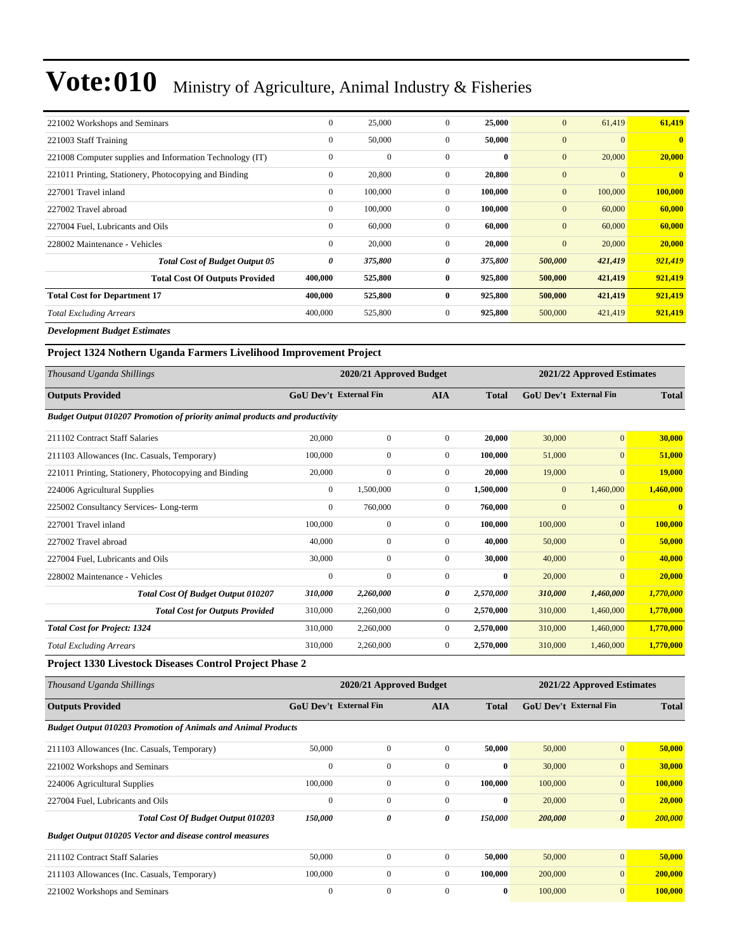| 221002 Workshops and Seminars                            | $\boldsymbol{0}$ | 25,000       | $\overline{0}$ | 25,000   | $\mathbf{0}$ | 61,419         | 61,419         |
|----------------------------------------------------------|------------------|--------------|----------------|----------|--------------|----------------|----------------|
| 221003 Staff Training                                    | $\mathbf{0}$     | 50,000       | $\overline{0}$ | 50,000   | $\mathbf{0}$ | $\overline{0}$ | $\overline{0}$ |
| 221008 Computer supplies and Information Technology (IT) | $\mathbf{0}$     | $\mathbf{0}$ | $\overline{0}$ | $\bf{0}$ | $\mathbf{0}$ | 20,000         | 20,000         |
| 221011 Printing, Stationery, Photocopying and Binding    | $\bf{0}$         | 20,800       | $\overline{0}$ | 20,800   | $\mathbf{0}$ | $\mathbf{0}$   | $\mathbf{0}$   |
| 227001 Travel inland                                     | $\mathbf{0}$     | 100,000      | $\mathbf{0}$   | 100,000  | $\mathbf{0}$ | 100,000        | 100,000        |
| 227002 Travel abroad                                     | $\mathbf{0}$     | 100,000      | $\overline{0}$ | 100,000  | $\mathbf{0}$ | 60,000         | 60,000         |
| 227004 Fuel, Lubricants and Oils                         | $\mathbf{0}$     | 60,000       | $\overline{0}$ | 60,000   | $\mathbf{0}$ | 60,000         | 60,000         |
| 228002 Maintenance - Vehicles                            | $\mathbf{0}$     | 20,000       | $\mathbf{0}$   | 20,000   | $\mathbf{0}$ | 20,000         | 20,000         |
| <b>Total Cost of Budget Output 05</b>                    | 0                | 375,800      | 0              | 375,800  | 500,000      | 421,419        | 921,419        |
| <b>Total Cost Of Outputs Provided</b>                    | 400,000          | 525,800      | $\bf{0}$       | 925,800  | 500,000      | 421,419        | 921,419        |
| <b>Total Cost for Department 17</b>                      | 400,000          | 525,800      | $\bf{0}$       | 925,800  | 500,000      | 421,419        | 921,419        |
| <b>Total Excluding Arrears</b>                           | 400,000          | 525,800      | $\overline{0}$ | 925,800  | 500,000      | 421,419        | 921,419        |
| Douglasses and Deedand Fatiments                         |                  |              |                |          |              |                |                |

*Development Budget Estimates*

### **Project 1324 Nothern Uganda Farmers Livelihood Improvement Project**

| Thousand Uganda Shillings                                                   |                               | 2020/21 Approved Budget |                | 2021/22 Approved Estimates |                  |                               |                         |
|-----------------------------------------------------------------------------|-------------------------------|-------------------------|----------------|----------------------------|------------------|-------------------------------|-------------------------|
| <b>Outputs Provided</b>                                                     | <b>GoU Dev't External Fin</b> |                         | <b>AIA</b>     | <b>Total</b>               |                  | <b>GoU</b> Dev't External Fin | <b>Total</b>            |
| Budget Output 010207 Promotion of priority animal products and productivity |                               |                         |                |                            |                  |                               |                         |
| 211102 Contract Staff Salaries                                              | 20,000                        | $\boldsymbol{0}$        | $\Omega$       | 20,000                     | 30,000           | $\overline{0}$                | 30,000                  |
| 211103 Allowances (Inc. Casuals, Temporary)                                 | 100,000                       | $\overline{0}$          | $\overline{0}$ | 100,000                    | 51,000           | $\overline{0}$                | 51,000                  |
| 221011 Printing, Stationery, Photocopying and Binding                       | 20,000                        | $\overline{0}$          | $\overline{0}$ | 20.000                     | 19,000           | $\mathbf{0}$                  | <b>19,000</b>           |
| 224006 Agricultural Supplies                                                | $\mathbf{0}$                  | 1,500,000               | $\mathbf{0}$   | 1,500,000                  | $\boldsymbol{0}$ | 1,460,000                     | 1,460,000               |
| 225002 Consultancy Services-Long-term                                       | $\mathbf{0}$                  | 760,000                 | $\mathbf{0}$   | 760,000                    | $\overline{0}$   | $\overline{0}$                | $\overline{\mathbf{0}}$ |
| 227001 Travel inland                                                        | 100,000                       | $\overline{0}$          | $\overline{0}$ | 100,000                    | 100,000          | $\mathbf{0}$                  | 100,000                 |
| 227002 Travel abroad                                                        | 40,000                        | $\overline{0}$          | $\mathbf{0}$   | 40,000                     | 50,000           | $\overline{0}$                | 50,000                  |
| 227004 Fuel, Lubricants and Oils                                            | 30,000                        | $\overline{0}$          | $\overline{0}$ | 30,000                     | 40,000           | $\mathbf{0}$                  | 40,000                  |
| 228002 Maintenance - Vehicles                                               | $\mathbf{0}$                  | $\overline{0}$          | $\mathbf{0}$   | $\bf{0}$                   | 20,000           | $\overline{0}$                | 20,000                  |
| <b>Total Cost Of Budget Output 010207</b>                                   | 310,000                       | 2,260,000               | 0              | 2,570,000                  | 310,000          | 1,460,000                     | 1,770,000               |
| <b>Total Cost for Outputs Provided</b>                                      | 310,000                       | 2,260,000               | $\mathbf{0}$   | 2,570,000                  | 310,000          | 1,460,000                     | 1,770,000               |
| <b>Total Cost for Project: 1324</b>                                         | 310,000                       | 2,260,000               | $\mathbf{0}$   | 2,570,000                  | 310,000          | 1,460,000                     | 1,770,000               |
| <b>Total Excluding Arrears</b>                                              | 310,000                       | 2,260,000               | $\mathbf{0}$   | 2,570,000                  | 310,000          | 1,460,000                     | 1,770,000               |

**Project 1330 Livestock Diseases Control Project Phase 2**

| Thousand Uganda Shillings                                            |                               | 2020/21 Approved Budget |              |              | 2021/22 Approved Estimates    |                       |              |  |
|----------------------------------------------------------------------|-------------------------------|-------------------------|--------------|--------------|-------------------------------|-----------------------|--------------|--|
| <b>Outputs Provided</b>                                              | <b>GoU Dev't External Fin</b> |                         | <b>AIA</b>   | <b>Total</b> | <b>GoU Dev't External Fin</b> |                       | <b>Total</b> |  |
| <b>Budget Output 010203 Promotion of Animals and Animal Products</b> |                               |                         |              |              |                               |                       |              |  |
| 211103 Allowances (Inc. Casuals, Temporary)                          | 50,000                        | $\mathbf{0}$            | $\mathbf{0}$ | 50,000       | 50,000                        | $\overline{0}$        | 50,000       |  |
| 221002 Workshops and Seminars                                        | $\mathbf{0}$                  | $\mathbf{0}$            | $\mathbf{0}$ | $\bf{0}$     | 30,000                        | $\overline{0}$        | 30,000       |  |
| 224006 Agricultural Supplies                                         | 100,000                       | $\mathbf{0}$            | $\mathbf{0}$ | 100,000      | 100,000                       | $\overline{0}$        | 100,000      |  |
| 227004 Fuel, Lubricants and Oils                                     | $\mathbf{0}$                  | $\mathbf{0}$            | $\mathbf{0}$ | $\bf{0}$     | 20,000                        | $\overline{0}$        | 20,000       |  |
| <b>Total Cost Of Budget Output 010203</b>                            | 150,000                       | 0                       | 0            | 150,000      | 200,000                       | $\boldsymbol{\theta}$ | 200,000      |  |
| <b>Budget Output 010205 Vector and disease control measures</b>      |                               |                         |              |              |                               |                       |              |  |
| 211102 Contract Staff Salaries                                       | 50,000                        | $\mathbf{0}$            | $\mathbf{0}$ | 50,000       | 50,000                        | $\overline{0}$        | 50,000       |  |
| 211103 Allowances (Inc. Casuals, Temporary)                          | 100,000                       | $\mathbf{0}$            | $\Omega$     | 100,000      | 200,000                       | $\overline{0}$        | 200,000      |  |
| 221002 Workshops and Seminars                                        | $\mathbf{0}$                  | $\boldsymbol{0}$        | $\mathbf{0}$ | $\bf{0}$     | 100,000                       | $\overline{0}$        | 100,000      |  |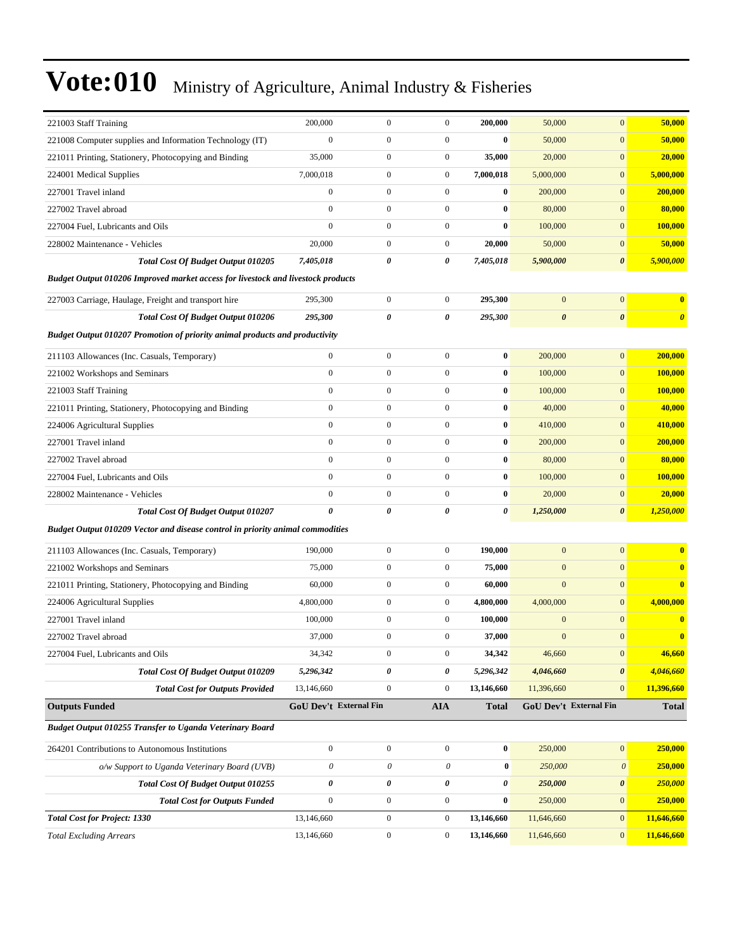| 221003 Staff Training                                                              | 200,000                | $\mathbf{0}$     | $\boldsymbol{0}$ | 200,000      | 50,000                | $\mathbf{0}$                  | 50,000                |
|------------------------------------------------------------------------------------|------------------------|------------------|------------------|--------------|-----------------------|-------------------------------|-----------------------|
| 221008 Computer supplies and Information Technology (IT)                           | $\boldsymbol{0}$       | $\boldsymbol{0}$ | $\boldsymbol{0}$ | $\bf{0}$     | 50,000                | $\mathbf{0}$                  | 50,000                |
| 221011 Printing, Stationery, Photocopying and Binding                              | 35,000                 | $\mathbf{0}$     | $\boldsymbol{0}$ | 35,000       | 20,000                | $\mathbf{0}$                  | 20,000                |
| 224001 Medical Supplies                                                            | 7,000,018              | $\boldsymbol{0}$ | $\boldsymbol{0}$ | 7,000,018    | 5,000,000             | $\mathbf{0}$                  | 5,000,000             |
| 227001 Travel inland                                                               | $\boldsymbol{0}$       | $\boldsymbol{0}$ | $\boldsymbol{0}$ | $\bf{0}$     | 200,000               | $\mathbf{0}$                  | 200,000               |
| 227002 Travel abroad                                                               | $\boldsymbol{0}$       | $\mathbf{0}$     | $\boldsymbol{0}$ | $\bf{0}$     | 80,000                | $\mathbf{0}$                  | 80,000                |
| 227004 Fuel, Lubricants and Oils                                                   | $\mathbf{0}$           | $\mathbf{0}$     | $\boldsymbol{0}$ | $\bf{0}$     | 100,000               | $\mathbf{0}$                  | 100,000               |
| 228002 Maintenance - Vehicles                                                      | 20,000                 | $\mathbf{0}$     | $\boldsymbol{0}$ | 20,000       | 50,000                | $\mathbf{0}$                  | 50,000                |
| <b>Total Cost Of Budget Output 010205</b>                                          | 7,405,018              | 0                | 0                | 7,405,018    | 5,900,000             | $\boldsymbol{\theta}$         | 5,900,000             |
| Budget Output 010206 Improved market access for livestock and livestock products   |                        |                  |                  |              |                       |                               |                       |
| 227003 Carriage, Haulage, Freight and transport hire                               | 295,300                | $\boldsymbol{0}$ | $\mathbf{0}$     | 295,300      | $\mathbf{0}$          | $\mathbf{0}$                  | $\bf{0}$              |
| Total Cost Of Budget Output 010206                                                 | 295,300                | 0                | 0                | 295,300      | $\boldsymbol{\theta}$ | $\boldsymbol{\theta}$         | $\boldsymbol{\theta}$ |
| <b>Budget Output 010207 Promotion of priority animal products and productivity</b> |                        |                  |                  |              |                       |                               |                       |
| 211103 Allowances (Inc. Casuals, Temporary)                                        | $\mathbf{0}$           | $\mathbf{0}$     | $\boldsymbol{0}$ | $\bf{0}$     | 200,000               | $\mathbf{0}$                  | 200,000               |
| 221002 Workshops and Seminars                                                      | $\boldsymbol{0}$       | $\boldsymbol{0}$ | $\overline{0}$   | $\bf{0}$     | 100,000               | $\mathbf{0}$                  | 100,000               |
| 221003 Staff Training                                                              | $\mathbf{0}$           | $\boldsymbol{0}$ | $\boldsymbol{0}$ | $\bf{0}$     | 100,000               | $\mathbf{0}$                  | 100,000               |
| 221011 Printing, Stationery, Photocopying and Binding                              | $\mathbf{0}$           | $\boldsymbol{0}$ | $\boldsymbol{0}$ | $\bf{0}$     | 40,000                | $\mathbf{0}$                  | 40,000                |
| 224006 Agricultural Supplies                                                       | $\boldsymbol{0}$       | $\mathbf{0}$     | $\boldsymbol{0}$ | $\bf{0}$     | 410,000               | $\mathbf{0}$                  | 410,000               |
| 227001 Travel inland                                                               | $\boldsymbol{0}$       | $\mathbf{0}$     | $\boldsymbol{0}$ | $\bf{0}$     | 200,000               | $\mathbf{0}$                  | 200,000               |
| 227002 Travel abroad                                                               | $\boldsymbol{0}$       | $\boldsymbol{0}$ | $\overline{0}$   | $\bf{0}$     | 80,000                | $\mathbf{0}$                  | 80,000                |
| 227004 Fuel, Lubricants and Oils                                                   | $\mathbf{0}$           | $\mathbf{0}$     | $\boldsymbol{0}$ | $\bf{0}$     | 100,000               | $\mathbf{0}$                  | 100,000               |
| 228002 Maintenance - Vehicles                                                      | $\mathbf{0}$           | $\mathbf{0}$     | $\boldsymbol{0}$ | $\bf{0}$     | 20,000                | $\mathbf{0}$                  | 20,000                |
| Total Cost Of Budget Output 010207                                                 | 0                      | 0                | 0                | 0            | 1,250,000             | $\boldsymbol{\theta}$         | 1,250,000             |
| Budget Output 010209 Vector and disease control in priority animal commodities     |                        |                  |                  |              |                       |                               |                       |
| 211103 Allowances (Inc. Casuals, Temporary)                                        | 190,000                | $\boldsymbol{0}$ | $\boldsymbol{0}$ | 190,000      | $\mathbf{0}$          | $\mathbf{0}$                  | $\bf{0}$              |
| 221002 Workshops and Seminars                                                      | 75,000                 | $\mathbf{0}$     | $\boldsymbol{0}$ | 75,000       | $\mathbf{0}$          | $\mathbf{0}$                  | $\bf{0}$              |
| 221011 Printing, Stationery, Photocopying and Binding                              | 60,000                 | $\boldsymbol{0}$ | $\boldsymbol{0}$ | 60,000       | $\mathbf{0}$          | $\mathbf{0}$                  | $\bf{0}$              |
| 224006 Agricultural Supplies                                                       | 4,800,000              | $\mathbf{0}$     | $\boldsymbol{0}$ | 4,800,000    | 4,000,000             | $\mathbf{0}$                  | 4,000,000             |
| 227001 Travel inland                                                               | 100,000                | $\mathbf{0}$     | $\boldsymbol{0}$ | 100,000      | $\mathbf{0}$          | $\mathbf{0}$                  | $\bf{0}$              |
| 227002 Travel abroad                                                               | 37,000                 | $\mathbf{0}$     | $\boldsymbol{0}$ | 37,000       | $\mathbf{0}$          | $\mathbf{0}$                  | $\bf{0}$              |
| 227004 Fuel, Lubricants and Oils                                                   | 34,342                 | $\boldsymbol{0}$ | $\boldsymbol{0}$ | 34,342       | 46,660                | $\boldsymbol{0}$              | 46,660                |
| <b>Total Cost Of Budget Output 010209</b>                                          | 5,296,342              | 0                | $\pmb{\theta}$   | 5,296,342    | 4,046,660             | $\boldsymbol{\theta}$         | 4,046,660             |
| <b>Total Cost for Outputs Provided</b>                                             | 13,146,660             | $\boldsymbol{0}$ | $\mathbf{0}$     | 13,146,660   | 11,396,660            | $\mathbf{0}$                  | 11,396,660            |
| <b>Outputs Funded</b>                                                              | GoU Dev't External Fin |                  | <b>AIA</b>       | <b>Total</b> |                       | <b>GoU Dev't External Fin</b> | <b>Total</b>          |
| Budget Output 010255 Transfer to Uganda Veterinary Board                           |                        |                  |                  |              |                       |                               |                       |
| 264201 Contributions to Autonomous Institutions                                    | $\boldsymbol{0}$       | $\boldsymbol{0}$ | $\mathbf{0}$     | $\bf{0}$     | 250,000               | $\boldsymbol{0}$              | 250,000               |
| o/w Support to Uganda Veterinary Board (UVB)                                       | $\theta$               | 0                | 0                | $\bf{0}$     | 250,000               | $\boldsymbol{\mathit{0}}$     | 250,000               |
| Total Cost Of Budget Output 010255                                                 | $\pmb{\theta}$         | 0                | 0                | 0            | 250,000               | $\boldsymbol{\theta}$         | 250,000               |
| <b>Total Cost for Outputs Funded</b>                                               | $\boldsymbol{0}$       | $\boldsymbol{0}$ | $\boldsymbol{0}$ | $\bf{0}$     | 250,000               | $\mathbf{0}$                  | 250,000               |
| <b>Total Cost for Project: 1330</b>                                                | 13,146,660             | $\boldsymbol{0}$ | $\boldsymbol{0}$ | 13,146,660   | 11,646,660            | $\mathbf{0}$                  | 11,646,660            |
| <b>Total Excluding Arrears</b>                                                     | 13,146,660             | $\boldsymbol{0}$ | $\boldsymbol{0}$ | 13,146,660   | 11,646,660            | $\mathbf{0}$                  | 11,646,660            |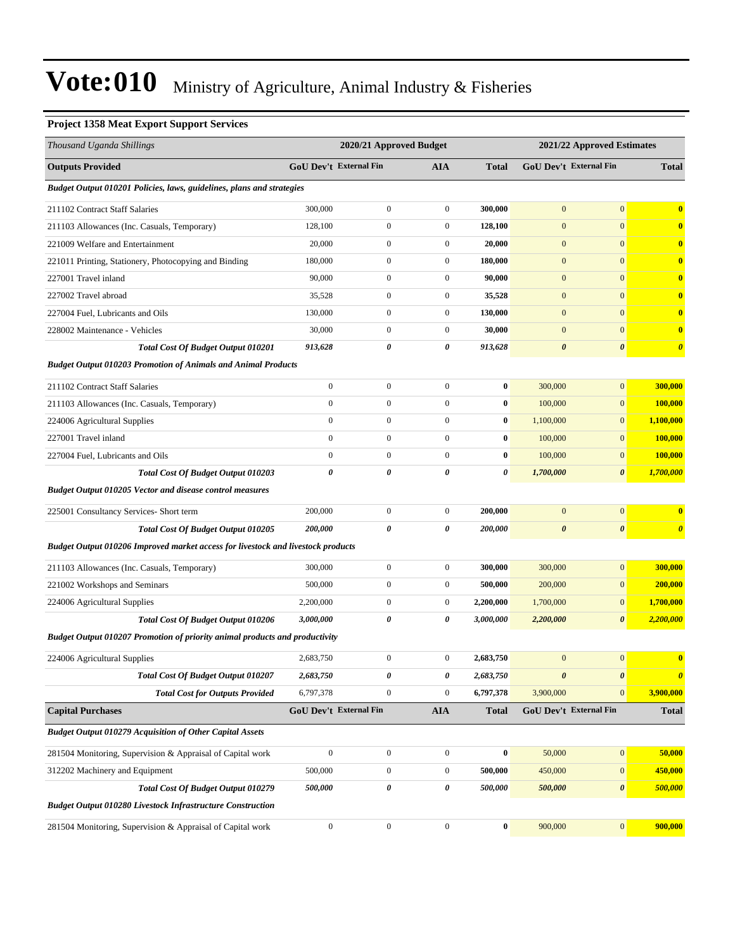### **Project 1358 Meat Export Support Services**

| Thousand Uganda Shillings                                                          |                  | 2020/21 Approved Budget       |                  |              |                       | 2021/22 Approved Estimates    |                         |
|------------------------------------------------------------------------------------|------------------|-------------------------------|------------------|--------------|-----------------------|-------------------------------|-------------------------|
| <b>Outputs Provided</b>                                                            |                  | <b>GoU Dev't External Fin</b> | AIA              | <b>Total</b> |                       | <b>GoU Dev't External Fin</b> | <b>Total</b>            |
| Budget Output 010201 Policies, laws, guidelines, plans and strategies              |                  |                               |                  |              |                       |                               |                         |
| 211102 Contract Staff Salaries                                                     | 300,000          | $\boldsymbol{0}$              | $\boldsymbol{0}$ | 300,000      | $\mathbf{0}$          | $\mathbf{0}$                  | $\bf{0}$                |
| 211103 Allowances (Inc. Casuals, Temporary)                                        | 128,100          | $\boldsymbol{0}$              | $\boldsymbol{0}$ | 128,100      | $\mathbf{0}$          | $\mathbf{0}$                  | $\bf{0}$                |
| 221009 Welfare and Entertainment                                                   | 20,000           | $\boldsymbol{0}$              | $\boldsymbol{0}$ | 20,000       | $\mathbf{0}$          | $\mathbf{0}$                  | $\bf{0}$                |
| 221011 Printing, Stationery, Photocopying and Binding                              | 180,000          | $\boldsymbol{0}$              | $\boldsymbol{0}$ | 180,000      | $\bf{0}$              | $\mathbf{0}$                  | $\bf{0}$                |
| 227001 Travel inland                                                               | 90,000           | $\boldsymbol{0}$              | $\boldsymbol{0}$ | 90,000       | $\boldsymbol{0}$      | $\mathbf{0}$                  | $\bf{0}$                |
| 227002 Travel abroad                                                               | 35,528           | $\boldsymbol{0}$              | $\boldsymbol{0}$ | 35,528       | $\mathbf{0}$          | $\mathbf{0}$                  | $\bf{0}$                |
| 227004 Fuel, Lubricants and Oils                                                   | 130,000          | $\boldsymbol{0}$              | $\boldsymbol{0}$ | 130,000      | $\mathbf{0}$          | $\mathbf{0}$                  | $\bf{0}$                |
| 228002 Maintenance - Vehicles                                                      | 30,000           | $\boldsymbol{0}$              | $\boldsymbol{0}$ | 30,000       | $\mathbf{0}$          | $\mathbf{0}$                  | $\bf{0}$                |
| <b>Total Cost Of Budget Output 010201</b>                                          | 913,628          | 0                             | 0                | 913,628      | $\boldsymbol{\theta}$ | $\boldsymbol{\theta}$         | $\boldsymbol{\theta}$   |
| <b>Budget Output 010203 Promotion of Animals and Animal Products</b>               |                  |                               |                  |              |                       |                               |                         |
| 211102 Contract Staff Salaries                                                     | $\boldsymbol{0}$ | $\boldsymbol{0}$              | $\boldsymbol{0}$ | $\bf{0}$     | 300,000               | $\mathbf{0}$                  | 300,000                 |
| 211103 Allowances (Inc. Casuals, Temporary)                                        | $\mathbf{0}$     | $\boldsymbol{0}$              | $\mathbf{0}$     | $\bf{0}$     | 100,000               | $\mathbf{0}$                  | 100,000                 |
| 224006 Agricultural Supplies                                                       | $\mathbf{0}$     | $\boldsymbol{0}$              | $\boldsymbol{0}$ | $\bf{0}$     | 1,100,000             | $\mathbf{0}$                  | 1,100,000               |
| 227001 Travel inland                                                               | $\mathbf{0}$     | $\boldsymbol{0}$              | $\boldsymbol{0}$ | $\bf{0}$     | 100,000               | $\mathbf{0}$                  | 100,000                 |
| 227004 Fuel, Lubricants and Oils                                                   | $\mathbf{0}$     | $\boldsymbol{0}$              | $\mathbf{0}$     | $\bf{0}$     | 100,000               | $\mathbf{0}$                  | 100,000                 |
| <b>Total Cost Of Budget Output 010203</b>                                          | 0                | 0                             | 0                | 0            | 1,700,000             | $\boldsymbol{\theta}$         | 1,700,000               |
| <b>Budget Output 010205 Vector and disease control measures</b>                    |                  |                               |                  |              |                       |                               |                         |
| 225001 Consultancy Services- Short term                                            | 200,000          | $\boldsymbol{0}$              | $\boldsymbol{0}$ | 200,000      | $\mathbf{0}$          | $\mathbf{0}$                  | $\bf{0}$                |
| <b>Total Cost Of Budget Output 010205</b>                                          | 200,000          | 0                             | 0                | 200,000      | $\boldsymbol{\theta}$ | $\boldsymbol{\theta}$         | $\boldsymbol{\theta}$   |
| Budget Output 010206 Improved market access for livestock and livestock products   |                  |                               |                  |              |                       |                               |                         |
| 211103 Allowances (Inc. Casuals, Temporary)                                        | 300,000          | $\boldsymbol{0}$              | $\boldsymbol{0}$ | 300,000      | 300,000               | $\mathbf{0}$                  | 300,000                 |
| 221002 Workshops and Seminars                                                      | 500,000          | $\boldsymbol{0}$              | $\boldsymbol{0}$ | 500,000      | 200,000               | $\mathbf{0}$                  | 200,000                 |
| 224006 Agricultural Supplies                                                       | 2,200,000        | $\boldsymbol{0}$              | $\boldsymbol{0}$ | 2,200,000    | 1,700,000             | $\mathbf{0}$                  | 1,700,000               |
| Total Cost Of Budget Output 010206                                                 | 3,000,000        | 0                             | 0                | 3,000,000    | 2,200,000             | $\boldsymbol{\theta}$         | 2,200,000               |
| <b>Budget Output 010207 Promotion of priority animal products and productivity</b> |                  |                               |                  |              |                       |                               |                         |
| 224006 Agricultural Supplies                                                       | 2,683,750        | $\boldsymbol{0}$              | 0                | 2,683,750    | $\mathbf{0}$          | $\boldsymbol{0}$              | $\overline{\mathbf{0}}$ |
| <b>Total Cost Of Budget Output 010207</b>                                          | 2,683,750        | 0                             | 0                | 2,683,750    | $\pmb{\theta}$        | $\boldsymbol{\theta}$         | $\boldsymbol{\theta}$   |
| <b>Total Cost for Outputs Provided</b>                                             | 6,797,378        | $\boldsymbol{0}$              | $\boldsymbol{0}$ | 6,797,378    | 3,900,000             | $\mathbf{0}$                  | 3,900,000               |
| <b>Capital Purchases</b>                                                           |                  | GoU Dev't External Fin        | <b>AIA</b>       | <b>Total</b> |                       | GoU Dev't External Fin        | <b>Total</b>            |
| <b>Budget Output 010279 Acquisition of Other Capital Assets</b>                    |                  |                               |                  |              |                       |                               |                         |
| 281504 Monitoring, Supervision & Appraisal of Capital work                         | $\boldsymbol{0}$ | $\boldsymbol{0}$              | $\boldsymbol{0}$ | $\pmb{0}$    | 50,000                | $\boldsymbol{0}$              | 50,000                  |
| 312202 Machinery and Equipment                                                     | 500,000          | $\boldsymbol{0}$              | $\boldsymbol{0}$ | 500,000      | 450,000               | $\boldsymbol{0}$              | 450,000                 |
| Total Cost Of Budget Output 010279                                                 | 500,000          | 0                             | 0                | 500,000      | 500,000               | $\boldsymbol{\theta}$         | 500,000                 |
| <b>Budget Output 010280 Livestock Infrastructure Construction</b>                  |                  |                               |                  |              |                       |                               |                         |
| 281504 Monitoring, Supervision & Appraisal of Capital work                         | $\boldsymbol{0}$ | $\boldsymbol{0}$              | $\boldsymbol{0}$ | $\pmb{0}$    | 900,000               | $\vert 0 \vert$               | 900,000                 |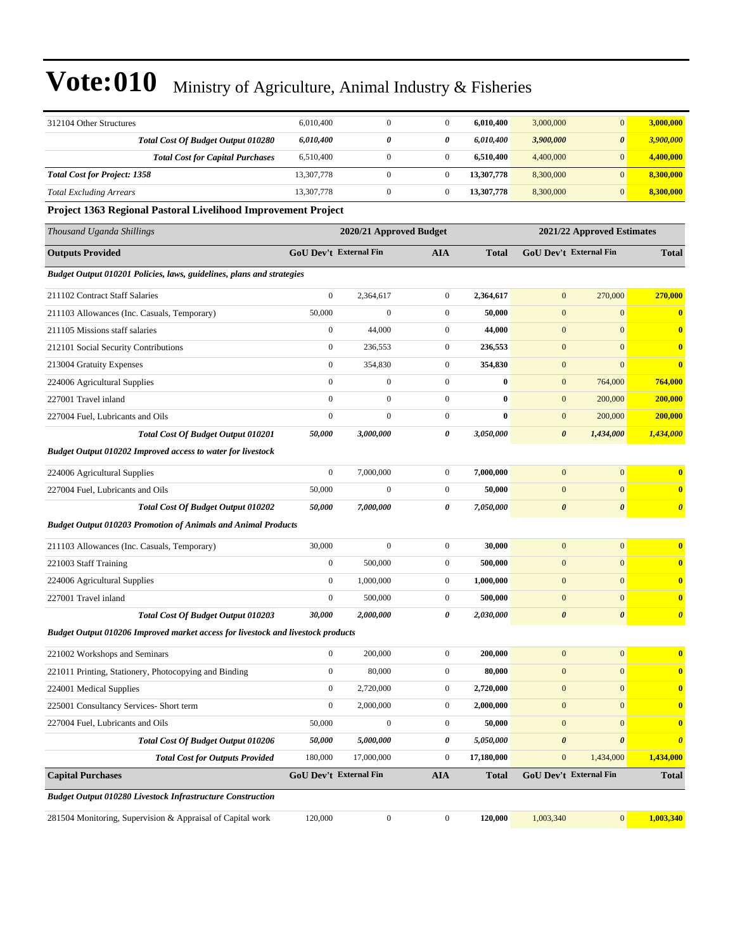| 312104 Other Structures                                                          | 6,010,400        | $\mathbf{0}$            | $\boldsymbol{0}$ | 6,010,400    | 3,000,000              | $\mathbf{0}$               | 3,000,000             |
|----------------------------------------------------------------------------------|------------------|-------------------------|------------------|--------------|------------------------|----------------------------|-----------------------|
| Total Cost Of Budget Output 010280                                               | 6,010,400        | 0                       | 0                | 6,010,400    | 3,900,000              | $\boldsymbol{\theta}$      | 3,900,000             |
| <b>Total Cost for Capital Purchases</b>                                          | 6,510,400        | $\mathbf{0}$            | $\boldsymbol{0}$ | 6,510,400    | 4,400,000              | $\mathbf{0}$               | 4,400,000             |
| <b>Total Cost for Project: 1358</b>                                              | 13,307,778       | $\mathbf{0}$            | $\boldsymbol{0}$ | 13,307,778   | 8,300,000              | $\overline{0}$             | 8,300,000             |
| <b>Total Excluding Arrears</b>                                                   | 13,307,778       | $\boldsymbol{0}$        | $\boldsymbol{0}$ | 13,307,778   | 8,300,000              | $\overline{0}$             | 8,300,000             |
| Project 1363 Regional Pastoral Livelihood Improvement Project                    |                  |                         |                  |              |                        |                            |                       |
| Thousand Uganda Shillings                                                        |                  | 2020/21 Approved Budget |                  |              |                        | 2021/22 Approved Estimates |                       |
| <b>Outputs Provided</b>                                                          |                  | GoU Dev't External Fin  | AIA              | <b>Total</b> | GoU Dev't External Fin |                            | <b>Total</b>          |
| Budget Output 010201 Policies, laws, guidelines, plans and strategies            |                  |                         |                  |              |                        |                            |                       |
| 211102 Contract Staff Salaries                                                   | $\boldsymbol{0}$ | 2,364,617               | $\boldsymbol{0}$ | 2,364,617    | $\mathbf{0}$           | 270,000                    | 270,000               |
| 211103 Allowances (Inc. Casuals, Temporary)                                      | 50,000           | $\mathbf{0}$            | $\boldsymbol{0}$ | 50,000       | $\boldsymbol{0}$       | $\boldsymbol{0}$           | $\bf{0}$              |
| 211105 Missions staff salaries                                                   | $\boldsymbol{0}$ | 44,000                  | $\boldsymbol{0}$ | 44,000       | $\mathbf{0}$           | $\overline{0}$             | $\bf{0}$              |
| 212101 Social Security Contributions                                             | $\boldsymbol{0}$ | 236,553                 | $\boldsymbol{0}$ | 236,553      | $\boldsymbol{0}$       | $\overline{0}$             | $\bf{0}$              |
| 213004 Gratuity Expenses                                                         | $\boldsymbol{0}$ | 354,830                 | $\boldsymbol{0}$ | 354,830      | $\boldsymbol{0}$       | $\overline{0}$             | $\bf{0}$              |
| 224006 Agricultural Supplies                                                     | $\boldsymbol{0}$ | $\mathbf{0}$            | $\boldsymbol{0}$ | $\bf{0}$     | $\mathbf{0}$           | 764,000                    | 764,000               |
| 227001 Travel inland                                                             | $\boldsymbol{0}$ | $\mathbf{0}$            | $\boldsymbol{0}$ | $\bf{0}$     | $\boldsymbol{0}$       | 200,000                    | 200,000               |
| 227004 Fuel, Lubricants and Oils                                                 | $\boldsymbol{0}$ | $\mathbf{0}$            | $\boldsymbol{0}$ | $\bf{0}$     | $\boldsymbol{0}$       | 200,000                    | 200,000               |
| Total Cost Of Budget Output 010201                                               | 50,000           | 3,000,000               | 0                | 3,050,000    | $\boldsymbol{\theta}$  | 1,434,000                  | 1,434,000             |
| <b>Budget Output 010202 Improved access to water for livestock</b>               |                  |                         |                  |              |                        |                            |                       |
| 224006 Agricultural Supplies                                                     | $\boldsymbol{0}$ | 7,000,000               | $\boldsymbol{0}$ | 7,000,000    | $\boldsymbol{0}$       | $\boldsymbol{0}$           | $\bf{0}$              |
| 227004 Fuel, Lubricants and Oils                                                 | 50,000           | $\mathbf{0}$            | $\boldsymbol{0}$ | 50,000       | $\boldsymbol{0}$       | $\mathbf{0}$               | $\bf{0}$              |
| <b>Total Cost Of Budget Output 010202</b>                                        | 50,000           | 7,000,000               | 0                | 7,050,000    | $\boldsymbol{\theta}$  | $\boldsymbol{\theta}$      | $\boldsymbol{\theta}$ |
| <b>Budget Output 010203 Promotion of Animals and Animal Products</b>             |                  |                         |                  |              |                        |                            |                       |
| 211103 Allowances (Inc. Casuals, Temporary)                                      | 30,000           | $\mathbf{0}$            | $\boldsymbol{0}$ | 30,000       | $\mathbf{0}$           | $\boldsymbol{0}$           | $\bf{0}$              |
| 221003 Staff Training                                                            | $\boldsymbol{0}$ | 500,000                 | $\boldsymbol{0}$ | 500,000      | $\boldsymbol{0}$       | $\overline{0}$             | $\bf{0}$              |
| 224006 Agricultural Supplies                                                     | $\boldsymbol{0}$ | 1,000,000               | $\boldsymbol{0}$ | 1,000,000    | $\boldsymbol{0}$       | $\overline{0}$             | $\bf{0}$              |
| 227001 Travel inland                                                             | $\boldsymbol{0}$ | 500,000                 | $\boldsymbol{0}$ | 500,000      | $\mathbf{0}$           | $\mathbf{0}$               | $\bf{0}$              |
| <b>Total Cost Of Budget Output 010203</b>                                        | 30,000           | 2,000,000               | 0                | 2,030,000    | $\boldsymbol{\theta}$  | $\boldsymbol{\theta}$      | $\boldsymbol{\theta}$ |
| Budget Output 010206 Improved market access for livestock and livestock products |                  |                         |                  |              |                        |                            |                       |
| 221002 Workshops and Seminars                                                    | $\boldsymbol{0}$ | 200,000                 | $\boldsymbol{0}$ | 200,000      | $\boldsymbol{0}$       | $\boldsymbol{0}$           | $\bf{0}$              |
| 221011 Printing, Stationery, Photocopying and Binding                            | $\boldsymbol{0}$ | 80,000                  | $\boldsymbol{0}$ | 80,000       | $\boldsymbol{0}$       | $\overline{0}$             | $\bf{0}$              |
| 224001 Medical Supplies                                                          | $\boldsymbol{0}$ | 2,720,000               | $\boldsymbol{0}$ | 2,720,000    | $\boldsymbol{0}$       | $\overline{0}$             | $\bf{0}$              |
| 225001 Consultancy Services- Short term                                          | $\boldsymbol{0}$ | 2,000,000               | $\boldsymbol{0}$ | 2,000,000    | $\mathbf{0}$           | $\mathbf{0}$               | $\bf{0}$              |
| 227004 Fuel, Lubricants and Oils                                                 | 50,000           | $\boldsymbol{0}$        | $\boldsymbol{0}$ | 50,000       | $\boldsymbol{0}$       | $\boldsymbol{0}$           | $\bf{0}$              |
| <b>Total Cost Of Budget Output 010206</b>                                        | 50,000           | 5,000,000               | 0                | 5,050,000    | $\pmb{\theta}$         | $\boldsymbol{\theta}$      | $\boldsymbol{\theta}$ |
| <b>Total Cost for Outputs Provided</b>                                           | 180,000          | 17,000,000              | $\boldsymbol{0}$ | 17,180,000   | $\mathbf{0}$           | 1,434,000                  | 1,434,000             |
| <b>Capital Purchases</b>                                                         |                  | GoU Dev't External Fin  | <b>AIA</b>       | <b>Total</b> | GoU Dev't External Fin |                            | <b>Total</b>          |
| <b>Budget Output 010280 Livestock Infrastructure Construction</b>                |                  |                         |                  |              |                        |                            |                       |
| 281504 Monitoring, Supervision & Appraisal of Capital work                       | 120,000          | $\boldsymbol{0}$        | $\boldsymbol{0}$ | 120,000      | 1,003,340              | $\vert 0 \vert$            | 1,003,340             |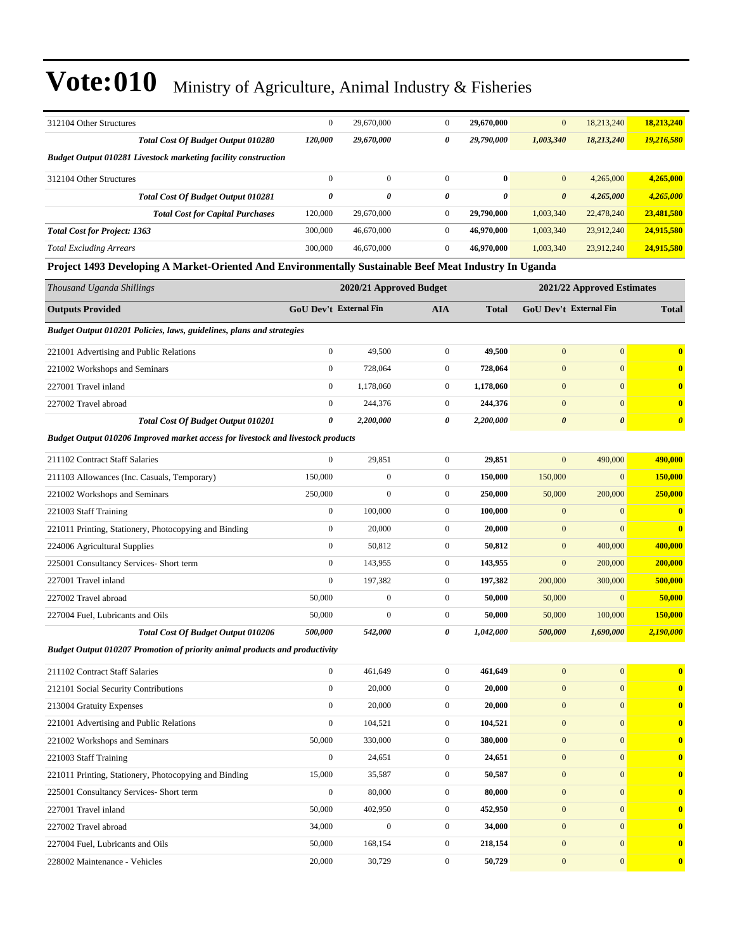| 312104 Other Structures                                                                                                       | $\boldsymbol{0}$                     | 29,670,000              | $\boldsymbol{0}$                     | 29,670,000            | $\mathbf{0}$                 | 18,213,240                   | 18,213,240              |
|-------------------------------------------------------------------------------------------------------------------------------|--------------------------------------|-------------------------|--------------------------------------|-----------------------|------------------------------|------------------------------|-------------------------|
| <b>Total Cost Of Budget Output 010280</b>                                                                                     | 120,000                              | 29,670,000              | 0                                    | 29,790,000            | 1,003,340                    | 18,213,240                   | 19,216,580              |
| <b>Budget Output 010281 Livestock marketing facility construction</b>                                                         |                                      |                         |                                      |                       |                              |                              |                         |
| 312104 Other Structures                                                                                                       | $\boldsymbol{0}$                     | $\boldsymbol{0}$        | $\boldsymbol{0}$                     | $\bf{0}$              | $\mathbf{0}$                 | 4,265,000                    | 4,265,000               |
| <b>Total Cost Of Budget Output 010281</b>                                                                                     | $\theta$                             | $\theta$                | 0                                    | $\boldsymbol{\theta}$ | $\boldsymbol{\theta}$        | 4,265,000                    | 4,265,000               |
| <b>Total Cost for Capital Purchases</b>                                                                                       | 120,000                              | 29,670,000              | $\boldsymbol{0}$                     | 29,790,000            | 1,003,340                    | 22,478,240                   | 23,481,580              |
| <b>Total Cost for Project: 1363</b>                                                                                           | 300,000                              | 46,670,000              | $\boldsymbol{0}$                     | 46,970,000            | 1,003,340                    | 23,912,240                   | 24,915,580              |
| <b>Total Excluding Arrears</b>                                                                                                | 300,000                              | 46,670,000              | $\overline{0}$                       | 46,970,000            | 1,003,340                    | 23,912,240                   | 24,915,580              |
| Project 1493 Developing A Market-Oriented And Environmentally Sustainable Beef Meat Industry In Uganda                        |                                      |                         |                                      |                       |                              |                              |                         |
| Thousand Uganda Shillings                                                                                                     |                                      | 2020/21 Approved Budget |                                      |                       |                              | 2021/22 Approved Estimates   |                         |
| <b>Outputs Provided</b>                                                                                                       | GoU Dev't External Fin               |                         | <b>AIA</b>                           | <b>Total</b>          |                              | GoU Dev't External Fin       | <b>Total</b>            |
| Budget Output 010201 Policies, laws, guidelines, plans and strategies                                                         |                                      |                         |                                      |                       |                              |                              |                         |
|                                                                                                                               |                                      |                         |                                      |                       |                              |                              |                         |
| 221001 Advertising and Public Relations                                                                                       | $\mathbf{0}$<br>$\overline{0}$       | 49,500<br>728,064       | $\boldsymbol{0}$<br>$\boldsymbol{0}$ | 49,500                | $\mathbf{0}$<br>$\mathbf{0}$ | $\mathbf{0}$<br>$\mathbf{0}$ | $\overline{\mathbf{0}}$ |
| 221002 Workshops and Seminars                                                                                                 |                                      |                         |                                      | 728,064               |                              |                              | $\bf{0}$                |
| 227001 Travel inland                                                                                                          | $\boldsymbol{0}$<br>$\boldsymbol{0}$ | 1,178,060               | $\boldsymbol{0}$<br>$\boldsymbol{0}$ | 1,178,060<br>244,376  | $\mathbf{0}$<br>$\mathbf{0}$ | $\mathbf{0}$<br>$\mathbf{0}$ | $\overline{\mathbf{0}}$ |
| 227002 Travel abroad                                                                                                          | 0                                    | 244,376                 | 0                                    |                       | $\boldsymbol{\theta}$        | $\boldsymbol{\theta}$        | $\bf{0}$                |
| <b>Total Cost Of Budget Output 010201</b><br>Budget Output 010206 Improved market access for livestock and livestock products |                                      | 2,200,000               |                                      | 2,200,000             |                              |                              | $\boldsymbol{\theta}$   |
|                                                                                                                               |                                      |                         |                                      |                       |                              |                              |                         |
| 211102 Contract Staff Salaries                                                                                                | $\boldsymbol{0}$                     | 29,851                  | $\boldsymbol{0}$                     | 29,851                | $\mathbf{0}$                 | 490,000                      | 490,000                 |
| 211103 Allowances (Inc. Casuals, Temporary)                                                                                   | 150,000                              | $\boldsymbol{0}$        | $\boldsymbol{0}$                     | 150,000               | 150,000                      | $\mathbf{0}$                 | 150,000                 |
| 221002 Workshops and Seminars                                                                                                 | 250,000                              | $\mathbf{0}$            | $\boldsymbol{0}$                     | 250,000               | 50,000                       | 200,000                      | 250,000                 |
| 221003 Staff Training                                                                                                         | $\boldsymbol{0}$                     | 100,000                 | $\boldsymbol{0}$                     | 100,000               | $\mathbf{0}$                 | $\mathbf{0}$                 | $\bf{0}$                |
| 221011 Printing, Stationery, Photocopying and Binding                                                                         | $\boldsymbol{0}$                     | 20,000                  | $\boldsymbol{0}$                     | 20,000                | $\mathbf{0}$                 | $\overline{0}$               | $\overline{\mathbf{0}}$ |
| 224006 Agricultural Supplies                                                                                                  | $\mathbf{0}$                         | 50,812                  | $\boldsymbol{0}$                     | 50,812                | $\boldsymbol{0}$             | 400,000                      | 400,000                 |
| 225001 Consultancy Services- Short term                                                                                       | $\boldsymbol{0}$                     | 143,955                 | $\boldsymbol{0}$                     | 143,955               | $\boldsymbol{0}$             | 200,000                      | 200,000                 |
| 227001 Travel inland                                                                                                          | $\mathbf{0}$                         | 197,382                 | $\boldsymbol{0}$                     | 197,382               | 200,000                      | 300,000                      | 500,000                 |
| 227002 Travel abroad                                                                                                          | 50,000                               | $\boldsymbol{0}$        | $\boldsymbol{0}$                     | 50,000                | 50,000                       | $\mathbf{0}$                 | 50,000                  |
| 227004 Fuel, Lubricants and Oils                                                                                              | 50,000                               | $\boldsymbol{0}$        | $\boldsymbol{0}$                     | 50,000                | 50,000                       | 100,000                      | 150,000                 |
| Total Cost Of Budget Output 010206                                                                                            | 500,000                              | 542,000                 | 0                                    | 1,042,000             | 500,000                      | 1,690,000                    | 2,190,000               |
| Budget Output 010207 Promotion of priority animal products and productivity                                                   |                                      |                         |                                      |                       |                              |                              |                         |
| 211102 Contract Staff Salaries                                                                                                | $\overline{0}$                       | 461,649                 | $\boldsymbol{0}$                     | 461,649               | $\mathbf{0}$                 | $\boldsymbol{0}$             | $\bf{0}$                |
| 212101 Social Security Contributions                                                                                          | $\overline{0}$                       | 20,000                  | $\boldsymbol{0}$                     | 20,000                | $\boldsymbol{0}$             | $\overline{0}$               | $\bf{0}$                |
| 213004 Gratuity Expenses                                                                                                      | $\overline{0}$                       | 20,000                  | $\boldsymbol{0}$                     | 20,000                | $\boldsymbol{0}$             | $\mathbf{0}$                 | $\bf{0}$                |
| 221001 Advertising and Public Relations                                                                                       | $\boldsymbol{0}$                     | 104,521                 | $\boldsymbol{0}$                     | 104,521               | $\boldsymbol{0}$             | $\mathbf{0}$                 | $\bf{0}$                |
| 221002 Workshops and Seminars                                                                                                 | 50,000                               | 330,000                 | $\boldsymbol{0}$                     | 380,000               | $\boldsymbol{0}$             | $\mathbf{0}$                 | $\bf{0}$                |
| 221003 Staff Training                                                                                                         | $\boldsymbol{0}$                     | 24,651                  | $\boldsymbol{0}$                     | 24,651                | $\boldsymbol{0}$             | $\mathbf{0}$                 | $\boldsymbol{0}$        |
| 221011 Printing, Stationery, Photocopying and Binding                                                                         | 15,000                               | 35,587                  | $\boldsymbol{0}$                     | 50,587                | $\boldsymbol{0}$             | $\overline{0}$               | $\bf{0}$                |
| 225001 Consultancy Services- Short term                                                                                       | $\overline{0}$                       | 80,000                  | $\boldsymbol{0}$                     | 80,000                | $\boldsymbol{0}$             | $\overline{0}$               | $\bf{0}$                |
| 227001 Travel inland                                                                                                          | 50,000                               | 402,950                 | $\boldsymbol{0}$                     | 452,950               | $\boldsymbol{0}$             | $\mathbf{0}$                 | $\bf{0}$                |
| 227002 Travel abroad                                                                                                          | 34,000                               | $\boldsymbol{0}$        | $\boldsymbol{0}$                     | 34,000                | $\boldsymbol{0}$             | $\mathbf{0}$                 | $\bf{0}$                |
| 227004 Fuel, Lubricants and Oils                                                                                              | 50,000                               | 168,154                 | $\boldsymbol{0}$                     | 218,154               | $\boldsymbol{0}$             | $\boldsymbol{0}$             | $\boldsymbol{0}$        |
| 228002 Maintenance - Vehicles                                                                                                 | 20,000                               | 30,729                  | $\boldsymbol{0}$                     | 50,729                | $\boldsymbol{0}$             | $\mathbf{0}$                 | $\bf{0}$                |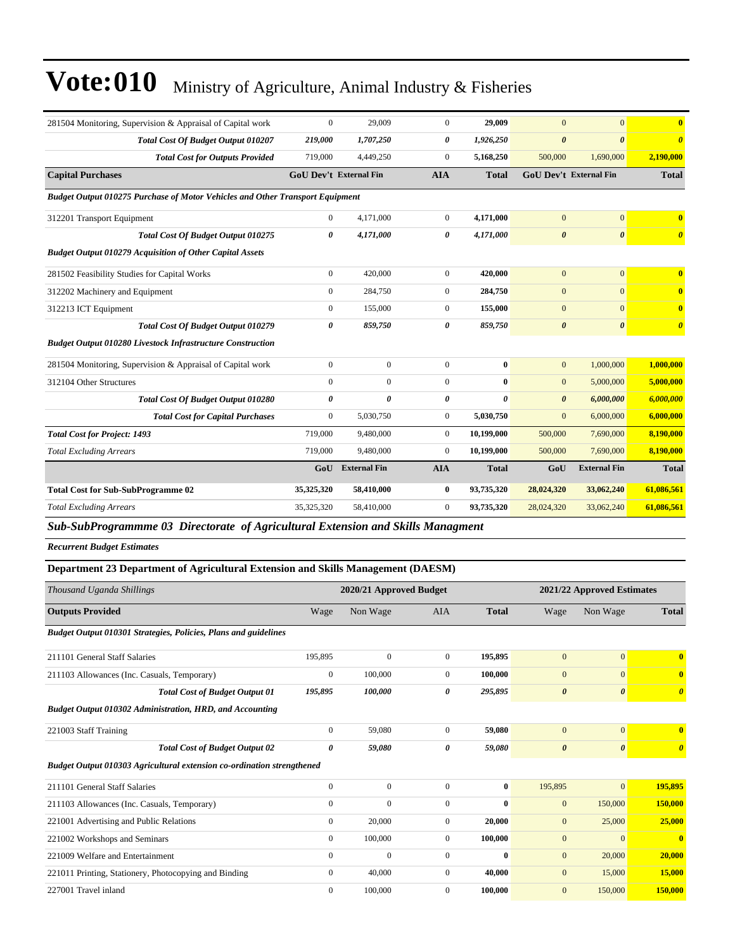| 281504 Monitoring, Supervision & Appraisal of Capital work                    | $\mathbf{0}$                  | 29,009              | $\Omega$         | 29,009       | $\overline{0}$        | $\overline{0}$                | $\mathbf{0}$            |
|-------------------------------------------------------------------------------|-------------------------------|---------------------|------------------|--------------|-----------------------|-------------------------------|-------------------------|
| <b>Total Cost Of Budget Output 010207</b>                                     | 219,000                       | 1,707,250           | 0                | 1,926,250    | $\boldsymbol{\theta}$ | $\boldsymbol{\theta}$         | $\boldsymbol{\theta}$   |
| <b>Total Cost for Outputs Provided</b>                                        | 719,000                       | 4,449,250           | $\boldsymbol{0}$ | 5,168,250    | 500,000               | 1,690,000                     | 2,190,000               |
| <b>Capital Purchases</b>                                                      | <b>GoU Dev't External Fin</b> |                     | <b>AIA</b>       | <b>Total</b> |                       | <b>GoU Dev't External Fin</b> | <b>Total</b>            |
| Budget Output 010275 Purchase of Motor Vehicles and Other Transport Equipment |                               |                     |                  |              |                       |                               |                         |
| 312201 Transport Equipment                                                    | $\mathbf{0}$                  | 4,171,000           | $\overline{0}$   | 4,171,000    | $\overline{0}$        | $\overline{0}$                | $\overline{\mathbf{0}}$ |
| <b>Total Cost Of Budget Output 010275</b>                                     | 0                             | 4,171,000           | 0                | 4,171,000    | $\boldsymbol{\theta}$ | $\boldsymbol{\theta}$         | $\boldsymbol{\theta}$   |
| <b>Budget Output 010279 Acquisition of Other Capital Assets</b>               |                               |                     |                  |              |                       |                               |                         |
| 281502 Feasibility Studies for Capital Works                                  | $\boldsymbol{0}$              | 420,000             | $\boldsymbol{0}$ | 420,000      | $\mathbf{0}$          | $\overline{0}$                | $\overline{\mathbf{0}}$ |
| 312202 Machinery and Equipment                                                | $\mathbf{0}$                  | 284,750             | $\overline{0}$   | 284,750      | $\mathbf{0}$          | $\overline{0}$                | $\bf{0}$                |
| 312213 ICT Equipment                                                          | $\mathbf{0}$                  | 155,000             | $\overline{0}$   | 155,000      | $\mathbf{0}$          | $\overline{0}$                | $\overline{\mathbf{0}}$ |
| <b>Total Cost Of Budget Output 010279</b>                                     | 0                             | 859,750             | 0                | 859,750      | $\boldsymbol{\theta}$ | $\boldsymbol{\theta}$         | $\boldsymbol{\theta}$   |
| <b>Budget Output 010280 Livestock Infrastructure Construction</b>             |                               |                     |                  |              |                       |                               |                         |
| 281504 Monitoring, Supervision & Appraisal of Capital work                    | $\mathbf{0}$                  | $\overline{0}$      | $\overline{0}$   | $\bf{0}$     | $\mathbf{0}$          | 1,000,000                     | 1,000,000               |
| 312104 Other Structures                                                       | $\Omega$                      | $\overline{0}$      | $\Omega$         | $\mathbf{0}$ | $\mathbf{0}$          | 5,000,000                     | 5,000,000               |
| <b>Total Cost Of Budget Output 010280</b>                                     | $\theta$                      | 0                   | 0                | $\theta$     | $\boldsymbol{\theta}$ | 6,000,000                     | 6,000,000               |
| <b>Total Cost for Capital Purchases</b>                                       | $\mathbf{0}$                  | 5,030,750           | $\overline{0}$   | 5,030,750    | $\mathbf{0}$          | 6,000,000                     | 6,000,000               |
| <b>Total Cost for Project: 1493</b>                                           | 719,000                       | 9,480,000           | $\overline{0}$   | 10,199,000   | 500,000               | 7,690,000                     | 8,190,000               |
| <b>Total Excluding Arrears</b>                                                | 719,000                       | 9,480,000           | $\overline{0}$   | 10,199,000   | 500,000               | 7,690,000                     | 8,190,000               |
|                                                                               | GoU                           | <b>External Fin</b> | <b>AIA</b>       | <b>Total</b> | GoU                   | <b>External Fin</b>           | <b>Total</b>            |
| <b>Total Cost for Sub-SubProgramme 02</b>                                     | 35,325,320                    | 58,410,000          | 0                | 93,735,320   | 28,024,320            | 33,062,240                    | 61,086,561              |
| <b>Total Excluding Arrears</b>                                                | 35,325,320                    | 58,410,000          | $\overline{0}$   | 93,735,320   | 28,024,320            | 33,062,240                    | 61,086,561              |
|                                                                               |                               |                     |                  |              |                       |                               |                         |

*Sub-SubProgrammme 03 Directorate of Agricultural Extension and Skills Managment*

*Recurrent Budget Estimates*

| <b>Department 23 Department of Agricultural Extension and Skills Management (DAESM)</b> |              |                         |                |              |                            |                       |                         |
|-----------------------------------------------------------------------------------------|--------------|-------------------------|----------------|--------------|----------------------------|-----------------------|-------------------------|
| Thousand Uganda Shillings                                                               |              | 2020/21 Approved Budget |                |              | 2021/22 Approved Estimates |                       |                         |
| <b>Outputs Provided</b>                                                                 | Wage         | Non Wage                | <b>AIA</b>     | <b>Total</b> | Wage                       | Non Wage              | <b>Total</b>            |
| Budget Output 010301 Strategies, Policies, Plans and guidelines                         |              |                         |                |              |                            |                       |                         |
| 211101 General Staff Salaries                                                           | 195,895      | $\overline{0}$          | $\mathbf{0}$   | 195,895      | $\mathbf{0}$               | $\overline{0}$        | $\overline{\mathbf{0}}$ |
| 211103 Allowances (Inc. Casuals, Temporary)                                             | $\mathbf{0}$ | 100,000                 | $\overline{0}$ | 100,000      | $\mathbf{0}$               | $\mathbf{0}$          | $\overline{\mathbf{0}}$ |
| <b>Total Cost of Budget Output 01</b>                                                   | 195,895      | 100,000                 | 0              | 295,895      | $\boldsymbol{\theta}$      | $\boldsymbol{\theta}$ | $\theta$                |
| Budget Output 010302 Administration, HRD, and Accounting                                |              |                         |                |              |                            |                       |                         |
| 221003 Staff Training                                                                   | $\mathbf{0}$ | 59,080                  | $\overline{0}$ | 59,080       | $\mathbf{0}$               | $\overline{0}$        | $\overline{\mathbf{0}}$ |
| <b>Total Cost of Budget Output 02</b>                                                   | 0            | 59,080                  | 0              | 59,080       | $\boldsymbol{\theta}$      | $\boldsymbol{\theta}$ | $\boldsymbol{\theta}$   |
| Budget Output 010303 Agricultural extension co-ordination strengthened                  |              |                         |                |              |                            |                       |                         |
| 211101 General Staff Salaries                                                           | $\mathbf{0}$ | $\mathbf{0}$            | $\mathbf{0}$   | $\bf{0}$     | 195,895                    | $\overline{0}$        | 195,895                 |
| 211103 Allowances (Inc. Casuals, Temporary)                                             | $\mathbf{0}$ | $\mathbf{0}$            | $\overline{0}$ | $\bf{0}$     | $\mathbf{0}$               | 150,000               | 150,000                 |
| 221001 Advertising and Public Relations                                                 | $\mathbf{0}$ | 20,000                  | 0              | 20,000       | $\mathbf{0}$               | 25,000                | 25,000                  |
| 221002 Workshops and Seminars                                                           | $\mathbf{0}$ | 100,000                 | $\overline{0}$ | 100,000      | $\mathbf{0}$               | $\mathbf{0}$          | $\bf{0}$                |
| 221009 Welfare and Entertainment                                                        | $\mathbf{0}$ | $\mathbf{0}$            | $\overline{0}$ | $\bf{0}$     | $\mathbf{0}$               | 20,000                | 20,000                  |
| 221011 Printing, Stationery, Photocopying and Binding                                   | $\mathbf{0}$ | 40,000                  | $\overline{0}$ | 40,000       | $\mathbf{0}$               | 15,000                | 15,000                  |
| 227001 Travel inland                                                                    | $\Omega$     | 100,000                 | 0              | 100.000      | $\mathbf{0}$               | 150,000               | 150,000                 |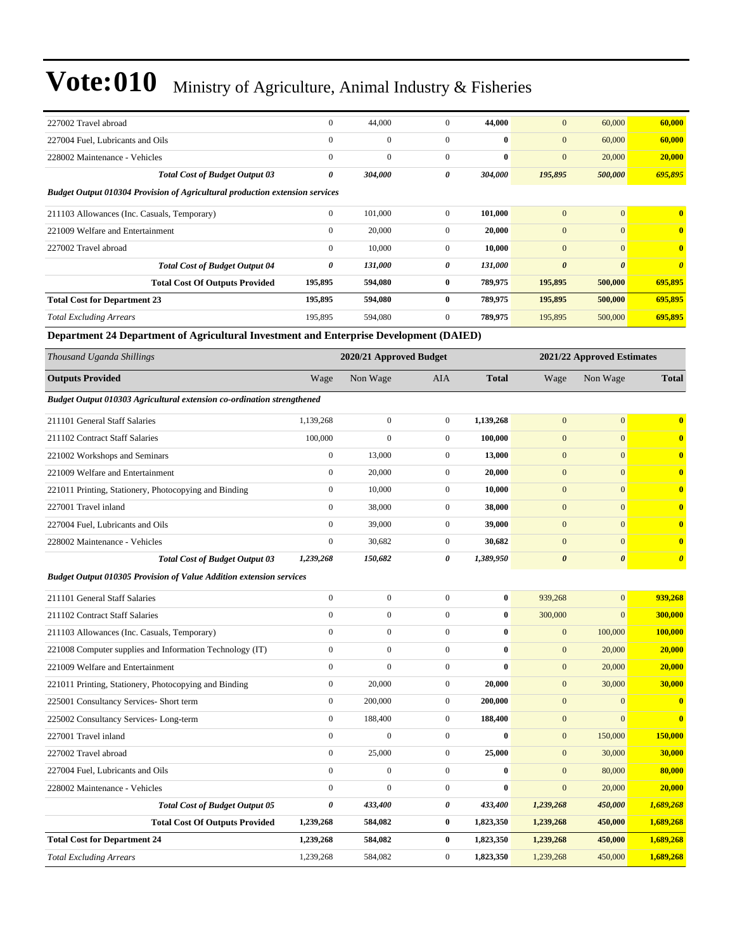| 227002 Travel abroad                                                                   | $\boldsymbol{0}$ | 44,000                  | $\boldsymbol{0}$ | 44,000           | $\mathbf{0}$          | 60,000                     | 60,000                |  |
|----------------------------------------------------------------------------------------|------------------|-------------------------|------------------|------------------|-----------------------|----------------------------|-----------------------|--|
| 227004 Fuel, Lubricants and Oils                                                       | $\mathbf{0}$     | $\boldsymbol{0}$        | $\overline{0}$   | $\bf{0}$         | $\mathbf{0}$          | 60,000                     | 60,000                |  |
| 228002 Maintenance - Vehicles                                                          | $\mathbf{0}$     | $\overline{0}$          | $\mathbf{0}$     | $\bf{0}$         | $\mathbf{0}$          | 20,000                     | 20,000                |  |
| <b>Total Cost of Budget Output 03</b>                                                  | $\pmb{\theta}$   | 304,000                 | 0                | 304,000          | 195,895               | 500,000                    | 695,895               |  |
| Budget Output 010304 Provision of Agricultural production extension services           |                  |                         |                  |                  |                       |                            |                       |  |
| 211103 Allowances (Inc. Casuals, Temporary)                                            | $\boldsymbol{0}$ | 101,000                 | $\mathbf{0}$     | 101,000          | $\mathbf{0}$          | $\overline{0}$             | $\bf{0}$              |  |
| 221009 Welfare and Entertainment                                                       | $\boldsymbol{0}$ | 20,000                  | $\boldsymbol{0}$ | 20,000           | $\mathbf{0}$          | $\overline{0}$             | $\bf{0}$              |  |
| 227002 Travel abroad                                                                   | $\mathbf{0}$     | 10,000                  | $\mathbf{0}$     | 10,000           | $\mathbf{0}$          | $\overline{0}$             | $\bf{0}$              |  |
| <b>Total Cost of Budget Output 04</b>                                                  | 0                | 131,000                 | 0                | 131,000          | $\boldsymbol{\theta}$ | $\boldsymbol{\theta}$      | $\boldsymbol{\theta}$ |  |
| <b>Total Cost Of Outputs Provided</b>                                                  | 195,895          | 594,080                 | 0                | 789,975          | 195,895               | 500,000                    | 695,895               |  |
| <b>Total Cost for Department 23</b>                                                    | 195,895          | 594,080                 | $\bf{0}$         | 789,975          | 195,895               | 500,000                    | 695,895               |  |
| <b>Total Excluding Arrears</b>                                                         | 195,895          | 594,080                 | $\boldsymbol{0}$ | 789,975          | 195,895               | 500,000                    | 695,895               |  |
| Department 24 Department of Agricultural Investment and Enterprise Development (DAIED) |                  |                         |                  |                  |                       |                            |                       |  |
| Thousand Uganda Shillings                                                              |                  | 2020/21 Approved Budget |                  |                  |                       | 2021/22 Approved Estimates |                       |  |
| <b>Outputs Provided</b>                                                                | Wage             | Non Wage                | AIA              | <b>Total</b>     | Wage                  | Non Wage                   | <b>Total</b>          |  |
| Budget Output 010303 Agricultural extension co-ordination strengthened                 |                  |                         |                  |                  |                       |                            |                       |  |
|                                                                                        |                  |                         |                  |                  |                       |                            |                       |  |
| 211101 General Staff Salaries                                                          | 1,139,268        | $\boldsymbol{0}$        | $\overline{0}$   | 1,139,268        | $\mathbf{0}$          | $\overline{0}$             | $\bf{0}$              |  |
| 211102 Contract Staff Salaries                                                         | 100,000          | $\overline{0}$          | $\boldsymbol{0}$ | 100,000          | $\mathbf{0}$          | $\mathbf{0}$               | $\bf{0}$              |  |
| 221002 Workshops and Seminars                                                          | $\boldsymbol{0}$ | 13,000                  | $\mathbf{0}$     | 13,000           | $\boldsymbol{0}$      | $\mathbf{0}$               | $\bf{0}$              |  |
| 221009 Welfare and Entertainment                                                       | $\boldsymbol{0}$ | 20,000                  | $\mathbf{0}$     | 20,000           | $\mathbf{0}$          | $\overline{0}$             | $\bf{0}$              |  |
| 221011 Printing, Stationery, Photocopying and Binding                                  | $\boldsymbol{0}$ | 10,000                  | $\overline{0}$   | 10,000           | $\mathbf{0}$          | $\overline{0}$             | $\bf{0}$              |  |
| 227001 Travel inland                                                                   | $\mathbf{0}$     | 38,000                  | $\mathbf{0}$     | 38,000           | $\mathbf{0}$          | $\overline{0}$             | $\bf{0}$              |  |
| 227004 Fuel, Lubricants and Oils                                                       | $\mathbf{0}$     | 39,000                  | $\mathbf{0}$     | 39,000           | $\mathbf{0}$          | $\overline{0}$             | $\bf{0}$              |  |
| 228002 Maintenance - Vehicles                                                          | $\boldsymbol{0}$ | 30,682                  | $\mathbf{0}$     | 30,682           | $\mathbf{0}$          | $\overline{0}$             | $\bf{0}$              |  |
| <b>Total Cost of Budget Output 03</b>                                                  | 1,239,268        | 150,682                 | 0                | 1,389,950        | $\boldsymbol{\theta}$ | 0                          | $\boldsymbol{\theta}$ |  |
| <b>Budget Output 010305 Provision of Value Addition extension services</b>             |                  |                         |                  |                  |                       |                            |                       |  |
| 211101 General Staff Salaries                                                          | $\boldsymbol{0}$ | $\boldsymbol{0}$        | $\boldsymbol{0}$ | $\bf{0}$         | 939,268               | $\mathbf{0}$               | 939,268               |  |
| 211102 Contract Staff Salaries                                                         | $\mathbf{0}$     | $\boldsymbol{0}$        | $\overline{0}$   | $\bf{0}$         | 300,000               | $\overline{0}$             | 300,000               |  |
| 211103 Allowances (Inc. Casuals, Temporary)                                            | $\boldsymbol{0}$ | 0                       | $\mathbf{0}$     | $\bf{0}$         | $\mathbf{0}$          | 100,000                    | 100,000               |  |
| 221008 Computer supplies and Information Technology (IT)                               | $\boldsymbol{0}$ | $\boldsymbol{0}$        | $\mathbf{0}$     | $\bf{0}$         | $\boldsymbol{0}$      | 20,000                     | 20,000                |  |
| 221009 Welfare and Entertainment                                                       | $\boldsymbol{0}$ | $\boldsymbol{0}$        | $\boldsymbol{0}$ | $\bf{0}$         | $\mathbf{0}$          | 20,000                     | 20,000                |  |
| 221011 Printing, Stationery, Photocopying and Binding                                  | $\boldsymbol{0}$ | 20,000                  | $\boldsymbol{0}$ | 20,000           | $\boldsymbol{0}$      | 30,000                     | 30,000                |  |
| 225001 Consultancy Services- Short term                                                | $\boldsymbol{0}$ | 200,000                 | $\boldsymbol{0}$ | 200,000          | $\mathbf{0}$          | $\boldsymbol{0}$           | $\bf{0}$              |  |
| 225002 Consultancy Services-Long-term                                                  | $\boldsymbol{0}$ | 188,400                 | $\mathbf{0}$     | 188,400          | $\mathbf{0}$          | $\overline{0}$             | $\bf{0}$              |  |
| 227001 Travel inland                                                                   | $\boldsymbol{0}$ | $\boldsymbol{0}$        | $\boldsymbol{0}$ | $\bf{0}$         | $\boldsymbol{0}$      | 150,000                    | 150,000               |  |
| 227002 Travel abroad                                                                   | $\boldsymbol{0}$ | 25,000                  | $\boldsymbol{0}$ | 25,000           | $\boldsymbol{0}$      | 30,000                     | 30,000                |  |
| 227004 Fuel, Lubricants and Oils                                                       | $\boldsymbol{0}$ | $\boldsymbol{0}$        | $\boldsymbol{0}$ | $\bf{0}$         | $\mathbf{0}$          | 80,000                     | 80,000                |  |
| 228002 Maintenance - Vehicles                                                          | $\boldsymbol{0}$ | $\boldsymbol{0}$        | $\boldsymbol{0}$ | $\boldsymbol{0}$ | $\mathbf{0}$          | 20,000                     | 20,000                |  |
| <b>Total Cost of Budget Output 05</b>                                                  | 0                | 433,400                 | 0                | 433,400          | 1,239,268             | 450,000                    | 1,689,268             |  |
| <b>Total Cost Of Outputs Provided</b>                                                  | 1,239,268        | 584,082                 | $\bf{0}$         | 1,823,350        | 1,239,268             | 450,000                    | 1,689,268             |  |
| <b>Total Cost for Department 24</b>                                                    | 1,239,268        | 584,082                 | $\bf{0}$         | 1,823,350        | 1,239,268             | 450,000                    | 1,689,268             |  |
| <b>Total Excluding Arrears</b>                                                         | 1,239,268        | 584,082                 | $\boldsymbol{0}$ | 1,823,350        | 1,239,268             | 450,000                    | 1,689,268             |  |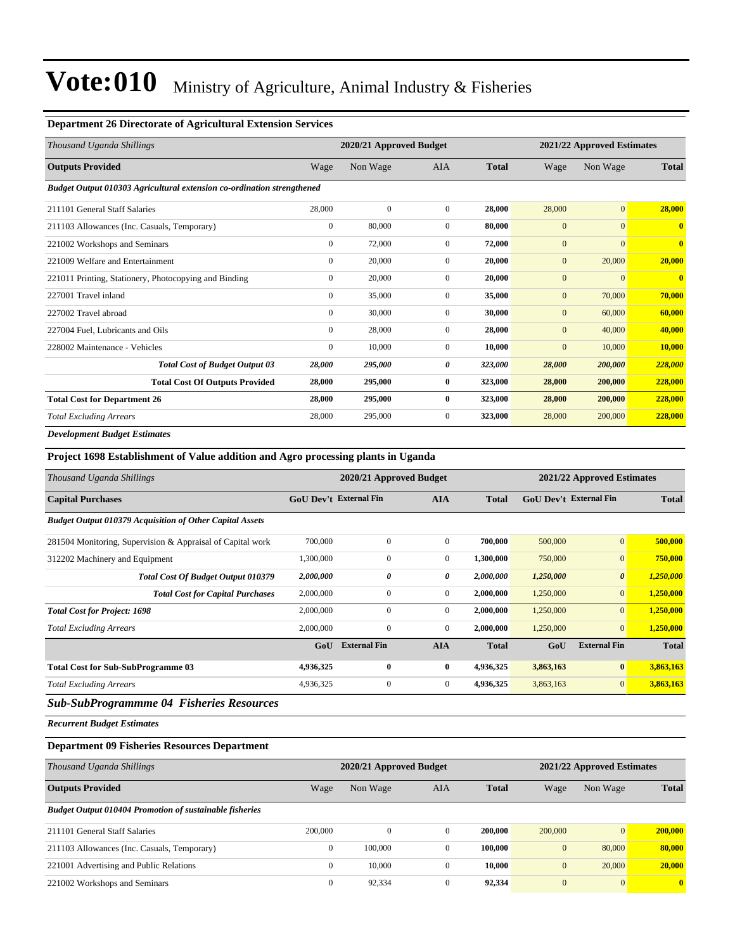#### **Department 26 Directorate of Agricultural Extension Services**

| Thousand Uganda Shillings                                              |                  | 2020/21 Approved Budget |                |              | 2021/22 Approved Estimates |              |                |
|------------------------------------------------------------------------|------------------|-------------------------|----------------|--------------|----------------------------|--------------|----------------|
| <b>Outputs Provided</b>                                                | Wage             | Non Wage                | <b>AIA</b>     | <b>Total</b> | Wage                       | Non Wage     | <b>Total</b>   |
| Budget Output 010303 Agricultural extension co-ordination strengthened |                  |                         |                |              |                            |              |                |
| 211101 General Staff Salaries                                          | 28,000           | $\mathbf{0}$            | $\overline{0}$ | 28,000       | 28,000                     | $\mathbf{0}$ | 28,000         |
| 211103 Allowances (Inc. Casuals, Temporary)                            | $\boldsymbol{0}$ | 80,000                  | $\Omega$       | 80,000       | $\mathbf{0}$               | $\mathbf{0}$ | $\mathbf{0}$   |
| 221002 Workshops and Seminars                                          | $\mathbf{0}$     | 72,000                  | $\overline{0}$ | 72,000       | $\mathbf{0}$               | $\mathbf{0}$ | $\mathbf{0}$   |
| 221009 Welfare and Entertainment                                       | $\mathbf{0}$     | 20,000                  | $\overline{0}$ | 20,000       | $\mathbf{0}$               | 20,000       | 20,000         |
| 221011 Printing, Stationery, Photocopying and Binding                  | $\mathbf{0}$     | 20,000                  | $\overline{0}$ | 20.000       | $\mathbf{0}$               | $\mathbf{0}$ | $\overline{0}$ |
| 227001 Travel inland                                                   | $\mathbf{0}$     | 35,000                  | $\overline{0}$ | 35,000       | $\mathbf{0}$               | 70,000       | 70,000         |
| 227002 Travel abroad                                                   | $\mathbf{0}$     | 30,000                  | $\overline{0}$ | 30,000       | $\mathbf{0}$               | 60,000       | 60,000         |
| 227004 Fuel, Lubricants and Oils                                       | $\mathbf{0}$     | 28,000                  | $\mathbf{0}$   | 28,000       | $\mathbf{0}$               | 40,000       | 40,000         |
| 228002 Maintenance - Vehicles                                          | $\mathbf{0}$     | 10,000                  | $\overline{0}$ | 10,000       | $\mathbf{0}$               | 10,000       | 10,000         |
| <b>Total Cost of Budget Output 03</b>                                  | 28,000           | 295,000                 | 0              | 323,000      | 28,000                     | 200,000      | 228,000        |
| <b>Total Cost Of Outputs Provided</b>                                  | 28,000           | 295,000                 | $\bf{0}$       | 323,000      | 28,000                     | 200,000      | 228,000        |
| <b>Total Cost for Department 26</b>                                    | 28,000           | 295,000                 | $\bf{0}$       | 323,000      | 28,000                     | 200,000      | 228,000        |
| <b>Total Excluding Arrears</b>                                         | 28,000           | 295,000                 | $\mathbf{0}$   | 323,000      | 28,000                     | 200,000      | 228,000        |
| <b>Development Budget Estimates</b>                                    |                  |                         |                |              |                            |              |                |

### **Project 1698 Establishment of Value addition and Agro processing plants in Uganda**

| Thousand Uganda Shillings                                       | 2020/21 Approved Budget<br>2021/22 Approved Estimates |                     |                |              |                               |                       |              |
|-----------------------------------------------------------------|-------------------------------------------------------|---------------------|----------------|--------------|-------------------------------|-----------------------|--------------|
| <b>Capital Purchases</b>                                        | <b>GoU Dev't External Fin</b>                         |                     | <b>AIA</b>     | <b>Total</b> | <b>GoU Dev't External Fin</b> |                       | <b>Total</b> |
| <b>Budget Output 010379 Acquisition of Other Capital Assets</b> |                                                       |                     |                |              |                               |                       |              |
| 281504 Monitoring, Supervision & Appraisal of Capital work      | 700,000                                               | $\mathbf{0}$        | $\overline{0}$ | 700,000      | 500,000                       | $\overline{0}$        | 500,000      |
| 312202 Machinery and Equipment                                  | 1,300,000                                             | 0                   | $\overline{0}$ | 1,300,000    | 750,000                       | $\overline{0}$        | 750,000      |
| <b>Total Cost Of Budget Output 010379</b>                       | 2,000,000                                             | 0                   | 0              | 2,000,000    | 1,250,000                     | $\boldsymbol{\theta}$ | 1,250,000    |
| <b>Total Cost for Capital Purchases</b>                         | 2,000,000                                             | 0                   | $\mathbf{0}$   | 2,000,000    | 1,250,000                     | $\overline{0}$        | 1,250,000    |
| <b>Total Cost for Project: 1698</b>                             | 2,000,000                                             | $\Omega$            | $\mathbf{0}$   | 2,000,000    | 1,250,000                     | $\overline{0}$        | 1,250,000    |
| <b>Total Excluding Arrears</b>                                  | 2,000,000                                             | $\mathbf{0}$        | $\mathbf{0}$   | 2,000,000    | 1,250,000                     | $\overline{0}$        | 1,250,000    |
|                                                                 | GoU                                                   | <b>External Fin</b> | <b>AIA</b>     | <b>Total</b> | GoU                           | <b>External Fin</b>   | <b>Total</b> |
| <b>Total Cost for Sub-SubProgramme 03</b>                       | 4,936,325                                             | $\bf{0}$            | $\bf{0}$       | 4,936,325    | 3,863,163                     | $\bf{0}$              | 3,863,163    |
| <b>Total Excluding Arrears</b>                                  | 4,936,325                                             | $\mathbf{0}$        | $\mathbf{0}$   | 4,936,325    | 3,863,163                     | $\overline{0}$        | 3,863,163    |

### *Sub-SubProgrammme 04 Fisheries Resources*

*Recurrent Budget Estimates*

### **Department 09 Fisheries Resources Department**

| Thousand Uganda Shillings                                      |              | 2020/21 Approved Budget |              | 2021/22 Approved Estimates |              |                |              |
|----------------------------------------------------------------|--------------|-------------------------|--------------|----------------------------|--------------|----------------|--------------|
| <b>Outputs Provided</b>                                        | Wage         | Non Wage                | AIA          | <b>Total</b>               | Wage         | Non Wage       | <b>Total</b> |
| <b>Budget Output 010404 Promotion of sustainable fisheries</b> |              |                         |              |                            |              |                |              |
| 211101 General Staff Salaries                                  | 200,000      | $\mathbf{0}$            | $\mathbf{0}$ | 200,000                    | 200,000      | $\overline{0}$ | 200,000      |
| 211103 Allowances (Inc. Casuals, Temporary)                    | $\mathbf{0}$ | 100,000                 | $\Omega$     | 100.000                    | $\mathbf{0}$ | 80,000         | 80,000       |
| 221001 Advertising and Public Relations                        | $\mathbf{0}$ | 10,000                  | $\Omega$     | 10,000                     | $\mathbf{0}$ | 20,000         | 20,000       |
| 221002 Workshops and Seminars                                  | $\Omega$     | 92,334                  | $\Omega$     | 92,334                     | $\mathbf{0}$ | $\overline{0}$ | $\mathbf{0}$ |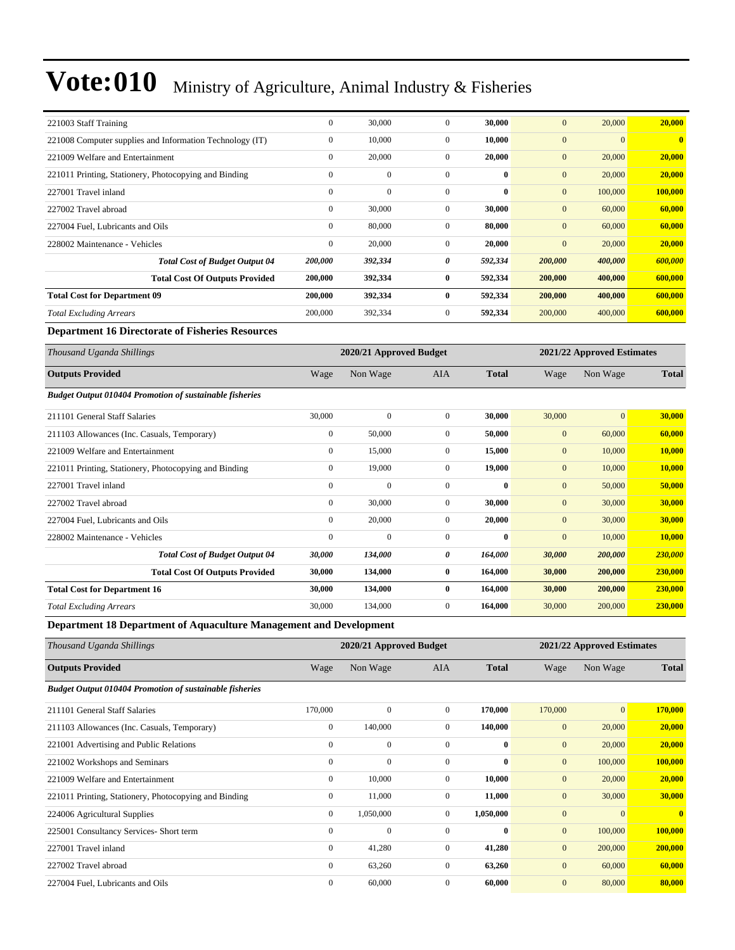| 221003 Staff Training                                          | $\overline{0}$                                        | 30,000       | $\mathbf{0}$     | 30.000       | $\overline{0}$ | 20,000         | 20,000                  |
|----------------------------------------------------------------|-------------------------------------------------------|--------------|------------------|--------------|----------------|----------------|-------------------------|
| 221008 Computer supplies and Information Technology (IT)       | $\mathbf{0}$                                          | 10,000       | $\mathbf{0}$     | 10,000       | $\mathbf{0}$   | $\overline{0}$ | $\overline{\mathbf{0}}$ |
| 221009 Welfare and Entertainment                               | $\mathbf{0}$                                          | 20,000       | $\mathbf{0}$     | 20,000       | $\overline{0}$ | 20,000         | 20,000                  |
| 221011 Printing, Stationery, Photocopying and Binding          | $\mathbf{0}$                                          | $\mathbf{0}$ | $\overline{0}$   | $\mathbf{0}$ | $\mathbf{0}$   | 20,000         | 20,000                  |
| 227001 Travel inland                                           | $\mathbf{0}$                                          | $\mathbf{0}$ | $\mathbf{0}$     | $\mathbf{0}$ | $\overline{0}$ | 100,000        | 100,000                 |
| 227002 Travel abroad                                           | $\mathbf{0}$                                          | 30,000       | $\boldsymbol{0}$ | 30,000       | $\mathbf{0}$   | 60,000         | 60,000                  |
| 227004 Fuel, Lubricants and Oils                               | $\boldsymbol{0}$                                      | 80,000       | $\boldsymbol{0}$ | 80,000       | $\mathbf{0}$   | 60,000         | 60,000                  |
| 228002 Maintenance - Vehicles                                  | $\boldsymbol{0}$                                      | 20,000       | $\mathbf{0}$     | 20,000       | $\mathbf{0}$   | 20,000         | 20,000                  |
| <b>Total Cost of Budget Output 04</b>                          | 200,000                                               | 392,334      | 0                | 592,334      | 200,000        | 400,000        | 600,000                 |
| <b>Total Cost Of Outputs Provided</b>                          | 200,000                                               | 392,334      | $\bf{0}$         | 592,334      | 200,000        | 400,000        | 600,000                 |
| <b>Total Cost for Department 09</b>                            | 200,000                                               | 392,334      | $\bf{0}$         | 592,334      | 200,000        | 400,000        | 600,000                 |
| <b>Total Excluding Arrears</b>                                 | 200,000                                               | 392,334      | $\mathbf{0}$     | 592,334      | 200,000        | 400,000        | 600,000                 |
| <b>Department 16 Directorate of Fisheries Resources</b>        |                                                       |              |                  |              |                |                |                         |
| Thousand Uganda Shillings                                      | 2020/21 Approved Budget<br>2021/22 Approved Estimates |              |                  |              |                |                |                         |
|                                                                |                                                       |              |                  |              |                |                |                         |
| <b>Outputs Provided</b>                                        | Wage                                                  | Non Wage     | <b>AIA</b>       | <b>Total</b> | Wage           | Non Wage       | <b>Total</b>            |
| <b>Budget Output 010404 Promotion of sustainable fisheries</b> |                                                       |              |                  |              |                |                |                         |
| 211101 General Staff Salaries                                  | 30,000                                                | $\mathbf{0}$ | $\boldsymbol{0}$ | 30,000       | 30,000         | $\overline{0}$ | 30,000                  |
| 211103 Allowances (Inc. Casuals, Temporary)                    | $\boldsymbol{0}$                                      | 50,000       | $\boldsymbol{0}$ | 50,000       | $\mathbf{0}$   | 60,000         | 60,000                  |
| 221009 Welfare and Entertainment                               | $\boldsymbol{0}$                                      | 15,000       | $\boldsymbol{0}$ | 15,000       | $\mathbf{0}$   | 10,000         | 10,000                  |
| 221011 Printing, Stationery, Photocopying and Binding          | $\mathbf{0}$                                          | 19,000       | $\mathbf{0}$     | 19,000       | $\mathbf{0}$   | 10,000         | <b>10,000</b>           |
| 227001 Travel inland                                           | $\mathbf{0}$                                          | $\Omega$     | $\overline{0}$   | $\mathbf{0}$ | $\overline{0}$ | 50,000         | 50,000                  |
| 227002 Travel abroad                                           | $\mathbf{0}$                                          | 30,000       | $\mathbf{0}$     | 30,000       | $\mathbf{0}$   | 30,000         | 30,000                  |
| 227004 Fuel. Lubricants and Oils                               | $\mathbf{0}$                                          | 20,000       | $\mathbf{0}$     | 20,000       | $\mathbf{0}$   | 30,000         | 30,000                  |
| 228002 Maintenance - Vehicles                                  | $\Omega$                                              | $\Omega$     | $\overline{0}$   | $\mathbf{0}$ | $\overline{0}$ | 10,000         | 10,000                  |
| <b>Total Cost of Budget Output 04</b>                          | 30,000                                                | 134,000      | 0                | 164,000      | 30,000         | 200,000        | 230,000                 |
| <b>Total Cost Of Outputs Provided</b>                          | 30,000                                                | 134,000      | $\bf{0}$         | 164,000      | 30,000         | 200,000        | 230,000                 |
| <b>Total Cost for Department 16</b>                            | 30,000                                                | 134,000      | $\bf{0}$         | 164,000      | 30,000         | 200,000        | 230,000                 |
| <b>Total Excluding Arrears</b>                                 | 30,000                                                | 134,000      | $\mathbf{0}$     | 164,000      | 30,000         | 200,000        | 230,000                 |

**Department 18 Department of Aquaculture Management and Development**

| Thousand Uganda Shillings                                      |              | 2020/21 Approved Budget |                |              |              | 2021/22 Approved Estimates |              |  |  |
|----------------------------------------------------------------|--------------|-------------------------|----------------|--------------|--------------|----------------------------|--------------|--|--|
| <b>Outputs Provided</b>                                        | Wage         | Non Wage                | AIA            | <b>Total</b> | Wage         | Non Wage                   | <b>Total</b> |  |  |
| <b>Budget Output 010404 Promotion of sustainable fisheries</b> |              |                         |                |              |              |                            |              |  |  |
| 211101 General Staff Salaries                                  | 170,000      | $\mathbf{0}$            | $\overline{0}$ | 170,000      | 170,000      | $\overline{0}$             | 170,000      |  |  |
| 211103 Allowances (Inc. Casuals, Temporary)                    | $\mathbf{0}$ | 140,000                 | $\mathbf{0}$   | 140,000      | $\mathbf{0}$ | 20,000                     | 20,000       |  |  |
| 221001 Advertising and Public Relations                        | $\mathbf{0}$ | $\mathbf{0}$            | $\mathbf{0}$   | $\bf{0}$     | $\mathbf{0}$ | 20,000                     | 20,000       |  |  |
| 221002 Workshops and Seminars                                  | $\mathbf{0}$ | $\Omega$                | $\Omega$       | $\mathbf{0}$ | $\mathbf{0}$ | 100,000                    | 100,000      |  |  |
| 221009 Welfare and Entertainment                               | $\mathbf{0}$ | 10,000                  | $\overline{0}$ | 10,000       | $\mathbf{0}$ | 20,000                     | 20,000       |  |  |
| 221011 Printing, Stationery, Photocopying and Binding          | $\mathbf{0}$ | 11,000                  | $\overline{0}$ | 11,000       | $\mathbf{0}$ | 30,000                     | 30,000       |  |  |
| 224006 Agricultural Supplies                                   | $\mathbf{0}$ | 1,050,000               | $\overline{0}$ | 1,050,000    | $\mathbf{0}$ | $\mathbf{0}$               | $\mathbf{0}$ |  |  |
| 225001 Consultancy Services- Short term                        | $\mathbf{0}$ | $\mathbf{0}$            | $\mathbf{0}$   | $\bf{0}$     | $\mathbf{0}$ | 100,000                    | 100,000      |  |  |
| 227001 Travel inland                                           | $\mathbf{0}$ | 41,280                  | $\overline{0}$ | 41,280       | $\mathbf{0}$ | 200,000                    | 200,000      |  |  |
| 227002 Travel abroad                                           | $\mathbf{0}$ | 63,260                  | $\overline{0}$ | 63,260       | $\mathbf{0}$ | 60,000                     | 60,000       |  |  |
| 227004 Fuel, Lubricants and Oils                               | $\mathbf{0}$ | 60,000                  | $\mathbf{0}$   | 60,000       | $\mathbf{0}$ | 80,000                     | 80,000       |  |  |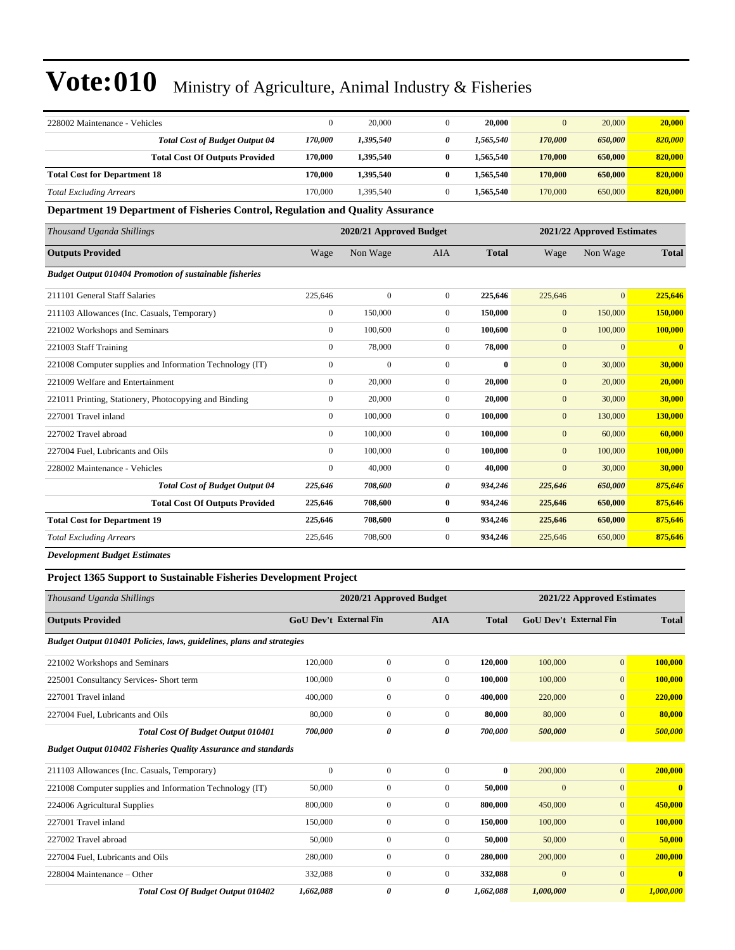| 228002 Maintenance - Vehicles                                                   | $\mathbf{0}$            | 20,000       | $\mathbf{0}$     | 20,000       | $\overline{0}$             | 20,000         | 20,000                  |
|---------------------------------------------------------------------------------|-------------------------|--------------|------------------|--------------|----------------------------|----------------|-------------------------|
| <b>Total Cost of Budget Output 04</b>                                           | 170,000                 | 1,395,540    | 0                | 1,565,540    | 170,000                    | 650,000        | 820,000                 |
| <b>Total Cost Of Outputs Provided</b>                                           | 170,000                 | 1,395,540    | $\bf{0}$         | 1,565,540    | 170,000                    | 650,000        | 820,000                 |
| <b>Total Cost for Department 18</b>                                             | 170,000                 | 1,395,540    | $\bf{0}$         | 1,565,540    | 170,000                    | 650,000        | 820,000                 |
| <b>Total Excluding Arrears</b>                                                  | 170,000                 | 1,395,540    | $\overline{0}$   | 1,565,540    | 170,000                    | 650,000        | 820,000                 |
| Department 19 Department of Fisheries Control, Regulation and Quality Assurance |                         |              |                  |              |                            |                |                         |
| Thousand Uganda Shillings                                                       | 2020/21 Approved Budget |              |                  |              | 2021/22 Approved Estimates |                |                         |
| <b>Outputs Provided</b>                                                         | Wage                    | Non Wage     | <b>AIA</b>       | <b>Total</b> | Wage                       | Non Wage       | <b>Total</b>            |
| <b>Budget Output 010404 Promotion of sustainable fisheries</b>                  |                         |              |                  |              |                            |                |                         |
| 211101 General Staff Salaries                                                   | 225,646                 | $\mathbf{0}$ | $\mathbf{0}$     | 225,646      | 225,646                    | $\overline{0}$ | 225,646                 |
| 211103 Allowances (Inc. Casuals, Temporary)                                     | $\overline{0}$          | 150,000      | $\mathbf{0}$     | 150,000      | $\mathbf{0}$               | 150,000        | 150,000                 |
| 221002 Workshops and Seminars                                                   | $\mathbf{0}$            | 100,600      | $\mathbf{0}$     | 100,600      | $\overline{0}$             | 100,000        | 100,000                 |
| 221003 Staff Training                                                           | $\mathbf{0}$            | 78,000       | $\mathbf{0}$     | 78,000       | $\mathbf{0}$               | $\overline{0}$ | $\overline{\mathbf{0}}$ |
| 221008 Computer supplies and Information Technology (IT)                        | $\boldsymbol{0}$        | $\mathbf{0}$ | $\mathbf{0}$     | $\bf{0}$     | $\mathbf{0}$               | 30,000         | 30,000                  |
| 221009 Welfare and Entertainment                                                | $\mathbf{0}$            | 20,000       | $\mathbf{0}$     | 20,000       | $\mathbf{0}$               | 20,000         | 20,000                  |
| 221011 Printing, Stationery, Photocopying and Binding                           | $\boldsymbol{0}$        | 20,000       | $\mathbf{0}$     | 20,000       | $\mathbf{0}$               | 30,000         | 30,000                  |
| 227001 Travel inland                                                            | $\mathbf{0}$            | 100,000      | $\mathbf{0}$     | 100,000      | $\mathbf{0}$               | 130,000        | 130,000                 |
| 227002 Travel abroad                                                            | $\mathbf{0}$            | 100,000      | $\overline{0}$   | 100,000      | $\mathbf{0}$               | 60,000         | 60,000                  |
| 227004 Fuel, Lubricants and Oils                                                | $\mathbf{0}$            | 100,000      | $\mathbf{0}$     | 100,000      | $\mathbf{0}$               | 100,000        | 100,000                 |
| 228002 Maintenance - Vehicles                                                   | $\overline{0}$          | 40,000       | $\boldsymbol{0}$ | 40,000       | $\overline{0}$             | 30,000         | 30,000                  |
| <b>Total Cost of Budget Output 04</b>                                           | 225,646                 | 708,600      | 0                | 934,246      | 225,646                    | 650,000        | 875,646                 |
| <b>Total Cost Of Outputs Provided</b>                                           | 225,646                 | 708,600      | $\bf{0}$         | 934,246      | 225,646                    | 650,000        | 875,646                 |
| <b>Total Cost for Department 19</b>                                             | 225,646                 | 708,600      | $\bf{0}$         | 934,246      | 225,646                    | 650,000        | 875,646                 |
| <b>Total Excluding Arrears</b>                                                  | 225,646                 | 708,600      | $\mathbf{0}$     | 934,246      | 225,646                    | 650,000        | 875,646                 |
|                                                                                 |                         |              |                  |              |                            |                |                         |

*Development Budget Estimates*

### **Project 1365 Support to Sustainable Fisheries Development Project**

| Thousand Uganda Shillings                                             | 2020/21 Approved Budget       |                  |                |              | 2021/22 Approved Estimates    |                       |              |  |
|-----------------------------------------------------------------------|-------------------------------|------------------|----------------|--------------|-------------------------------|-----------------------|--------------|--|
| <b>Outputs Provided</b>                                               | <b>GoU Dev't External Fin</b> |                  | <b>AIA</b>     | <b>Total</b> | <b>GoU</b> Dev't External Fin |                       | <b>Total</b> |  |
| Budget Output 010401 Policies, laws, guidelines, plans and strategies |                               |                  |                |              |                               |                       |              |  |
| 221002 Workshops and Seminars                                         | 120,000                       | $\overline{0}$   | $\overline{0}$ | 120,000      | 100,000                       | $\mathbf{0}$          | 100,000      |  |
| 225001 Consultancy Services- Short term                               | 100,000                       | $\boldsymbol{0}$ | $\mathbf{0}$   | 100,000      | 100,000                       | $\overline{0}$        | 100,000      |  |
| 227001 Travel inland                                                  | 400,000                       | 0                | $\mathbf{0}$   | 400,000      | 220,000                       | $\mathbf{0}$          | 220,000      |  |
| 227004 Fuel, Lubricants and Oils                                      | 80,000                        | 0                | $\overline{0}$ | 80,000       | 80,000                        | $\overline{0}$        | 80,000       |  |
| Total Cost Of Budget Output 010401                                    | 700,000                       | 0                | 0              | 700,000      | 500,000                       | $\boldsymbol{\theta}$ | 500,000      |  |
| <b>Budget Output 010402 Fisheries Quality Assurance and standards</b> |                               |                  |                |              |                               |                       |              |  |
| 211103 Allowances (Inc. Casuals, Temporary)                           | $\mathbf{0}$                  | $\overline{0}$   | $\mathbf{0}$   | $\bf{0}$     | 200,000                       | $\overline{0}$        | 200,000      |  |
| 221008 Computer supplies and Information Technology (IT)              | 50,000                        | 0                | $\mathbf{0}$   | 50,000       | $\boldsymbol{0}$              | $\mathbf{0}$          | $\bf{0}$     |  |
| 224006 Agricultural Supplies                                          | 800,000                       | 0                | $\overline{0}$ | 800,000      | 450,000                       | $\mathbf{0}$          | 450,000      |  |
| 227001 Travel inland                                                  | 150,000                       | 0                | $\overline{0}$ | 150,000      | 100,000                       | $\mathbf{0}$          | 100,000      |  |
| 227002 Travel abroad                                                  | 50,000                        | $\mathbf{0}$     | $\overline{0}$ | 50,000       | 50,000                        | $\mathbf{0}$          | 50,000       |  |
| 227004 Fuel, Lubricants and Oils                                      | 280,000                       | $\mathbf{0}$     | $\overline{0}$ | 280,000      | 200,000                       | $\mathbf{0}$          | 200,000      |  |
| 228004 Maintenance – Other                                            | 332,088                       | $\boldsymbol{0}$ | $\mathbf{0}$   | 332,088      | $\mathbf{0}$                  | $\overline{0}$        | $\mathbf{0}$ |  |
| Total Cost Of Budget Output 010402                                    | 1,662,088                     | 0                | 0              | 1,662,088    | 1,000,000                     | $\boldsymbol{\theta}$ | 1,000,000    |  |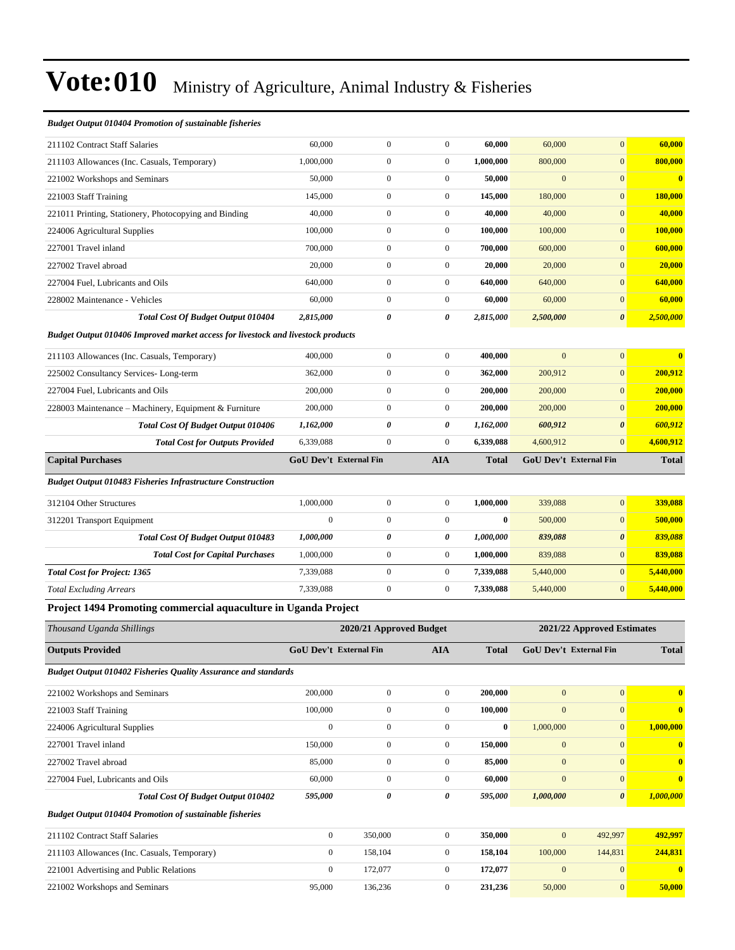#### *Budget Output 010404 Promotion of sustainable fisheries*

| 211102 Contract Staff Salaries                                                   | 60,000                        | $\boldsymbol{0}$        | $\boldsymbol{0}$ | 60,000       | 60,000       | $\mathbf{0}$               | 60,000       |
|----------------------------------------------------------------------------------|-------------------------------|-------------------------|------------------|--------------|--------------|----------------------------|--------------|
| 211103 Allowances (Inc. Casuals, Temporary)                                      | 1,000,000                     | $\boldsymbol{0}$        | $\boldsymbol{0}$ | 1,000,000    | 800,000      | $\mathbf{0}$               | 800,000      |
| 221002 Workshops and Seminars                                                    | 50,000                        | $\boldsymbol{0}$        | $\boldsymbol{0}$ | 50,000       | $\mathbf{0}$ | $\mathbf{0}$               | $\bf{0}$     |
| 221003 Staff Training                                                            | 145,000                       | $\boldsymbol{0}$        | $\boldsymbol{0}$ | 145,000      | 180,000      | $\mathbf{0}$               | 180,000      |
| 221011 Printing, Stationery, Photocopying and Binding                            | 40,000                        | $\boldsymbol{0}$        | $\boldsymbol{0}$ | 40,000       | 40,000       | $\overline{0}$             | 40,000       |
| 224006 Agricultural Supplies                                                     | 100,000                       | $\boldsymbol{0}$        | $\boldsymbol{0}$ | 100,000      | 100,000      | $\mathbf{0}$               | 100,000      |
| 227001 Travel inland                                                             | 700,000                       | $\boldsymbol{0}$        | $\boldsymbol{0}$ | 700,000      | 600,000      | $\mathbf{0}$               | 600,000      |
| 227002 Travel abroad                                                             | 20,000                        | $\boldsymbol{0}$        | $\boldsymbol{0}$ | 20,000       | 20,000       | $\mathbf{0}$               | 20,000       |
| 227004 Fuel, Lubricants and Oils                                                 | 640,000                       | $\boldsymbol{0}$        | $\boldsymbol{0}$ | 640,000      | 640,000      | $\mathbf{0}$               | 640,000      |
| 228002 Maintenance - Vehicles                                                    | 60,000                        | $\boldsymbol{0}$        | $\boldsymbol{0}$ | 60,000       | 60,000       | $\mathbf{0}$               | 60,000       |
| Total Cost Of Budget Output 010404                                               | 2,815,000                     | 0                       | 0                | 2,815,000    | 2,500,000    | $\boldsymbol{\theta}$      | 2,500,000    |
| Budget Output 010406 Improved market access for livestock and livestock products |                               |                         |                  |              |              |                            |              |
| 211103 Allowances (Inc. Casuals, Temporary)                                      | 400,000                       | $\boldsymbol{0}$        | $\boldsymbol{0}$ | 400,000      | $\mathbf{0}$ | $\mathbf{0}$               | $\bf{0}$     |
| 225002 Consultancy Services-Long-term                                            | 362,000                       | $\boldsymbol{0}$        | $\boldsymbol{0}$ | 362,000      | 200,912      | $\mathbf{0}$               | 200.912      |
| 227004 Fuel, Lubricants and Oils                                                 | 200,000                       | $\mathbf{0}$            | $\boldsymbol{0}$ | 200,000      | 200,000      | $\boldsymbol{0}$           | 200,000      |
| 228003 Maintenance – Machinery, Equipment & Furniture                            | 200,000                       | $\boldsymbol{0}$        | $\boldsymbol{0}$ | 200,000      | 200,000      | $\mathbf{0}$               | 200,000      |
| <b>Total Cost Of Budget Output 010406</b>                                        | 1,162,000                     | 0                       | 0                | 1,162,000    | 600,912      | $\boldsymbol{\theta}$      | 600,912      |
| <b>Total Cost for Outputs Provided</b>                                           | 6,339,088                     | $\boldsymbol{0}$        | $\boldsymbol{0}$ | 6,339,088    | 4,600,912    | $\overline{0}$             | 4,600,912    |
| <b>Capital Purchases</b>                                                         | <b>GoU Dev't External Fin</b> |                         | <b>AIA</b>       | <b>Total</b> |              | GoU Dev't External Fin     | <b>Total</b> |
| <b>Budget Output 010483 Fisheries Infrastructure Construction</b>                |                               |                         |                  |              |              |                            |              |
| 312104 Other Structures                                                          | 1,000,000                     | $\boldsymbol{0}$        | $\boldsymbol{0}$ | 1,000,000    | 339,088      | $\overline{0}$             | 339,088      |
| 312201 Transport Equipment                                                       | $\mathbf{0}$                  | $\boldsymbol{0}$        | $\boldsymbol{0}$ | $\bf{0}$     | 500,000      | $\mathbf{0}$               | 500,000      |
| <b>Total Cost Of Budget Output 010483</b>                                        | 1,000,000                     | 0                       | 0                | 1,000,000    | 839,088      | $\boldsymbol{\theta}$      | 839,088      |
| <b>Total Cost for Capital Purchases</b>                                          | 1,000,000                     | $\boldsymbol{0}$        | $\boldsymbol{0}$ | 1,000,000    | 839,088      | $\mathbf{0}$               | 839,088      |
| <b>Total Cost for Project: 1365</b>                                              | 7,339,088                     | $\boldsymbol{0}$        | $\boldsymbol{0}$ | 7,339,088    | 5,440,000    | $\mathbf{0}$               | 5,440,000    |
| <b>Total Excluding Arrears</b>                                                   | 7,339,088                     | $\boldsymbol{0}$        | $\boldsymbol{0}$ | 7,339,088    | 5,440,000    | $\mathbf{0}$               | 5,440,000    |
| Project 1494 Promoting commercial aquaculture in Uganda Project                  |                               |                         |                  |              |              |                            |              |
| Thousand Uganda Shillings                                                        |                               | 2020/21 Approved Budget |                  |              |              | 2021/22 Approved Estimates |              |
| <b>Outputs Provided</b>                                                          | <b>GoU Dev't External Fin</b> |                         | AIA              | <b>Total</b> |              | GoU Dev't External Fin     | <b>Total</b> |
| <b>Budget Output 010402 Fisheries Quality Assurance and standards</b>            |                               |                         |                  |              |              |                            |              |
| 221002 Workshops and Seminars                                                    | 200,000                       | $\boldsymbol{0}$        | $\boldsymbol{0}$ | 200,000      | $\mathbf{0}$ | $\mathbf{0}$               | $\bf{0}$     |
| 221003 Staff Training                                                            | 100,000                       | $\overline{0}$          | $\boldsymbol{0}$ | 100,000      | $\mathbf{0}$ | $\overline{0}$             | $\bf{0}$     |
| 224006 Agricultural Supplies                                                     | $\mathbf{0}$                  | $\boldsymbol{0}$        | $\boldsymbol{0}$ | $\bf{0}$     | 1,000,000    | $\overline{0}$             | 1,000,000    |
| 227001 Travel inland                                                             | 150,000                       | $\boldsymbol{0}$        | $\boldsymbol{0}$ | 150,000      | $\mathbf{0}$ | $\overline{0}$             | $\mathbf{0}$ |
| 227002 Travel abroad                                                             | 85,000                        | $\boldsymbol{0}$        | $\boldsymbol{0}$ | 85,000       | $\mathbf{0}$ | $\mathbf{0}$               | $\bf{0}$     |
| 227004 Fuel, Lubricants and Oils                                                 | 60,000                        | $\boldsymbol{0}$        | $\boldsymbol{0}$ | 60,000       | $\mathbf{0}$ | $\overline{0}$             | $\bf{0}$     |
| <b>Total Cost Of Budget Output 010402</b>                                        | 595,000                       | 0                       | 0                | 595,000      | 1,000,000    | $\boldsymbol{\theta}$      | 1,000,000    |
| <b>Budget Output 010404 Promotion of sustainable fisheries</b>                   |                               |                         |                  |              |              |                            |              |
| 211102 Contract Staff Salaries                                                   | $\mathbf{0}$                  | 350,000                 | $\boldsymbol{0}$ | 350,000      | $\mathbf{0}$ | 492,997                    | 492,997      |
| 211103 Allowances (Inc. Casuals, Temporary)                                      | $\mathbf{0}$                  | 158,104                 | $\boldsymbol{0}$ | 158,104      | 100,000      | 144,831                    | 244,831      |
| 221001 Advertising and Public Relations                                          | $\mathbf{0}$                  | 172,077                 | $\boldsymbol{0}$ | 172,077      | $\mathbf{0}$ | $\overline{0}$             | $\bf{0}$     |
| 221002 Workshops and Seminars                                                    | 95,000                        | 136,236                 | $\boldsymbol{0}$ | 231,236      | 50,000       | $\mathbf{0}$               | 50,000       |
|                                                                                  |                               |                         |                  |              |              |                            |              |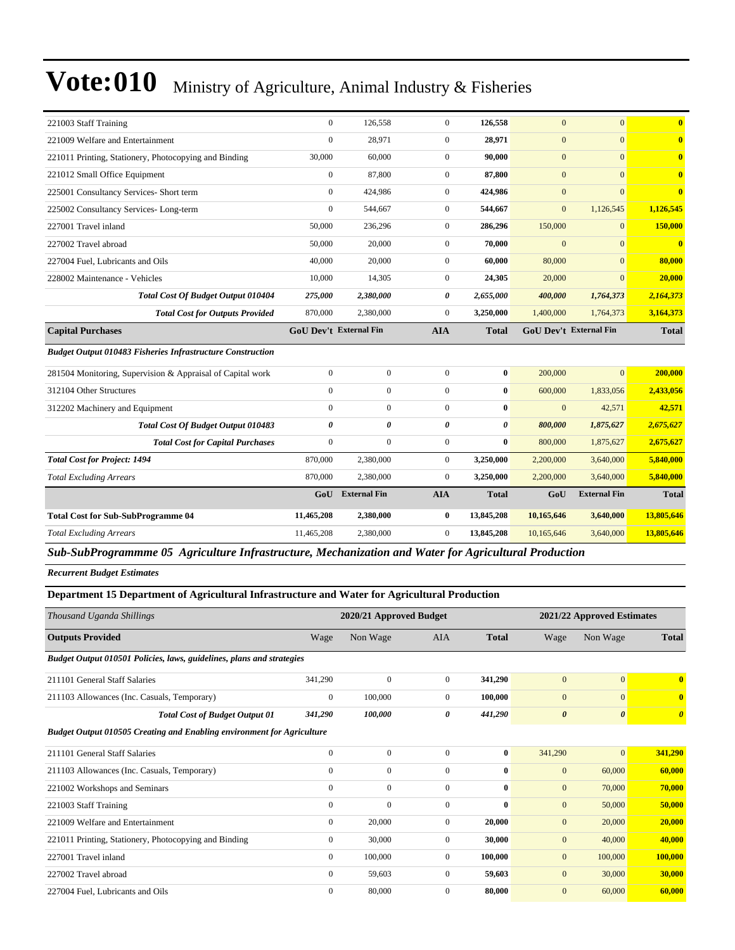| $\Omega$<br>$\Omega$<br>$\mathbf{0}$<br>$\Omega$<br>221009 Welfare and Entertainment<br>28,971<br>28,971<br>30,000<br>$\overline{0}$<br>$\mathbf{0}$<br>$\Omega$<br>221011 Printing, Stationery, Photocopying and Binding<br>60,000<br>90,000<br>$\mathbf{0}$<br>$\overline{0}$<br>$\mathbf{0}$<br>$\Omega$<br>87,800<br>87,800<br>221012 Small Office Equipment<br>$\Omega$<br>$\overline{0}$<br>$\mathbf{0}$<br>$\Omega$<br>225001 Consultancy Services- Short term<br>424,986<br>424,986<br>$\Omega$<br>$\Omega$<br>$\mathbf{0}$<br>1,126,545<br>225002 Consultancy Services-Long-term<br>544,667<br>544,667<br>1,126,545<br>227001 Travel inland<br>50,000<br>$\Omega$<br>150,000<br>$\overline{0}$<br>236,296<br>286,296<br>$\Omega$<br>$\mathbf{0}$<br>$\Omega$<br>227002 Travel abroad<br>50,000<br>70.000<br>20,000<br>$\overline{0}$<br>40,000<br>$\overline{0}$<br>60,000<br>80,000<br>227004 Fuel, Lubricants and Oils<br>20,000<br>$\overline{0}$<br>228002 Maintenance - Vehicles<br>10,000<br>$\overline{0}$<br>20,000<br>14,305<br>24,305<br><b>Total Cost Of Budget Output 010404</b><br>275,000<br>2,380,000<br>0<br>2,655,000<br>400,000<br>1,764,373<br>2,164,373<br>870,000<br>2,380,000<br>$\Omega$<br>3,250,000<br>3,164,373<br><b>Total Cost for Outputs Provided</b><br>1,400,000<br>1,764,373<br><b>Capital Purchases</b><br><b>GoU Dev't External Fin</b><br><b>AIA</b><br><b>Total</b><br><b>GoU Dev't External Fin</b> | $\overline{0}$          |
|----------------------------------------------------------------------------------------------------------------------------------------------------------------------------------------------------------------------------------------------------------------------------------------------------------------------------------------------------------------------------------------------------------------------------------------------------------------------------------------------------------------------------------------------------------------------------------------------------------------------------------------------------------------------------------------------------------------------------------------------------------------------------------------------------------------------------------------------------------------------------------------------------------------------------------------------------------------------------------------------------------------------------------------------------------------------------------------------------------------------------------------------------------------------------------------------------------------------------------------------------------------------------------------------------------------------------------------------------------------------------------------------------------------------------------------------------|-------------------------|
|                                                                                                                                                                                                                                                                                                                                                                                                                                                                                                                                                                                                                                                                                                                                                                                                                                                                                                                                                                                                                                                                                                                                                                                                                                                                                                                                                                                                                                                    |                         |
|                                                                                                                                                                                                                                                                                                                                                                                                                                                                                                                                                                                                                                                                                                                                                                                                                                                                                                                                                                                                                                                                                                                                                                                                                                                                                                                                                                                                                                                    | $\overline{0}$          |
|                                                                                                                                                                                                                                                                                                                                                                                                                                                                                                                                                                                                                                                                                                                                                                                                                                                                                                                                                                                                                                                                                                                                                                                                                                                                                                                                                                                                                                                    | $\bf{0}$                |
|                                                                                                                                                                                                                                                                                                                                                                                                                                                                                                                                                                                                                                                                                                                                                                                                                                                                                                                                                                                                                                                                                                                                                                                                                                                                                                                                                                                                                                                    | $\overline{0}$          |
|                                                                                                                                                                                                                                                                                                                                                                                                                                                                                                                                                                                                                                                                                                                                                                                                                                                                                                                                                                                                                                                                                                                                                                                                                                                                                                                                                                                                                                                    |                         |
|                                                                                                                                                                                                                                                                                                                                                                                                                                                                                                                                                                                                                                                                                                                                                                                                                                                                                                                                                                                                                                                                                                                                                                                                                                                                                                                                                                                                                                                    | 150,000                 |
|                                                                                                                                                                                                                                                                                                                                                                                                                                                                                                                                                                                                                                                                                                                                                                                                                                                                                                                                                                                                                                                                                                                                                                                                                                                                                                                                                                                                                                                    | $\overline{\mathbf{0}}$ |
|                                                                                                                                                                                                                                                                                                                                                                                                                                                                                                                                                                                                                                                                                                                                                                                                                                                                                                                                                                                                                                                                                                                                                                                                                                                                                                                                                                                                                                                    | 80,000                  |
|                                                                                                                                                                                                                                                                                                                                                                                                                                                                                                                                                                                                                                                                                                                                                                                                                                                                                                                                                                                                                                                                                                                                                                                                                                                                                                                                                                                                                                                    | 20,000                  |
|                                                                                                                                                                                                                                                                                                                                                                                                                                                                                                                                                                                                                                                                                                                                                                                                                                                                                                                                                                                                                                                                                                                                                                                                                                                                                                                                                                                                                                                    |                         |
|                                                                                                                                                                                                                                                                                                                                                                                                                                                                                                                                                                                                                                                                                                                                                                                                                                                                                                                                                                                                                                                                                                                                                                                                                                                                                                                                                                                                                                                    |                         |
|                                                                                                                                                                                                                                                                                                                                                                                                                                                                                                                                                                                                                                                                                                                                                                                                                                                                                                                                                                                                                                                                                                                                                                                                                                                                                                                                                                                                                                                    | <b>Total</b>            |
| <b>Budget Output 010483 Fisheries Infrastructure Construction</b>                                                                                                                                                                                                                                                                                                                                                                                                                                                                                                                                                                                                                                                                                                                                                                                                                                                                                                                                                                                                                                                                                                                                                                                                                                                                                                                                                                                  |                         |
| $\boldsymbol{0}$<br>$\boldsymbol{0}$<br>$\overline{0}$<br>$\overline{0}$<br>$\bf{0}$<br>200,000<br>281504 Monitoring, Supervision & Appraisal of Capital work                                                                                                                                                                                                                                                                                                                                                                                                                                                                                                                                                                                                                                                                                                                                                                                                                                                                                                                                                                                                                                                                                                                                                                                                                                                                                      | 200,000                 |
| $\mathbf{0}$<br>$\overline{0}$<br>$\overline{0}$<br>$\bf{0}$<br>600,000<br>1,833,056<br>2,433,056<br>312104 Other Structures                                                                                                                                                                                                                                                                                                                                                                                                                                                                                                                                                                                                                                                                                                                                                                                                                                                                                                                                                                                                                                                                                                                                                                                                                                                                                                                       |                         |
| $\overline{0}$<br>$\mathbf{0}$<br>$\overline{0}$<br>$\bf{0}$<br>$\mathbf{0}$<br>42,571<br>312202 Machinery and Equipment                                                                                                                                                                                                                                                                                                                                                                                                                                                                                                                                                                                                                                                                                                                                                                                                                                                                                                                                                                                                                                                                                                                                                                                                                                                                                                                           | 42,571                  |
| $\boldsymbol{\theta}$<br>$\theta$<br>$\theta$<br><b>Total Cost Of Budget Output 010483</b><br>$\theta$<br>2,675,627<br>800,000<br>1,875,627                                                                                                                                                                                                                                                                                                                                                                                                                                                                                                                                                                                                                                                                                                                                                                                                                                                                                                                                                                                                                                                                                                                                                                                                                                                                                                        |                         |
| $\boldsymbol{0}$<br>$\overline{0}$<br>$\overline{0}$<br>$\bf{0}$<br>2,675,627<br><b>Total Cost for Capital Purchases</b><br>800,000<br>1,875,627                                                                                                                                                                                                                                                                                                                                                                                                                                                                                                                                                                                                                                                                                                                                                                                                                                                                                                                                                                                                                                                                                                                                                                                                                                                                                                   |                         |
| 870,000<br>2,380,000<br>$\overline{0}$<br>3,250,000<br>5,840,000<br><b>Total Cost for Project: 1494</b><br>2,200,000<br>3,640,000                                                                                                                                                                                                                                                                                                                                                                                                                                                                                                                                                                                                                                                                                                                                                                                                                                                                                                                                                                                                                                                                                                                                                                                                                                                                                                                  |                         |
| $\overline{0}$<br>5,840,000<br>870,000<br>2,380,000<br>3,250,000<br>2,200,000<br>3,640,000<br><b>Total Excluding Arrears</b>                                                                                                                                                                                                                                                                                                                                                                                                                                                                                                                                                                                                                                                                                                                                                                                                                                                                                                                                                                                                                                                                                                                                                                                                                                                                                                                       |                         |
| <b>External Fin</b><br><b>AIA</b><br><b>External Fin</b><br>GoU<br><b>Total</b><br>GoU                                                                                                                                                                                                                                                                                                                                                                                                                                                                                                                                                                                                                                                                                                                                                                                                                                                                                                                                                                                                                                                                                                                                                                                                                                                                                                                                                             |                         |
| 11,465,208<br>2,380,000<br>$\bf{0}$<br>13,845,208<br>13,805,646<br><b>Total Cost for Sub-SubProgramme 04</b><br>10,165,646<br>3,640,000                                                                                                                                                                                                                                                                                                                                                                                                                                                                                                                                                                                                                                                                                                                                                                                                                                                                                                                                                                                                                                                                                                                                                                                                                                                                                                            | <b>Total</b>            |
| 2,380,000<br>$\overline{0}$<br>13,845,208<br>13,805,646<br><b>Total Excluding Arrears</b><br>11,465,208<br>10,165,646<br>3,640,000                                                                                                                                                                                                                                                                                                                                                                                                                                                                                                                                                                                                                                                                                                                                                                                                                                                                                                                                                                                                                                                                                                                                                                                                                                                                                                                 |                         |

*Sub-SubProgrammme 05 Agriculture Infrastructure, Mechanization and Water for Agricultural Production*

*Recurrent Budget Estimates*

### **Department 15 Department of Agricultural Infrastructure and Water for Agricultural Production**

| Thousand Uganda Shillings                                              |                  | 2020/21 Approved Budget |              |              |                       | 2021/22 Approved Estimates |                       |
|------------------------------------------------------------------------|------------------|-------------------------|--------------|--------------|-----------------------|----------------------------|-----------------------|
| <b>Outputs Provided</b>                                                | Wage             | Non Wage                | <b>AIA</b>   | <b>Total</b> | Wage                  | Non Wage                   | <b>Total</b>          |
| Budget Output 010501 Policies, laws, guidelines, plans and strategies  |                  |                         |              |              |                       |                            |                       |
| 211101 General Staff Salaries                                          | 341,290          | $\mathbf{0}$            | $\mathbf{0}$ | 341,290      | $\mathbf{0}$          | $\mathbf{0}$               | $\bf{0}$              |
| 211103 Allowances (Inc. Casuals, Temporary)                            | $\bf{0}$         | 100,000                 | $\mathbf{0}$ | 100,000      | $\mathbf{0}$          | $\Omega$                   | $\mathbf{0}$          |
| <b>Total Cost of Budget Output 01</b>                                  | 341,290          | 100,000                 | 0            | 441,290      | $\boldsymbol{\theta}$ | $\boldsymbol{\theta}$      | $\boldsymbol{\theta}$ |
| Budget Output 010505 Creating and Enabling environment for Agriculture |                  |                         |              |              |                       |                            |                       |
| 211101 General Staff Salaries                                          | $\boldsymbol{0}$ | $\boldsymbol{0}$        | $\mathbf{0}$ | $\bf{0}$     | 341,290               | $\mathbf{0}$               | 341,290               |
| 211103 Allowances (Inc. Casuals, Temporary)                            | $\mathbf{0}$     | $\mathbf{0}$            | $\mathbf{0}$ | $\bf{0}$     | $\mathbf{0}$          | 60,000                     | 60,000                |
| 221002 Workshops and Seminars                                          | $\mathbf{0}$     | $\mathbf{0}$            | $\mathbf{0}$ | $\bf{0}$     | $\mathbf{0}$          | 70,000                     | 70,000                |
| 221003 Staff Training                                                  | $\mathbf{0}$     | $\boldsymbol{0}$        | $\mathbf{0}$ | $\bf{0}$     | $\mathbf{0}$          | 50,000                     | 50,000                |
| 221009 Welfare and Entertainment                                       | $\overline{0}$   | 20,000                  | $\mathbf{0}$ | 20,000       | $\mathbf{0}$          | 20,000                     | 20,000                |
| 221011 Printing, Stationery, Photocopying and Binding                  | $\overline{0}$   | 30,000                  | $\mathbf{0}$ | 30,000       | $\mathbf{0}$          | 40,000                     | 40,000                |
| 227001 Travel inland                                                   | $\overline{0}$   | 100,000                 | $\mathbf{0}$ | 100,000      | $\mathbf{0}$          | 100,000                    | 100,000               |
| 227002 Travel abroad                                                   | $\Omega$         | 59,603                  | $\Omega$     | 59,603       | $\mathbf{0}$          | 30,000                     | 30,000                |
| 227004 Fuel, Lubricants and Oils                                       | $\mathbf{0}$     | 80,000                  | $\Omega$     | 80,000       | $\mathbf{0}$          | 60,000                     | 60,000                |
|                                                                        |                  |                         |              |              |                       |                            |                       |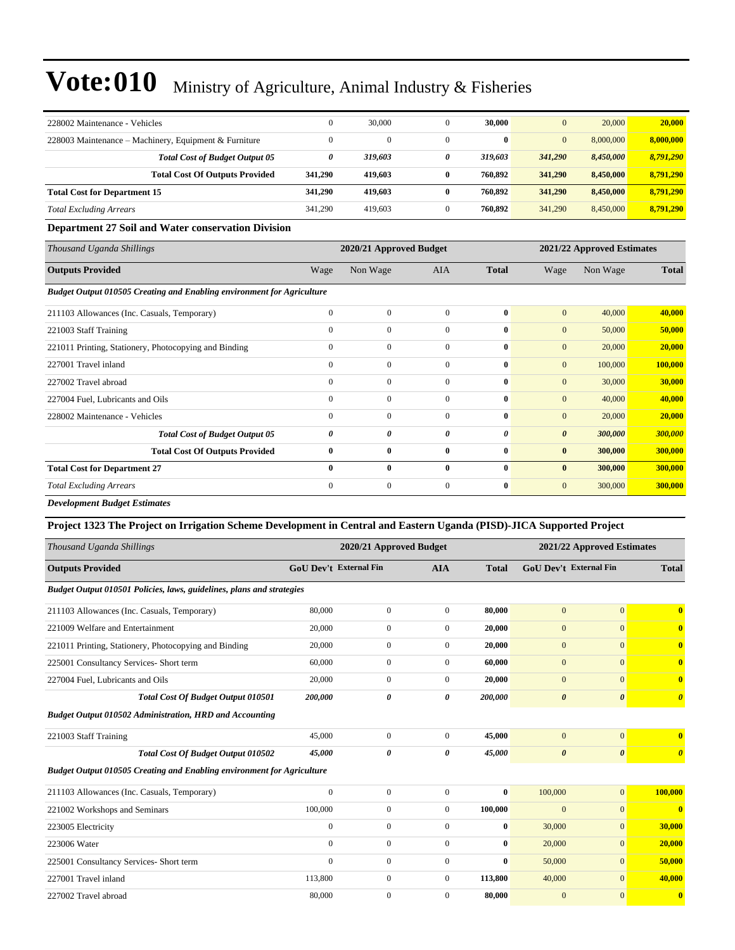| 228002 Maintenance - Vehicles                         |         | 30,000   | 30,000       | $\mathbf{0}$ | 20,000    | 20,000    |
|-------------------------------------------------------|---------|----------|--------------|--------------|-----------|-----------|
| 228003 Maintenance – Machinery, Equipment & Furniture |         | $\Omega$ | $\mathbf{0}$ | $\mathbf{0}$ | 8,000,000 | 8,000,000 |
| <b>Total Cost of Budget Output 05</b>                 | 0       | 319,603  | 319,603      | 341,290      | 8,450,000 | 8,791,290 |
| <b>Total Cost Of Outputs Provided</b>                 | 341,290 | 419.603  | 760,892      | 341,290      | 8,450,000 | 8.791.290 |
| <b>Total Cost for Department 15</b>                   | 341,290 | 419.603  | 760,892      | 341,290      | 8,450,000 | 8.791.290 |
| <b>Total Excluding Arrears</b>                        | 341,290 | 419.603  | 760,892      | 341,290      | 8.450,000 | 8.791.290 |

#### **Department 27 Soil and Water conservation Division**

| Thousand Uganda Shillings                                                     |              | 2020/21 Approved Budget |                |              | 2021/22 Approved Estimates |          |              |  |
|-------------------------------------------------------------------------------|--------------|-------------------------|----------------|--------------|----------------------------|----------|--------------|--|
| <b>Outputs Provided</b>                                                       | Wage         | Non Wage                | <b>AIA</b>     | <b>Total</b> | Wage                       | Non Wage | <b>Total</b> |  |
| <b>Budget Output 010505 Creating and Enabling environment for Agriculture</b> |              |                         |                |              |                            |          |              |  |
| 211103 Allowances (Inc. Casuals, Temporary)                                   | $\mathbf{0}$ | $\mathbf{0}$            | $\Omega$       | $\bf{0}$     | $\mathbf{0}$               | 40,000   | 40,000       |  |
| 221003 Staff Training                                                         | $\mathbf{0}$ | $\mathbf{0}$            | $\Omega$       | $\bf{0}$     | $\mathbf{0}$               | 50,000   | 50,000       |  |
| 221011 Printing, Stationery, Photocopying and Binding                         | $\mathbf{0}$ | $\mathbf{0}$            | $\Omega$       | $\bf{0}$     | $\mathbf{0}$               | 20,000   | 20,000       |  |
| 227001 Travel inland                                                          | $\mathbf{0}$ | $\mathbf{0}$            | $\overline{0}$ | $\bf{0}$     | $\mathbf{0}$               | 100,000  | 100,000      |  |
| 227002 Travel abroad                                                          | $\mathbf{0}$ | $\mathbf{0}$            | $\Omega$       | $\mathbf{0}$ | $\mathbf{0}$               | 30,000   | 30,000       |  |
| 227004 Fuel, Lubricants and Oils                                              | $\Omega$     | $\mathbf{0}$            | $\Omega$       | $\bf{0}$     | $\mathbf{0}$               | 40,000   | 40,000       |  |
| 228002 Maintenance - Vehicles                                                 | $\Omega$     | $\mathbf{0}$            | $\Omega$       | $\bf{0}$     | $\mathbf{0}$               | 20,000   | 20,000       |  |
| <b>Total Cost of Budget Output 05</b>                                         | 0            | 0                       | 0              | $\theta$     | $\boldsymbol{\theta}$      | 300,000  | 300,000      |  |
| <b>Total Cost Of Outputs Provided</b>                                         | $\bf{0}$     | $\bf{0}$                | $\bf{0}$       | $\bf{0}$     | $\bf{0}$                   | 300,000  | 300,000      |  |
| <b>Total Cost for Department 27</b>                                           | $\bf{0}$     | $\bf{0}$                | $\bf{0}$       | $\bf{0}$     | $\bf{0}$                   | 300,000  | 300,000      |  |
| <b>Total Excluding Arrears</b>                                                | $\mathbf{0}$ | $\mathbf{0}$            | $\overline{0}$ | $\bf{0}$     | $\mathbf{0}$               | 300,000  | 300,000      |  |

*Development Budget Estimates*

### **Project 1323 The Project on Irrigation Scheme Development in Central and Eastern Uganda (PISD)-JICA Supported Project**

| Thousand Uganda Shillings                                              |                                             | 2020/21 Approved Budget |                |                               | 2021/22 Approved Estimates |                       |                         |
|------------------------------------------------------------------------|---------------------------------------------|-------------------------|----------------|-------------------------------|----------------------------|-----------------------|-------------------------|
| <b>Outputs Provided</b>                                                | <b>GoU Dev't External Fin</b><br><b>AIA</b> |                         | <b>Total</b>   | <b>GoU</b> Dev't External Fin |                            | <b>Total</b>          |                         |
| Budget Output 010501 Policies, laws, guidelines, plans and strategies  |                                             |                         |                |                               |                            |                       |                         |
| 211103 Allowances (Inc. Casuals, Temporary)                            | 80,000                                      | $\overline{0}$          | $\mathbf{0}$   | 80,000                        | $\mathbf{0}$               | $\overline{0}$        | $\overline{\mathbf{0}}$ |
| 221009 Welfare and Entertainment                                       | 20,000                                      | $\boldsymbol{0}$        | $\overline{0}$ | 20,000                        | $\mathbf{0}$               | $\overline{0}$        | $\overline{\mathbf{0}}$ |
| 221011 Printing, Stationery, Photocopying and Binding                  | 20,000                                      | $\boldsymbol{0}$        | $\mathbf{0}$   | 20,000                        | $\mathbf{0}$               | $\Omega$              | $\overline{\mathbf{0}}$ |
| 225001 Consultancy Services- Short term                                | 60,000                                      | $\overline{0}$          | $\mathbf{0}$   | 60,000                        | $\mathbf{0}$               | $\overline{0}$        | $\overline{\mathbf{0}}$ |
| 227004 Fuel, Lubricants and Oils                                       | 20,000                                      | $\overline{0}$          | $\Omega$       | 20,000                        | $\mathbf{0}$               | $\Omega$              | $\overline{\mathbf{0}}$ |
| Total Cost Of Budget Output 010501                                     | 200,000                                     | $\boldsymbol{\theta}$   | 0              | 200,000                       | $\boldsymbol{\theta}$      | $\boldsymbol{\theta}$ | $\boldsymbol{\theta}$   |
| <b>Budget Output 010502 Administration, HRD and Accounting</b>         |                                             |                         |                |                               |                            |                       |                         |
| 221003 Staff Training                                                  | 45,000                                      | $\mathbf{0}$            | $\mathbf{0}$   | 45,000                        | $\mathbf{0}$               | $\overline{0}$        | $\overline{\mathbf{0}}$ |
| <b>Total Cost Of Budget Output 010502</b>                              | 45.000                                      | $\theta$                | 0              | 45,000                        | $\boldsymbol{\theta}$      | $\boldsymbol{\theta}$ | $\boldsymbol{\theta}$   |
| Budget Output 010505 Creating and Enabling environment for Agriculture |                                             |                         |                |                               |                            |                       |                         |
| 211103 Allowances (Inc. Casuals, Temporary)                            | $\boldsymbol{0}$                            | $\mathbf{0}$            | $\mathbf{0}$   | $\bf{0}$                      | 100,000                    | $\mathbf{0}$          | 100,000                 |
| 221002 Workshops and Seminars                                          | 100,000                                     | $\boldsymbol{0}$        | $\mathbf{0}$   | 100,000                       | $\mathbf{0}$               | $\overline{0}$        | $\overline{\mathbf{0}}$ |
| 223005 Electricity                                                     | $\mathbf{0}$                                | $\overline{0}$          | $\mathbf{0}$   | $\bf{0}$                      | 30,000                     | $\overline{0}$        | 30,000                  |
| 223006 Water                                                           | $\Omega$                                    | $\boldsymbol{0}$        | $\mathbf{0}$   | $\mathbf{0}$                  | 20,000                     | $\Omega$              | 20,000                  |
| 225001 Consultancy Services- Short term                                | $\Omega$                                    | $\mathbf{0}$            | $\Omega$       | $\mathbf{0}$                  | 50,000                     | $\Omega$              | 50,000                  |
| 227001 Travel inland                                                   | 113,800                                     | $\mathbf{0}$            | $\mathbf{0}$   | 113,800                       | 40,000                     | $\overline{0}$        | 40,000                  |
| 227002 Travel abroad                                                   | 80,000                                      | $\mathbf{0}$            | $\mathbf{0}$   | 80,000                        | $\overline{0}$             | $\mathbf{0}$          | $\bf{0}$                |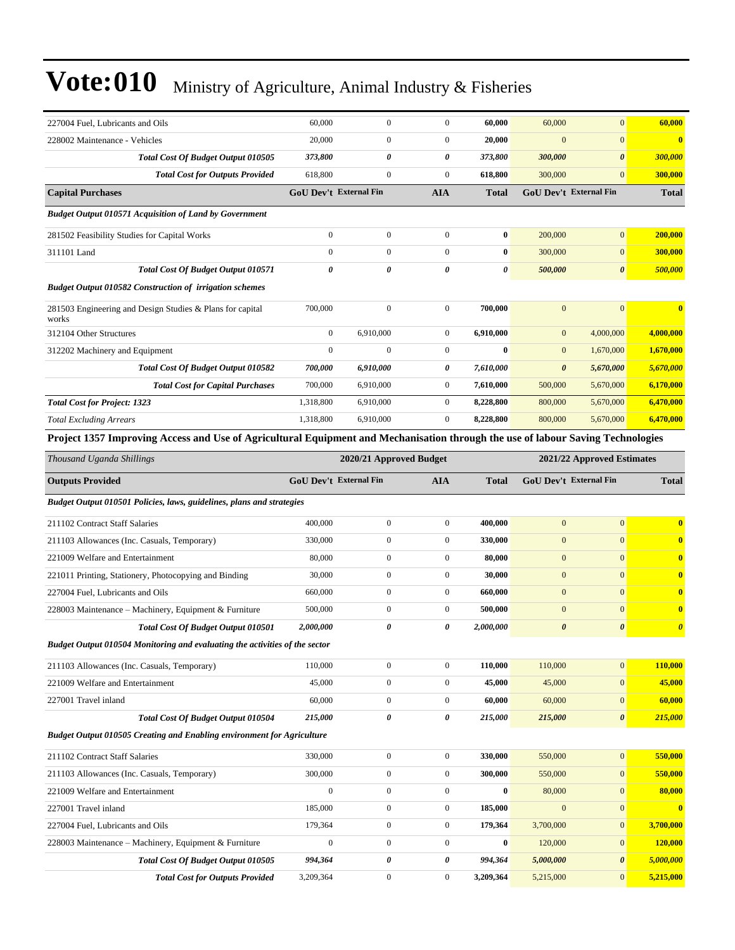| 227004 Fuel, Lubricants and Oils                                                                                                | 60,000                        | $\boldsymbol{0}$        | $\boldsymbol{0}$ | 60,000           | 60,000                     | $\mathbf{0}$                  | 60,000                  |
|---------------------------------------------------------------------------------------------------------------------------------|-------------------------------|-------------------------|------------------|------------------|----------------------------|-------------------------------|-------------------------|
| 228002 Maintenance - Vehicles                                                                                                   | 20,000                        | 0                       | $\boldsymbol{0}$ | 20,000           | $\mathbf{0}$               | $\mathbf{0}$                  | $\bf{0}$                |
| <b>Total Cost Of Budget Output 010505</b>                                                                                       | 373,800                       | 0                       | 0                | 373,800          | 300,000                    | $\boldsymbol{\theta}$         | 300,000                 |
| <b>Total Cost for Outputs Provided</b>                                                                                          | 618,800                       | 0                       | $\boldsymbol{0}$ | 618,800          | 300,000                    | $\mathbf{0}$                  | 300,000                 |
| <b>Capital Purchases</b>                                                                                                        | <b>GoU Dev't External Fin</b> |                         | AIA              | <b>Total</b>     | GoU Dev't External Fin     |                               | <b>Total</b>            |
| <b>Budget Output 010571 Acquisition of Land by Government</b>                                                                   |                               |                         |                  |                  |                            |                               |                         |
| 281502 Feasibility Studies for Capital Works                                                                                    | $\boldsymbol{0}$              | $\boldsymbol{0}$        | $\boldsymbol{0}$ | $\bf{0}$         | 200,000                    | $\mathbf{0}$                  | 200,000                 |
| 311101 Land                                                                                                                     | $\mathbf{0}$                  | 0                       | $\boldsymbol{0}$ | $\bf{0}$         | 300,000                    | $\mathbf{0}$                  | 300,000                 |
| <b>Total Cost Of Budget Output 010571</b>                                                                                       | $\pmb{\theta}$                | 0                       | 0                | 0                | 500,000                    | $\boldsymbol{\theta}$         | 500,000                 |
| <b>Budget Output 010582 Construction of irrigation schemes</b>                                                                  |                               |                         |                  |                  |                            |                               |                         |
| 281503 Engineering and Design Studies & Plans for capital<br>works                                                              | 700,000                       | $\boldsymbol{0}$        | $\boldsymbol{0}$ | 700,000          | $\mathbf{0}$               | $\mathbf{0}$                  | $\overline{\mathbf{0}}$ |
| 312104 Other Structures                                                                                                         | $\boldsymbol{0}$              | 6,910,000               | $\boldsymbol{0}$ | 6,910,000        | $\boldsymbol{0}$           | 4,000,000                     | 4,000,000               |
| 312202 Machinery and Equipment                                                                                                  | $\mathbf{0}$                  | $\mathbf{0}$            | $\boldsymbol{0}$ | $\bf{0}$         | $\mathbf{0}$               | 1,670,000                     | 1,670,000               |
| Total Cost Of Budget Output 010582                                                                                              | 700,000                       | 6,910,000               | 0                | 7,610,000        | $\boldsymbol{\theta}$      | 5,670,000                     | 5,670,000               |
| <b>Total Cost for Capital Purchases</b>                                                                                         | 700,000                       | 6,910,000               | $\boldsymbol{0}$ | 7,610,000        | 500,000                    | 5,670,000                     | 6,170,000               |
| <b>Total Cost for Project: 1323</b>                                                                                             | 1,318,800                     | 6,910,000               | $\boldsymbol{0}$ | 8,228,800        | 800,000                    | 5,670,000                     | 6,470,000               |
| <b>Total Excluding Arrears</b>                                                                                                  | 1,318,800                     | 6,910,000               | $\overline{0}$   | 8,228,800        | 800,000                    | 5,670,000                     | 6,470,000               |
| Project 1357 Improving Access and Use of Agricultural Equipment and Mechanisation through the use of labour Saving Technologies |                               |                         |                  |                  |                            |                               |                         |
| Thousand Uganda Shillings                                                                                                       |                               | 2020/21 Approved Budget |                  |                  | 2021/22 Approved Estimates |                               |                         |
| <b>Outputs Provided</b>                                                                                                         | <b>GoU Dev't External Fin</b> |                         | AIA              | <b>Total</b>     |                            | <b>GoU Dev't External Fin</b> | <b>Total</b>            |
| Budget Output 010501 Policies, laws, guidelines, plans and strategies                                                           |                               |                         |                  |                  |                            |                               |                         |
| 211102 Contract Staff Salaries                                                                                                  | 400,000                       | $\boldsymbol{0}$        | $\boldsymbol{0}$ | 400,000          | $\mathbf{0}$               | $\mathbf{0}$                  | $\bf{0}$                |
| 211103 Allowances (Inc. Casuals, Temporary)                                                                                     | 330,000                       | 0                       | $\boldsymbol{0}$ | 330,000          | $\mathbf{0}$               | $\mathbf{0}$                  | $\bf{0}$                |
| 221009 Welfare and Entertainment                                                                                                | 80,000                        | $\boldsymbol{0}$        | $\boldsymbol{0}$ | 80,000           | $\boldsymbol{0}$           | $\mathbf{0}$                  | $\bf{0}$                |
| 221011 Printing, Stationery, Photocopying and Binding                                                                           | 30,000                        | 0                       | $\boldsymbol{0}$ | 30,000           | $\boldsymbol{0}$           | $\mathbf{0}$                  | $\bf{0}$                |
| 227004 Fuel, Lubricants and Oils                                                                                                | 660,000                       | 0                       | $\boldsymbol{0}$ | 660,000          | $\mathbf{0}$               | $\mathbf{0}$                  | $\bf{0}$                |
| 228003 Maintenance – Machinery, Equipment & Furniture                                                                           | 500,000                       | $\boldsymbol{0}$        | $\boldsymbol{0}$ | 500,000          | $\boldsymbol{0}$           | $\mathbf{0}$                  | $\bf{0}$                |
| Total Cost Of Budget Output 010501                                                                                              | 2,000,000                     | 0                       | 0                | 2,000,000        | $\boldsymbol{\theta}$      | $\boldsymbol{\theta}$         | $\boldsymbol{\theta}$   |
| Budget Output 010504 Monitoring and evaluating the activities of the sector                                                     |                               |                         |                  |                  |                            |                               |                         |
| 211103 Allowances (Inc. Casuals, Temporary)                                                                                     | 110,000                       | $\boldsymbol{0}$        | $\boldsymbol{0}$ | 110,000          | 110,000                    | $\mathbf{0}$                  | 110,000                 |
| 221009 Welfare and Entertainment                                                                                                | 45,000                        | 0                       | $\boldsymbol{0}$ | 45,000           | 45,000                     | $\mathbf{0}$                  | 45,000                  |
| 227001 Travel inland                                                                                                            | 60,000                        | $\boldsymbol{0}$        | $\boldsymbol{0}$ | 60,000           | 60,000                     | $\mathbf{0}$                  | 60,000                  |
| <b>Total Cost Of Budget Output 010504</b>                                                                                       | 215,000                       | $\pmb{\theta}$          | 0                | 215,000          | 215,000                    | $\boldsymbol{\theta}$         | 215,000                 |
| <b>Budget Output 010505 Creating and Enabling environment for Agriculture</b>                                                   |                               |                         |                  |                  |                            |                               |                         |
| 211102 Contract Staff Salaries                                                                                                  | 330,000                       | $\boldsymbol{0}$        | $\boldsymbol{0}$ | 330,000          | 550,000                    | $\mathbf{0}$                  | 550,000                 |
| 211103 Allowances (Inc. Casuals, Temporary)                                                                                     | 300,000                       | $\boldsymbol{0}$        | $\mathbf{0}$     | 300,000          | 550,000                    | $\mathbf{0}$                  | 550,000                 |
| 221009 Welfare and Entertainment                                                                                                | $\mathbf{0}$                  | $\boldsymbol{0}$        | $\boldsymbol{0}$ | $\bf{0}$         | 80,000                     | $\mathbf{0}$                  | 80,000                  |
| 227001 Travel inland                                                                                                            | 185,000                       | $\boldsymbol{0}$        | $\boldsymbol{0}$ | 185,000          | $\mathbf{0}$               | $\mathbf{0}$                  | $\bf{0}$                |
| 227004 Fuel, Lubricants and Oils                                                                                                | 179,364                       | $\boldsymbol{0}$        | $\boldsymbol{0}$ | 179,364          | 3,700,000                  | $\mathbf{0}$                  | 3,700,000               |
| 228003 Maintenance - Machinery, Equipment & Furniture                                                                           | $\boldsymbol{0}$              | $\boldsymbol{0}$        | $\boldsymbol{0}$ | $\boldsymbol{0}$ | 120,000                    | $\mathbf{0}$                  | 120,000                 |
| Total Cost Of Budget Output 010505                                                                                              | 994,364                       | 0                       | 0                | 994,364          | 5,000,000                  | $\boldsymbol{\theta}$         | 5,000,000               |
| <b>Total Cost for Outputs Provided</b>                                                                                          | 3,209,364                     | $\boldsymbol{0}$        | $\boldsymbol{0}$ | 3,209,364        | 5,215,000                  | $\mathbf{0}$                  | 5,215,000               |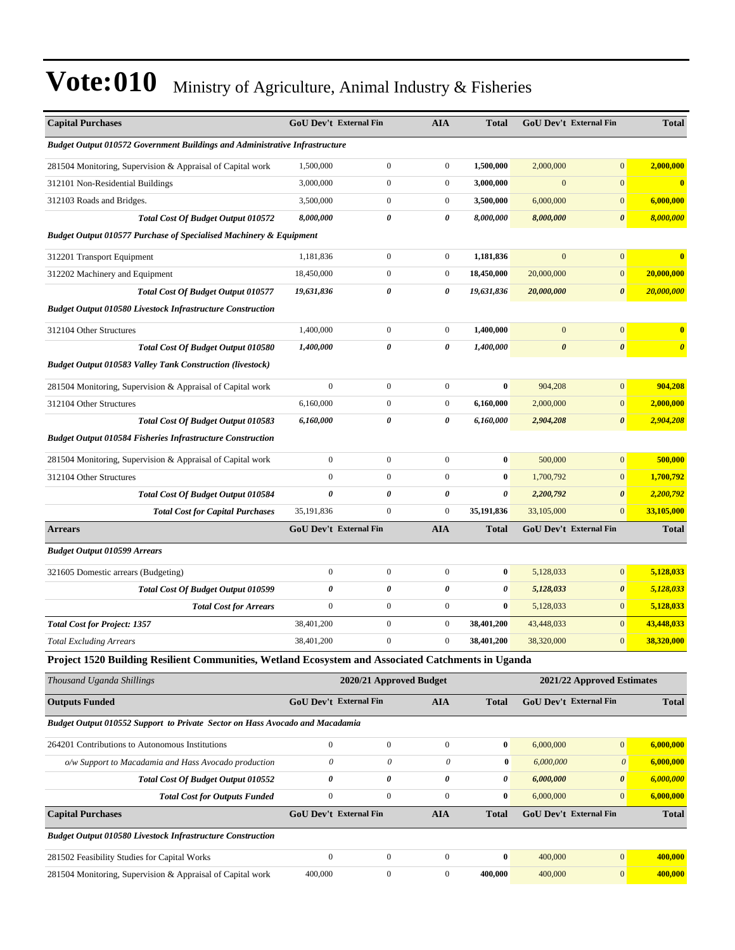| <b>Capital Purchases</b>                                                                           | <b>GoU Dev't External Fin</b> |                         | <b>AIA</b>       | <b>Total</b>     |                       | <b>GoU Dev't External Fin</b> | <b>Total</b>          |
|----------------------------------------------------------------------------------------------------|-------------------------------|-------------------------|------------------|------------------|-----------------------|-------------------------------|-----------------------|
| Budget Output 010572 Government Buildings and Administrative Infrastructure                        |                               |                         |                  |                  |                       |                               |                       |
| 281504 Monitoring, Supervision & Appraisal of Capital work                                         | 1,500,000                     | $\boldsymbol{0}$        | $\boldsymbol{0}$ | 1,500,000        | 2,000,000             | $\mathbf{0}$                  | 2,000,000             |
| 312101 Non-Residential Buildings                                                                   | 3,000,000                     | 0                       | $\boldsymbol{0}$ | 3,000,000        | $\mathbf{0}$          | $\boldsymbol{0}$              | $\bf{0}$              |
| 312103 Roads and Bridges.                                                                          | 3,500,000                     | $\boldsymbol{0}$        | $\boldsymbol{0}$ | 3,500,000        | 6,000,000             | $\mathbf{0}$                  | 6,000,000             |
| <b>Total Cost Of Budget Output 010572</b>                                                          | 8,000,000                     | 0                       | 0                | 8,000,000        | 8,000,000             | $\boldsymbol{\theta}$         | 8,000,000             |
| <b>Budget Output 010577 Purchase of Specialised Machinery &amp; Equipment</b>                      |                               |                         |                  |                  |                       |                               |                       |
| 312201 Transport Equipment                                                                         | 1,181,836                     | $\boldsymbol{0}$        | $\boldsymbol{0}$ | 1,181,836        | $\mathbf{0}$          | $\boldsymbol{0}$              | $\bf{0}$              |
| 312202 Machinery and Equipment                                                                     | 18,450,000                    | $\boldsymbol{0}$        | $\boldsymbol{0}$ | 18,450,000       | 20,000,000            | $\boldsymbol{0}$              | 20,000,000            |
| <b>Total Cost Of Budget Output 010577</b>                                                          | 19,631,836                    | 0                       | 0                | 19,631,836       | 20,000,000            | $\boldsymbol{\theta}$         | 20,000,000            |
| <b>Budget Output 010580 Livestock Infrastructure Construction</b>                                  |                               |                         |                  |                  |                       |                               |                       |
| 312104 Other Structures                                                                            | 1,400,000                     | $\boldsymbol{0}$        | $\boldsymbol{0}$ | 1,400,000        | $\boldsymbol{0}$      | $\boldsymbol{0}$              | $\bf{0}$              |
| <b>Total Cost Of Budget Output 010580</b>                                                          | 1,400,000                     | 0                       | $\pmb{\theta}$   | 1,400,000        | $\boldsymbol{\theta}$ | $\boldsymbol{\theta}$         | $\boldsymbol{\theta}$ |
| <b>Budget Output 010583 Valley Tank Construction (livestock)</b>                                   |                               |                         |                  |                  |                       |                               |                       |
| 281504 Monitoring, Supervision & Appraisal of Capital work                                         | $\mathbf{0}$                  | $\boldsymbol{0}$        | $\boldsymbol{0}$ | $\bf{0}$         | 904,208               | $\boldsymbol{0}$              | 904,208               |
| 312104 Other Structures                                                                            | 6,160,000                     | $\boldsymbol{0}$        | $\boldsymbol{0}$ | 6,160,000        | 2,000,000             | $\boldsymbol{0}$              | 2,000,000             |
| <b>Total Cost Of Budget Output 010583</b>                                                          | 6,160,000                     | 0                       | 0                | 6,160,000        | 2,904,208             | $\boldsymbol{\theta}$         | 2,904,208             |
| <b>Budget Output 010584 Fisheries Infrastructure Construction</b>                                  |                               |                         |                  |                  |                       |                               |                       |
| 281504 Monitoring, Supervision & Appraisal of Capital work                                         | $\boldsymbol{0}$              | $\boldsymbol{0}$        | $\boldsymbol{0}$ | $\bf{0}$         | 500,000               | $\boldsymbol{0}$              | 500,000               |
| 312104 Other Structures                                                                            | $\mathbf{0}$                  | $\boldsymbol{0}$        | $\boldsymbol{0}$ | $\bf{0}$         | 1,700,792             | $\mathbf{0}$                  | 1,700,792             |
| Total Cost Of Budget Output 010584                                                                 | $\boldsymbol{\theta}$         | 0                       | 0                | 0                | 2,200,792             | $\boldsymbol{\theta}$         | 2,200,792             |
| <b>Total Cost for Capital Purchases</b>                                                            | 35,191,836                    | $\boldsymbol{0}$        | $\boldsymbol{0}$ | 35,191,836       | 33,105,000            | $\mathbf{0}$                  | 33,105,000            |
| <b>Arrears</b>                                                                                     | <b>GoU Dev't External Fin</b> |                         | <b>AIA</b>       | Total            |                       | <b>GoU Dev't External Fin</b> | <b>Total</b>          |
| <b>Budget Output 010599 Arrears</b>                                                                |                               |                         |                  |                  |                       |                               |                       |
| 321605 Domestic arrears (Budgeting)                                                                | $\mathbf{0}$                  | $\boldsymbol{0}$        | $\boldsymbol{0}$ | $\bf{0}$         | 5,128,033             | $\boldsymbol{0}$              | 5,128,033             |
| Total Cost Of Budget Output 010599                                                                 | $\pmb{\theta}$                | 0                       | 0                | 0                | 5,128,033             | $\boldsymbol{\theta}$         | 5,128,033             |
| <b>Total Cost for Arrears</b>                                                                      | $\mathbf{0}$                  | $\boldsymbol{0}$        | $\boldsymbol{0}$ | $\bf{0}$         | 5,128,033             | $\mathbf{0}$                  | 5,128,033             |
| <b>Total Cost for Project: 1357</b>                                                                | 38,401,200                    | $\boldsymbol{0}$        | $\boldsymbol{0}$ | 38,401,200       | 43,448,033            | $\mathbf{0}$                  | 43,448,033            |
| <b>Total Excluding Arrears</b>                                                                     | 38,401,200                    | 0                       | $\boldsymbol{0}$ | 38,401,200       | 38,320,000            | $\mathbf{0}$                  | 38,320,000            |
| Project 1520 Building Resilient Communities, Wetland Ecosystem and Associated Catchments in Uganda |                               |                         |                  |                  |                       |                               |                       |
| Thousand Uganda Shillings                                                                          |                               | 2020/21 Approved Budget |                  |                  |                       | 2021/22 Approved Estimates    |                       |
| <b>Outputs Funded</b>                                                                              | <b>GoU Dev't External Fin</b> |                         | <b>AIA</b>       | <b>Total</b>     |                       | GoU Dev't External Fin        | <b>Total</b>          |
| Budget Output 010552 Support to Private Sector on Hass Avocado and Macadamia                       |                               |                         |                  |                  |                       |                               |                       |
| 264201 Contributions to Autonomous Institutions                                                    | $\mathbf{0}$                  | $\boldsymbol{0}$        | $\boldsymbol{0}$ | $\bf{0}$         | 6,000,000             | $\mathbf{0}$                  | 6,000,000             |
| o/w Support to Macadamia and Hass Avocado production                                               | $\theta$                      | 0                       | 0                | $\bf{0}$         | 6,000,000             | $\boldsymbol{\mathit{0}}$     | 6,000,000             |
| Total Cost Of Budget Output 010552                                                                 | $\boldsymbol{\theta}$         | 0                       | 0                | 0                | 6,000,000             | 0                             | 6,000,000             |
| <b>Total Cost for Outputs Funded</b>                                                               | $\boldsymbol{0}$              | $\boldsymbol{0}$        | $\boldsymbol{0}$ | $\bf{0}$         | 6,000,000             | $\boldsymbol{0}$              | 6,000,000             |
| <b>Capital Purchases</b>                                                                           | GoU Dev't External Fin        |                         | <b>AIA</b>       | <b>Total</b>     |                       | GoU Dev't External Fin        | <b>Total</b>          |
| <b>Budget Output 010580 Livestock Infrastructure Construction</b>                                  |                               |                         |                  |                  |                       |                               |                       |
| 281502 Feasibility Studies for Capital Works                                                       | $\mathbf{0}$                  | $\boldsymbol{0}$        | $\boldsymbol{0}$ | $\boldsymbol{0}$ | 400,000               | $\boldsymbol{0}$              | 400,000               |
| 281504 Monitoring, Supervision & Appraisal of Capital work                                         | 400,000                       | $\boldsymbol{0}$        | $\boldsymbol{0}$ | 400,000          | 400,000               | $\boldsymbol{0}$              | 400,000               |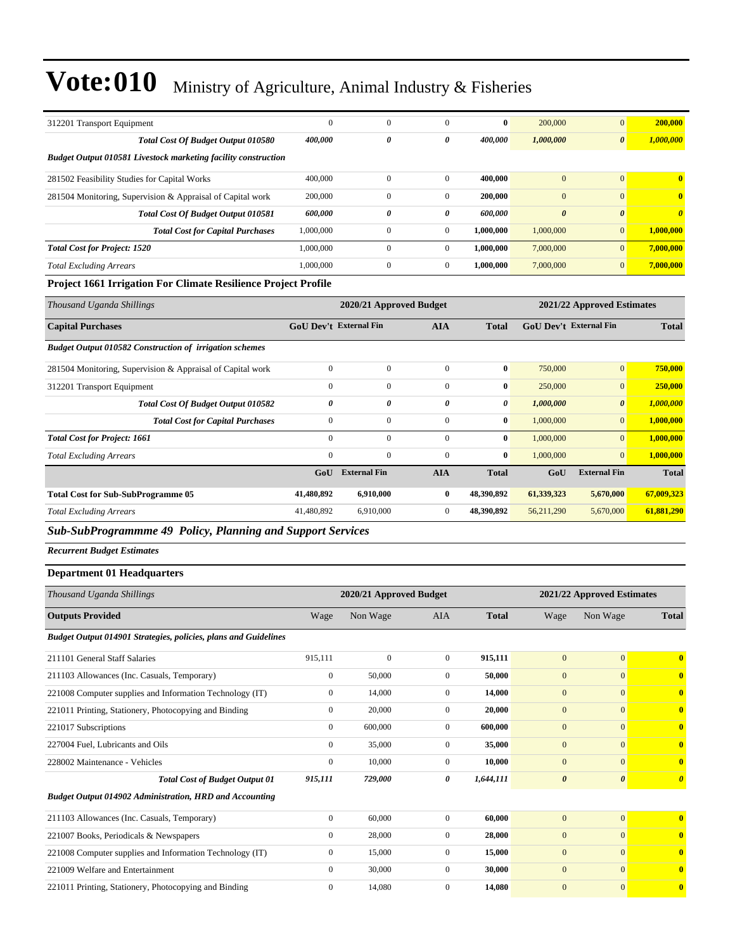| 312201 Transport Equipment                                            | $\theta$  | $\mathbf{0}$ | $\Omega$       | $\bf{0}$  | 200,000               | $\overline{0}$        | 200,000               |
|-----------------------------------------------------------------------|-----------|--------------|----------------|-----------|-----------------------|-----------------------|-----------------------|
| <b>Total Cost Of Budget Output 010580</b>                             | 400,000   | 0            | 0              | 400.000   | 1,000,000             | $\boldsymbol{\theta}$ | 1,000,000             |
| <b>Budget Output 010581 Livestock marketing facility construction</b> |           |              |                |           |                       |                       |                       |
| 281502 Feasibility Studies for Capital Works                          | 400,000   | $\Omega$     | $\Omega$       | 400.000   | $\mathbf{0}$          | $\Omega$              | $\mathbf{0}$          |
| 281504 Monitoring, Supervision & Appraisal of Capital work            | 200,000   | $\mathbf{0}$ | $\overline{0}$ | 200,000   | $\mathbf{0}$          | $\mathbf{0}$          | $\mathbf{0}$          |
| <b>Total Cost Of Budget Output 010581</b>                             | 600,000   | 0            | 0              | 600,000   | $\boldsymbol{\theta}$ | $\boldsymbol{\theta}$ | $\boldsymbol{\theta}$ |
| <b>Total Cost for Capital Purchases</b>                               | 1,000,000 | $\mathbf{0}$ | $\mathbf{0}$   | 1.000.000 | 1,000,000             | $\mathbf{0}$          | 1,000,000             |
| <b>Total Cost for Project: 1520</b>                                   | 1,000,000 | $\mathbf{0}$ | $\Omega$       | 1.000.000 | 7,000,000             | $\overline{0}$        | 7,000,000             |
| <b>Total Excluding Arrears</b>                                        | 1,000,000 | $\mathbf{0}$ | $\mathbf{0}$   | 1.000.000 | 7,000,000             | $\overline{0}$        | 7,000,000             |
|                                                                       |           |              |                |           |                       |                       |                       |

### **Project 1661 Irrigation For Climate Resilience Project Profile**

| Thousand Uganda Shillings                                      |                               | 2020/21 Approved Budget |                |              |                               | 2021/22 Approved Estimates |              |  |  |
|----------------------------------------------------------------|-------------------------------|-------------------------|----------------|--------------|-------------------------------|----------------------------|--------------|--|--|
| <b>Capital Purchases</b>                                       | <b>GoU Dev't External Fin</b> |                         | <b>AIA</b>     | <b>Total</b> | <b>GoU Dev't External Fin</b> |                            | <b>Total</b> |  |  |
| <b>Budget Output 010582 Construction of irrigation schemes</b> |                               |                         |                |              |                               |                            |              |  |  |
| 281504 Monitoring, Supervision & Appraisal of Capital work     | $\mathbf{0}$                  | $\mathbf{0}$            | $\Omega$       | $\bf{0}$     | 750,000                       | $\mathbf{0}$               | 750,000      |  |  |
| 312201 Transport Equipment                                     | $\mathbf{0}$                  | $\mathbf{0}$            | $\Omega$       | $\bf{0}$     | 250,000                       | $\overline{0}$             | 250,000      |  |  |
| <b>Total Cost Of Budget Output 010582</b>                      | 0                             | 0                       | 0              | 0            | 1,000,000                     | $\boldsymbol{\theta}$      | 1,000,000    |  |  |
| <b>Total Cost for Capital Purchases</b>                        | $\boldsymbol{0}$              | $\mathbf{0}$            | $\mathbf{0}$   | $\bf{0}$     | 1,000,000                     | $\mathbf{0}$               | 1,000,000    |  |  |
| <b>Total Cost for Project: 1661</b>                            | $\mathbf{0}$                  | $\Omega$                | $\Omega$       | $\bf{0}$     | 1,000,000                     | $\overline{0}$             | 1,000,000    |  |  |
| <b>Total Excluding Arrears</b>                                 | $\mathbf{0}$                  | $\mathbf{0}$            | $\mathbf{0}$   | $\bf{0}$     | 1,000,000                     | $\mathbf{0}$               | 1,000,000    |  |  |
|                                                                | GoU                           | <b>External Fin</b>     | <b>AIA</b>     | <b>Total</b> | GoU                           | <b>External Fin</b>        | <b>Total</b> |  |  |
| <b>Total Cost for Sub-SubProgramme 05</b>                      | 41,480,892                    | 6,910,000               | $\mathbf{0}$   | 48,390,892   | 61,339,323                    | 5,670,000                  | 67,009,323   |  |  |
| <b>Total Excluding Arrears</b>                                 | 41,480,892                    | 6,910,000               | $\overline{0}$ | 48,390,892   | 56,211,290                    | 5,670,000                  | 61,881,290   |  |  |

*Sub-SubProgrammme 49 Policy, Planning and Support Services*

*Recurrent Budget Estimates*

### **Department 01 Headquarters**

| Thousand Uganda Shillings                                       |              | 2020/21 Approved Budget |                | 2021/22 Approved Estimates |                       |                       |                         |
|-----------------------------------------------------------------|--------------|-------------------------|----------------|----------------------------|-----------------------|-----------------------|-------------------------|
| <b>Outputs Provided</b>                                         | Wage         | Non Wage                | <b>AIA</b>     | <b>Total</b>               | Wage                  | Non Wage              | <b>Total</b>            |
| Budget Output 014901 Strategies, policies, plans and Guidelines |              |                         |                |                            |                       |                       |                         |
| 211101 General Staff Salaries                                   | 915,111      | $\mathbf{0}$            | $\overline{0}$ | 915,111                    | $\mathbf{0}$          | $\overline{0}$        | $\overline{\mathbf{0}}$ |
| 211103 Allowances (Inc. Casuals, Temporary)                     | $\mathbf{0}$ | 50,000                  | $\mathbf{0}$   | 50,000                     | $\mathbf{0}$          | $\overline{0}$        | $\overline{\mathbf{0}}$ |
| 221008 Computer supplies and Information Technology (IT)        | $\mathbf{0}$ | 14,000                  | $\mathbf{0}$   | 14,000                     | $\mathbf{0}$          | $\overline{0}$        | $\mathbf{0}$            |
| 221011 Printing, Stationery, Photocopying and Binding           | $\mathbf{0}$ | 20,000                  | $\mathbf{0}$   | 20,000                     | $\mathbf{0}$          | $\overline{0}$        | $\bf{0}$                |
| 221017 Subscriptions                                            | $\mathbf{0}$ | 600,000                 | $\mathbf{0}$   | 600,000                    | $\mathbf{0}$          | $\overline{0}$        | $\overline{\mathbf{0}}$ |
| 227004 Fuel, Lubricants and Oils                                | $\mathbf{0}$ | 35,000                  | $\mathbf{0}$   | 35,000                     | $\mathbf{0}$          | $\overline{0}$        | $\bf{0}$                |
| 228002 Maintenance - Vehicles                                   | $\mathbf{0}$ | 10,000                  | $\overline{0}$ | 10,000                     | $\mathbf{0}$          | $\overline{0}$        | $\bf{0}$                |
| <b>Total Cost of Budget Output 01</b>                           | 915,111      | 729,000                 | 0              | 1,644,111                  | $\boldsymbol{\theta}$ | $\boldsymbol{\theta}$ | $\boldsymbol{\theta}$   |
| Budget Output 014902 Administration, HRD and Accounting         |              |                         |                |                            |                       |                       |                         |
| 211103 Allowances (Inc. Casuals, Temporary)                     | $\mathbf{0}$ | 60,000                  | $\Omega$       | 60,000                     | $\overline{0}$        | $\overline{0}$        | $\overline{0}$          |
| 221007 Books, Periodicals & Newspapers                          | $\mathbf{0}$ | 28,000                  | $\Omega$       | 28,000                     | $\mathbf{0}$          | $\overline{0}$        | $\mathbf{0}$            |
| 221008 Computer supplies and Information Technology (IT)        | $\mathbf{0}$ | 15,000                  | $\mathbf{0}$   | 15,000                     | $\mathbf{0}$          | $\overline{0}$        | $\overline{\mathbf{0}}$ |
| 221009 Welfare and Entertainment                                | $\mathbf{0}$ | 30,000                  | $\mathbf{0}$   | 30,000                     | $\mathbf{0}$          | $\overline{0}$        | $\bf{0}$                |
| 221011 Printing, Stationery, Photocopying and Binding           | $\mathbf{0}$ | 14,080                  | $\Omega$       | 14,080                     | $\mathbf{0}$          | $\overline{0}$        | $\bf{0}$                |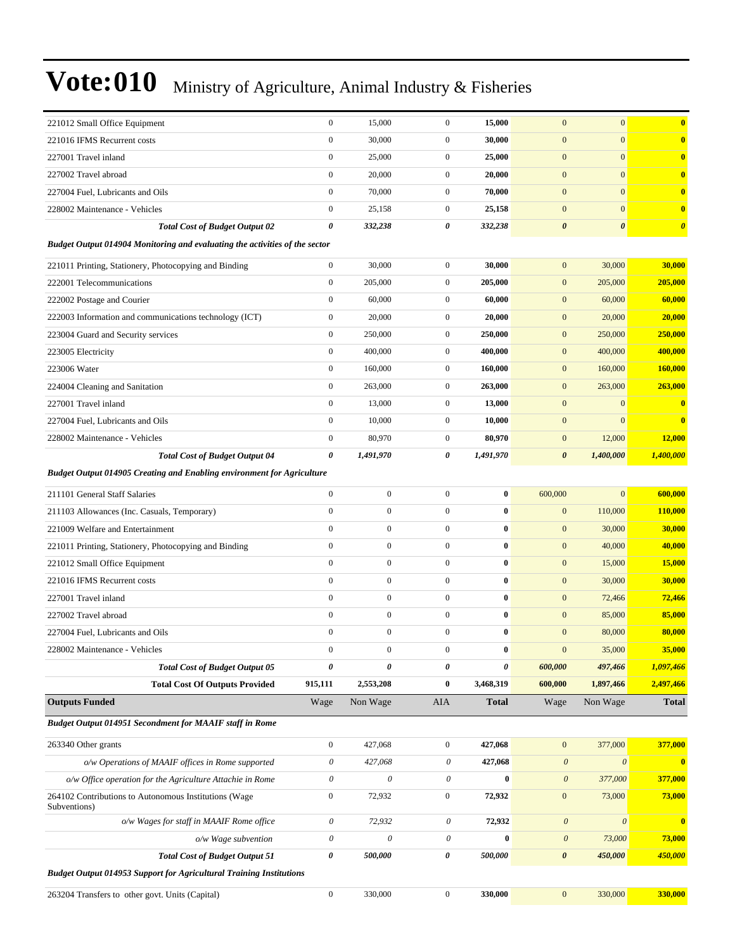| 221012 Small Office Equipment                                                 | $\boldsymbol{0}$          | 15,000           | $\boldsymbol{0}$          | 15,000    | $\mathbf{0}$          | $\mathbf{0}$          | $\mathbf{0}$          |
|-------------------------------------------------------------------------------|---------------------------|------------------|---------------------------|-----------|-----------------------|-----------------------|-----------------------|
| 221016 IFMS Recurrent costs                                                   | $\mathbf{0}$              | 30,000           | $\boldsymbol{0}$          | 30,000    | $\boldsymbol{0}$      | $\mathbf{0}$          | $\bf{0}$              |
| 227001 Travel inland                                                          | $\boldsymbol{0}$          | 25,000           | $\boldsymbol{0}$          | 25,000    | $\boldsymbol{0}$      | $\mathbf{0}$          | $\mathbf{0}$          |
| 227002 Travel abroad                                                          | $\boldsymbol{0}$          | 20,000           | $\overline{0}$            | 20,000    | $\boldsymbol{0}$      | $\mathbf{0}$          | $\mathbf{0}$          |
| 227004 Fuel, Lubricants and Oils                                              | $\mathbf{0}$              | 70,000           | $\mathbf{0}$              | 70,000    | $\mathbf{0}$          | $\mathbf{0}$          | $\mathbf{0}$          |
| 228002 Maintenance - Vehicles                                                 | $\boldsymbol{0}$          | 25,158           | $\mathbf{0}$              | 25,158    | $\mathbf{0}$          | $\mathbf{0}$          | $\mathbf{0}$          |
| <b>Total Cost of Budget Output 02</b>                                         | $\pmb{\theta}$            | 332,238          | 0                         | 332,238   | $\pmb{\theta}$        | $\boldsymbol{\theta}$ | $\boldsymbol{\theta}$ |
| Budget Output 014904 Monitoring and evaluating the activities of the sector   |                           |                  |                           |           |                       |                       |                       |
| 221011 Printing, Stationery, Photocopying and Binding                         | $\boldsymbol{0}$          | 30,000           | $\boldsymbol{0}$          | 30,000    | $\mathbf{0}$          | 30,000                | 30,000                |
| 222001 Telecommunications                                                     | $\boldsymbol{0}$          | 205,000          | $\boldsymbol{0}$          | 205,000   | $\boldsymbol{0}$      | 205,000               | 205,000               |
| 222002 Postage and Courier                                                    | $\boldsymbol{0}$          | 60,000           | $\mathbf{0}$              | 60,000    | $\boldsymbol{0}$      | 60,000                | 60,000                |
| 222003 Information and communications technology (ICT)                        | $\boldsymbol{0}$          | 20,000           | $\mathbf{0}$              | 20,000    | $\mathbf{0}$          | 20,000                | 20,000                |
| 223004 Guard and Security services                                            | $\boldsymbol{0}$          | 250,000          | $\boldsymbol{0}$          | 250,000   | $\mathbf{0}$          | 250,000               | 250,000               |
| 223005 Electricity                                                            | $\mathbf{0}$              | 400,000          | $\boldsymbol{0}$          | 400,000   | $\mathbf{0}$          | 400,000               | 400,000               |
| 223006 Water                                                                  | $\boldsymbol{0}$          | 160,000          | $\mathbf{0}$              | 160,000   | $\mathbf{0}$          | 160,000               | 160,000               |
| 224004 Cleaning and Sanitation                                                | $\boldsymbol{0}$          | 263,000          | $\mathbf{0}$              | 263,000   | $\mathbf{0}$          | 263,000               | 263,000               |
| 227001 Travel inland                                                          | $\boldsymbol{0}$          | 13,000           | $\mathbf{0}$              | 13,000    | $\mathbf{0}$          | $\mathbf{0}$          | $\mathbf{0}$          |
| 227004 Fuel, Lubricants and Oils                                              | $\mathbf{0}$              | 10,000           | $\overline{0}$            | 10,000    | $\mathbf{0}$          | $\mathbf{0}$          | $\bf{0}$              |
| 228002 Maintenance - Vehicles                                                 | $\boldsymbol{0}$          | 80,970           | $\mathbf{0}$              | 80,970    | $\mathbf{0}$          | 12,000                | 12,000                |
| <b>Total Cost of Budget Output 04</b>                                         | 0                         | 1,491,970        | 0                         | 1,491,970 | $\boldsymbol{\theta}$ | 1,400,000             | 1,400,000             |
| <b>Budget Output 014905 Creating and Enabling environment for Agriculture</b> |                           |                  |                           |           |                       |                       |                       |
| 211101 General Staff Salaries                                                 | $\boldsymbol{0}$          | $\boldsymbol{0}$ | $\overline{0}$            | $\bf{0}$  | 600,000               | $\mathbf{0}$          | 600,000               |
| 211103 Allowances (Inc. Casuals, Temporary)                                   | $\mathbf{0}$              | $\boldsymbol{0}$ | $\overline{0}$            | $\bf{0}$  | $\mathbf{0}$          | 110,000               | 110,000               |
| 221009 Welfare and Entertainment                                              | $\mathbf{0}$              | $\boldsymbol{0}$ | $\boldsymbol{0}$          | $\bf{0}$  | $\boldsymbol{0}$      | 30,000                | 30,000                |
| 221011 Printing, Stationery, Photocopying and Binding                         | $\boldsymbol{0}$          | $\boldsymbol{0}$ | $\boldsymbol{0}$          | $\bf{0}$  | $\boldsymbol{0}$      | 40,000                | 40,000                |
| 221012 Small Office Equipment                                                 | $\boldsymbol{0}$          | $\boldsymbol{0}$ | $\overline{0}$            | $\bf{0}$  | $\boldsymbol{0}$      | 15,000                | 15,000                |
| 221016 IFMS Recurrent costs                                                   | $\mathbf{0}$              | $\boldsymbol{0}$ | $\overline{0}$            | $\bf{0}$  | $\boldsymbol{0}$      | 30,000                | 30,000                |
| 227001 Travel inland                                                          | $\mathbf{0}$              | $\boldsymbol{0}$ | $\overline{0}$            | $\bf{0}$  | $\mathbf{0}$          | 72,466                | 72,466                |
| 227002 Travel abroad                                                          | $\mathbf{0}$              | $\boldsymbol{0}$ | $\mathbf{0}$              | $\bf{0}$  | $\boldsymbol{0}$      | 85,000                | 85,000                |
| 227004 Fuel, Lubricants and Oils                                              | $\boldsymbol{0}$          | $\boldsymbol{0}$ | $\boldsymbol{0}$          | $\bf{0}$  | $\mathbf{0}$          | 80,000                | 80,000                |
| 228002 Maintenance - Vehicles                                                 | $\boldsymbol{0}$          | $\boldsymbol{0}$ | 0                         | 0         | $\mathbf{0}$          | 35,000                | 35,000                |
| <b>Total Cost of Budget Output 05</b>                                         | $\pmb{\theta}$            | $\pmb{\theta}$   | 0                         | 0         | 600,000               | 497,466               | 1,097,466             |
| <b>Total Cost Of Outputs Provided</b>                                         | 915,111                   | 2,553,208        | $\bf{0}$                  | 3,468,319 | 600,000               | 1,897,466             | 2,497,466             |
| <b>Outputs Funded</b>                                                         | Wage                      | Non Wage         | AIA                       | Total     | Wage                  | Non Wage              | <b>Total</b>          |
| Budget Output 014951 Secondment for MAAIF staff in Rome                       |                           |                  |                           |           |                       |                       |                       |
| 263340 Other grants                                                           | $\boldsymbol{0}$          | 427,068          | $\boldsymbol{0}$          | 427,068   | $\boldsymbol{0}$      | 377,000               | 377,000               |
| o/w Operations of MAAIF offices in Rome supported                             | $\theta$                  | 427,068          | 0                         | 427,068   | $\boldsymbol{\theta}$ | $\boldsymbol{\theta}$ | $\bf{0}$              |
| o/w Office operation for the Agriculture Attachie in Rome                     | $\boldsymbol{\mathit{0}}$ | 0                | $\boldsymbol{\mathit{0}}$ | $\bf{0}$  | $\boldsymbol{\theta}$ | 377,000               | 377,000               |
| 264102 Contributions to Autonomous Institutions (Wage<br>Subventions)         | $\boldsymbol{0}$          | 72,932           | $\boldsymbol{0}$          | 72,932    | $\boldsymbol{0}$      | 73,000                | 73,000                |
| o/w Wages for staff in MAAIF Rome office                                      | $\theta$                  | 72,932           | 0                         | 72,932    | $\boldsymbol{\theta}$ | $\boldsymbol{\theta}$ | $\bf{0}$              |
| o/w Wage subvention                                                           | $\boldsymbol{\mathit{0}}$ | 0                | $\boldsymbol{\mathit{0}}$ | $\bf{0}$  | $\boldsymbol{\theta}$ | 73,000                | 73,000                |
| <b>Total Cost of Budget Output 51</b>                                         | 0                         | 500,000          | 0                         | 500,000   | $\pmb{\theta}$        | 450,000               | 450,000               |
| <b>Budget Output 014953 Support for Agricultural Training Institutions</b>    |                           |                  |                           |           |                       |                       |                       |
| 263204 Transfers to other govt. Units (Capital)                               | $\boldsymbol{0}$          | 330,000          | $\boldsymbol{0}$          | 330,000   | $\boldsymbol{0}$      | 330,000               | 330,000               |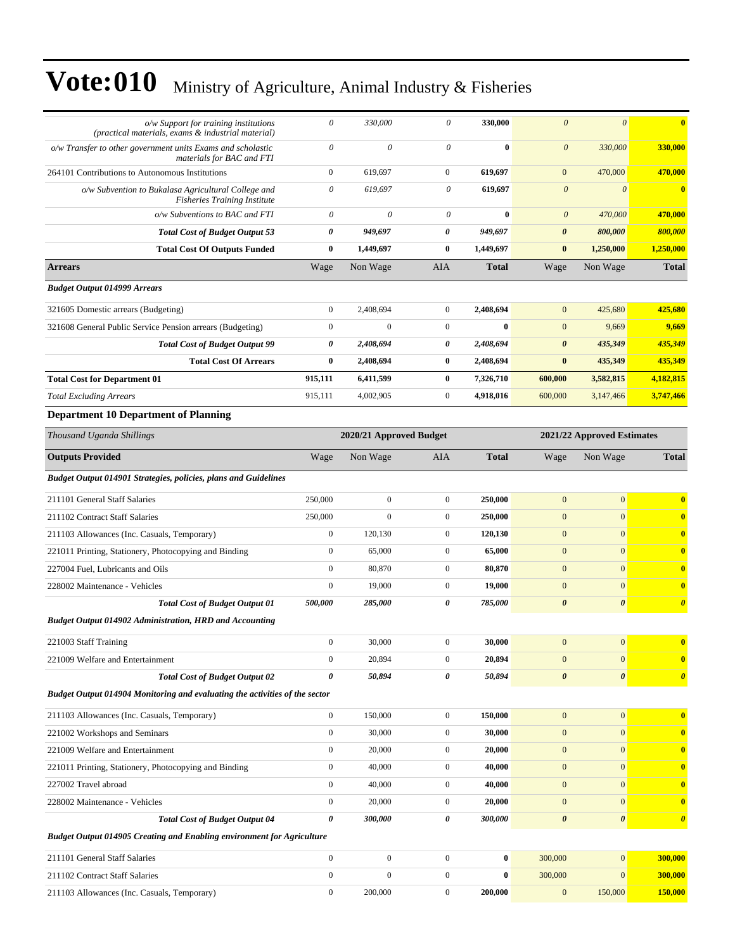| $o/w$ Support for training institutions<br>(practical materials, exams & industrial material) | 0                     | 330,000                 | 0                | 330,000      | $\boldsymbol{\theta}$ | $\theta$                   | $\bf{0}$              |
|-----------------------------------------------------------------------------------------------|-----------------------|-------------------------|------------------|--------------|-----------------------|----------------------------|-----------------------|
| o/w Transfer to other government units Exams and scholastic<br>materials for BAC and FTI      | $\theta$              | $\mathcal O$            | $\theta$         | $\bf{0}$     | $\boldsymbol{\theta}$ | 330,000                    | 330,000               |
| 264101 Contributions to Autonomous Institutions                                               | $\boldsymbol{0}$      | 619,697                 | $\boldsymbol{0}$ | 619,697      | $\mathbf{0}$          | 470,000                    | 470,000               |
| o/w Subvention to Bukalasa Agricultural College and<br><b>Fisheries Training Institute</b>    | $\theta$              | 619,697                 | 0                | 619,697      | $\boldsymbol{\theta}$ | $\theta$                   | $\bf{0}$              |
| o/w Subventions to BAC and FTI                                                                | 0                     | 0                       | 0                | $\bf{0}$     | $\boldsymbol{\theta}$ | 470,000                    | 470,000               |
| <b>Total Cost of Budget Output 53</b>                                                         | $\boldsymbol{\theta}$ | 949,697                 | 0                | 949.697      | $\boldsymbol{\theta}$ | 800,000                    | 800,000               |
| <b>Total Cost Of Outputs Funded</b>                                                           | $\bf{0}$              | 1,449,697               | $\bf{0}$         | 1,449,697    | $\bf{0}$              | 1,250,000                  | 1,250,000             |
| <b>Arrears</b>                                                                                | Wage                  | Non Wage                | <b>AIA</b>       | <b>Total</b> | Wage                  | Non Wage                   | <b>Total</b>          |
| <b>Budget Output 014999 Arrears</b>                                                           |                       |                         |                  |              |                       |                            |                       |
| 321605 Domestic arrears (Budgeting)                                                           | $\boldsymbol{0}$      | 2,408,694               | $\boldsymbol{0}$ | 2,408,694    | $\mathbf{0}$          | 425,680                    | 425,680               |
| 321608 General Public Service Pension arrears (Budgeting)                                     | $\boldsymbol{0}$      | $\boldsymbol{0}$        | $\mathbf{0}$     | $\bf{0}$     | $\mathbf{0}$          | 9,669                      | 9,669                 |
| <b>Total Cost of Budget Output 99</b>                                                         | 0                     | 2,408,694               | 0                | 2,408,694    | $\boldsymbol{\theta}$ | 435,349                    | 435,349               |
| <b>Total Cost Of Arrears</b>                                                                  | $\bf{0}$              | 2,408,694               | 0                | 2,408,694    | $\bf{0}$              | 435,349                    | 435,349               |
| <b>Total Cost for Department 01</b>                                                           | 915,111               | 6,411,599               | 0                | 7,326,710    | 600,000               | 3,582,815                  | 4,182,815             |
| <b>Total Excluding Arrears</b>                                                                | 915,111               | 4,002,905               | $\boldsymbol{0}$ | 4,918,016    | 600,000               | 3,147,466                  | 3,747,466             |
| <b>Department 10 Department of Planning</b>                                                   |                       |                         |                  |              |                       |                            |                       |
| Thousand Uganda Shillings                                                                     |                       | 2020/21 Approved Budget |                  |              |                       | 2021/22 Approved Estimates |                       |
| <b>Outputs Provided</b>                                                                       | Wage                  | Non Wage                | AIA              | <b>Total</b> | Wage                  | Non Wage                   | <b>Total</b>          |
| <b>Budget Output 014901 Strategies, policies, plans and Guidelines</b>                        |                       |                         |                  |              |                       |                            |                       |
| 211101 General Staff Salaries                                                                 | 250,000               | $\boldsymbol{0}$        | $\mathbf{0}$     | 250,000      | $\boldsymbol{0}$      | $\mathbf{0}$               | $\bf{0}$              |
| 211102 Contract Staff Salaries                                                                | 250,000               | $\mathbf{0}$            | $\mathbf{0}$     | 250,000      | $\mathbf{0}$          | $\mathbf{0}$               | $\bf{0}$              |
| 211103 Allowances (Inc. Casuals, Temporary)                                                   | $\mathbf{0}$          | 120,130                 | $\mathbf{0}$     | 120,130      | $\mathbf{0}$          | $\mathbf{0}$               | $\bf{0}$              |
| 221011 Printing, Stationery, Photocopying and Binding                                         | $\boldsymbol{0}$      | 65,000                  | $\mathbf{0}$     | 65,000       | $\mathbf{0}$          | $\mathbf{0}$               | $\bf{0}$              |
| 227004 Fuel, Lubricants and Oils                                                              | $\boldsymbol{0}$      | 80,870                  | $\boldsymbol{0}$ | 80,870       | $\mathbf{0}$          | $\overline{0}$             | $\bf{0}$              |
| 228002 Maintenance - Vehicles                                                                 | $\mathbf{0}$          | 19,000                  | $\mathbf{0}$     | 19,000       | $\mathbf{0}$          | $\mathbf{0}$               | $\bf{0}$              |
| <b>Total Cost of Budget Output 01</b>                                                         | 500,000               | 285,000                 | 0                | 785,000      | $\boldsymbol{\theta}$ | $\boldsymbol{\theta}$      | $\boldsymbol{\theta}$ |
| <b>Budget Output 014902 Administration, HRD and Accounting</b>                                |                       |                         |                  |              |                       |                            |                       |
| 221003 Staff Training                                                                         | $\boldsymbol{0}$      | 30,000                  | $\boldsymbol{0}$ | 30,000       | $\mathbf{0}$          | $\overline{0}$             | $\bf{0}$              |
| 221009 Welfare and Entertainment                                                              | $\boldsymbol{0}$      | 20,894                  | $\boldsymbol{0}$ | 20,894       | $\mathbf{0}$          | $\mathbf{0}$               | $\bf{0}$              |
| <b>Total Cost of Budget Output 02</b>                                                         | $\pmb{\theta}$        | 50,894                  | 0                | 50,894       | $\boldsymbol{\theta}$ | $\boldsymbol{\theta}$      | $\boldsymbol{\theta}$ |
| Budget Output 014904 Monitoring and evaluating the activities of the sector                   |                       |                         |                  |              |                       |                            |                       |
| 211103 Allowances (Inc. Casuals, Temporary)                                                   | $\boldsymbol{0}$      | 150,000                 | $\boldsymbol{0}$ | 150,000      | $\mathbf{0}$          | $\mathbf{0}$               | $\bf{0}$              |
| 221002 Workshops and Seminars                                                                 | $\boldsymbol{0}$      | 30,000                  | $\boldsymbol{0}$ | 30,000       | $\mathbf{0}$          | $\mathbf{0}$               | $\bf{0}$              |
| 221009 Welfare and Entertainment                                                              | $\boldsymbol{0}$      | 20,000                  | $\boldsymbol{0}$ | 20,000       | $\mathbf{0}$          | $\mathbf{0}$               | $\bf{0}$              |
| 221011 Printing, Stationery, Photocopying and Binding                                         | $\boldsymbol{0}$      | 40,000                  | $\boldsymbol{0}$ | 40,000       | $\mathbf{0}$          | $\vert 0 \vert$            | $\bf{0}$              |
| 227002 Travel abroad                                                                          | $\boldsymbol{0}$      | 40,000                  | $\boldsymbol{0}$ | 40,000       | $\boldsymbol{0}$      | $\mathbf{0}$               | $\bf{0}$              |
| 228002 Maintenance - Vehicles                                                                 | $\boldsymbol{0}$      | 20,000                  | $\boldsymbol{0}$ | 20,000       | $\mathbf{0}$          | $\vert 0 \vert$            | $\bf{0}$              |
| <b>Total Cost of Budget Output 04</b>                                                         | $\pmb{\theta}$        | 300,000                 | 0                | 300,000      | $\boldsymbol{\theta}$ | $\boldsymbol{\theta}$      | $\boldsymbol{\theta}$ |
| <b>Budget Output 014905 Creating and Enabling environment for Agriculture</b>                 |                       |                         |                  |              |                       |                            |                       |
| 211101 General Staff Salaries                                                                 | $\boldsymbol{0}$      | $\boldsymbol{0}$        | $\mathbf{0}$     | $\bf{0}$     | 300,000               | 0                          | 300,000               |
| 211102 Contract Staff Salaries                                                                | $\boldsymbol{0}$      | $\boldsymbol{0}$        | $\boldsymbol{0}$ | $\bf{0}$     | 300,000               | $\mathbf{0}$               | 300,000               |
| 211103 Allowances (Inc. Casuals, Temporary)                                                   | $\boldsymbol{0}$      | 200,000                 | $\overline{0}$   | 200,000      | $\mathbf{0}$          | 150,000                    | 150,000               |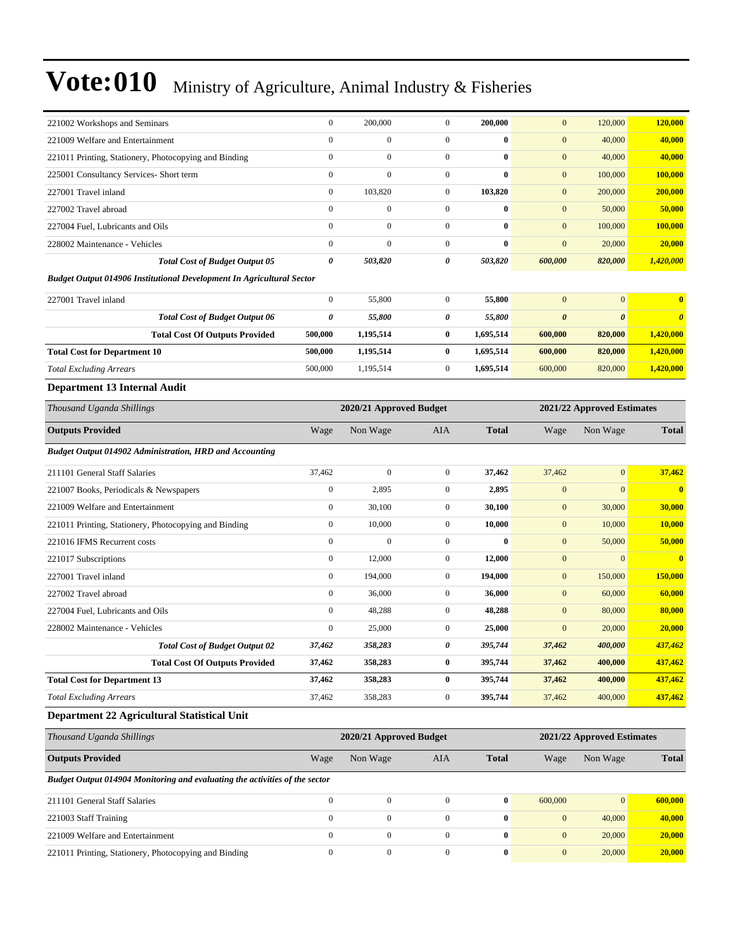| 221002 Workshops and Seminars                                                | $\boldsymbol{0}$ | 200,000                 | $\mathbf{0}$     | 200,000          | $\mathbf{0}$          | 120,000                    | 120,000                 |
|------------------------------------------------------------------------------|------------------|-------------------------|------------------|------------------|-----------------------|----------------------------|-------------------------|
| 221009 Welfare and Entertainment                                             | $\mathbf{0}$     | $\mathbf{0}$            | $\mathbf{0}$     | $\bf{0}$         | $\mathbf{0}$          | 40,000                     | 40,000                  |
| 221011 Printing, Stationery, Photocopying and Binding                        | $\boldsymbol{0}$ | $\boldsymbol{0}$        | $\overline{0}$   | $\bf{0}$         | $\mathbf{0}$          | 40,000                     | 40,000                  |
| 225001 Consultancy Services- Short term                                      | $\boldsymbol{0}$ | $\mathbf{0}$            | $\boldsymbol{0}$ | $\bf{0}$         | $\mathbf{0}$          | 100,000                    | 100,000                 |
| 227001 Travel inland                                                         | $\boldsymbol{0}$ | 103,820                 | $\mathbf{0}$     | 103,820          | $\mathbf{0}$          | 200,000                    | 200,000                 |
| 227002 Travel abroad                                                         | $\boldsymbol{0}$ | $\overline{0}$          | $\mathbf{0}$     | $\bf{0}$         | $\mathbf{0}$          | 50,000                     | 50,000                  |
| 227004 Fuel, Lubricants and Oils                                             | $\mathbf{0}$     | $\overline{0}$          | $\boldsymbol{0}$ | $\bf{0}$         | $\mathbf{0}$          | 100,000                    | 100,000                 |
| 228002 Maintenance - Vehicles                                                | $\boldsymbol{0}$ | $\overline{0}$          | $\overline{0}$   | $\bf{0}$         | $\mathbf{0}$          | 20,000                     | 20,000                  |
| <b>Total Cost of Budget Output 05</b>                                        | 0                | 503,820                 | 0                | 503,820          | 600,000               | 820,000                    | 1,420,000               |
| <b>Budget Output 014906 Institutional Development In Agricultural Sector</b> |                  |                         |                  |                  |                       |                            |                         |
| 227001 Travel inland                                                         | $\boldsymbol{0}$ | 55,800                  | $\mathbf{0}$     | 55,800           | $\mathbf{0}$          | $\mathbf{0}$               | $\bf{0}$                |
| <b>Total Cost of Budget Output 06</b>                                        | 0                | 55,800                  | 0                | 55,800           | $\boldsymbol{\theta}$ | $\boldsymbol{\theta}$      | $\boldsymbol{\theta}$   |
| <b>Total Cost Of Outputs Provided</b>                                        | 500,000          | 1,195,514               | $\bf{0}$         | 1,695,514        | 600,000               | 820,000                    | 1,420,000               |
| <b>Total Cost for Department 10</b>                                          | 500,000          | 1,195,514               | $\bf{0}$         | 1,695,514        | 600,000               | 820,000                    | 1,420,000               |
| <b>Total Excluding Arrears</b>                                               | 500,000          | 1,195,514               | $\mathbf{0}$     | 1,695,514        | 600,000               | 820,000                    | 1,420,000               |
| Department 13 Internal Audit                                                 |                  |                         |                  |                  |                       |                            |                         |
| Thousand Uganda Shillings                                                    |                  | 2020/21 Approved Budget |                  |                  |                       | 2021/22 Approved Estimates |                         |
| <b>Outputs Provided</b>                                                      | Wage             | Non Wage                | AIA              | <b>Total</b>     | Wage                  | Non Wage                   | <b>Total</b>            |
| Budget Output 014902 Administration, HRD and Accounting                      |                  |                         |                  |                  |                       |                            |                         |
| 211101 General Staff Salaries                                                | 37,462           | $\boldsymbol{0}$        | $\mathbf{0}$     | 37,462           | 37,462                | $\mathbf{0}$               | 37,462                  |
| 221007 Books, Periodicals & Newspapers                                       | $\boldsymbol{0}$ | 2,895                   | $\mathbf{0}$     | 2,895            | $\boldsymbol{0}$      | $\mathbf{0}$               | $\overline{\mathbf{0}}$ |
| 221009 Welfare and Entertainment                                             | $\boldsymbol{0}$ | 30,100                  | $\boldsymbol{0}$ | 30,100           | $\mathbf{0}$          | 30,000                     | 30,000                  |
| 221011 Printing, Stationery, Photocopying and Binding                        | $\boldsymbol{0}$ | 10,000                  | $\overline{0}$   | 10,000           | $\mathbf{0}$          | 10,000                     | 10,000                  |
| 221016 IFMS Recurrent costs                                                  | $\boldsymbol{0}$ | $\mathbf{0}$            | $\mathbf{0}$     | $\bf{0}$         | $\mathbf{0}$          | 50,000                     | 50,000                  |
| 221017 Subscriptions                                                         | $\boldsymbol{0}$ | 12,000                  | $\mathbf{0}$     | 12,000           | $\mathbf{0}$          | $\mathbf{0}$               | $\bf{0}$                |
| 227001 Travel inland                                                         | $\boldsymbol{0}$ | 194,000                 | $\mathbf{0}$     | 194,000          | $\mathbf{0}$          | 150,000                    | 150,000                 |
| 227002 Travel abroad                                                         | $\mathbf{0}$     | 36,000                  | $\boldsymbol{0}$ | 36,000           | $\mathbf{0}$          | 60,000                     | 60,000                  |
| 227004 Fuel, Lubricants and Oils                                             | $\boldsymbol{0}$ | 48,288                  | $\boldsymbol{0}$ | 48,288           | $\mathbf{0}$          | 80,000                     | 80,000                  |
| 228002 Maintenance - Vehicles                                                | $\boldsymbol{0}$ | 25,000                  | $\mathbf{0}$     | 25,000           | $\mathbf{0}$          | 20,000                     | 20,000                  |
| <b>Total Cost of Budget Output 02</b>                                        | 37,462           | 358,283                 | 0                | 395,744          | 37,462                | 400,000                    | 437,462                 |
| <b>Total Cost Of Outputs Provided</b>                                        | 37,462           | 358,283                 | $\bf{0}$         | 395,744          | 37,462                | 400,000                    | 437,462                 |
| <b>Total Cost for Department 13</b>                                          | 37,462           | 358,283                 | $\bf{0}$         | 395,744          | 37,462                | 400,000                    | 437,462                 |
| <b>Total Excluding Arrears</b>                                               | 37,462           | 358,283                 | $\boldsymbol{0}$ | 395,744          | 37,462                | 400,000                    | 437,462                 |
| Department 22 Agricultural Statistical Unit                                  |                  |                         |                  |                  |                       |                            |                         |
| Thousand Uganda Shillings                                                    |                  | 2020/21 Approved Budget |                  |                  |                       | 2021/22 Approved Estimates |                         |
| <b>Outputs Provided</b>                                                      | Wage             | Non Wage                | AIA              | <b>Total</b>     | Wage                  | Non Wage                   | <b>Total</b>            |
| Budget Output 014904 Monitoring and evaluating the activities of the sector  |                  |                         |                  |                  |                       |                            |                         |
| 211101 General Staff Salaries                                                | $\boldsymbol{0}$ | $\boldsymbol{0}$        | $\boldsymbol{0}$ | $\pmb{0}$        | 600,000               | $\mathbf{0}$               | 600,000                 |
| 221003 Staff Training                                                        | $\boldsymbol{0}$ | $\boldsymbol{0}$        | $\boldsymbol{0}$ | $\boldsymbol{0}$ | $\boldsymbol{0}$      | 40,000                     | 40,000                  |
| 221009 Welfare and Entertainment                                             | $\boldsymbol{0}$ | $\boldsymbol{0}$        | $\boldsymbol{0}$ | $\boldsymbol{0}$ | $\boldsymbol{0}$      | 20,000                     | 20,000                  |
| 221011 Printing, Stationery, Photocopying and Binding                        | $\boldsymbol{0}$ | $\boldsymbol{0}$        | $\boldsymbol{0}$ | $\boldsymbol{0}$ | $\boldsymbol{0}$      | 20,000                     | 20,000                  |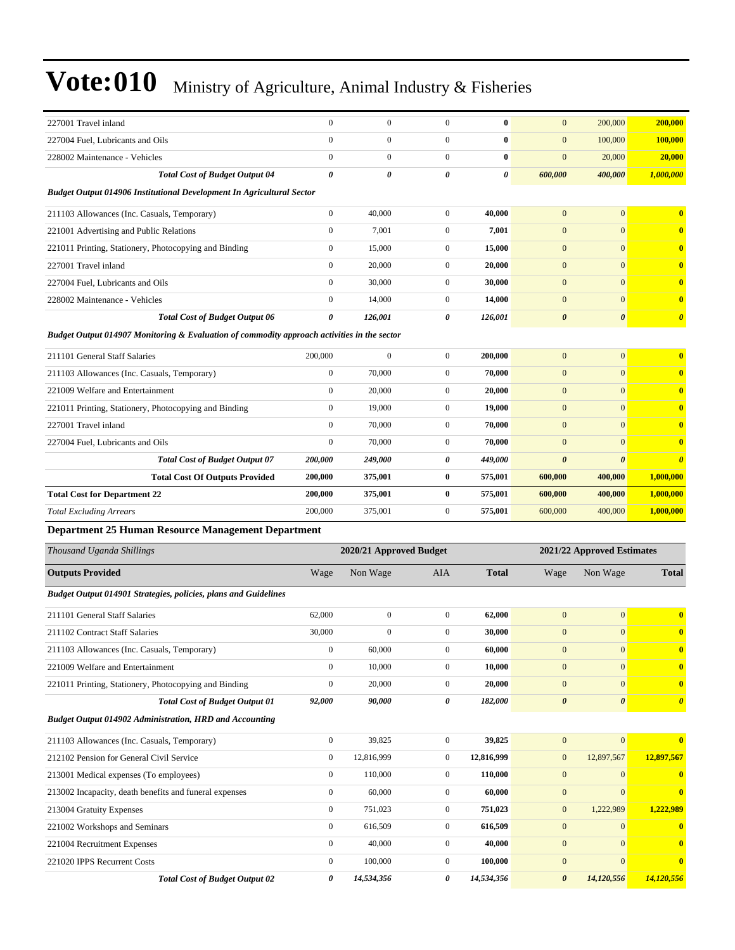| 227001 Travel inland                                                                             | $\mathbf{0}$     | $\boldsymbol{0}$                     | $\boldsymbol{0}$             | $\bf{0}$          | $\mathbf{0}$                 | 200,000                          | 200,000               |  |
|--------------------------------------------------------------------------------------------------|------------------|--------------------------------------|------------------------------|-------------------|------------------------------|----------------------------------|-----------------------|--|
| 227004 Fuel, Lubricants and Oils                                                                 | $\boldsymbol{0}$ | $\boldsymbol{0}$                     | $\mathbf{0}$                 | $\bf{0}$          | $\mathbf{0}$                 | 100,000                          | 100,000               |  |
| 228002 Maintenance - Vehicles                                                                    | $\mathbf{0}$     | $\boldsymbol{0}$                     | $\overline{0}$               | $\bf{0}$          | $\mathbf{0}$                 | 20,000                           | 20,000                |  |
| <b>Total Cost of Budget Output 04</b>                                                            | 0                | 0                                    | 0                            | 0                 | 600,000                      | 400,000                          | 1,000,000             |  |
| Budget Output 014906 Institutional Development In Agricultural Sector                            |                  |                                      |                              |                   |                              |                                  |                       |  |
| 211103 Allowances (Inc. Casuals, Temporary)                                                      | $\mathbf{0}$     | 40,000                               | $\mathbf{0}$                 | 40,000            | $\mathbf{0}$                 | $\overline{0}$                   | $\bf{0}$              |  |
| 221001 Advertising and Public Relations                                                          | $\mathbf{0}$     | 7,001                                | $\mathbf{0}$                 | 7,001             | $\mathbf{0}$                 | $\overline{0}$                   | $\mathbf{0}$          |  |
| 221011 Printing, Stationery, Photocopying and Binding                                            | $\mathbf{0}$     | 15,000                               | $\mathbf{0}$                 | 15,000            | $\mathbf{0}$                 | $\overline{0}$                   | $\bf{0}$              |  |
| 227001 Travel inland                                                                             | $\boldsymbol{0}$ | 20,000                               | $\mathbf{0}$                 | 20,000            | $\mathbf{0}$                 | $\overline{0}$                   | $\mathbf{0}$          |  |
| 227004 Fuel, Lubricants and Oils                                                                 | $\mathbf{0}$     | 30,000                               | $\mathbf{0}$                 | 30,000            | $\mathbf{0}$                 | $\overline{0}$                   | $\bf{0}$              |  |
| 228002 Maintenance - Vehicles                                                                    | $\mathbf{0}$     | 14,000                               | $\mathbf{0}$                 | 14,000            | $\mathbf{0}$                 | $\overline{0}$                   | $\mathbf{0}$          |  |
| <b>Total Cost of Budget Output 06</b>                                                            | 0                | 126,001                              | 0                            | 126,001           | $\boldsymbol{\theta}$        | $\boldsymbol{\theta}$            | $\boldsymbol{\theta}$ |  |
| Budget Output 014907 Monitoring & Evaluation of commodity approach activities in the sector      |                  |                                      |                              |                   |                              |                                  |                       |  |
| 211101 General Staff Salaries                                                                    | 200,000          | $\boldsymbol{0}$                     | $\mathbf{0}$                 | 200,000           | $\mathbf{0}$                 | $\overline{0}$                   | $\bf{0}$              |  |
| 211103 Allowances (Inc. Casuals, Temporary)                                                      | $\boldsymbol{0}$ | 70,000                               | $\mathbf{0}$                 | 70,000            | $\mathbf{0}$                 | $\overline{0}$                   | $\bf{0}$              |  |
| 221009 Welfare and Entertainment                                                                 | $\mathbf{0}$     | 20,000                               | $\mathbf{0}$                 | 20,000            | $\mathbf{0}$                 | $\mathbf{0}$                     | $\mathbf{0}$          |  |
| 221011 Printing, Stationery, Photocopying and Binding                                            | $\boldsymbol{0}$ | 19,000                               | $\mathbf{0}$                 | 19,000            | $\mathbf{0}$                 | $\overline{0}$                   | $\mathbf{0}$          |  |
| 227001 Travel inland                                                                             | $\mathbf{0}$     | 70,000                               | $\mathbf{0}$                 | 70,000            | $\mathbf{0}$                 | $\overline{0}$                   | $\bf{0}$              |  |
| 227004 Fuel. Lubricants and Oils                                                                 | $\boldsymbol{0}$ | 70,000                               | $\mathbf{0}$                 | 70,000            | $\mathbf{0}$                 | $\overline{0}$                   | $\bf{0}$              |  |
| <b>Total Cost of Budget Output 07</b>                                                            | 200,000          | 249,000                              | 0                            | 449,000           | $\boldsymbol{\theta}$        | $\boldsymbol{\theta}$            | $\boldsymbol{\theta}$ |  |
| <b>Total Cost Of Outputs Provided</b>                                                            | 200,000          | 375,001                              | $\bf{0}$                     | 575,001           | 600,000                      | 400,000                          | 1,000,000             |  |
| <b>Total Cost for Department 22</b>                                                              | 200,000          | 375,001                              | $\bf{0}$                     | 575,001           | 600,000                      | 400,000                          | 1,000,000             |  |
| <b>Total Excluding Arrears</b>                                                                   | 200,000          | 375,001                              | $\mathbf{0}$                 | 575,001           | 600,000                      | 400,000                          | 1,000,000             |  |
| <b>Department 25 Human Resource Management Department</b>                                        |                  |                                      |                              |                   |                              |                                  |                       |  |
| Thousand Uganda Shillings                                                                        |                  | 2020/21 Approved Budget              |                              |                   |                              | 2021/22 Approved Estimates       |                       |  |
| <b>Outputs Provided</b>                                                                          | Wage             | Non Wage                             | AIA                          | <b>Total</b>      | Wage                         | Non Wage                         | <b>Total</b>          |  |
| Budget Output 014901 Strategies, policies, plans and Guidelines                                  |                  |                                      |                              |                   |                              |                                  |                       |  |
| 211101 General Staff Salaries                                                                    |                  |                                      |                              |                   |                              | $\overline{0}$                   |                       |  |
|                                                                                                  | 62,000<br>30,000 | $\boldsymbol{0}$<br>$\boldsymbol{0}$ | $\mathbf{0}$<br>$\mathbf{0}$ | 62,000<br>30,000  | $\mathbf{0}$<br>$\mathbf{0}$ | $\mathbf{0}$                     | $\bf{0}$<br>$\bf{0}$  |  |
| 211102 Contract Staff Salaries                                                                   | $\boldsymbol{0}$ | 60,000                               | $\boldsymbol{0}$             | 60,000            | $\boldsymbol{0}$             |                                  |                       |  |
| 211103 Allowances (Inc. Casuals, Temporary)                                                      | $\boldsymbol{0}$ | 10,000                               | $\mathbf{0}$                 |                   | $\boldsymbol{0}$             | $\boldsymbol{0}$<br>$\mathbf{0}$ | $\bf{0}$              |  |
| 221009 Welfare and Entertainment<br>221011 Printing, Stationery, Photocopying and Binding        | $\boldsymbol{0}$ | 20,000                               | $\boldsymbol{0}$             | 10,000<br>20,000  | $\mathbf{0}$                 | $\mathbf{0}$                     | $\bf{0}$<br>$\bf{0}$  |  |
|                                                                                                  | 92,000           | 90,000                               | 0                            | 182,000           | $\pmb{\theta}$               | 0                                | $\boldsymbol{\theta}$ |  |
| <b>Total Cost of Budget Output 01</b><br>Budget Output 014902 Administration, HRD and Accounting |                  |                                      |                              |                   |                              |                                  |                       |  |
| 211103 Allowances (Inc. Casuals, Temporary)                                                      | $\boldsymbol{0}$ | 39,825                               | $\boldsymbol{0}$             | 39,825            | $\boldsymbol{0}$             | $\overline{0}$                   | $\mathbf{0}$          |  |
| 212102 Pension for General Civil Service                                                         | $\boldsymbol{0}$ | 12,816,999                           | $\boldsymbol{0}$             | 12,816,999        | $\mathbf{0}$                 | 12,897,567                       | 12,897,567            |  |
| 213001 Medical expenses (To employees)                                                           | $\boldsymbol{0}$ |                                      | $\mathbf{0}$                 |                   | $\mathbf{0}$                 | $\overline{0}$                   |                       |  |
| 213002 Incapacity, death benefits and funeral expenses                                           | $\mathbf{0}$     | 110,000<br>60,000                    | $\boldsymbol{0}$             | 110,000<br>60,000 | $\boldsymbol{0}$             | $\mathbf{0}$                     | $\bf{0}$<br>$\bf{0}$  |  |
| 213004 Gratuity Expenses                                                                         | $\boldsymbol{0}$ | 751,023                              | $\boldsymbol{0}$             | 751,023           | $\mathbf{0}$                 | 1,222,989                        | 1,222,989             |  |
| 221002 Workshops and Seminars                                                                    | $\boldsymbol{0}$ | 616,509                              | $\boldsymbol{0}$             | 616,509           | $\boldsymbol{0}$             | $\mathbf{0}$                     | $\bf{0}$              |  |
| 221004 Recruitment Expenses                                                                      | $\boldsymbol{0}$ | 40,000                               | $\mathbf{0}$                 | 40,000            | $\boldsymbol{0}$             | $\mathbf{0}$                     | $\bf{0}$              |  |
| 221020 IPPS Recurrent Costs                                                                      | $\boldsymbol{0}$ | 100,000                              | $\mathbf{0}$                 | 100,000           | $\boldsymbol{0}$             | $\overline{0}$                   | $\bf{0}$              |  |
|                                                                                                  |                  |                                      |                              |                   |                              |                                  |                       |  |
| <b>Total Cost of Budget Output 02</b>                                                            | 0                | 14,534,356                           | 0                            | 14,534,356        | $\boldsymbol{\theta}$        | 14,120,556                       | 14,120,556            |  |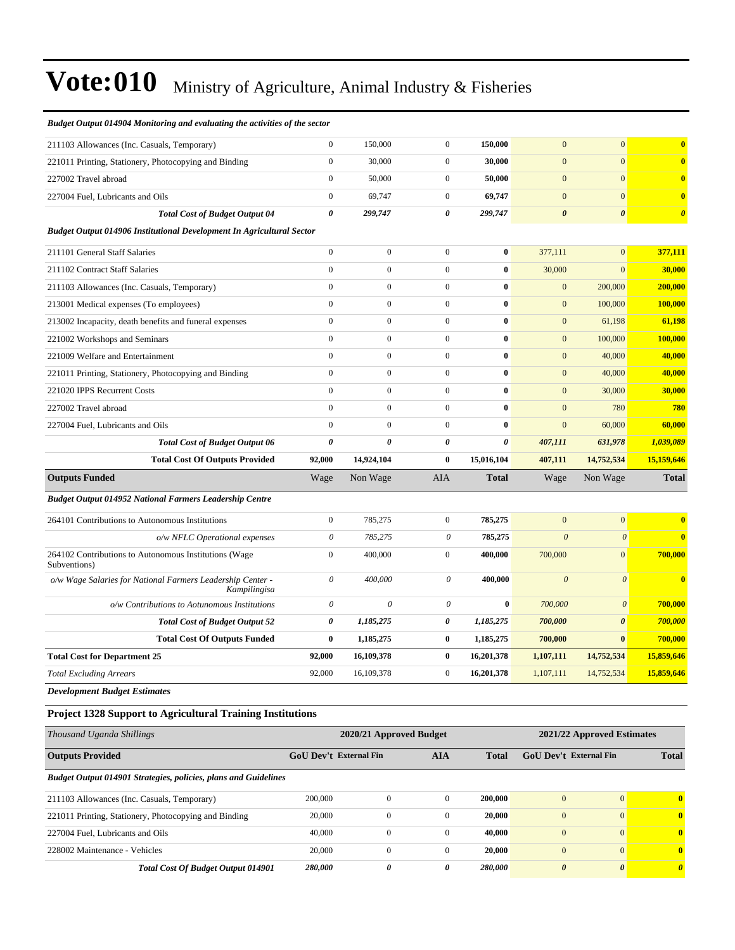| Budget Output 014904 Monitoring and evaluating the activities of the sector  |                           |                  |                       |                  |                       |                           |                       |
|------------------------------------------------------------------------------|---------------------------|------------------|-----------------------|------------------|-----------------------|---------------------------|-----------------------|
| 211103 Allowances (Inc. Casuals, Temporary)                                  | $\boldsymbol{0}$          | 150,000          | $\boldsymbol{0}$      | 150,000          | $\mathbf{0}$          | $\mathbf{0}$              | $\bf{0}$              |
| 221011 Printing, Stationery, Photocopying and Binding                        | $\overline{0}$            | 30,000           | $\overline{0}$        | 30,000           | $\overline{0}$        | $\overline{0}$            | $\bf{0}$              |
| 227002 Travel abroad                                                         | $\boldsymbol{0}$          | 50,000           | $\boldsymbol{0}$      | 50,000           | $\mathbf{0}$          | $\mathbf{0}$              | $\bf{0}$              |
| 227004 Fuel, Lubricants and Oils                                             | $\overline{0}$            | 69,747           | $\boldsymbol{0}$      | 69,747           | $\overline{0}$        | $\overline{0}$            | $\bf{0}$              |
| <b>Total Cost of Budget Output 04</b>                                        | 0                         | 299,747          | $\boldsymbol{\theta}$ | 299,747          | $\boldsymbol{\theta}$ | $\boldsymbol{\theta}$     | $\boldsymbol{\theta}$ |
| <b>Budget Output 014906 Institutional Development In Agricultural Sector</b> |                           |                  |                       |                  |                       |                           |                       |
| 211101 General Staff Salaries                                                | $\overline{0}$            | $\mathbf{0}$     | $\boldsymbol{0}$      | $\bf{0}$         | 377,111               | $\overline{0}$            | 377,111               |
| 211102 Contract Staff Salaries                                               | $\mathbf{0}$              | $\boldsymbol{0}$ | $\mathbf{0}$          | $\bf{0}$         | 30,000                | $\mathbf{0}$              | 30,000                |
| 211103 Allowances (Inc. Casuals, Temporary)                                  | $\mathbf{0}$              | $\boldsymbol{0}$ | $\boldsymbol{0}$      | $\bf{0}$         | $\mathbf{0}$          | 200,000                   | 200,000               |
| 213001 Medical expenses (To employees)                                       | $\boldsymbol{0}$          | $\boldsymbol{0}$ | $\mathbf{0}$          | $\bf{0}$         | $\boldsymbol{0}$      | 100,000                   | 100,000               |
| 213002 Incapacity, death benefits and funeral expenses                       | $\overline{0}$            | $\mathbf{0}$     | $\mathbf{0}$          | $\bf{0}$         | $\boldsymbol{0}$      | 61,198                    | 61,198                |
| 221002 Workshops and Seminars                                                | $\overline{0}$            | $\boldsymbol{0}$ | $\boldsymbol{0}$      | $\bf{0}$         | $\boldsymbol{0}$      | 100,000                   | 100,000               |
| 221009 Welfare and Entertainment                                             | $\overline{0}$            | $\boldsymbol{0}$ | $\boldsymbol{0}$      | $\boldsymbol{0}$ | $\boldsymbol{0}$      | 40,000                    | 40,000                |
| 221011 Printing, Stationery, Photocopying and Binding                        | $\overline{0}$            | $\overline{0}$   | $\boldsymbol{0}$      | $\bf{0}$         | $\mathbf{0}$          | 40,000                    | 40,000                |
| 221020 IPPS Recurrent Costs                                                  | $\overline{0}$            | $\mathbf{0}$     | $\boldsymbol{0}$      | $\bf{0}$         | $\mathbf{0}$          | 30,000                    | 30,000                |
| 227002 Travel abroad                                                         | $\overline{0}$            | $\overline{0}$   | $\boldsymbol{0}$      | $\bf{0}$         | $\mathbf{0}$          | 780                       | 780                   |
| 227004 Fuel, Lubricants and Oils                                             | $\mathbf{0}$              | $\mathbf{0}$     | $\boldsymbol{0}$      | $\bf{0}$         | $\mathbf{0}$          | 60,000                    | 60,000                |
| <b>Total Cost of Budget Output 06</b>                                        | 0                         | 0                | $\pmb{\theta}$        | $\theta$         | 407,111               | 631,978                   | 1,039,089             |
| <b>Total Cost Of Outputs Provided</b>                                        | 92,000                    | 14,924,104       | $\bf{0}$              | 15,016,104       | 407,111               | 14,752,534                | 15,159,646            |
| <b>Outputs Funded</b>                                                        | Wage                      | Non Wage         | <b>AIA</b>            | <b>Total</b>     | Wage                  | Non Wage                  | <b>Total</b>          |
| <b>Budget Output 014952 National Farmers Leadership Centre</b>               |                           |                  |                       |                  |                       |                           |                       |
| 264101 Contributions to Autonomous Institutions                              | $\overline{0}$            | 785,275          | $\boldsymbol{0}$      | 785,275          | $\mathbf{0}$          | $\mathbf{0}$              | $\bf{0}$              |
| o/w NFLC Operational expenses                                                | $\boldsymbol{\mathit{0}}$ | 785,275          | $\theta$              | 785,275          | $\boldsymbol{\theta}$ | $\boldsymbol{\mathit{0}}$ | $\bf{0}$              |
| 264102 Contributions to Autonomous Institutions (Wage<br>Subventions)        | $\overline{0}$            | 400,000          | $\boldsymbol{0}$      | 400,000          | 700,000               | $\mathbf{0}$              | 700,000               |
| o/w Wage Salaries for National Farmers Leadership Center -<br>Kampilingisa   | 0                         | 400,000          | $\theta$              | 400,000          | $\boldsymbol{0}$      | $\boldsymbol{\mathit{0}}$ | $\bf{0}$              |
| o/w Contributions to Aotunomous Institutions                                 | $\boldsymbol{\mathit{0}}$ | $\theta$         | $\mathcal O$          | $\bf{0}$         | 700,000               | $\theta$                  | 700,000               |
| <b>Total Cost of Budget Output 52</b>                                        | 0                         | 1,185,275        | $\pmb{\theta}$        | 1,185,275        | 700,000               | $\boldsymbol{\theta}$     | 700,000               |
| <b>Total Cost Of Outputs Funded</b>                                          | $\bf{0}$                  | 1,185,275        | $\bf{0}$              | 1,185,275        | 700,000               | $\bf{0}$                  | 700,000               |
| <b>Total Cost for Department 25</b>                                          | 92,000                    | 16,109,378       | $\bf{0}$              | 16,201,378       | 1,107,111             | 14,752,534                | 15,859,646            |
| <b>Total Excluding Arrears</b>                                               | 92,000                    | 16,109,378       | $\boldsymbol{0}$      | 16,201,378       | 1,107,111             | 14,752,534                | 15,859,646            |
| <b>Development Budget Estimates</b>                                          |                           |                  |                       |                  |                       |                           |                       |
| <b>Project 1328 Support to Agricultural Training Institutions</b>            |                           |                  |                       |                  |                       |                           |                       |

| Thousand Uganda Shillings                                              | 2020/21 Approved Budget       |          |              |              | 2021/22 Approved Estimates |                       |              |  |
|------------------------------------------------------------------------|-------------------------------|----------|--------------|--------------|----------------------------|-----------------------|--------------|--|
| <b>Outputs Provided</b>                                                | <b>GoU</b> Dev't External Fin |          | <b>AIA</b>   | <b>Total</b> | GoU Dev't External Fin     |                       | <b>Total</b> |  |
| <b>Budget Output 014901 Strategies, policies, plans and Guidelines</b> |                               |          |              |              |                            |                       |              |  |
| 211103 Allowances (Inc. Casuals, Temporary)                            | 200,000                       | 0        | $\Omega$     | 200,000      | $\mathbf{0}$               | $\Omega$              | $\mathbf{0}$ |  |
| 221011 Printing, Stationery, Photocopying and Binding                  | 20,000                        | 0        | $\mathbf{0}$ | 20.000       | $\mathbf{0}$               | $\overline{0}$        | $\mathbf{0}$ |  |
| 227004 Fuel. Lubricants and Oils                                       | 40,000                        | $\Omega$ | $\Omega$     | 40,000       | $\overline{0}$             | $\Omega$              | $\mathbf{0}$ |  |
| 228002 Maintenance - Vehicles                                          | 20,000                        | 0        | $\Omega$     | 20.000       | $\overline{0}$             | $\Omega$              | $\mathbf{0}$ |  |
| <b>Total Cost Of Budget Output 014901</b>                              | 280,000                       | $\theta$ | 0            | 280,000      | $\boldsymbol{\theta}$      | $\boldsymbol{\theta}$ | $\theta$     |  |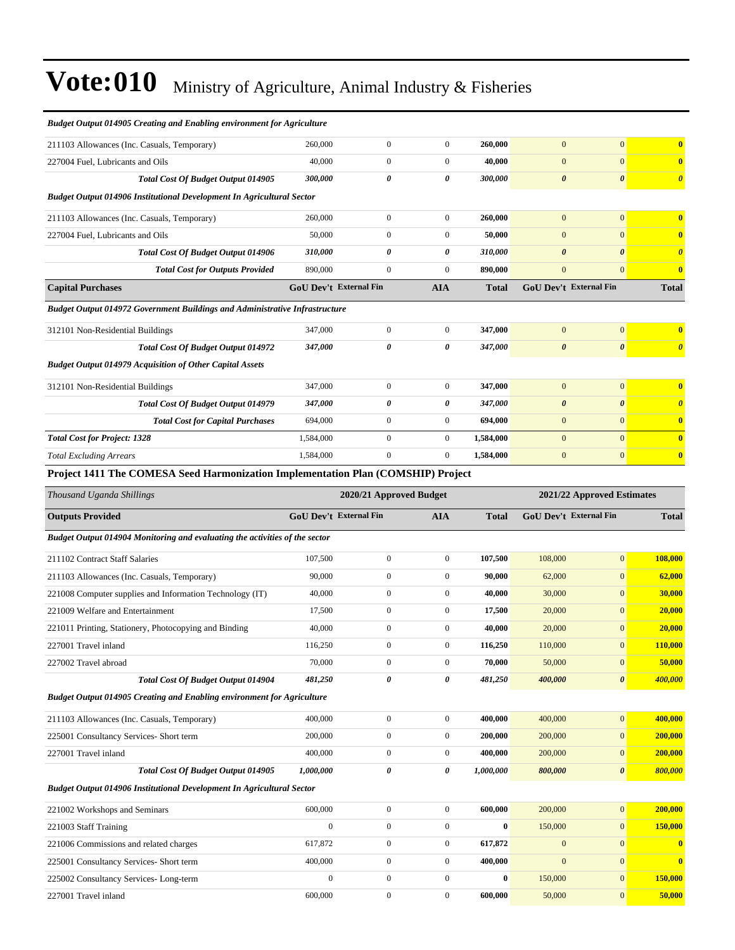| <b>Budget Output 014905 Creating and Enabling environment for Agriculture</b>      |                               |                                      |                                      |                             |                       |                               |                                    |  |  |
|------------------------------------------------------------------------------------|-------------------------------|--------------------------------------|--------------------------------------|-----------------------------|-----------------------|-------------------------------|------------------------------------|--|--|
| 211103 Allowances (Inc. Casuals, Temporary)                                        | 260,000                       | $\boldsymbol{0}$                     | $\boldsymbol{0}$                     | 260,000                     | $\mathbf{0}$          | $\mathbf{0}$                  | $\bf{0}$                           |  |  |
| 227004 Fuel, Lubricants and Oils                                                   | 40,000                        | $\boldsymbol{0}$                     | $\mathbf{0}$                         | 40,000                      | $\mathbf{0}$          | $\mathbf{0}$                  | $\mathbf{0}$                       |  |  |
| Total Cost Of Budget Output 014905                                                 | 300,000                       | 0                                    | 0                                    | 300,000                     | $\boldsymbol{\theta}$ | $\boldsymbol{\theta}$         | $\boldsymbol{\theta}$              |  |  |
| <b>Budget Output 014906 Institutional Development In Agricultural Sector</b>       |                               |                                      |                                      |                             |                       |                               |                                    |  |  |
| 211103 Allowances (Inc. Casuals, Temporary)                                        | 260,000                       | $\boldsymbol{0}$                     | $\boldsymbol{0}$                     | 260,000                     | $\mathbf{0}$          | $\mathbf{0}$                  | $\bf{0}$                           |  |  |
| 227004 Fuel, Lubricants and Oils                                                   | 50,000                        | $\boldsymbol{0}$                     | $\boldsymbol{0}$                     | 50,000                      | $\mathbf{0}$          | $\mathbf{0}$                  | $\overline{\mathbf{0}}$            |  |  |
| <b>Total Cost Of Budget Output 014906</b>                                          | 310,000                       | 0                                    | 0                                    | 310,000                     | $\boldsymbol{\theta}$ | $\boldsymbol{\theta}$         | $\boldsymbol{\theta}$              |  |  |
| <b>Total Cost for Outputs Provided</b>                                             | 890,000                       | $\boldsymbol{0}$                     | $\boldsymbol{0}$                     | 890,000                     | $\mathbf{0}$          | $\overline{0}$                | $\bf{0}$                           |  |  |
| <b>Capital Purchases</b>                                                           | <b>GoU Dev't External Fin</b> |                                      | <b>AIA</b>                           | <b>Total</b>                |                       | GoU Dev't External Fin        | <b>Total</b>                       |  |  |
| <b>Budget Output 014972 Government Buildings and Administrative Infrastructure</b> |                               |                                      |                                      |                             |                       |                               |                                    |  |  |
| 312101 Non-Residential Buildings                                                   | 347,000                       | $\boldsymbol{0}$                     | $\boldsymbol{0}$                     | 347,000                     | $\boldsymbol{0}$      | $\mathbf{0}$                  | $\bf{0}$                           |  |  |
| <b>Total Cost Of Budget Output 014972</b>                                          | 347,000                       | 0                                    | 0                                    | 347,000                     | $\boldsymbol{\theta}$ | $\boldsymbol{\theta}$         | $\boldsymbol{\theta}$              |  |  |
| <b>Budget Output 014979 Acquisition of Other Capital Assets</b>                    |                               |                                      |                                      |                             |                       |                               |                                    |  |  |
| 312101 Non-Residential Buildings                                                   | 347,000                       | $\boldsymbol{0}$                     | $\boldsymbol{0}$                     | 347,000                     | $\mathbf{0}$          | $\mathbf{0}$                  | $\overline{\mathbf{0}}$            |  |  |
| Total Cost Of Budget Output 014979                                                 | 347,000                       | 0                                    | 0                                    | 347,000                     | $\boldsymbol{\theta}$ | $\boldsymbol{\theta}$         | $\boldsymbol{\theta}$              |  |  |
| <b>Total Cost for Capital Purchases</b>                                            | 694,000                       | $\boldsymbol{0}$                     | $\boldsymbol{0}$                     | 694,000                     | $\boldsymbol{0}$      | $\mathbf{0}$                  | $\bf{0}$                           |  |  |
| <b>Total Cost for Project: 1328</b>                                                | 1,584,000                     | $\boldsymbol{0}$                     | $\boldsymbol{0}$                     | 1,584,000                   | $\boldsymbol{0}$      | $\overline{0}$                | $\overline{\mathbf{0}}$            |  |  |
| <b>Total Excluding Arrears</b>                                                     | 1.584.000                     | $\boldsymbol{0}$                     | $\mathbf{0}$                         | 1,584,000                   | $\mathbf{0}$          | $\mathbf{0}$                  | $\bf{0}$                           |  |  |
| Project 1411 The COMESA Seed Harmonization Implementation Plan (COMSHIP) Project   |                               |                                      |                                      |                             |                       |                               |                                    |  |  |
| Thousand Uganda Shillings                                                          |                               | 2020/21 Approved Budget              |                                      |                             |                       | 2021/22 Approved Estimates    |                                    |  |  |
|                                                                                    |                               |                                      |                                      |                             |                       | <b>GoU Dev't External Fin</b> |                                    |  |  |
| <b>Outputs Provided</b>                                                            | <b>GoU Dev't External Fin</b> |                                      | <b>AIA</b>                           | <b>Total</b>                |                       |                               | <b>Total</b>                       |  |  |
| Budget Output 014904 Monitoring and evaluating the activities of the sector        |                               |                                      |                                      |                             |                       |                               |                                    |  |  |
| 211102 Contract Staff Salaries                                                     | 107,500                       | $\boldsymbol{0}$                     | $\boldsymbol{0}$                     | 107,500                     | 108,000               | $\mathbf{0}$                  | 108,000                            |  |  |
| 211103 Allowances (Inc. Casuals, Temporary)                                        | 90,000                        | $\boldsymbol{0}$                     | $\boldsymbol{0}$                     | 90,000                      | 62,000                | $\mathbf{0}$                  | 62,000                             |  |  |
| 221008 Computer supplies and Information Technology (IT)                           | 40,000                        | $\boldsymbol{0}$                     | $\boldsymbol{0}$                     | 40,000                      | 30,000                | $\mathbf{0}$                  | 30,000                             |  |  |
| 221009 Welfare and Entertainment                                                   | 17,500                        | $\boldsymbol{0}$                     | $\boldsymbol{0}$                     | 17,500                      | 20,000                | $\mathbf{0}$                  | 20,000                             |  |  |
| 221011 Printing, Stationery, Photocopying and Binding                              | 40,000                        | $\boldsymbol{0}$                     | $\boldsymbol{0}$                     | 40,000                      | 20,000                | $\mathbf{0}$                  | 20,000                             |  |  |
| 227001 Travel inland                                                               | 116,250                       | $\boldsymbol{0}$                     | $\boldsymbol{0}$                     | 116,250                     | 110,000               | $\mathbf{0}$                  | 110,000                            |  |  |
| 227002 Travel abroad                                                               | 70,000                        | $\boldsymbol{0}$                     | $\boldsymbol{0}$                     | 70,000                      | 50,000                | 0                             | 50,000                             |  |  |
| Total Cost Of Budget Output 014904                                                 | 481,250                       | 0                                    | 0                                    | 481,250                     | 400,000               | $\pmb{\theta}$                | 400,000                            |  |  |
| Budget Output 014905 Creating and Enabling environment for Agriculture             |                               |                                      |                                      |                             |                       |                               |                                    |  |  |
| 211103 Allowances (Inc. Casuals, Temporary)                                        | 400,000                       | $\boldsymbol{0}$                     | $\boldsymbol{0}$                     | 400,000                     | 400,000               | $\mathbf{0}$                  | 400,000                            |  |  |
| 225001 Consultancy Services- Short term                                            | 200,000                       | $\boldsymbol{0}$                     | $\mathbf{0}$                         | 200,000                     | 200,000               | $\boldsymbol{0}$              | 200,000                            |  |  |
| 227001 Travel inland                                                               | 400,000                       | $\boldsymbol{0}$                     | $\boldsymbol{0}$                     | 400,000                     | 200,000               | $\mathbf{0}$                  | 200,000                            |  |  |
| Total Cost Of Budget Output 014905                                                 | 1,000,000                     | 0                                    | 0                                    | 1,000,000                   | 800,000               | $\boldsymbol{\theta}$         | 800,000                            |  |  |
| <b>Budget Output 014906 Institutional Development In Agricultural Sector</b>       |                               |                                      |                                      |                             |                       |                               |                                    |  |  |
| 221002 Workshops and Seminars                                                      | 600,000                       | $\boldsymbol{0}$                     | $\boldsymbol{0}$                     | 600,000                     | 200,000               | $\mathbf{0}$                  | 200,000                            |  |  |
| 221003 Staff Training                                                              | $\boldsymbol{0}$              | $\boldsymbol{0}$                     | $\boldsymbol{0}$                     | $\bf{0}$                    | 150,000               | $\mathbf{0}$                  | 150,000                            |  |  |
| 221006 Commissions and related charges                                             | 617,872                       | $\boldsymbol{0}$                     | $\boldsymbol{0}$                     | 617,872                     | $\boldsymbol{0}$      | $\boldsymbol{0}$              | $\bf{0}$                           |  |  |
| 225001 Consultancy Services- Short term<br>225002 Consultancy Services-Long-term   | 400,000<br>$\boldsymbol{0}$   | $\boldsymbol{0}$<br>$\boldsymbol{0}$ | $\boldsymbol{0}$<br>$\boldsymbol{0}$ | 400,000<br>$\boldsymbol{0}$ | $\boldsymbol{0}$      | $\boldsymbol{0}$              | $\overline{\mathbf{0}}$<br>150,000 |  |  |

227001 Travel inland **600,000** 600,000 0 0 600,000 50,000 0 50,000 0 50,000 0 50,000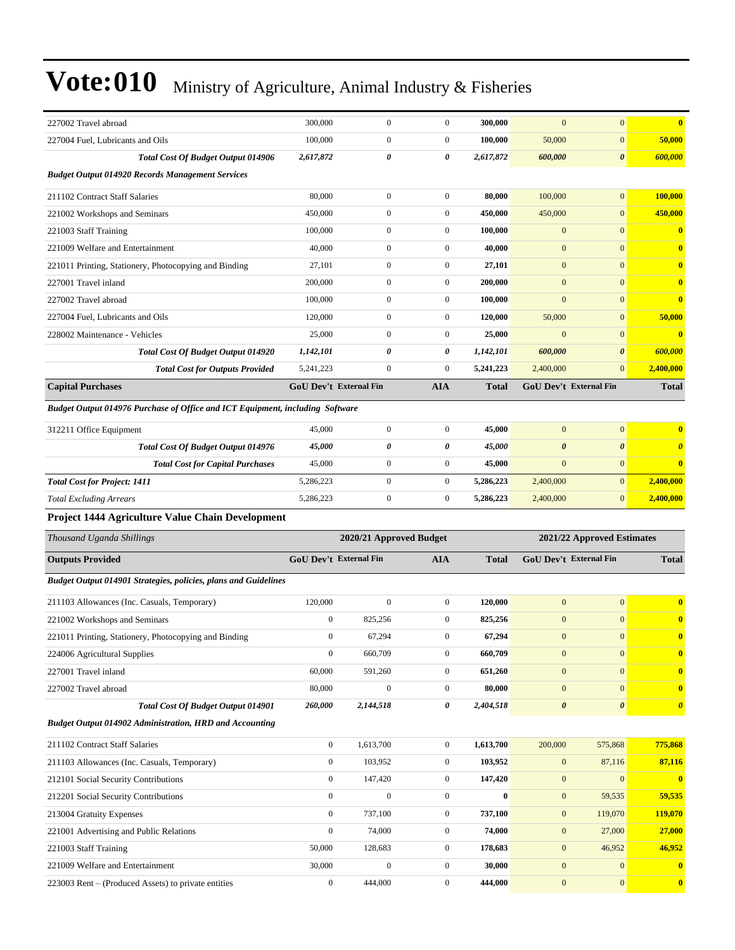| 227002 Travel abroad                                                          | 300,000                       | $\boldsymbol{0}$        | $\boldsymbol{0}$ | 300,000      | $\mathbf{0}$          | $\boldsymbol{0}$              | $\bf{0}$                |
|-------------------------------------------------------------------------------|-------------------------------|-------------------------|------------------|--------------|-----------------------|-------------------------------|-------------------------|
| 227004 Fuel, Lubricants and Oils                                              | 100,000                       | $\boldsymbol{0}$        | $\boldsymbol{0}$ | 100,000      | 50,000                | $\boldsymbol{0}$              | 50,000                  |
| <b>Total Cost Of Budget Output 014906</b>                                     | 2,617,872                     | 0                       | 0                | 2,617,872    | 600,000               | $\boldsymbol{\theta}$         | 600,000                 |
| <b>Budget Output 014920 Records Management Services</b>                       |                               |                         |                  |              |                       |                               |                         |
| 211102 Contract Staff Salaries                                                | 80,000                        | $\boldsymbol{0}$        | $\boldsymbol{0}$ | 80,000       | 100,000               | $\mathbf{0}$                  | 100,000                 |
| 221002 Workshops and Seminars                                                 | 450,000                       | $\boldsymbol{0}$        | $\boldsymbol{0}$ | 450,000      | 450,000               | $\boldsymbol{0}$              | 450,000                 |
| 221003 Staff Training                                                         | 100,000                       | $\boldsymbol{0}$        | $\boldsymbol{0}$ | 100,000      | $\mathbf{0}$          | $\mathbf{0}$                  | $\overline{\mathbf{0}}$ |
| 221009 Welfare and Entertainment                                              | 40,000                        | $\mathbf{0}$            | $\boldsymbol{0}$ | 40,000       | $\boldsymbol{0}$      | $\mathbf{0}$                  | $\overline{\mathbf{0}}$ |
| 221011 Printing, Stationery, Photocopying and Binding                         | 27,101                        | $\boldsymbol{0}$        | $\boldsymbol{0}$ | 27,101       | $\boldsymbol{0}$      | $\overline{0}$                | $\mathbf{0}$            |
| 227001 Travel inland                                                          | 200,000                       | $\boldsymbol{0}$        | $\boldsymbol{0}$ | 200,000      | $\boldsymbol{0}$      | $\mathbf{0}$                  | $\bf{0}$                |
| 227002 Travel abroad                                                          | 100,000                       | $\boldsymbol{0}$        | $\boldsymbol{0}$ | 100,000      | $\boldsymbol{0}$      | $\boldsymbol{0}$              | $\overline{\mathbf{0}}$ |
| 227004 Fuel, Lubricants and Oils                                              | 120,000                       | $\boldsymbol{0}$        | $\boldsymbol{0}$ | 120,000      | 50,000                | $\boldsymbol{0}$              | 50,000                  |
| 228002 Maintenance - Vehicles                                                 | 25,000                        | $\mathbf{0}$            | $\boldsymbol{0}$ | 25,000       | $\overline{0}$        | $\mathbf{0}$                  | $\mathbf{0}$            |
| Total Cost Of Budget Output 014920                                            | 1,142,101                     | 0                       | 0                | 1,142,101    | 600,000               | $\boldsymbol{\theta}$         | 600,000                 |
| <b>Total Cost for Outputs Provided</b>                                        | 5,241,223                     | $\boldsymbol{0}$        | $\boldsymbol{0}$ | 5,241,223    | 2,400,000             | $\mathbf{0}$                  | 2,400,000               |
| <b>Capital Purchases</b>                                                      | <b>GoU Dev't External Fin</b> |                         | <b>AIA</b>       | <b>Total</b> |                       | <b>GoU Dev't External Fin</b> | <b>Total</b>            |
| Budget Output 014976 Purchase of Office and ICT Equipment, including Software |                               |                         |                  |              |                       |                               |                         |
| 312211 Office Equipment                                                       | 45,000                        | $\boldsymbol{0}$        | $\boldsymbol{0}$ | 45,000       | $\mathbf{0}$          | $\boldsymbol{0}$              | $\overline{\mathbf{0}}$ |
| Total Cost Of Budget Output 014976                                            | 45,000                        | 0                       | 0                | 45,000       | $\boldsymbol{\theta}$ | $\boldsymbol{\theta}$         | $\boldsymbol{\theta}$   |
| <b>Total Cost for Capital Purchases</b>                                       | 45,000                        | $\boldsymbol{0}$        | $\boldsymbol{0}$ | 45,000       | $\boldsymbol{0}$      | $\mathbf{0}$                  | $\bf{0}$                |
| <b>Total Cost for Project: 1411</b>                                           | 5,286,223                     | $\boldsymbol{0}$        | $\boldsymbol{0}$ | 5,286,223    | 2,400,000             | $\mathbf{0}$                  | 2,400,000               |
| <b>Total Excluding Arrears</b>                                                | 5,286,223                     | $\boldsymbol{0}$        | $\boldsymbol{0}$ | 5,286,223    | 2,400,000             | $\mathbf{0}$                  | 2,400,000               |
| Project 1444 Agriculture Value Chain Development                              |                               |                         |                  |              |                       |                               |                         |
| Thousand Uganda Shillings                                                     |                               | 2020/21 Approved Budget |                  |              |                       | 2021/22 Approved Estimates    |                         |
| <b>Outputs Provided</b>                                                       | <b>GoU Dev't External Fin</b> |                         | <b>AIA</b>       | <b>Total</b> |                       | <b>GoU Dev't External Fin</b> | <b>Total</b>            |
| Budget Output 014901 Strategies, policies, plans and Guidelines               |                               |                         |                  |              |                       |                               |                         |
| 211103 Allowances (Inc. Casuals, Temporary)                                   | 120,000                       | $\mathbf{0}$            | $\boldsymbol{0}$ | 120,000      | $\mathbf{0}$          | $\boldsymbol{0}$              | $\overline{\mathbf{0}}$ |
| 221002 Workshops and Seminars                                                 | $\boldsymbol{0}$              | 825,256                 | $\boldsymbol{0}$ | 825,256      | $\boldsymbol{0}$      | $\mathbf{0}$                  | $\mathbf{0}$            |
| 221011 Printing, Stationery, Photocopying and Binding                         | $\mathbf{0}$                  | 67,294                  | $\boldsymbol{0}$ | 67,294       | $\boldsymbol{0}$      | $\mathbf{0}$                  | $\overline{\mathbf{0}}$ |
| 224006 Agricultural Supplies                                                  | $\boldsymbol{0}$              | 660,709                 | $\boldsymbol{0}$ | 660,709      | $\boldsymbol{0}$      | $\boldsymbol{0}$              | $\mathbf{0}$            |
| 227001 Travel inland                                                          | 60,000                        | 591,260                 | $\boldsymbol{0}$ | 651,260      | $\mathbf{0}$          | $\mathbf{0}$                  | $\bf{0}$                |
| 227002 Travel abroad                                                          | 80,000                        | $\boldsymbol{0}$        | $\boldsymbol{0}$ | 80,000       | $\boldsymbol{0}$      | $\mathbf{0}$                  | $\bf{0}$                |
| Total Cost Of Budget Output 014901                                            | 260,000                       | 2,144,518               | 0                | 2,404,518    | $\boldsymbol{\theta}$ | $\boldsymbol{\theta}$         | $\boldsymbol{\theta}$   |
| <b>Budget Output 014902 Administration, HRD and Accounting</b>                |                               |                         |                  |              |                       |                               |                         |
| 211102 Contract Staff Salaries                                                | $\overline{0}$                | 1,613,700               | $\boldsymbol{0}$ | 1,613,700    | 200,000               | 575,868                       | 775,868                 |
| 211103 Allowances (Inc. Casuals, Temporary)                                   | $\boldsymbol{0}$              | 103,952                 | $\boldsymbol{0}$ | 103,952      | $\boldsymbol{0}$      | 87,116                        | 87,116                  |
| 212101 Social Security Contributions                                          | $\overline{0}$                | 147,420                 | $\boldsymbol{0}$ | 147,420      | $\boldsymbol{0}$      | $\boldsymbol{0}$              | $\bf{0}$                |
| 212201 Social Security Contributions                                          | $\mathbf{0}$                  | $\boldsymbol{0}$        | $\boldsymbol{0}$ | $\bf{0}$     | $\mathbf{0}$          | 59,535                        | 59,535                  |
| 213004 Gratuity Expenses                                                      | $\boldsymbol{0}$              | 737,100                 | $\boldsymbol{0}$ | 737,100      | $\boldsymbol{0}$      | 119,070                       | 119,070                 |
| 221001 Advertising and Public Relations                                       | $\boldsymbol{0}$              | 74,000                  | $\boldsymbol{0}$ | 74,000       | $\mathbf{0}$          | 27,000                        | 27,000                  |
| 221003 Staff Training                                                         | 50,000                        | 128,683                 | $\boldsymbol{0}$ | 178,683      | $\boldsymbol{0}$      | 46,952                        | 46,952                  |
| 221009 Welfare and Entertainment                                              |                               |                         |                  |              |                       |                               |                         |
|                                                                               | 30,000                        | $\overline{0}$          | $\boldsymbol{0}$ | 30,000       | $\boldsymbol{0}$      | $\boldsymbol{0}$              | $\bf{0}$                |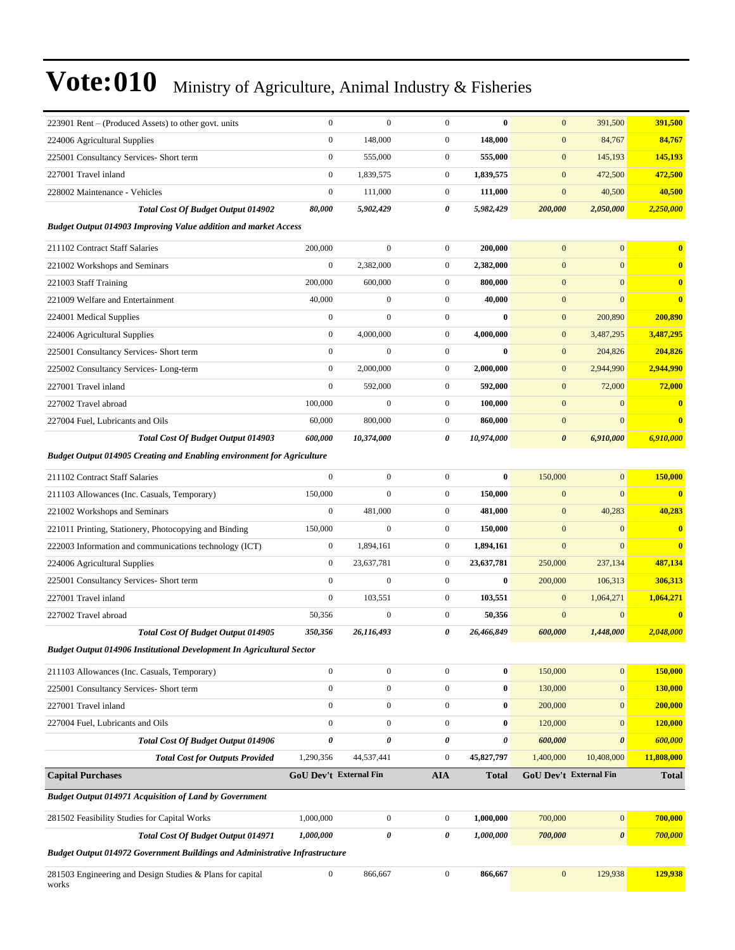| 223901 Rent – (Produced Assets) to other govt. units                               | $\boldsymbol{0}$       | $\mathbf{0}$     | $\mathbf{0}$     | $\bf{0}$         | $\mathbf{0}$          | 391,500                | 391,500                 |
|------------------------------------------------------------------------------------|------------------------|------------------|------------------|------------------|-----------------------|------------------------|-------------------------|
| 224006 Agricultural Supplies                                                       | $\boldsymbol{0}$       | 148,000          | $\boldsymbol{0}$ | 148,000          | $\boldsymbol{0}$      | 84,767                 | 84,767                  |
| 225001 Consultancy Services- Short term                                            | $\boldsymbol{0}$       | 555,000          | $\boldsymbol{0}$ | 555,000          | $\boldsymbol{0}$      | 145,193                | 145,193                 |
| 227001 Travel inland                                                               | $\mathbf{0}$           | 1,839,575        | $\boldsymbol{0}$ | 1,839,575        | $\mathbf{0}$          | 472,500                | 472,500                 |
| 228002 Maintenance - Vehicles                                                      | $\mathbf{0}$           | 111,000          | $\boldsymbol{0}$ | 111,000          | $\mathbf{0}$          | 40,500                 | 40,500                  |
| <b>Total Cost Of Budget Output 014902</b>                                          | 80,000                 | 5,902,429        | 0                | 5,982,429        | 200,000               | 2,050,000              | 2,250,000               |
| <b>Budget Output 014903 Improving Value addition and market Access</b>             |                        |                  |                  |                  |                       |                        |                         |
| 211102 Contract Staff Salaries                                                     | 200,000                | $\mathbf{0}$     | $\boldsymbol{0}$ | 200,000          | $\mathbf{0}$          | $\mathbf{0}$           | $\mathbf{0}$            |
| 221002 Workshops and Seminars                                                      | $\mathbf{0}$           | 2,382,000        | $\boldsymbol{0}$ | 2,382,000        | $\mathbf{0}$          | $\overline{0}$         | $\bf{0}$                |
| 221003 Staff Training                                                              | 200,000                | 600,000          | $\boldsymbol{0}$ | 800,000          | $\mathbf{0}$          | $\mathbf{0}$           | $\bf{0}$                |
| 221009 Welfare and Entertainment                                                   | 40,000                 | $\boldsymbol{0}$ | $\boldsymbol{0}$ | 40,000           | $\boldsymbol{0}$      | $\mathbf{0}$           | $\overline{\mathbf{0}}$ |
| 224001 Medical Supplies                                                            | $\boldsymbol{0}$       | $\overline{0}$   | $\boldsymbol{0}$ | $\bf{0}$         | $\boldsymbol{0}$      | 200,890                | 200,890                 |
| 224006 Agricultural Supplies                                                       | $\boldsymbol{0}$       | 4,000,000        | $\boldsymbol{0}$ | 4,000,000        | $\boldsymbol{0}$      | 3,487,295              | 3,487,295               |
| 225001 Consultancy Services- Short term                                            | $\mathbf{0}$           | $\overline{0}$   | $\boldsymbol{0}$ | $\mathbf{0}$     | $\boldsymbol{0}$      | 204,826                | 204,826                 |
| 225002 Consultancy Services-Long-term                                              | $\mathbf{0}$           | 2,000,000        | $\boldsymbol{0}$ | 2,000,000        | $\mathbf{0}$          | 2,944,990              | 2,944,990               |
| 227001 Travel inland                                                               | $\boldsymbol{0}$       | 592,000          | $\boldsymbol{0}$ | 592,000          | $\boldsymbol{0}$      | 72,000                 | 72,000                  |
| 227002 Travel abroad                                                               | 100,000                | $\overline{0}$   | $\boldsymbol{0}$ | 100,000          | $\mathbf{0}$          | $\mathbf{0}$           | $\overline{\mathbf{0}}$ |
| 227004 Fuel, Lubricants and Oils                                                   | 60,000                 | 800,000          | $\boldsymbol{0}$ | 860,000          | $\boldsymbol{0}$      | $\mathbf{0}$           | $\mathbf{0}$            |
| Total Cost Of Budget Output 014903                                                 | 600,000                | 10,374,000       | 0                | 10,974,000       | $\boldsymbol{\theta}$ | 6,910,000              | 6,910,000               |
| <b>Budget Output 014905 Creating and Enabling environment for Agriculture</b>      |                        |                  |                  |                  |                       |                        |                         |
| 211102 Contract Staff Salaries                                                     | $\boldsymbol{0}$       | $\boldsymbol{0}$ | $\boldsymbol{0}$ | $\bf{0}$         | 150,000               | $\mathbf{0}$           | 150,000                 |
| 211103 Allowances (Inc. Casuals, Temporary)                                        | 150,000                | $\mathbf{0}$     | $\boldsymbol{0}$ | 150,000          | $\mathbf{0}$          | $\overline{0}$         | $\bf{0}$                |
| 221002 Workshops and Seminars                                                      | $\boldsymbol{0}$       | 481,000          | $\boldsymbol{0}$ | 481,000          | $\mathbf{0}$          | 40,283                 | 40,283                  |
| 221011 Printing, Stationery, Photocopying and Binding                              | 150,000                | $\boldsymbol{0}$ | $\boldsymbol{0}$ | 150,000          | $\boldsymbol{0}$      | $\mathbf{0}$           | $\overline{\mathbf{0}}$ |
| 222003 Information and communications technology (ICT)                             | $\boldsymbol{0}$       | 1,894,161        | $\boldsymbol{0}$ | 1,894,161        | $\mathbf{0}$          | $\mathbf{0}$           | $\bf{0}$                |
| 224006 Agricultural Supplies                                                       | $\boldsymbol{0}$       | 23,637,781       | $\boldsymbol{0}$ | 23,637,781       | 250,000               | 237,134                | 487,134                 |
| 225001 Consultancy Services- Short term                                            | $\boldsymbol{0}$       | $\mathbf{0}$     | $\boldsymbol{0}$ | $\bf{0}$         | 200,000               | 106,313                | 306,313                 |
| 227001 Travel inland                                                               | $\boldsymbol{0}$       | 103,551          | $\boldsymbol{0}$ | 103,551          | $\mathbf{0}$          | 1,064,271              | 1,064,271               |
| 227002 Travel abroad                                                               | 50,356                 | 0                | $\boldsymbol{0}$ | 50,356           | $\mathbf{0}$          | $\mathbf{0}$           | $\overline{\mathbf{0}}$ |
| Total Cost Of Budget Output 014905                                                 | 350,356                | 26,116,493       | 0                | 26,466,849       | 600,000               | 1,448,000              | 2,048,000               |
| Budget Output 014906 Institutional Development In Agricultural Sector              |                        |                  |                  |                  |                       |                        |                         |
| 211103 Allowances (Inc. Casuals, Temporary)                                        | $\boldsymbol{0}$       | $\boldsymbol{0}$ | $\boldsymbol{0}$ | $\boldsymbol{0}$ | 150,000               | $\mathbf{0}$           | 150,000                 |
| 225001 Consultancy Services- Short term                                            | $\boldsymbol{0}$       | $\overline{0}$   | $\boldsymbol{0}$ | $\boldsymbol{0}$ | 130,000               | $\mathbf{0}$           | 130,000                 |
| 227001 Travel inland                                                               | $\boldsymbol{0}$       | $\overline{0}$   | $\boldsymbol{0}$ | $\boldsymbol{0}$ | 200,000               | $\mathbf{0}$           | 200,000                 |
| 227004 Fuel, Lubricants and Oils                                                   | $\boldsymbol{0}$       | $\boldsymbol{0}$ | $\boldsymbol{0}$ | $\boldsymbol{0}$ | 120,000               | $\mathbf{0}$           | 120,000                 |
| <b>Total Cost Of Budget Output 014906</b>                                          | $\pmb{\theta}$         | 0                | 0                | 0                | 600,000               | $\boldsymbol{\theta}$  | 600,000                 |
| <b>Total Cost for Outputs Provided</b>                                             | 1,290,356              | 44,537,441       | $\boldsymbol{0}$ | 45,827,797       | 1,400,000             | 10,408,000             | 11,808,000              |
| <b>Capital Purchases</b>                                                           | GoU Dev't External Fin |                  | <b>AIA</b>       | <b>Total</b>     |                       | GoU Dev't External Fin | <b>Total</b>            |
| <b>Budget Output 014971 Acquisition of Land by Government</b>                      |                        |                  |                  |                  |                       |                        |                         |
| 281502 Feasibility Studies for Capital Works                                       | 1,000,000              | $\boldsymbol{0}$ | $\boldsymbol{0}$ | 1,000,000        | 700,000               | $\mathbf{0}$           | 700,000                 |
| <b>Total Cost Of Budget Output 014971</b>                                          | 1,000,000              | 0                | 0                | 1,000,000        | 700,000               | $\boldsymbol{\theta}$  | 700,000                 |
| <b>Budget Output 014972 Government Buildings and Administrative Infrastructure</b> |                        |                  |                  |                  |                       |                        |                         |
| 281503 Engineering and Design Studies & Plans for capital<br>works                 | $\boldsymbol{0}$       | 866,667          | $\boldsymbol{0}$ | 866,667          | $\boldsymbol{0}$      | 129,938                | 129,938                 |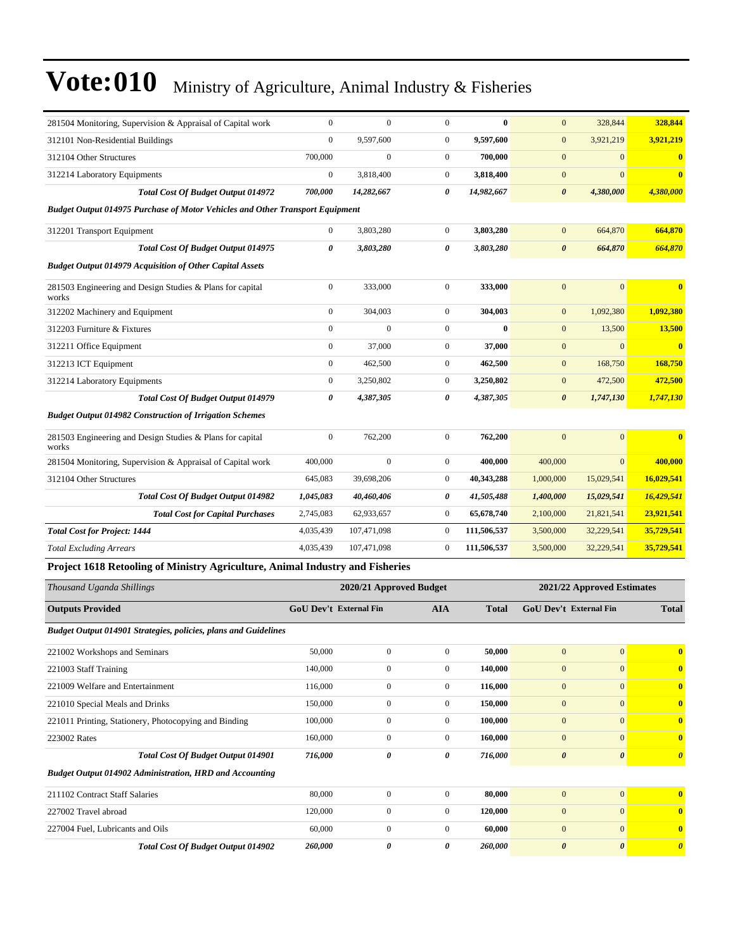| 281504 Monitoring, Supervision & Appraisal of Capital work                    | $\boldsymbol{0}$ | $\mathbf{0}$ | $\mathbf{0}$     | $\bf{0}$    | $\mathbf{0}$          | 328,844        | 328,844                 |
|-------------------------------------------------------------------------------|------------------|--------------|------------------|-------------|-----------------------|----------------|-------------------------|
| 312101 Non-Residential Buildings                                              | $\mathbf{0}$     | 9.597.600    | $\overline{0}$   | 9.597.600   | $\mathbf{0}$          | 3,921,219      | 3,921,219               |
| 312104 Other Structures                                                       | 700,000          | $\Omega$     | $\overline{0}$   | 700.000     | $\mathbf{0}$          | $\Omega$       | $\mathbf{0}$            |
| 312214 Laboratory Equipments                                                  | $\mathbf{0}$     | 3,818,400    | $\boldsymbol{0}$ | 3,818,400   | $\boldsymbol{0}$      | $\mathbf{0}$   | $\overline{\mathbf{0}}$ |
| <b>Total Cost Of Budget Output 014972</b>                                     | 700,000          | 14,282,667   | 0                | 14,982,667  | $\boldsymbol{\theta}$ | 4,380,000      | 4,380,000               |
| Budget Output 014975 Purchase of Motor Vehicles and Other Transport Equipment |                  |              |                  |             |                       |                |                         |
| 312201 Transport Equipment                                                    | $\boldsymbol{0}$ | 3,803,280    | $\mathbf{0}$     | 3,803,280   | $\mathbf{0}$          | 664,870        | 664,870                 |
| Total Cost Of Budget Output 014975                                            | $\theta$         | 3,803,280    | 0                | 3,803,280   | $\boldsymbol{\theta}$ | 664,870        | 664,870                 |
| <b>Budget Output 014979 Acquisition of Other Capital Assets</b>               |                  |              |                  |             |                       |                |                         |
| 281503 Engineering and Design Studies & Plans for capital<br>works            | $\boldsymbol{0}$ | 333,000      | $\overline{0}$   | 333,000     | $\mathbf{0}$          | $\overline{0}$ | $\overline{\mathbf{0}}$ |
| 312202 Machinery and Equipment                                                | $\boldsymbol{0}$ | 304,003      | $\boldsymbol{0}$ | 304,003     | $\boldsymbol{0}$      | 1,092,380      | 1,092,380               |
| 312203 Furniture & Fixtures                                                   | $\boldsymbol{0}$ | $\mathbf{0}$ | $\boldsymbol{0}$ | $\bf{0}$    | $\mathbf{0}$          | 13,500         | 13,500                  |
| 312211 Office Equipment                                                       | $\mathbf{0}$     | 37,000       | $\mathbf{0}$     | 37,000      | $\mathbf{0}$          | $\overline{0}$ | $\mathbf{0}$            |
| 312213 ICT Equipment                                                          | $\overline{0}$   | 462,500      | $\overline{0}$   | 462,500     | $\mathbf{0}$          | 168,750        | 168,750                 |
| 312214 Laboratory Equipments                                                  | $\mathbf{0}$     | 3,250,802    | $\overline{0}$   | 3,250,802   | $\mathbf{0}$          | 472,500        | 472,500                 |
| <b>Total Cost Of Budget Output 014979</b>                                     | 0                | 4,387,305    | 0                | 4,387,305   | $\boldsymbol{\theta}$ | 1,747,130      | 1,747,130               |
| <b>Budget Output 014982 Construction of Irrigation Schemes</b>                |                  |              |                  |             |                       |                |                         |
| 281503 Engineering and Design Studies & Plans for capital<br>works            | $\boldsymbol{0}$ | 762,200      | $\boldsymbol{0}$ | 762,200     | $\mathbf{0}$          | $\overline{0}$ | $\overline{\mathbf{0}}$ |
| 281504 Monitoring, Supervision & Appraisal of Capital work                    | 400,000          | $\mathbf{0}$ | $\overline{0}$   | 400,000     | 400,000               | $\mathbf{0}$   | 400,000                 |
| 312104 Other Structures                                                       | 645,083          | 39,698,206   | $\boldsymbol{0}$ | 40,343,288  | 1,000,000             | 15,029,541     | 16,029,541              |
| <b>Total Cost Of Budget Output 014982</b>                                     | 1,045,083        | 40,460,406   | 0                | 41,505,488  | 1,400,000             | 15,029,541     | 16,429,541              |
| <b>Total Cost for Capital Purchases</b>                                       | 2,745,083        | 62,933,657   | $\boldsymbol{0}$ | 65,678,740  | 2,100,000             | 21,821,541     | 23,921,541              |
| <b>Total Cost for Project: 1444</b>                                           | 4,035,439        | 107,471,098  | $\mathbf{0}$     | 111,506,537 | 3,500,000             | 32,229,541     | 35,729,541              |
| <b>Total Excluding Arrears</b>                                                | 4,035,439        | 107,471,098  | $\boldsymbol{0}$ | 111,506,537 | 3,500,000             | 32,229,541     | 35,729,541              |
| Project 1618 Retooling of Ministry Agriculture, Animal Industry and Fisheries |                  |              |                  |             |                       |                |                         |
| $\mathbf{r}$ $\alpha$ $\mathbf{r}$ $\alpha$                                   |                  |              |                  |             |                       |                |                         |

| Thousand Uganda Shillings                                       | 2020/21 Approved Budget                     |                |                |              | 2021/22 Approved Estimates    |                       |                                  |  |
|-----------------------------------------------------------------|---------------------------------------------|----------------|----------------|--------------|-------------------------------|-----------------------|----------------------------------|--|
| <b>Outputs Provided</b>                                         | <b>GoU Dev't External Fin</b><br><b>AIA</b> |                |                | <b>Total</b> | <b>GoU Dev't External Fin</b> |                       | <b>Total</b>                     |  |
| Budget Output 014901 Strategies, policies, plans and Guidelines |                                             |                |                |              |                               |                       |                                  |  |
| 221002 Workshops and Seminars                                   | 50,000                                      | $\mathbf{0}$   | $\Omega$       | 50,000       | $\mathbf{0}$                  | $\overline{0}$        | $\mathbf{0}$                     |  |
| 221003 Staff Training                                           | 140,000                                     | $\overline{0}$ | $\overline{0}$ | 140,000      | $\mathbf{0}$                  | $\mathbf{0}$          | $\bf{0}$                         |  |
| 221009 Welfare and Entertainment                                | 116,000                                     | $\overline{0}$ | $\overline{0}$ | 116,000      | $\mathbf{0}$                  | $\Omega$              | $\mathbf{0}$                     |  |
| 221010 Special Meals and Drinks                                 | 150,000                                     | $\mathbf{0}$   | $\mathbf{0}$   | 150,000      | $\mathbf{0}$                  | $\Omega$              | $\bf{0}$                         |  |
| 221011 Printing, Stationery, Photocopying and Binding           | 100,000                                     | $\overline{0}$ | $\mathbf{0}$   | 100,000      | $\mathbf{0}$                  | $\Omega$              | $\bf{0}$                         |  |
| 223002 Rates                                                    | 160,000                                     | $\mathbf{0}$   | $\Omega$       | 160,000      | $\mathbf{0}$                  | $\mathbf{0}$          | $\bf{0}$                         |  |
| Total Cost Of Budget Output 014901                              | 716,000                                     | 0              | 0              | 716,000      | $\boldsymbol{\theta}$         | $\boldsymbol{\theta}$ | $\overline{\boldsymbol{\theta}}$ |  |
| <b>Budget Output 014902 Administration, HRD and Accounting</b>  |                                             |                |                |              |                               |                       |                                  |  |
| 211102 Contract Staff Salaries                                  | 80,000                                      | $\mathbf{0}$   | $\Omega$       | 80,000       | $\mathbf{0}$                  | $\overline{0}$        | $\mathbf{0}$                     |  |
| 227002 Travel abroad                                            | 120,000                                     | 0              | $\mathbf{0}$   | 120,000      | $\mathbf{0}$                  | $\mathbf{0}$          | $\bf{0}$                         |  |
| 227004 Fuel, Lubricants and Oils                                | 60,000                                      | $\mathbf{0}$   | $\Omega$       | 60,000       | $\mathbf{0}$                  | $\Omega$              | $\bf{0}$                         |  |
| <b>Total Cost Of Budget Output 014902</b>                       | 260,000                                     | 0              | 0              | 260,000      | $\boldsymbol{\theta}$         | $\boldsymbol{\theta}$ | $\boldsymbol{\theta}$            |  |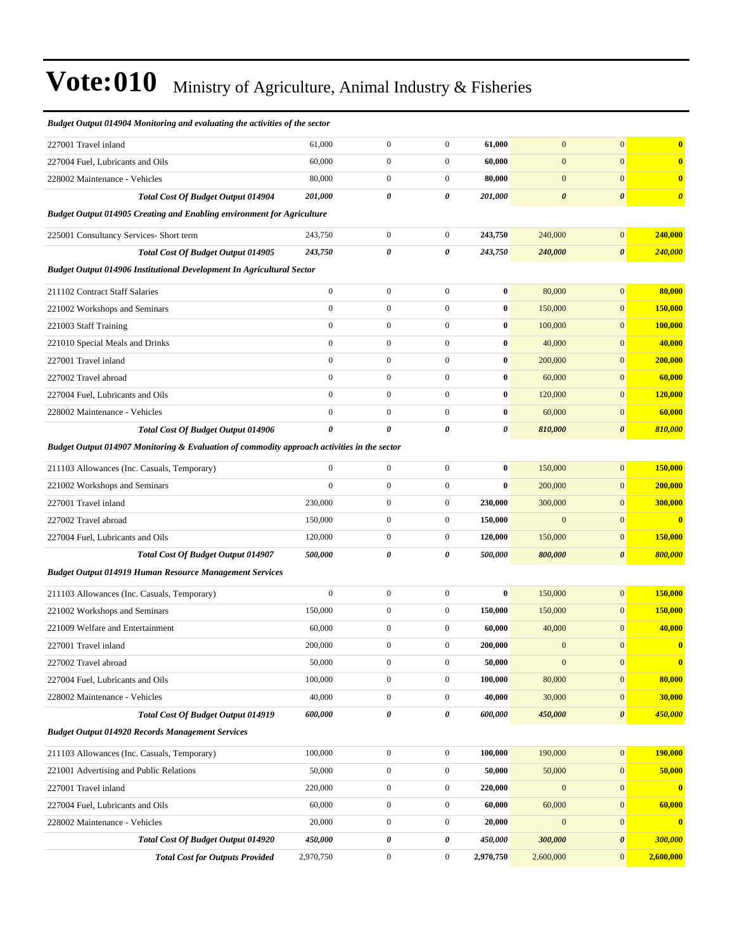| Budget Output 014904 Monitoring and evaluating the activities of the sector                 |                  |                  |                  |           |                       |                       |                         |  |
|---------------------------------------------------------------------------------------------|------------------|------------------|------------------|-----------|-----------------------|-----------------------|-------------------------|--|
| 227001 Travel inland                                                                        | 61,000           | $\boldsymbol{0}$ | $\boldsymbol{0}$ | 61,000    | $\mathbf{0}$          | $\mathbf{0}$          | $\bf{0}$                |  |
| 227004 Fuel, Lubricants and Oils                                                            | 60,000           | $\boldsymbol{0}$ | $\boldsymbol{0}$ | 60,000    | $\mathbf{0}$          | $\mathbf{0}$          | $\overline{\mathbf{0}}$ |  |
| 228002 Maintenance - Vehicles                                                               | 80,000           | $\boldsymbol{0}$ | $\mathbf{0}$     | 80,000    | $\mathbf{0}$          | $\mathbf{0}$          | $\bf{0}$                |  |
| <b>Total Cost Of Budget Output 014904</b>                                                   | 201,000          | 0                | 0                | 201,000   | $\boldsymbol{\theta}$ | $\boldsymbol{\theta}$ | $\boldsymbol{\theta}$   |  |
| <b>Budget Output 014905 Creating and Enabling environment for Agriculture</b>               |                  |                  |                  |           |                       |                       |                         |  |
| 225001 Consultancy Services- Short term                                                     | 243,750          | $\boldsymbol{0}$ | $\boldsymbol{0}$ | 243,750   | 240,000               | $\boldsymbol{0}$      | 240,000                 |  |
| <b>Total Cost Of Budget Output 014905</b>                                                   | 243,750          | 0                | 0                | 243,750   | 240,000               | $\boldsymbol{\theta}$ | 240,000                 |  |
| Budget Output 014906 Institutional Development In Agricultural Sector                       |                  |                  |                  |           |                       |                       |                         |  |
| 211102 Contract Staff Salaries                                                              | $\overline{0}$   | $\boldsymbol{0}$ | $\mathbf{0}$     | $\bf{0}$  | 80,000                | $\boldsymbol{0}$      | 80,000                  |  |
| 221002 Workshops and Seminars                                                               | $\boldsymbol{0}$ | $\boldsymbol{0}$ | $\mathbf{0}$     | $\bf{0}$  | 150,000               | $\boldsymbol{0}$      | 150,000                 |  |
| 221003 Staff Training                                                                       | $\overline{0}$   | $\boldsymbol{0}$ | $\mathbf{0}$     | $\bf{0}$  | 100,000               | $\mathbf{0}$          | 100,000                 |  |
| 221010 Special Meals and Drinks                                                             | $\mathbf{0}$     | $\boldsymbol{0}$ | $\boldsymbol{0}$ | $\bf{0}$  | 40,000                | $\mathbf{0}$          | 40,000                  |  |
| 227001 Travel inland                                                                        | $\overline{0}$   | $\boldsymbol{0}$ | $\mathbf{0}$     | $\bf{0}$  | 200,000               | $\mathbf{0}$          | 200,000                 |  |
| 227002 Travel abroad                                                                        | $\overline{0}$   | $\boldsymbol{0}$ | $\mathbf{0}$     | $\bf{0}$  | 60,000                | $\boldsymbol{0}$      | 60,000                  |  |
| 227004 Fuel, Lubricants and Oils                                                            | $\boldsymbol{0}$ | $\boldsymbol{0}$ | $\mathbf{0}$     | $\bf{0}$  | 120,000               | $\mathbf{0}$          | 120,000                 |  |
| 228002 Maintenance - Vehicles                                                               | $\mathbf{0}$     | $\boldsymbol{0}$ | $\mathbf{0}$     | $\bf{0}$  | 60,000                | $\mathbf{0}$          | 60,000                  |  |
| Total Cost Of Budget Output 014906                                                          | 0                | $\theta$         | 0                | 0         | 810,000               | $\boldsymbol{\theta}$ | 810,000                 |  |
| Budget Output 014907 Monitoring & Evaluation of commodity approach activities in the sector |                  |                  |                  |           |                       |                       |                         |  |
| 211103 Allowances (Inc. Casuals, Temporary)                                                 | $\overline{0}$   | $\boldsymbol{0}$ | $\mathbf{0}$     | $\bf{0}$  | 150,000               | $\mathbf{0}$          | 150,000                 |  |
| 221002 Workshops and Seminars                                                               | $\mathbf{0}$     | $\boldsymbol{0}$ | $\mathbf{0}$     | $\bf{0}$  | 200,000               | $\mathbf{0}$          | 200,000                 |  |
| 227001 Travel inland                                                                        | 230,000          | $\boldsymbol{0}$ | $\boldsymbol{0}$ | 230,000   | 300,000               | $\boldsymbol{0}$      | 300,000                 |  |
| 227002 Travel abroad                                                                        | 150,000          | $\boldsymbol{0}$ | $\boldsymbol{0}$ | 150,000   | $\mathbf{0}$          | $\boldsymbol{0}$      | $\overline{\mathbf{0}}$ |  |
| 227004 Fuel, Lubricants and Oils                                                            | 120,000          | $\boldsymbol{0}$ | $\boldsymbol{0}$ | 120,000   | 150,000               | $\mathbf{0}$          | 150,000                 |  |
| <b>Total Cost Of Budget Output 014907</b>                                                   | 500,000          | 0                | 0                | 500,000   | 800,000               | $\boldsymbol{\theta}$ | 800,000                 |  |
| <b>Budget Output 014919 Human Resource Management Services</b>                              |                  |                  |                  |           |                       |                       |                         |  |
| 211103 Allowances (Inc. Casuals, Temporary)                                                 | $\boldsymbol{0}$ | $\boldsymbol{0}$ | $\boldsymbol{0}$ | $\bf{0}$  | 150,000               | $\boldsymbol{0}$      | 150,000                 |  |
| 221002 Workshops and Seminars                                                               | 150,000          | $\boldsymbol{0}$ | $\boldsymbol{0}$ | 150,000   | 150,000               | $\boldsymbol{0}$      | 150,000                 |  |
| 221009 Welfare and Entertainment                                                            | 60,000           | $\boldsymbol{0}$ | $\boldsymbol{0}$ | 60,000    | 40,000                | $\mathbf{0}$          | 40,000                  |  |
| 227001 Travel inland                                                                        | 200,000          | $\boldsymbol{0}$ | $\boldsymbol{0}$ | 200,000   | $\mathbf{0}$          | $\mathbf{0}$          | $\bf{0}$                |  |
| 227002 Travel abroad                                                                        | 50,000           | $\boldsymbol{0}$ | $\boldsymbol{0}$ | 50,000    | $\boldsymbol{0}$      | $\bf{0}$              | $\bf{0}$                |  |
| 227004 Fuel, Lubricants and Oils                                                            | 100,000          | $\boldsymbol{0}$ | $\boldsymbol{0}$ | 100,000   | 80,000                | $\boldsymbol{0}$      | 80,000                  |  |
| 228002 Maintenance - Vehicles                                                               | 40,000           | $\boldsymbol{0}$ | $\boldsymbol{0}$ | 40,000    | 30,000                | $\mathbf{0}$          | 30,000                  |  |
| Total Cost Of Budget Output 014919                                                          | 600,000          | 0                | 0                | 600,000   | 450,000               | $\pmb{\theta}$        | 450,000                 |  |
| <b>Budget Output 014920 Records Management Services</b>                                     |                  |                  |                  |           |                       |                       |                         |  |
| 211103 Allowances (Inc. Casuals, Temporary)                                                 | 100,000          | $\boldsymbol{0}$ | $\boldsymbol{0}$ | 100,000   | 190,000               | $\mathbf{0}$          | 190,000                 |  |
| 221001 Advertising and Public Relations                                                     | 50,000           | $\boldsymbol{0}$ | $\boldsymbol{0}$ | 50,000    | 50,000                | $\boldsymbol{0}$      | 50,000                  |  |
| 227001 Travel inland                                                                        | 220,000          | $\boldsymbol{0}$ | $\boldsymbol{0}$ | 220,000   | $\boldsymbol{0}$      | $\bf{0}$              | $\bf{0}$                |  |
| 227004 Fuel, Lubricants and Oils                                                            | 60,000           | $\boldsymbol{0}$ | $\boldsymbol{0}$ | 60,000    | 60,000                | $\boldsymbol{0}$      | 60,000                  |  |
| 228002 Maintenance - Vehicles                                                               | 20,000           | $\boldsymbol{0}$ | $\boldsymbol{0}$ | 20,000    | $\mathbf{0}$          | $\mathbf{0}$          | $\bf{0}$                |  |
| Total Cost Of Budget Output 014920                                                          | 450,000          | 0                | 0                | 450,000   | 300,000               | 0                     | 300,000                 |  |
| <b>Total Cost for Outputs Provided</b>                                                      | 2,970,750        | $\boldsymbol{0}$ | $\boldsymbol{0}$ | 2,970,750 | 2,600,000             | $\mathbf{0}$          | 2,600,000               |  |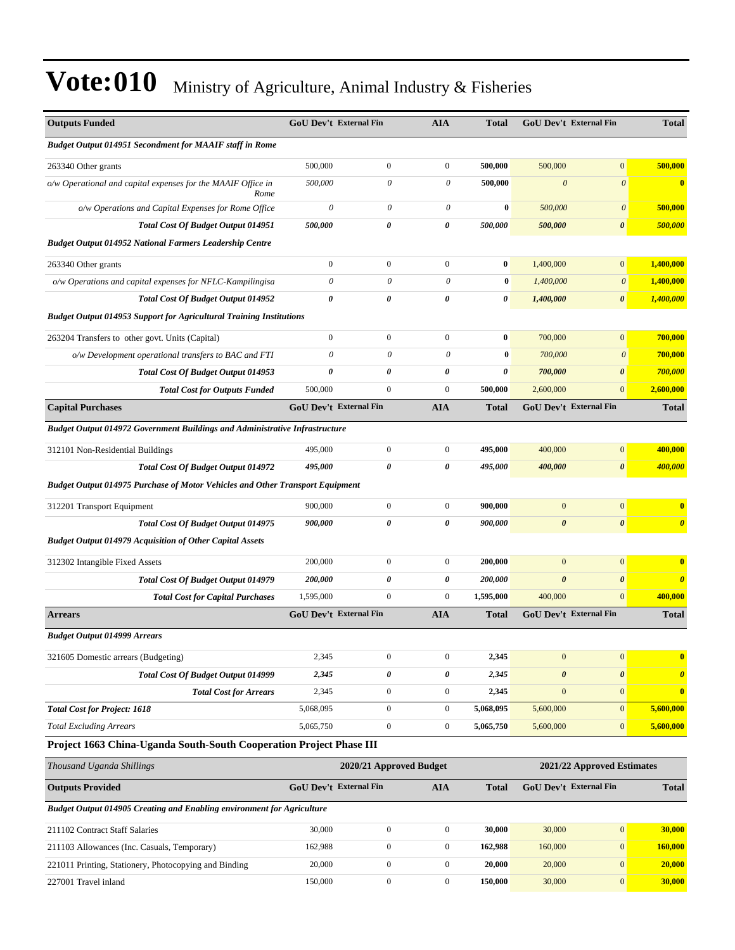| <b>Outputs Funded</b>                                                                |                                                       | GoU Dev't External Fin        | <b>AIA</b>            | <b>Total</b> |                       | <b>GoU Dev't External Fin</b> | <b>Total</b>          |
|--------------------------------------------------------------------------------------|-------------------------------------------------------|-------------------------------|-----------------------|--------------|-----------------------|-------------------------------|-----------------------|
| <b>Budget Output 014951 Secondment for MAAIF staff in Rome</b>                       |                                                       |                               |                       |              |                       |                               |                       |
| 263340 Other grants                                                                  | 500,000                                               | $\mathbf{0}$                  | $\mathbf{0}$          | 500,000      | 500,000               | $\overline{0}$                | 500,000               |
| o/w Operational and capital expenses for the MAAIF Office in<br>Rome                 | 500,000                                               | 0                             | 0                     | 500,000      | $\boldsymbol{\theta}$ | $\boldsymbol{\theta}$         | $\bf{0}$              |
| o/w Operations and Capital Expenses for Rome Office                                  | $\theta$                                              | 0                             | 0                     | $\bf{0}$     | 500,000               | $\boldsymbol{\theta}$         | 500,000               |
| <b>Total Cost Of Budget Output 014951</b>                                            | 500,000                                               | 0                             | $\boldsymbol{\theta}$ | 500,000      | 500,000               | $\boldsymbol{\theta}$         | 500,000               |
| <b>Budget Output 014952 National Farmers Leadership Centre</b>                       |                                                       |                               |                       |              |                       |                               |                       |
| 263340 Other grants                                                                  | $\boldsymbol{0}$                                      | $\boldsymbol{0}$              | $\mathbf{0}$          | $\bf{0}$     | 1,400,000             | $\overline{0}$                | 1,400,000             |
| o/w Operations and capital expenses for NFLC-Kampilingisa                            | $\theta$                                              | $\theta$                      | $\theta$              | $\bf{0}$     | 1,400,000             | $\boldsymbol{\theta}$         | 1,400,000             |
| <b>Total Cost Of Budget Output 014952</b>                                            | 0                                                     | 0                             | 0                     | 0            | 1,400,000             | 0                             | 1,400,000             |
| <b>Budget Output 014953 Support for Agricultural Training Institutions</b>           |                                                       |                               |                       |              |                       |                               |                       |
| 263204 Transfers to other govt. Units (Capital)                                      | $\mathbf{0}$                                          | $\boldsymbol{0}$              | $\boldsymbol{0}$      | $\bf{0}$     | 700,000               | $\mathbf{0}$                  | 700,000               |
| o/w Development operational transfers to BAC and FTI                                 | $\theta$                                              | $\theta$                      | $\theta$              | $\bf{0}$     | 700,000               | $\theta$                      | 700,000               |
| Total Cost Of Budget Output 014953                                                   | $\pmb{\theta}$                                        | 0                             | 0                     | 0            | 700,000               | $\boldsymbol{\theta}$         | 700,000               |
| <b>Total Cost for Outputs Funded</b>                                                 | 500,000                                               | $\mathbf{0}$                  | $\mathbf{0}$          | 500,000      | 2,600,000             | $\overline{0}$                | 2,600,000             |
| <b>Capital Purchases</b>                                                             |                                                       | <b>GoU Dev't External Fin</b> | AIA                   | <b>Total</b> |                       | GoU Dev't External Fin        | <b>Total</b>          |
| <b>Budget Output 014972 Government Buildings and Administrative Infrastructure</b>   |                                                       |                               |                       |              |                       |                               |                       |
| 312101 Non-Residential Buildings                                                     | 495,000                                               | $\mathbf{0}$                  | $\overline{0}$        | 495,000      | 400,000               | $\mathbf{0}$                  | 400,000               |
| <b>Total Cost Of Budget Output 014972</b>                                            | 495,000                                               | 0                             | 0                     | 495,000      | 400,000               | 0                             | 400,000               |
| <b>Budget Output 014975 Purchase of Motor Vehicles and Other Transport Equipment</b> |                                                       |                               |                       |              |                       |                               |                       |
| 312201 Transport Equipment                                                           | 900,000                                               | $\mathbf{0}$                  | $\mathbf{0}$          | 900,000      | $\mathbf{0}$          | $\boldsymbol{0}$              | $\bf{0}$              |
| Total Cost Of Budget Output 014975                                                   | 900,000                                               | 0                             | 0                     | 900,000      | $\boldsymbol{\theta}$ | $\boldsymbol{\theta}$         | $\boldsymbol{\theta}$ |
| <b>Budget Output 014979 Acquisition of Other Capital Assets</b>                      |                                                       |                               |                       |              |                       |                               |                       |
| 312302 Intangible Fixed Assets                                                       | 200,000                                               | $\boldsymbol{0}$              | $\mathbf{0}$          | 200,000      | $\mathbf{0}$          | $\mathbf{0}$                  | $\bf{0}$              |
| Total Cost Of Budget Output 014979                                                   | 200,000                                               | 0                             | $\boldsymbol{\theta}$ | 200,000      | $\boldsymbol{\theta}$ | $\boldsymbol{\theta}$         | $\boldsymbol{\theta}$ |
| <b>Total Cost for Capital Purchases</b>                                              | 1,595,000                                             | $\mathbf{0}$                  | $\mathbf{0}$          | 1,595,000    | 400,000               | $\overline{0}$                | 400,000               |
| <b>Arrears</b>                                                                       |                                                       | <b>GoU Dev't External Fin</b> | <b>AIA</b>            | <b>Total</b> |                       | GoU Dev't External Fin        | <b>Total</b>          |
| <b>Budget Output 014999 Arrears</b>                                                  |                                                       |                               |                       |              |                       |                               |                       |
| 321605 Domestic arrears (Budgeting)                                                  | 2,345                                                 | $\boldsymbol{0}$              | $\boldsymbol{0}$      | 2,345        | $\boldsymbol{0}$      | $\boldsymbol{0}$              | $\bf{0}$              |
| Total Cost Of Budget Output 014999                                                   | 2,345                                                 | 0                             | 0                     | 2,345        | $\boldsymbol{\theta}$ | 0                             | $\boldsymbol{\theta}$ |
| <b>Total Cost for Arrears</b>                                                        | 2,345                                                 | $\mathbf{0}$                  | $\boldsymbol{0}$      | 2,345        | $\mathbf{0}$          | $\overline{0}$                | $\bf{0}$              |
| <b>Total Cost for Project: 1618</b>                                                  | 5,068,095                                             | $\boldsymbol{0}$              | $\boldsymbol{0}$      | 5,068,095    | 5,600,000             | $\overline{0}$                | 5,600,000             |
| <b>Total Excluding Arrears</b>                                                       | 5,065,750                                             | $\boldsymbol{0}$              | $\boldsymbol{0}$      | 5,065,750    | 5,600,000             | $\boldsymbol{0}$              | 5,600,000             |
| Project 1663 China-Uganda South-South Cooperation Project Phase III                  |                                                       |                               |                       |              |                       |                               |                       |
| Thousand Uganda Shillings                                                            | 2020/21 Approved Budget<br>2021/22 Approved Estimates |                               |                       |              |                       |                               |                       |
| <b>Outputs Provided</b>                                                              |                                                       | GoU Dev't External Fin        | <b>AIA</b>            | <b>Total</b> |                       | GoU Dev't External Fin        | <b>Total</b>          |
| Budget Output 014905 Creating and Enabling environment for Agriculture               |                                                       |                               |                       |              |                       |                               |                       |
| 211102 Contract Staff Salaries                                                       | 30,000                                                | $\boldsymbol{0}$              | $\mathbf{0}$          | 30,000       | 30,000                | $\boldsymbol{0}$              | 30,000                |
| 211103 Allowances (Inc. Casuals, Temporary)                                          | 162,988                                               | $\boldsymbol{0}$              | $\mathbf{0}$          | 162,988      | 160,000               | $\boldsymbol{0}$              | 160,000               |
| 221011 Printing, Stationery, Photocopying and Binding                                | 20,000                                                | $\mathbf{0}$                  | $\mathbf{0}$          | 20,000       | 20,000                | $\overline{0}$                | 20,000                |
| 227001 Travel inland                                                                 | 150,000                                               | $\boldsymbol{0}$              | $\boldsymbol{0}$      | 150,000      | 30,000                | $\boldsymbol{0}$              | 30,000                |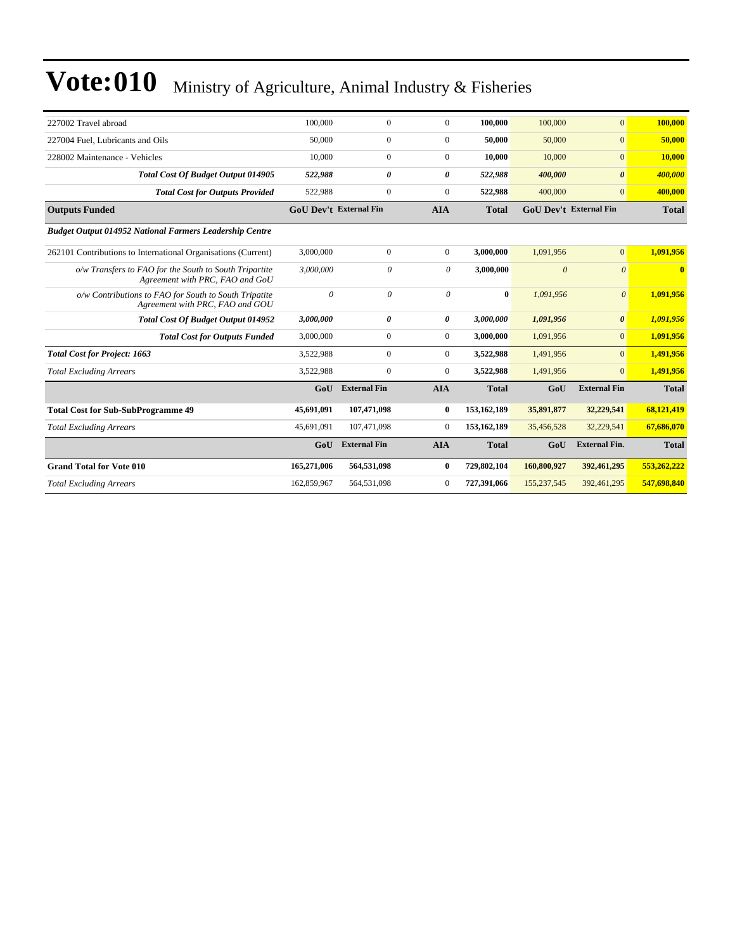| 227002 Travel abroad                                                                      | 100,000                       | $\mathbf{0}$          | $\Omega$              | 100.000       | 100,000     | $\overline{0}$                | 100,000      |
|-------------------------------------------------------------------------------------------|-------------------------------|-----------------------|-----------------------|---------------|-------------|-------------------------------|--------------|
| 227004 Fuel, Lubricants and Oils                                                          | 50,000                        | $\Omega$              | $\mathbf{0}$          | 50,000        | 50,000      | $\overline{0}$                | 50,000       |
| 228002 Maintenance - Vehicles                                                             | 10,000                        | $\mathbf{0}$          | $\mathbf{0}$          | 10.000        | 10,000      | $\overline{0}$                | 10,000       |
| <b>Total Cost Of Budget Output 014905</b>                                                 | 522,988                       | 0                     | 0                     | 522,988       | 400,000     | $\boldsymbol{\theta}$         | 400,000      |
| <b>Total Cost for Outputs Provided</b>                                                    | 522,988                       | $\mathbf{0}$          | $\mathbf{0}$          | 522,988       | 400,000     | $\overline{0}$                | 400.000      |
| <b>Outputs Funded</b>                                                                     | <b>GoU Dev't External Fin</b> |                       | <b>AIA</b>            | <b>Total</b>  |             | <b>GoU Dev't External Fin</b> | <b>Total</b> |
| <b>Budget Output 014952 National Farmers Leadership Centre</b>                            |                               |                       |                       |               |             |                               |              |
| 262101 Contributions to International Organisations (Current)                             | 3,000,000                     | $\mathbf{0}$          | $\overline{0}$        | 3,000,000     | 1.091.956   | $\overline{0}$                | 1.091.956    |
| o/w Transfers to FAO for the South to South Tripartite<br>Agreement with PRC, FAO and GoU | 3,000,000                     | $\theta$              | 0                     | 3,000,000     | $\theta$    | $\theta$                      | $\mathbf{0}$ |
| o/w Contributions to FAO for South to South Tripatite<br>Agreement with PRC, FAO and GOU  | $\theta$                      | $\theta$              | $\theta$              | $\bf{0}$      | 1,091,956   | $\mathcal{O}$                 | 1,091,956    |
| <b>Total Cost Of Budget Output 014952</b>                                                 | 3,000,000                     | $\boldsymbol{\theta}$ | $\boldsymbol{\theta}$ | 3,000,000     | 1,091,956   | $\boldsymbol{\theta}$         | 1,091,956    |
| <b>Total Cost for Outputs Funded</b>                                                      | 3,000,000                     | $\mathbf{0}$          | $\mathbf{0}$          | 3,000,000     | 1,091,956   | $\overline{0}$                | 1,091,956    |
| <b>Total Cost for Project: 1663</b>                                                       | 3,522,988                     | $\mathbf{0}$          | $\mathbf{0}$          | 3,522,988     | 1,491,956   | $\overline{0}$                | 1,491,956    |
| <b>Total Excluding Arrears</b>                                                            | 3,522,988                     | $\mathbf{0}$          | $\Omega$              | 3,522,988     | 1,491,956   | $\Omega$                      | 1,491,956    |
|                                                                                           | GoU                           | <b>External Fin</b>   | <b>AIA</b>            | <b>Total</b>  | GoU         | <b>External Fin</b>           | <b>Total</b> |
| <b>Total Cost for Sub-SubProgramme 49</b>                                                 | 45,691,091                    | 107,471,098           | $\mathbf{0}$          | 153,162,189   | 35,891,877  | 32,229,541                    | 68,121,419   |
| <b>Total Excluding Arrears</b>                                                            | 45,691,091                    | 107,471,098           | $\mathbf{0}$          | 153, 162, 189 | 35,456,528  | 32,229,541                    | 67,686,070   |
|                                                                                           | GoU                           | <b>External Fin</b>   | <b>AIA</b>            | <b>Total</b>  | GoU         | <b>External Fin.</b>          | <b>Total</b> |
| <b>Grand Total for Vote 010</b>                                                           | 165,271,006                   | 564,531,098           | $\bf{0}$              | 729,802,104   | 160,800,927 | 392,461,295                   | 553,262,222  |
| <b>Total Excluding Arrears</b>                                                            | 162,859,967                   | 564,531,098           | $\mathbf{0}$          | 727,391,066   | 155,237,545 | 392,461,295                   | 547,698,840  |